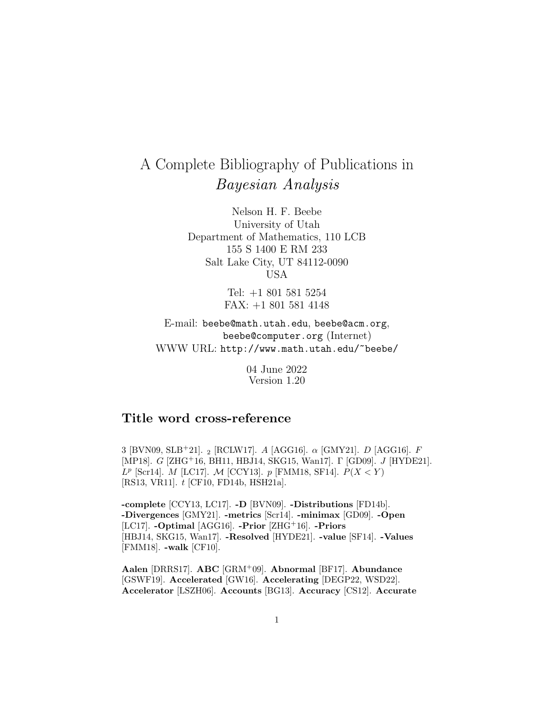# A Complete Bibliography of Publications in Bayesian Analysis

Nelson H. F. Beebe University of Utah Department of Mathematics, 110 LCB 155 S 1400 E RM 233 Salt Lake City, UT 84112-0090 USA

> Tel: +1 801 581 5254 FAX: +1 801 581 4148

E-mail: beebe@math.utah.edu, beebe@acm.org, beebe@computer.org (Internet) WWW URL: http://www.math.utah.edu/~beebe/

> 04 June 2022 Version 1.20

# **Title word cross-reference**

3 [BVN09, SLB<sup>+</sup>21]. <sub>2</sub> [RCLW17]. A [AGG16].  $\alpha$  [GMY21]. *D* [AGG16]. *F* [MP18]. G [ZHG<sup>+</sup>16, BH11, HBJ14, SKG15, Wan17]. Γ [GD09]. J [HYDE21].  $L^p$  [Scr14]. *M* [LC17]. *M* [CCY13]. *p* [FMM18, SF14].  $P(X \lt Y)$ [RS13, VR11]. t [CF10, FD14b, HSH21a].

**-complete** [CCY13, LC17]. **-D** [BVN09]. **-Distributions** [FD14b]. **-Divergences** [GMY21]. **-metrics** [Scr14]. **-minimax** [GD09]. **-Open** [LC17]. **-Optimal** [AGG16]. **-Prior** [ZHG<sup>+</sup>16]. **-Priors** [HBJ14, SKG15, Wan17]. **-Resolved** [HYDE21]. **-value** [SF14]. **-Values** [FMM18]. **-walk** [CF10].

**Aalen** [DRRS17]. **ABC** [GRM<sup>+</sup>09]. **Abnormal** [BF17]. **Abundance** [GSWF19]. **Accelerated** [GW16]. **Accelerating** [DEGP22, WSD22]. **Accelerator** [LSZH06]. **Accounts** [BG13]. **Accuracy** [CS12]. **Accurate**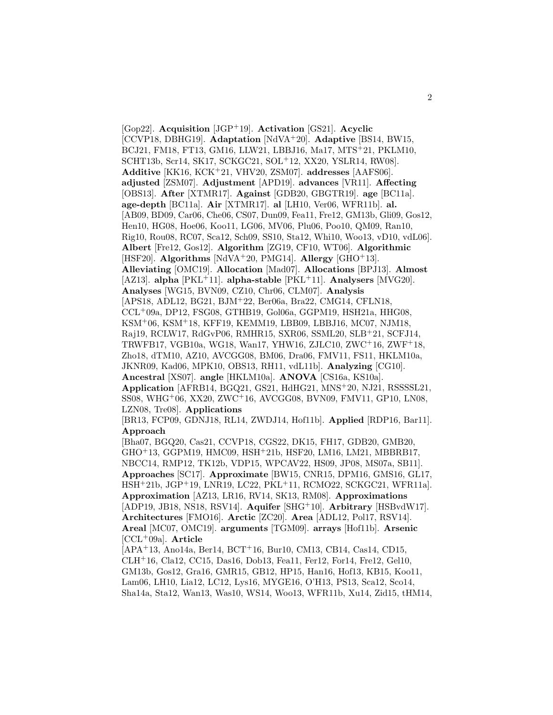[Gop22]. **Acquisition** [JGP<sup>+</sup>19]. **Activation** [GS21]. **Acyclic** [CCVP18, DBHG19]. **Adaptation** [NdVA<sup>+</sup>20]. **Adaptive** [BS14, BW15, BCJ21, FM18, FT13, GM16, LLW21, LBBJ16, Ma17, MTS<sup>+</sup>21, PKLM10, SCHT13b, Scr14, SK17, SCKGC21, SOL<sup>+</sup>12, XX20, YSLR14, RW08]. **Additive** [KK16, KCK<sup>+</sup>21, VHV20, ZSM07]. **addresses** [AAFS06]. **adjusted** [ZSM07]. **Adjustment** [APD19]. **advances** [VR11]. **Affecting** [OBS13]. **After** [XTMR17]. **Against** [GDB20, GBGTR19]. **age** [BC11a]. **age-depth** [BC11a]. **Air** [XTMR17]. **al** [LH10, Ver06, WFR11b]. **al.** [AB09, BD09, Car06, Che06, CS07, Dun09, Fea11, Fre12, GM13b, Gli09, Gos12, Hen10, HG08, Hoe06, Koo11, LG06, MV06, Plu06, Poo10, QM09, Ran10, Rig10, Rou08, RC07, Sca12, Sch09, SS10, Sta12, Whi10, Woo13, vD10, vdL06]. **Albert** [Fre12, Gos12]. **Algorithm** [ZG19, CF10, WT06]. **Algorithmic** [HSF20]. **Algorithms** [NdVA<sup>+</sup>20, PMG14]. **Allergy** [GHO<sup>+</sup>13]. **Alleviating** [OMC19]. **Allocation** [Mad07]. **Allocations** [BPJ13]. **Almost** [AZ13]. **alpha** [PKL<sup>+</sup>11]. **alpha-stable** [PKL<sup>+</sup>11]. **Analysers** [MVG20]. **Analyses** [WG15, BVN09, CZ10, Chr06, CLM07]. **Analysis** [APS18, ADL12, BG21, BJM<sup>+</sup>22, Ber06a, Bra22, CMG14, CFLN18, CCL<sup>+</sup>09a, DP12, FSG08, GTHB19, Gol06a, GGPM19, HSH21a, HHG08, KSM<sup>+</sup>06, KSM<sup>+</sup>18, KFF19, KEMM19, LBB09, LBBJ16, MC07, NJM18, Raj19, RCLW17, RdGvP06, RMHR15, SXR06, SSML20, SLB<sup>+</sup>21, SCFJ14, TRWFB17, VGB10a, WG18, Wan17, YHW16, ZJLC10, ZWC<sup>+</sup>16, ZWF<sup>+</sup>18, Zho18, dTM10, AZ10, AVCGG08, BM06, Dra06, FMV11, FS11, HKLM10a, JKNR09, Kad06, MPK10, OBS13, RH11, vdL11b]. **Analyzing** [CG10]. **Ancestral** [XS07]. **angle** [HKLM10a]. **ANOVA** [CS16a, KS10a]. **Application** [AFRB14, BGQ21, GS21, HdHG21, MNS<sup>+</sup>20, NJ21, RSSSSL21, SS08, WHG<sup>+</sup>06, XX20, ZWC<sup>+</sup>16, AVCGG08, BVN09, FMV11, GP10, LN08, LZN08, Tre08]. **Applications**

[BR13, FCP09, GDNJ18, RL14, ZWDJ14, Hof11b]. **Applied** [RDP16, Bar11]. **Approach**

[Bha07, BGQ20, Cas21, CCVP18, CGS22, DK15, FH17, GDB20, GMB20, GHO<sup>+</sup>13, GGPM19, HMC09, HSH<sup>+</sup>21b, HSF20, LM16, LM21, MBBRB17, NBCC14, RMP12, TK12b, VDP15, WPCAV22, HS09, JP08, MS07a, SB11]. **Approaches** [SC17]. **Approximate** [BW15, CNR15, DPM16, GMS16, GL17, HSH<sup>+</sup>21b, JGP<sup>+</sup>19, LNR19, LC22, PKL<sup>+</sup>11, RCMO22, SCKGC21, WFR11a]. **Approximation** [AZ13, LR16, RV14, SK13, RM08]. **Approximations** [ADP19, JB18, NS18, RSV14]. **Aquifer** [SHG<sup>+</sup>10]. **Arbitrary** [HSBvdW17]. **Architectures** [FMO16]. **Arctic** [ZC20]. **Area** [ADL12, Pol17, RSV14]. **Areal** [MC07, OMC19]. **arguments** [TGM09]. **arrays** [Hof11b]. **Arsenic** [CCL<sup>+</sup>09a]. **Article**

[APA<sup>+</sup>13, Ano14a, Ber14, BCT<sup>+</sup>16, Bur10, CM13, CB14, Cas14, CD15, CLH<sup>+</sup>16, Cla12, CC15, Das16, Dob13, Fea11, Fer12, For14, Fre12, Gel10, GM13b, Gos12, Gra16, GMR15, GB12, HP15, Han16, Hof13, KB15, Koo11, Lam06, LH10, Lia12, LC12, Lys16, MYGE16, O'H13, PS13, Sca12, Sco14, Sha14a, Sta12, Wan13, Was10, WS14, Woo13, WFR11b, Xu14, Zid15, tHM14,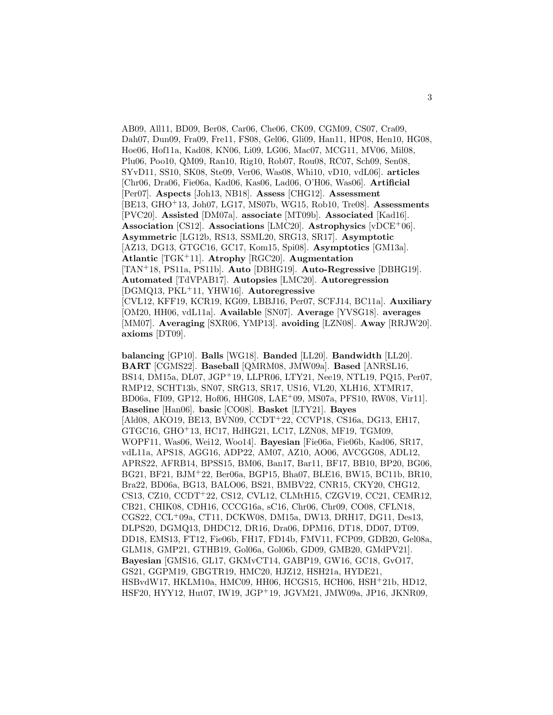AB09, All11, BD09, Ber08, Car06, Che06, CK09, CGM09, CS07, Cra09, Dah07, Dun09, Fra09, Fre11, FS08, Gel06, Gli09, Han11, HP08, Hen10, HG08, Hoe06, Hof11a, Kad08, KN06, Li09, LG06, Mac07, MCG11, MV06, Mil08, Plu06, Poo10, QM09, Ran10, Rig10, Rob07, Rou08, RC07, Sch09, Sen08, SYvD11, SS10, SK08, Ste09, Ver06, Was08, Whi10, vD10, vdL06]. **articles** [Chr06, Dra06, Fie06a, Kad06, Kas06, Lad06, O'H06, Was06]. **Artificial** [Per07]. **Aspects** [Joh13, NB18]. **Assess** [CHG12]. **Assessment** [BE13, GHO<sup>+</sup>13, Joh07, LG17, MS07b, WG15, Rob10, Tre08]. **Assessments** [PVC20]. **Assisted** [DM07a]. **associate** [MT09b]. **Associated** [Kad16]. **Association** [CS12]. **Associations** [LMC20]. **Astrophysics** [vDCE<sup>+</sup>06]. **Asymmetric** [LG12b, RS13, SSML20, SRG13, SR17]. **Asymptotic** [AZ13, DG13, GTGC16, GC17, Kom15, Spi08]. **Asymptotics** [GM13a]. **Atlantic** [TGK<sup>+</sup>11]. **Atrophy** [RGC20]. **Augmentation** [TAN<sup>+</sup>18, PS11a, PS11b]. **Auto** [DBHG19]. **Auto-Regressive** [DBHG19]. **Automated** [TdVPAB17]. **Autopsies** [LMC20]. **Autoregression** [DGMQ13, PKL<sup>+</sup>11, YHW16]. **Autoregressive** [CVL12, KFF19, KCR19, KG09, LBBJ16, Per07, SCFJ14, BC11a]. **Auxiliary** [OM20, HH06, vdL11a]. **Available** [SN07]. **Average** [YVSG18]. **averages** [MM07]. **Averaging** [SXR06, YMP13]. **avoiding** [LZN08]. **Away** [RRJW20]. **axioms** [DT09].

**balancing** [GP10]. **Balls** [WG18]. **Banded** [LL20]. **Bandwidth** [LL20]. **BART** [CGMS22]. **Baseball** [QMRM08, JMW09a]. **Based** [ANRSL16, BS14, DM15a, DL07, JGP<sup>+</sup>19, LLPR06, LTY21, Nee19, NTL19, PQ15, Per07, RMP12, SCHT13b, SN07, SRG13, SR17, US16, VL20, XLH16, XTMR17, BD06a, FI09, GP12, Hof06, HHG08, LAE<sup>+</sup>09, MS07a, PFS10, RW08, Vir11]. **Baseline** [Han06]. **basic** [CO08]. **Basket** [LTY21]. **Bayes** [Ald08, AKO19, BE13, BVN09, CCDT<sup>+</sup>22, CCVP18, CS16a, DG13, EH17, GTGC16, GHO<sup>+</sup>13, HC17, HdHG21, LC17, LZN08, MF19, TGM09, WOPF11, Was06, Wei12, Woo14]. **Bayesian** [Fie06a, Fie06b, Kad06, SR17, vdL11a, APS18, AGG16, ADP22, AM07, AZ10, AO06, AVCGG08, ADL12, APRS22, AFRB14, BPSS15, BM06, Ban17, Bar11, BF17, BB10, BP20, BG06, BG21, BF21, BJM<sup>+</sup>22, Ber06a, BGP15, Bha07, BLE16, BW15, BC11b, BR10, Bra22, BD06a, BG13, BALO06, BS21, BMBV22, CNR15, CKY20, CHG12, CS13, CZ10, CCDT<sup>+</sup>22, CS12, CVL12, CLMtH15, CZGV19, CC21, CEMR12, CB21, CHIK08, CDH16, CCCG16a, sC16, Chr06, Chr09, CO08, CFLN18, CGS22, CCL<sup>+</sup>09a, CT11, DCKW08, DM15a, DW13, DRH17, DG11, Des13, DLPS20, DGMQ13, DHDC12, DR16, Dra06, DPM16, DT18, DD07, DT09, DD18, EMS13, FT12, Fie06b, FH17, FD14b, FMV11, FCP09, GDB20, Gel08a, GLM18, GMP21, GTHB19, Gol06a, Gol06b, GD09, GMB20, GMdPV21]. **Bayesian** [GMS16, GL17, GKMvCT14, GABP19, GW16, GC18, GvO17, GS21, GGPM19, GBGTR19, HMC20, HJZ12, HSH21a, HYDE21, HSBvdW17, HKLM10a, HMC09, HH06, HCGS15, HCH06, HSH<sup>+</sup>21b, HD12, HSF20, HYY12, Hut07, IW19, JGP<sup>+</sup>19, JGVM21, JMW09a, JP16, JKNR09,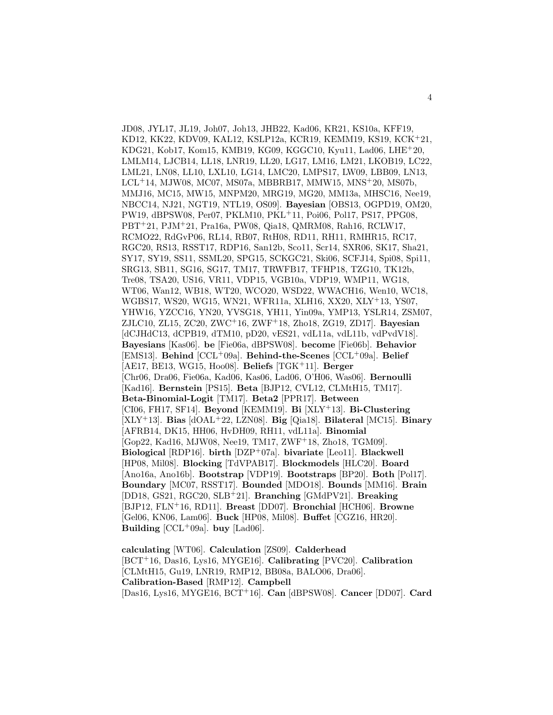JD08, JYL17, JL19, Joh07, Joh13, JHB22, Kad06, KR21, KS10a, KFF19, KD12, KK22, KDV09, KAL12, KSLP12a, KCR19, KEMM19, KS19, KCK<sup>+</sup>21, KDG21, Kob17, Kom15, KMB19, KG09, KGGC10, Kyu11, Lad06, LHE<sup>+</sup>20, LMLM14, LJCB14, LL18, LNR19, LL20, LG17, LM16, LM21, LKOB19, LC22, LML21, LN08, LL10, LXL10, LG14, LMC20, LMPS17, LW09, LBB09, LN13,  $LCL+14$ , MJW08, MC07, MS07a, MBBRB17, MMW15, MNS<sup>+</sup>20, MS07b, MMJ16, MC15, MW15, MNPM20, MRG19, MG20, MM13a, MHSC16, Nee19, NBCC14, NJ21, NGT19, NTL19, OS09]. **Bayesian** [OBS13, OGPD19, OM20, PW19, dBPSW08, Per07, PKLM10, PKL<sup>+</sup>11, Poi06, Pol17, PS17, PPG08, PBT<sup>+</sup>21, PJM<sup>+</sup>21, Pra16a, PW08, Qia18, QMRM08, Rah16, RCLW17, RCMO22, RdGvP06, RL14, RB07, RtH08, RD11, RH11, RMHR15, RC17, RGC20, RS13, RSST17, RDP16, San12b, Sco11, Scr14, SXR06, SK17, Sha21, SY17, SY19, SS11, SSML20, SPG15, SCKGC21, Ski06, SCFJ14, Spi08, Spi11, SRG13, SB11, SG16, SG17, TM17, TRWFB17, TFHP18, TZG10, TK12b, Tre08, TSA20, US16, VR11, VDP15, VGB10a, VDP19, WMP11, WG18, WT06, Wan12, WB18, WT20, WCO20, WSD22, WWACH16, Wen10, WC18, WGBS17, WS20, WG15, WN21, WFR11a, XLH16, XX20, XLY<sup>+</sup>13, YS07, YHW16, YZCC16, YN20, YVSG18, YH11, Yin09a, YMP13, YSLR14, ZSM07, ZJLC10, ZL15, ZC20, ZWC<sup>+</sup>16, ZWF<sup>+</sup>18, Zho18, ZG19, ZD17]. **Bayesian** [dCJHdC13, dCPB19, dTM10, pD20, vES21, vdL11a, vdL11b, vdPvdV18]. **Bayesians** [Kas06]. **be** [Fie06a, dBPSW08]. **become** [Fie06b]. **Behavior** [EMS13]. **Behind** [CCL<sup>+</sup>09a]. **Behind-the-Scenes** [CCL<sup>+</sup>09a]. **Belief** [AE17, BE13, WG15, Hoo08]. **Beliefs** [TGK<sup>+</sup>11]. **Berger** [Chr06, Dra06, Fie06a, Kad06, Kas06, Lad06, O'H06, Was06]. **Bernoulli** [Kad16]. **Bernstein** [PS15]. **Beta** [BJP12, CVL12, CLMtH15, TM17]. **Beta-Binomial-Logit** [TM17]. **Beta2** [PPR17]. **Between** [CI06, FH17, SF14]. **Beyond** [KEMM19]. **Bi** [XLY<sup>+</sup>13]. **Bi-Clustering** [XLY<sup>+</sup>13]. **Bias** [dOAL<sup>+</sup>22, LZN08]. **Big** [Qia18]. **Bilateral** [MC15]. **Binary** [AFRB14, DK15, HH06, HvDH09, RH11, vdL11a]. **Binomial** [Gop22, Kad16, MJW08, Nee19, TM17, ZWF<sup>+</sup>18, Zho18, TGM09]. **Biological** [RDP16]. **birth** [DZP<sup>+</sup>07a]. **bivariate** [Leo11]. **Blackwell** [HP08, Mil08]. **Blocking** [TdVPAB17]. **Blockmodels** [HLC20]. **Board** [Ano16a, Ano16b]. **Bootstrap** [VDP19]. **Bootstraps** [BP20]. **Both** [Pol17]. **Boundary** [MC07, RSST17]. **Bounded** [MDO18]. **Bounds** [MM16]. **Brain** [DD18, GS21, RGC20, SLB<sup>+</sup>21]. **Branching** [GMdPV21]. **Breaking** [BJP12, FLN<sup>+</sup>16, RD11]. **Breast** [DD07]. **Bronchial** [HCH06]. **Browne** [Gel06, KN06, Lam06]. **Buck** [HP08, Mil08]. **Buffet** [CGZ16, HR20]. **Building**  $[CL+09a]$ . **buy**  $[Lad06]$ .

**calculating** [WT06]. **Calculation** [ZS09]. **Calderhead** [BCT<sup>+</sup>16, Das16, Lys16, MYGE16]. **Calibrating** [PVC20]. **Calibration** [CLMtH15, Gu19, LNR19, RMP12, BB08a, BALO06, Dra06]. **Calibration-Based** [RMP12]. **Campbell** [Das16, Lys16, MYGE16, BCT<sup>+</sup>16]. **Can** [dBPSW08]. **Cancer** [DD07]. **Card**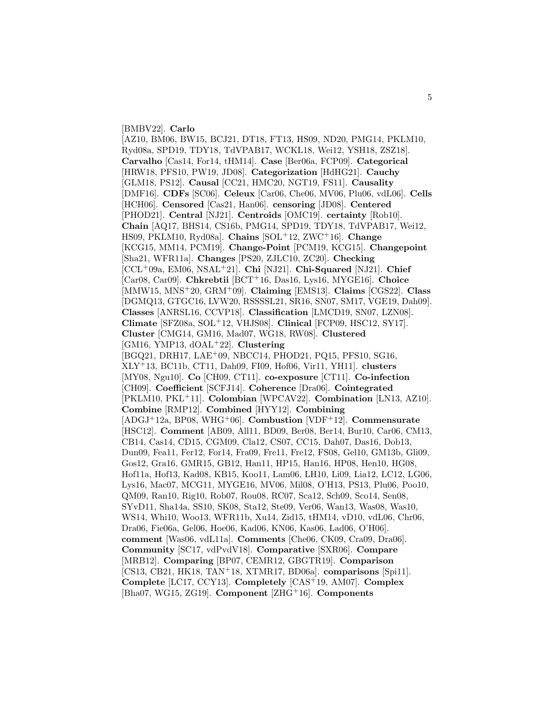#### [BMBV22]. **Carlo**

[AZ10, BM06, BW15, BCJ21, DT18, FT13, HS09, ND20, PMG14, PKLM10, Ryd08a, SPD19, TDY18, TdVPAB17, WCKL18, Wei12, YSH18, ZSZ18]. **Carvalho** [Cas14, For14, tHM14]. **Case** [Ber06a, FCP09]. **Categorical** [HRW18, PFS10, PW19, JD08]. **Categorization** [HdHG21]. **Cauchy** [GLM18, PS12]. **Causal** [CC21, HMC20, NGT19, FS11]. **Causality** [DMF16]. **CDFs** [SC06]. **Celeux** [Car06, Che06, MV06, Plu06, vdL06]. **Cells** [HCH06]. **Censored** [Cas21, Han06]. **censoring** [JD08]. **Centered** [PHOD21]. **Central** [NJ21]. **Centroids** [OMC19]. **certainty** [Rob10]. **Chain** [AQ17, BHS14, CS16b, PMG14, SPD19, TDY18, TdVPAB17, Wei12, HS09, PKLM10, Ryd08a]. **Chains** [SOL<sup>+</sup>12, ZWC<sup>+</sup>16]. **Change** [KCG15, MM14, PCM19]. **Change-Point** [PCM19, KCG15]. **Changepoint** [Sha21, WFR11a]. **Changes** [PS20, ZJLC10, ZC20]. **Checking** [CCL<sup>+</sup>09a, EM06, NSAL<sup>+</sup>21]. **Chi** [NJ21]. **Chi-Squared** [NJ21]. **Chief** [Car08, Car09]. **Chkrebtii** [BCT<sup>+</sup>16, Das16, Lys16, MYGE16]. **Choice** [MMW15, MNS<sup>+</sup>20, GRM<sup>+</sup>09]. **Claiming** [EMS13]. **Claims** [CGS22]. **Class** [DGMQ13, GTGC16, LVW20, RSSSSL21, SR16, SN07, SM17, VGE19, Dah09]. **Classes** [ANRSL16, CCVP18]. **Classification** [LMCD19, SN07, LZN08]. **Climate** [SFZ08a, SOL<sup>+</sup>12, VHJS08]. **Clinical** [FCP09, HSC12, SY17]. **Cluster** [CMG14, GM16, Mad07, WG18, RW08]. **Clustered** [GM16, YMP13, dOAL<sup>+</sup>22]. **Clustering** [BGQ21, DRH17, LAE<sup>+</sup>09, NBCC14, PHOD21, PQ15, PFS10, SG16, XLY<sup>+</sup>13, BC11b, CT11, Dah09, FI09, Hof06, Vir11, YH11]. **clusters** [MY08, Ngu10]. **Co** [CH09, CT11]. **co-exposure** [CT11]. **Co-infection** [CH09]. **Coefficient** [SCFJ14]. **Coherence** [Dra06]. **Cointegrated** [PKLM10, PKL<sup>+</sup>11]. **Colombian** [WPCAV22]. **Combination** [LN13, AZ10]. **Combine** [RMP12]. **Combined** [HYY12]. **Combining** [ADGJ<sup>+</sup>12a, BP08, WHG<sup>+</sup>06]. **Combustion** [VDF<sup>+</sup>12]. **Commensurate** [HSC12]. **Comment** [AB09, All11, BD09, Ber08, Ber14, Bur10, Car06, CM13, CB14, Cas14, CD15, CGM09, Cla12, CS07, CC15, Dah07, Das16, Dob13, Dun09, Fea11, Fer12, For14, Fra09, Fre11, Fre12, FS08, Gel10, GM13b, Gli09, Gos12, Gra16, GMR15, GB12, Han11, HP15, Han16, HP08, Hen10, HG08, Hof11a, Hof13, Kad08, KB15, Koo11, Lam06, LH10, Li09, Lia12, LC12, LG06, Lys16, Mac07, MCG11, MYGE16, MV06, Mil08, O'H13, PS13, Plu06, Poo10, QM09, Ran10, Rig10, Rob07, Rou08, RC07, Sca12, Sch09, Sco14, Sen08, SYvD11, Sha14a, SS10, SK08, Sta12, Ste09, Ver06, Wan13, Was08, Was10, WS14, Whi10, Woo13, WFR11b, Xu14, Zid15, tHM14, vD10, vdL06, Chr06, Dra06, Fie06a, Gel06, Hoe06, Kad06, KN06, Kas06, Lad06, O'H06]. **comment** [Was06, vdL11a]. **Comments** [Che06, CK09, Cra09, Dra06]. **Community** [SC17, vdPvdV18]. **Comparative** [SXR06]. **Compare** [MRB12]. **Comparing** [BP07, CEMR12, GBGTR19]. **Comparison** [CS13, CB21, HK18, TAN<sup>+</sup>18, XTMR17, BD06a]. **comparisons** [Spi11]. **Complete** [LC17, CCY13]. **Completely** [CAS<sup>+</sup>19, AM07]. **Complex** [Bha07, WG15, ZG19]. **Component** [ZHG<sup>+</sup>16]. **Components**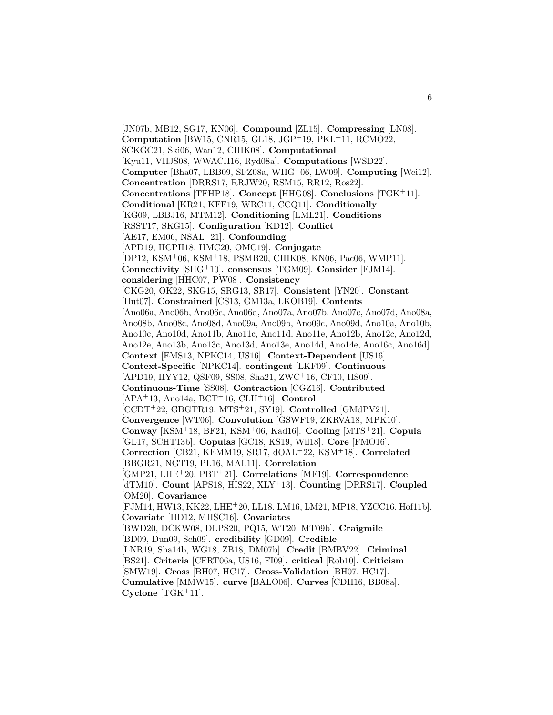[JN07b, MB12, SG17, KN06]. **Compound** [ZL15]. **Compressing** [LN08]. **Computation** [BW15, CNR15, GL18, JGP<sup>+</sup>19, PKL<sup>+</sup>11, RCMO22, SCKGC21, Ski06, Wan12, CHIK08]. **Computational** [Kyu11, VHJS08, WWACH16, Ryd08a]. **Computations** [WSD22]. **Computer** [Bha07, LBB09, SFZ08a, WHG<sup>+</sup>06, LW09]. **Computing** [Wei12]. **Concentration** [DRRS17, RRJW20, RSM15, RR12, Ros22]. **Concentrations** [TFHP18]. **Concept** [HHG08]. **Conclusions** [TGK<sup>+</sup>11]. **Conditional** [KR21, KFF19, WRC11, CCQ11]. **Conditionally** [KG09, LBBJ16, MTM12]. **Conditioning** [LML21]. **Conditions** [RSST17, SKG15]. **Configuration** [KD12]. **Conflict** [AE17, EM06, NSAL<sup>+</sup>21]. **Confounding** [APD19, HCPH18, HMC20, OMC19]. **Conjugate** [DP12, KSM<sup>+</sup>06, KSM<sup>+</sup>18, PSMB20, CHIK08, KN06, Pac06, WMP11]. **Connectivity** [SHG<sup>+</sup>10]. **consensus** [TGM09]. **Consider** [FJM14]. **considering** [HHC07, PW08]. **Consistency** [CKG20, OK22, SKG15, SRG13, SR17]. **Consistent** [YN20]. **Constant** [Hut07]. **Constrained** [CS13, GM13a, LKOB19]. **Contents** [Ano06a, Ano06b, Ano06c, Ano06d, Ano07a, Ano07b, Ano07c, Ano07d, Ano08a, Ano08b, Ano08c, Ano08d, Ano09a, Ano09b, Ano09c, Ano09d, Ano10a, Ano10b, Ano10c, Ano10d, Ano11b, Ano11c, Ano11d, Ano11e, Ano12b, Ano12c, Ano12d, Ano12e, Ano13b, Ano13c, Ano13d, Ano13e, Ano14d, Ano14e, Ano16c, Ano16d]. **Context** [EMS13, NPKC14, US16]. **Context-Dependent** [US16]. **Context-Specific** [NPKC14]. **contingent** [LKF09]. **Continuous** [APD19, HYY12, QSF09, SS08, Sha21, ZWC<sup>+</sup>16, CF10, HS09]. **Continuous-Time** [SS08]. **Contraction** [CGZ16]. **Contributed** [APA<sup>+</sup>13, Ano14a, BCT<sup>+</sup>16, CLH<sup>+</sup>16]. **Control** [CCDT<sup>+</sup>22, GBGTR19, MTS<sup>+</sup>21, SY19]. **Controlled** [GMdPV21]. **Convergence** [WT06]. **Convolution** [GSWF19, ZKRVA18, MPK10]. **Conway** [KSM<sup>+</sup>18, BF21, KSM<sup>+</sup>06, Kad16]. **Cooling** [MTS<sup>+</sup>21]. **Copula** [GL17, SCHT13b]. **Copulas** [GC18, KS19, Wil18]. **Core** [FMO16]. **Correction** [CB21, KEMM19, SR17, dOAL<sup>+</sup>22, KSM<sup>+</sup>18]. **Correlated** [BBGR21, NGT19, PL16, MAL11]. **Correlation** [GMP21, LHE<sup>+</sup>20, PBT<sup>+</sup>21]. **Correlations** [MF19]. **Correspondence** [dTM10]. **Count** [APS18, HIS22, XLY<sup>+</sup>13]. **Counting** [DRRS17]. **Coupled** [OM20]. **Covariance** [FJM14, HW13, KK22, LHE<sup>+</sup>20, LL18, LM16, LM21, MP18, YZCC16, Hof11b]. **Covariate** [HD12, MHSC16]. **Covariates** [BWD20, DCKW08, DLPS20, PQ15, WT20, MT09b]. **Craigmile** [BD09, Dun09, Sch09]. **credibility** [GD09]. **Credible** [LNR19, Sha14b, WG18, ZB18, DM07b]. **Credit** [BMBV22]. **Criminal** [BS21]. **Criteria** [CFRT06a, US16, FI09]. **critical** [Rob10]. **Criticism** [SMW19]. **Cross** [BH07, HC17]. **Cross-Validation** [BH07, HC17]. **Cumulative** [MMW15]. **curve** [BALO06]. **Curves** [CDH16, BB08a]. **Cyclone** [TGK<sup>+</sup>11].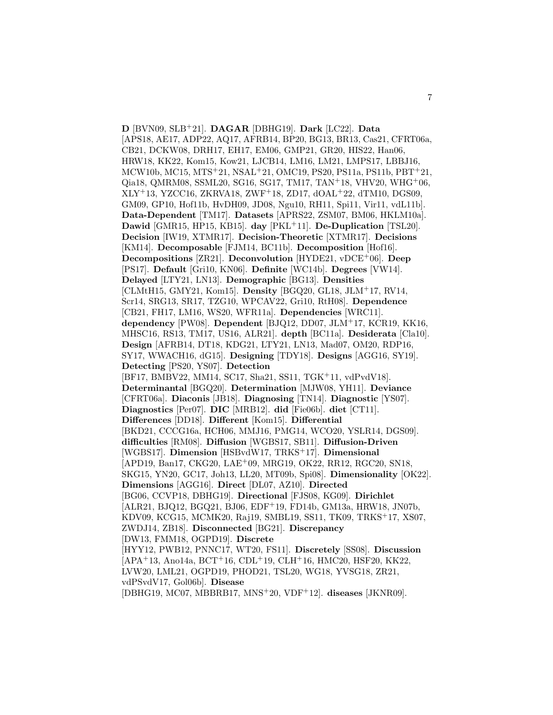**D** [BVN09, SLB<sup>+</sup>21]. **DAGAR** [DBHG19]. **Dark** [LC22]. **Data** [APS18, AE17, ADP22, AQ17, AFRB14, BP20, BG13, BR13, Cas21, CFRT06a, CB21, DCKW08, DRH17, EH17, EM06, GMP21, GR20, HIS22, Han06, HRW18, KK22, Kom15, Kow21, LJCB14, LM16, LM21, LMPS17, LBBJ16, MCW10b, MC15, MTS<sup>+</sup>21, NSAL<sup>+</sup>21, OMC19, PS20, PS11a, PS11b, PBT<sup>+</sup>21, Qia18, QMRM08, SSML20, SG16, SG17, TM17, TAN<sup>+</sup>18, VHV20, WHG<sup>+</sup>06, XLY<sup>+</sup>13, YZCC16, ZKRVA18, ZWF<sup>+</sup>18, ZD17, dOAL<sup>+</sup>22, dTM10, DGS09, GM09, GP10, Hof11b, HvDH09, JD08, Ngu10, RH11, Spi11, Vir11, vdL11b]. **Data-Dependent** [TM17]. **Datasets** [APRS22, ZSM07, BM06, HKLM10a]. **Dawid** [GMR15, HP15, KB15]. **day** [PKL<sup>+</sup>11]. **De-Duplication** [TSL20]. **Decision** [IW19, XTMR17]. **Decision-Theoretic** [XTMR17]. **Decisions** [KM14]. **Decomposable** [FJM14, BC11b]. **Decomposition** [Hof16]. **Decompositions** [ZR21]. **Deconvolution** [HYDE21, vDCE<sup>+</sup>06]. **Deep** [PS17]. **Default** [Gri10, KN06]. **Definite** [WC14b]. **Degrees** [VW14]. **Delayed** [LTY21, LN13]. **Demographic** [BG13]. **Densities** [CLMtH15, GMY21, Kom15]. **Density** [BGQ20, GL18, JLM<sup>+</sup>17, RV14, Scr14, SRG13, SR17, TZG10, WPCAV22, Gri10, RtH08]. **Dependence** [CB21, FH17, LM16, WS20, WFR11a]. **Dependencies** [WRC11]. **dependency** [PW08]. **Dependent** [BJQ12, DD07, JLM<sup>+</sup>17, KCR19, KK16, MHSC16, RS13, TM17, US16, ALR21]. **depth** [BC11a]. **Desiderata** [Cla10]. **Design** [AFRB14, DT18, KDG21, LTY21, LN13, Mad07, OM20, RDP16, SY17, WWACH16, dG15]. **Designing** [TDY18]. **Designs** [AGG16, SY19]. **Detecting** [PS20, YS07]. **Detection** [BF17, BMBV22, MM14, SC17, Sha21, SS11, TGK<sup>+</sup>11, vdPvdV18]. **Determinantal** [BGQ20]. **Determination** [MJW08, YH11]. **Deviance** [CFRT06a]. **Diaconis** [JB18]. **Diagnosing** [TN14]. **Diagnostic** [YS07]. **Diagnostics** [Per07]. **DIC** [MRB12]. **did** [Fie06b]. **diet** [CT11]. **Differences** [DD18]. **Different** [Kom15]. **Differential** [BKD21, CCCG16a, HCH06, MMJ16, PMG14, WCO20, YSLR14, DGS09]. **difficulties** [RM08]. **Diffusion** [WGBS17, SB11]. **Diffusion-Driven** [WGBS17]. **Dimension** [HSBvdW17, TRKS<sup>+</sup>17]. **Dimensional** [APD19, Ban17, CKG20, LAE<sup>+</sup>09, MRG19, OK22, RR12, RGC20, SN18, SKG15, YN20, GC17, Joh13, LL20, MT09b, Spi08]. **Dimensionality** [OK22]. **Dimensions** [AGG16]. **Direct** [DL07, AZ10]. **Directed** [BG06, CCVP18, DBHG19]. **Directional** [FJS08, KG09]. **Dirichlet** [ALR21, BJQ12, BGQ21, BJ06, EDF<sup>+</sup>19, FD14b, GM13a, HRW18, JN07b, KDV09, KCG15, MCMK20, Raj19, SMBL19, SS11, TK09, TRKS<sup>+</sup>17, XS07, ZWDJ14, ZB18]. **Disconnected** [BG21]. **Discrepancy** [DW13, FMM18, OGPD19]. **Discrete** [HYY12, PWB12, PNNC17, WT20, FS11]. **Discretely** [SS08]. **Discussion** [APA<sup>+</sup>13, Ano14a, BCT<sup>+</sup>16, CDL<sup>+</sup>19, CLH<sup>+</sup>16, HMC20, HSF20, KK22, LVW20, LML21, OGPD19, PHOD21, TSL20, WG18, YVSG18, ZR21, vdPSvdV17, Gol06b]. **Disease**

[DBHG19, MC07, MBBRB17, MNS<sup>+</sup>20, VDF<sup>+</sup>12]. **diseases** [JKNR09].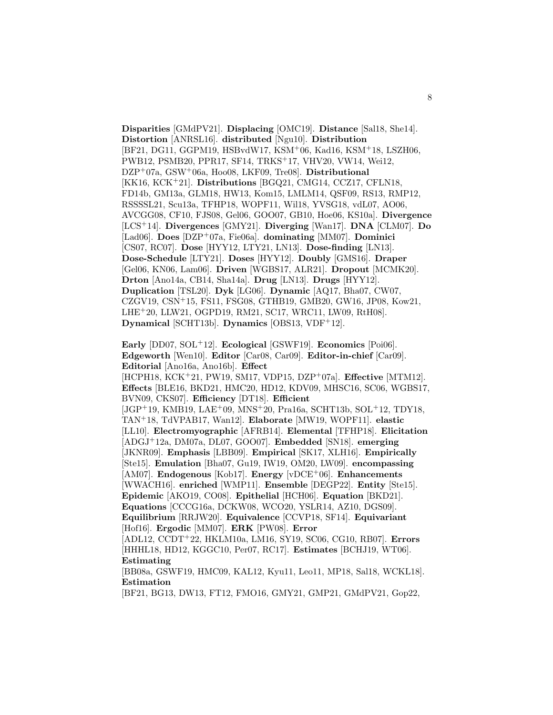**Disparities** [GMdPV21]. **Displacing** [OMC19]. **Distance** [Sal18, She14]. **Distortion** [ANRSL16]. **distributed** [Ngu10]. **Distribution** [BF21, DG11, GGPM19, HSBvdW17, KSM<sup>+</sup>06, Kad16, KSM<sup>+</sup>18, LSZH06, PWB12, PSMB20, PPR17, SF14, TRKS<sup>+</sup>17, VHV20, VW14, Wei12, DZP<sup>+</sup>07a, GSW<sup>+</sup>06a, Hoo08, LKF09, Tre08]. **Distributional** [KK16, KCK<sup>+</sup>21]. **Distributions** [BGQ21, CMG14, CCZ17, CFLN18, FD14b, GM13a, GLM18, HW13, Kom15, LMLM14, QSF09, RS13, RMP12, RSSSSL21, Scu13a, TFHP18, WOPF11, Wil18, YVSG18, vdL07, AO06, AVCGG08, CF10, FJS08, Gel06, GOO07, GB10, Hoe06, KS10a]. **Divergence** [LCS<sup>+</sup>14]. **Divergences** [GMY21]. **Diverging** [Wan17]. **DNA** [CLM07]. **Do** [Lad06]. **Does** [DZP<sup>+</sup>07a, Fie06a]. **dominating** [MM07]. **Dominici** [CS07, RC07]. **Dose** [HYY12, LTY21, LN13]. **Dose-finding** [LN13]. **Dose-Schedule** [LTY21]. **Doses** [HYY12]. **Doubly** [GMS16]. **Draper** [Gel06, KN06, Lam06]. **Driven** [WGBS17, ALR21]. **Dropout** [MCMK20]. **Drton** [Ano14a, CB14, Sha14a]. **Drug** [LN13]. **Drugs** [HYY12]. **Duplication** [TSL20]. **Dyk** [LG06]. **Dynamic** [AQ17, Bha07, CW07, CZGV19, CSN<sup>+</sup>15, FS11, FSG08, GTHB19, GMB20, GW16, JP08, Kow21, LHE<sup>+</sup>20, LLW21, OGPD19, RM21, SC17, WRC11, LW09, RtH08]. **Dynamical** [SCHT13b]. **Dynamics** [OBS13, VDF<sup>+</sup>12].

**Early** [DD07, SOL<sup>+</sup>12]. **Ecological** [GSWF19]. **Economics** [Poi06]. **Edgeworth** [Wen10]. **Editor** [Car08, Car09]. **Editor-in-chief** [Car09]. **Editorial** [Ano16a, Ano16b]. **Effect** [HCPH18, KCK<sup>+</sup>21, PW19, SM17, VDP15, DZP<sup>+</sup>07a]. **Effective** [MTM12]. **Effects** [BLE16, BKD21, HMC20, HD12, KDV09, MHSC16, SC06, WGBS17, BVN09, CKS07]. **Efficiency** [DT18]. **Efficient**  $[JGP<sup>+</sup>19, KMB19, LAE<sup>+</sup>09, MNS<sup>+</sup>20, Pra16a, SCHT13b, SOL<sup>+</sup>12, TDY18,$ TAN<sup>+</sup>18, TdVPAB17, Wan12]. **Elaborate** [MW19, WOPF11]. **elastic** [LL10]. **Electromyographic** [AFRB14]. **Elemental** [TFHP18]. **Elicitation** [ADGJ<sup>+</sup>12a, DM07a, DL07, GOO07]. **Embedded** [SN18]. **emerging** [JKNR09]. **Emphasis** [LBB09]. **Empirical** [SK17, XLH16]. **Empirically** [Ste15]. **Emulation** [Bha07, Gu19, IW19, OM20, LW09]. **encompassing** [AM07]. **Endogenous** [Kob17]. **Energy** [vDCE<sup>+</sup>06]. **Enhancements** [WWACH16]. **enriched** [WMP11]. **Ensemble** [DEGP22]. **Entity** [Ste15]. **Epidemic** [AKO19, CO08]. **Epithelial** [HCH06]. **Equation** [BKD21]. **Equations** [CCCG16a, DCKW08, WCO20, YSLR14, AZ10, DGS09]. **Equilibrium** [RRJW20]. **Equivalence** [CCVP18, SF14]. **Equivariant** [Hof16]. **Ergodic** [MM07]. **ERK** [PW08]. **Error** [ADL12, CCDT<sup>+</sup>22, HKLM10a, LM16, SY19, SC06, CG10, RB07]. **Errors** [HHHL18, HD12, KGGC10, Per07, RC17]. **Estimates** [BCHJ19, WT06]. **Estimating** [BB08a, GSWF19, HMC09, KAL12, Kyu11, Leo11, MP18, Sal18, WCKL18].

**Estimation**

[BF21, BG13, DW13, FT12, FMO16, GMY21, GMP21, GMdPV21, Gop22,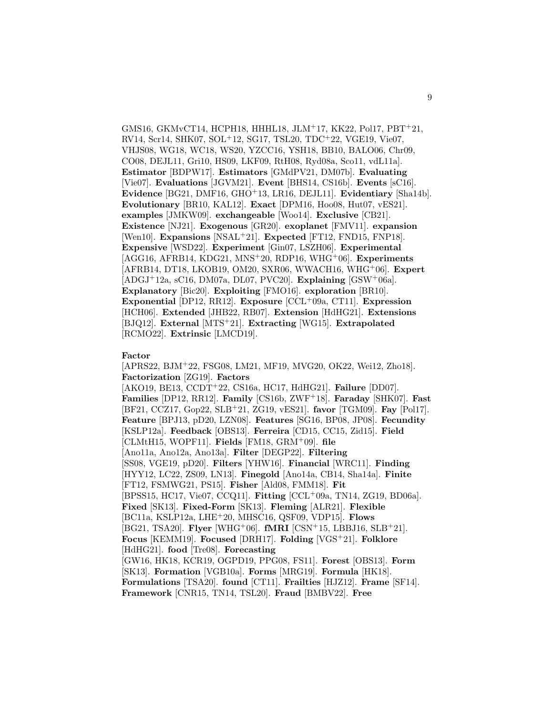GMS16, GKMvCT14, HCPH18, HHHL18, JLM<sup>+</sup>17, KK22, Pol17, PBT<sup>+</sup>21, RV14, Scr14, SHK07, SOL<sup>+</sup>12, SG17, TSL20, TDC<sup>+</sup>22, VGE19, Vie07, VHJS08, WG18, WC18, WS20, YZCC16, YSH18, BB10, BALO06, Chr09, CO08, DEJL11, Gri10, HS09, LKF09, RtH08, Ryd08a, Sco11, vdL11a]. **Estimator** [BDPW17]. **Estimators** [GMdPV21, DM07b]. **Evaluating** [Vie07]. **Evaluations** [JGVM21]. **Event** [BHS14, CS16b]. **Events** [sC16]. **Evidence** [BG21, DMF16, GHO<sup>+</sup>13, LR16, DEJL11]. **Evidentiary** [Sha14b]. **Evolutionary** [BR10, KAL12]. **Exact** [DPM16, Hoo08, Hut07, vES21]. **examples** [JMKW09]. **exchangeable** [Woo14]. **Exclusive** [CB21]. **Existence** [NJ21]. **Exogenous** [GR20]. **exoplanet** [FMV11]. **expansion** [Wen10]. **Expansions** [NSAL<sup>+</sup>21]. **Expected** [FT12, FND15, FNP18]. **Expensive** [WSD22]. **Experiment** [Gin07, LSZH06]. **Experimental** [AGG16, AFRB14, KDG21, MNS<sup>+</sup>20, RDP16, WHG<sup>+</sup>06]. **Experiments** [AFRB14, DT18, LKOB19, OM20, SXR06, WWACH16, WHG<sup>+</sup>06]. **Expert** [ADGJ<sup>+</sup>12a, sC16, DM07a, DL07, PVC20]. **Explaining** [GSW<sup>+</sup>06a]. **Explanatory** [Bic20]. **Exploiting** [FMO16]. **exploration** [BR10]. **Exponential** [DP12, RR12]. **Exposure** [CCL<sup>+</sup>09a, CT11]. **Expression** [HCH06]. **Extended** [JHB22, RB07]. **Extension** [HdHG21]. **Extensions** [BJQ12]. **External** [MTS<sup>+</sup>21]. **Extracting** [WG15]. **Extrapolated** [RCMO22]. **Extrinsic** [LMCD19].

#### **Factor**

[APRS22, BJM<sup>+</sup>22, FSG08, LM21, MF19, MVG20, OK22, Wei12, Zho18]. **Factorization** [ZG19]. **Factors** [AKO19, BE13, CCDT<sup>+</sup>22, CS16a, HC17, HdHG21]. **Failure** [DD07]. **Families** [DP12, RR12]. **Family** [CS16b, ZWF<sup>+</sup>18]. **Faraday** [SHK07]. **Fast** [BF21, CCZ17, Gop22, SLB<sup>+</sup>21, ZG19, vES21]. **favor** [TGM09]. **Fay** [Pol17]. **Feature** [BPJ13, pD20, LZN08]. **Features** [SG16, BP08, JP08]. **Fecundity** [KSLP12a]. **Feedback** [OBS13]. **Ferreira** [CD15, CC15, Zid15]. **Field** [CLMtH15, WOPF11]. **Fields** [FM18, GRM<sup>+</sup>09]. **file** [Ano11a, Ano12a, Ano13a]. **Filter** [DEGP22]. **Filtering** [SS08, VGE19, pD20]. **Filters** [YHW16]. **Financial** [WRC11]. **Finding** [HYY12, LC22, ZS09, LN13]. **Finegold** [Ano14a, CB14, Sha14a]. **Finite** [FT12, FSMWG21, PS15]. **Fisher** [Ald08, FMM18]. **Fit** [BPSS15, HC17, Vie07, CCQ11]. **Fitting** [CCL<sup>+</sup>09a, TN14, ZG19, BD06a]. **Fixed** [SK13]. **Fixed-Form** [SK13]. **Fleming** [ALR21]. **Flexible** [BC11a, KSLP12a, LHE<sup>+</sup>20, MHSC16, QSF09, VDP15]. **Flows** [BG21, TSA20]. **Flyer** [WHG<sup>+</sup>06]. **fMRI** [CSN<sup>+</sup>15, LBBJ16, SLB<sup>+</sup>21]. **Focus** [KEMM19]. **Focused** [DRH17]. **Folding** [VGS<sup>+</sup>21]. **Folklore** [HdHG21]. **food** [Tre08]. **Forecasting** [GW16, HK18, KCR19, OGPD19, PPG08, FS11]. **Forest** [OBS13]. **Form** [SK13]. **Formation** [VGB10a]. **Forms** [MRG19]. **Formula** [HK18]. **Formulations** [TSA20]. **found** [CT11]. **Frailties** [HJZ12]. **Frame** [SF14]. **Framework** [CNR15, TN14, TSL20]. **Fraud** [BMBV22]. **Free**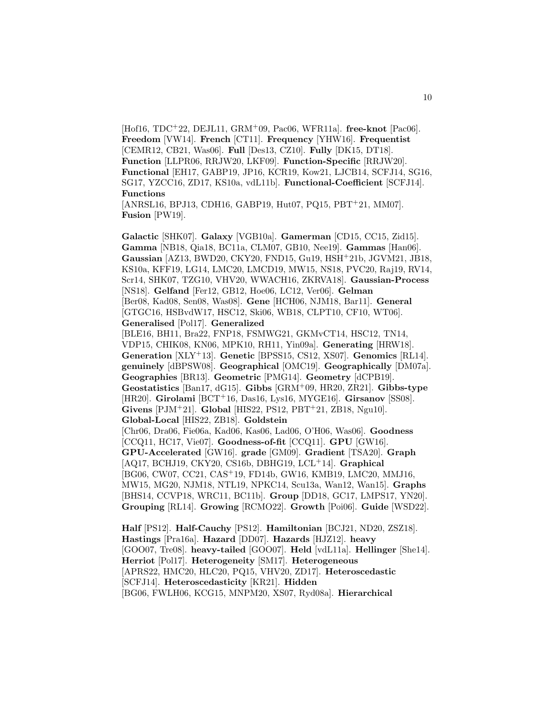[Hof16, TDC<sup>+</sup>22, DEJL11, GRM<sup>+</sup>09, Pac06, WFR11a]. **free-knot** [Pac06]. **Freedom** [VW14]. **French** [CT11]. **Frequency** [YHW16]. **Frequentist** [CEMR12, CB21, Was06]. **Full** [Des13, CZ10]. **Fully** [DK15, DT18]. **Function** [LLPR06, RRJW20, LKF09]. **Function-Specific** [RRJW20]. **Functional** [EH17, GABP19, JP16, KCR19, Kow21, LJCB14, SCFJ14, SG16, SG17, YZCC16, ZD17, KS10a, vdL11b]. **Functional-Coefficient** [SCFJ14]. **Functions**

[ANRSL16, BPJ13, CDH16, GABP19, Hut07, PQ15, PBT<sup>+</sup>21, MM07]. **Fusion** [PW19].

**Galactic** [SHK07]. **Galaxy** [VGB10a]. **Gamerman** [CD15, CC15, Zid15]. **Gamma** [NB18, Qia18, BC11a, CLM07, GB10, Nee19]. **Gammas** [Han06]. **Gaussian** [AZ13, BWD20, CKY20, FND15, Gu19, HSH<sup>+</sup>21b, JGVM21, JB18, KS10a, KFF19, LG14, LMC20, LMCD19, MW15, NS18, PVC20, Raj19, RV14, Scr14, SHK07, TZG10, VHV20, WWACH16, ZKRVA18]. **Gaussian-Process** [NS18]. **Gelfand** [Fer12, GB12, Hoe06, LC12, Ver06]. **Gelman** [Ber08, Kad08, Sen08, Was08]. **Gene** [HCH06, NJM18, Bar11]. **General** [GTGC16, HSBvdW17, HSC12, Ski06, WB18, CLPT10, CF10, WT06]. **Generalised** [Pol17]. **Generalized** [BLE16, BH11, Bra22, FNP18, FSMWG21, GKMvCT14, HSC12, TN14, VDP15, CHIK08, KN06, MPK10, RH11, Yin09a]. **Generating** [HRW18]. **Generation** [XLY<sup>+</sup>13]. **Genetic** [BPSS15, CS12, XS07]. **Genomics** [RL14]. **genuinely** [dBPSW08]. **Geographical** [OMC19]. **Geographically** [DM07a]. **Geographies** [BR13]. **Geometric** [PMG14]. **Geometry** [dCPB19]. **Geostatistics** [Ban17, dG15]. **Gibbs** [GRM<sup>+</sup>09, HR20, ZR21]. **Gibbs-type** [HR20]. **Girolami** [BCT<sup>+</sup>16, Das16, Lys16, MYGE16]. **Girsanov** [SS08]. **Givens** [PJM<sup>+</sup>21]. **Global** [HIS22, PS12, PBT<sup>+</sup>21, ZB18, Ngu10]. **Global-Local** [HIS22, ZB18]. **Goldstein** [Chr06, Dra06, Fie06a, Kad06, Kas06, Lad06, O'H06, Was06]. **Goodness** [CCQ11, HC17, Vie07]. **Goodness-of-fit** [CCQ11]. **GPU** [GW16]. **GPU-Accelerated** [GW16]. **grade** [GM09]. **Gradient** [TSA20]. **Graph** [AQ17, BCHJ19, CKY20, CS16b, DBHG19, LCL<sup>+</sup>14]. **Graphical** [BG06, CW07, CC21, CAS<sup>+</sup>19, FD14b, GW16, KMB19, LMC20, MMJ16, MW15, MG20, NJM18, NTL19, NPKC14, Scu13a, Wan12, Wan15]. **Graphs** [BHS14, CCVP18, WRC11, BC11b]. **Group** [DD18, GC17, LMPS17, YN20]. **Grouping** [RL14]. **Growing** [RCMO22]. **Growth** [Poi06]. **Guide** [WSD22].

**Half** [PS12]. **Half-Cauchy** [PS12]. **Hamiltonian** [BCJ21, ND20, ZSZ18]. **Hastings** [Pra16a]. **Hazard** [DD07]. **Hazards** [HJZ12]. **heavy** [GOO07, Tre08]. **heavy-tailed** [GOO07]. **Held** [vdL11a]. **Hellinger** [She14]. **Herriot** [Pol17]. **Heterogeneity** [SM17]. **Heterogeneous** [APRS22, HMC20, HLC20, PQ15, VHV20, ZD17]. **Heteroscedastic** [SCFJ14]. **Heteroscedasticity** [KR21]. **Hidden** [BG06, FWLH06, KCG15, MNPM20, XS07, Ryd08a]. **Hierarchical**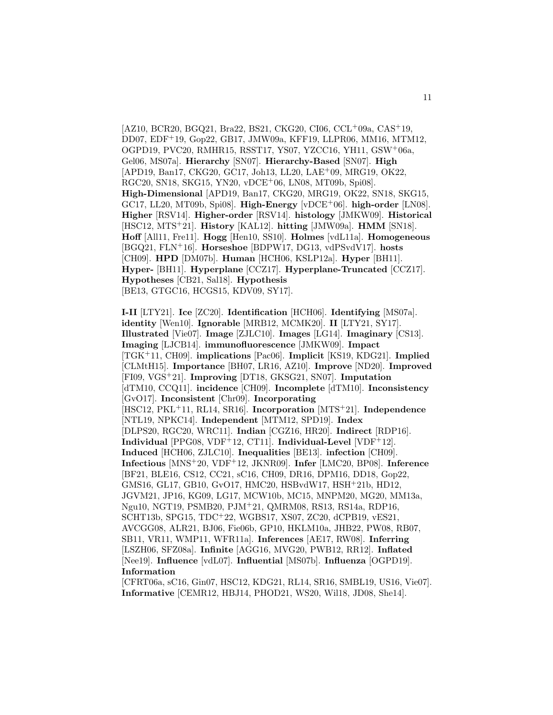[AZ10, BCR20, BGQ21, Bra22, BS21, CKG20, CI06, CCL<sup>+</sup>09a, CAS<sup>+</sup>19, DD07, EDF<sup>+</sup>19, Gop22, GB17, JMW09a, KFF19, LLPR06, MM16, MTM12, OGPD19, PVC20, RMHR15, RSST17, YS07, YZCC16, YH11, GSW<sup>+</sup>06a, Gel06, MS07a]. **Hierarchy** [SN07]. **Hierarchy-Based** [SN07]. **High** [APD19, Ban17, CKG20, GC17, Joh13, LL20, LAE<sup>+</sup>09, MRG19, OK22, RGC20, SN18, SKG15, YN20, vDCE<sup>+</sup>06, LN08, MT09b, Spi08]. **High-Dimensional** [APD19, Ban17, CKG20, MRG19, OK22, SN18, SKG15, GC17, LL20, MT09b, Spi08]. **High-Energy** [vDCE<sup>+</sup>06]. **high-order** [LN08]. **Higher** [RSV14]. **Higher-order** [RSV14]. **histology** [JMKW09]. **Historical** [HSC12, MTS<sup>+</sup>21]. **History** [KAL12]. **hitting** [JMW09a]. **HMM** [SN18]. **Hoff** [All11, Fre11]. **Hogg** [Hen10, SS10]. **Holmes** [vdL11a]. **Homogeneous** [BGQ21, FLN<sup>+</sup>16]. **Horseshoe** [BDPW17, DG13, vdPSvdV17]. **hosts** [CH09]. **HPD** [DM07b]. **Human** [HCH06, KSLP12a]. **Hyper** [BH11]. **Hyper-** [BH11]. **Hyperplane** [CCZ17]. **Hyperplane-Truncated** [CCZ17]. **Hypotheses** [CB21, Sal18]. **Hypothesis** [BE13, GTGC16, HCGS15, KDV09, SY17].

**I-II** [LTY21]. **Ice** [ZC20]. **Identification** [HCH06]. **Identifying** [MS07a]. **identity** [Wen10]. **Ignorable** [MRB12, MCMK20]. **II** [LTY21, SY17]. **Illustrated** [Vie07]. **Image** [ZJLC10]. **Images** [LG14]. **Imaginary** [CS13]. **Imaging** [LJCB14]. **immunofluorescence** [JMKW09]. **Impact** [TGK<sup>+</sup>11, CH09]. **implications** [Pac06]. **Implicit** [KS19, KDG21]. **Implied** [CLMtH15]. **Importance** [BH07, LR16, AZ10]. **Improve** [ND20]. **Improved** [FI09, VGS<sup>+</sup>21]. **Improving** [DT18, GKSG21, SN07]. **Imputation** [dTM10, CCQ11]. **incidence** [CH09]. **Incomplete** [dTM10]. **Inconsistency** [GvO17]. **Inconsistent** [Chr09]. **Incorporating** [HSC12, PKL<sup>+</sup>11, RL14, SR16]. **Incorporation** [MTS<sup>+</sup>21]. **Independence** [NTL19, NPKC14]. **Independent** [MTM12, SPD19]. **Index** [DLPS20, RGC20, WRC11]. **Indian** [CGZ16, HR20]. **Indirect** [RDP16]. **Individual** [PPG08, VDF<sup>+</sup>12, CT11]. **Individual-Level** [VDF<sup>+</sup>12]. **Induced** [HCH06, ZJLC10]. **Inequalities** [BE13]. **infection** [CH09]. **Infectious** [MNS<sup>+</sup>20, VDF<sup>+</sup>12, JKNR09]. **Infer** [LMC20, BP08]. **Inference** [BF21, BLE16, CS12, CC21, sC16, CH09, DR16, DPM16, DD18, Gop22, GMS16, GL17, GB10, GvO17, HMC20, HSBvdW17, HSH<sup>+</sup>21b, HD12, JGVM21, JP16, KG09, LG17, MCW10b, MC15, MNPM20, MG20, MM13a, Ngu10, NGT19, PSMB20, PJM<sup>+</sup>21, QMRM08, RS13, RS14a, RDP16, SCHT13b, SPG15, TDC<sup>+</sup>22, WGBS17, XS07, ZC20, dCPB19, vES21, AVCGG08, ALR21, BJ06, Fie06b, GP10, HKLM10a, JHB22, PW08, RB07, SB11, VR11, WMP11, WFR11a]. **Inferences** [AE17, RW08]. **Inferring** [LSZH06, SFZ08a]. **Infinite** [AGG16, MVG20, PWB12, RR12]. **Inflated** [Nee19]. **Influence** [vdL07]. **Influential** [MS07b]. **Influenza** [OGPD19]. **Information**

[CFRT06a, sC16, Gin07, HSC12, KDG21, RL14, SR16, SMBL19, US16, Vie07]. **Informative** [CEMR12, HBJ14, PHOD21, WS20, Wil18, JD08, She14].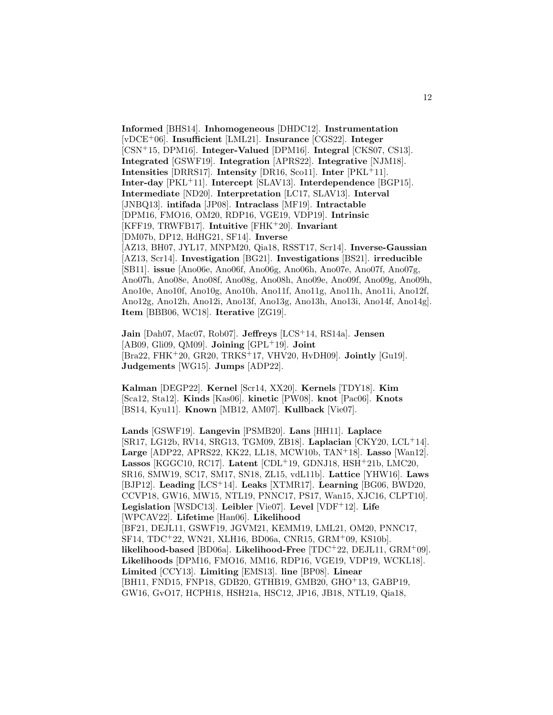**Informed** [BHS14]. **Inhomogeneous** [DHDC12]. **Instrumentation** [vDCE<sup>+</sup>06]. **Insufficient** [LML21]. **Insurance** [CGS22]. **Integer** [CSN<sup>+</sup>15, DPM16]. **Integer-Valued** [DPM16]. **Integral** [CKS07, CS13]. **Integrated** [GSWF19]. **Integration** [APRS22]. **Integrative** [NJM18]. **Intensities** [DRRS17]. **Intensity** [DR16, Sco11]. **Inter**  $[PKL+11]$ . **Inter-day** [PKL<sup>+</sup>11]. **Intercept** [SLAV13]. **Interdependence** [BGP15]. **Intermediate** [ND20]. **Interpretation** [LC17, SLAV13]. **Interval** [JNBQ13]. **intifada** [JP08]. **Intraclass** [MF19]. **Intractable** [DPM16, FMO16, OM20, RDP16, VGE19, VDP19]. **Intrinsic** [KFF19, TRWFB17]. **Intuitive** [FHK<sup>+</sup>20]. **Invariant** [DM07b, DP12, HdHG21, SF14]. **Inverse** [AZ13, BH07, JYL17, MNPM20, Qia18, RSST17, Scr14]. **Inverse-Gaussian** [AZ13, Scr14]. **Investigation** [BG21]. **Investigations** [BS21]. **irreducible** [SB11]. **issue** [Ano06e, Ano06f, Ano06g, Ano06h, Ano07e, Ano07f, Ano07g, Ano07h, Ano08e, Ano08f, Ano08g, Ano08h, Ano09e, Ano09f, Ano09g, Ano09h, Ano10e, Ano10f, Ano10g, Ano10h, Ano11f, Ano11g, Ano11h, Ano11i, Ano12f, Ano12g, Ano12h, Ano12i, Ano13f, Ano13g, Ano13h, Ano13i, Ano14f, Ano14g]. **Item** [BBB06, WC18]. **Iterative** [ZG19].

**Jain** [Dah07, Mac07, Rob07]. **Jeffreys** [LCS<sup>+</sup>14, RS14a]. **Jensen** [AB09, Gli09, QM09]. **Joining** [GPL<sup>+</sup>19]. **Joint** [Bra22, FHK<sup>+</sup>20, GR20, TRKS<sup>+</sup>17, VHV20, HvDH09]. **Jointly** [Gu19]. **Judgements** [WG15]. **Jumps** [ADP22].

**Kalman** [DEGP22]. **Kernel** [Scr14, XX20]. **Kernels** [TDY18]. **Kim** [Sca12, Sta12]. **Kinds** [Kas06]. **kinetic** [PW08]. **knot** [Pac06]. **Knots** [BS14, Kyu11]. **Known** [MB12, AM07]. **Kullback** [Vie07].

**Lands** [GSWF19]. **Langevin** [PSMB20]. **Lans** [HH11]. **Laplace** [SR17, LG12b, RV14, SRG13, TGM09, ZB18]. **Laplacian** [CKY20, LCL<sup>+</sup>14]. **Large** [ADP22, APRS22, KK22, LL18, MCW10b, TAN<sup>+</sup>18]. **Lasso** [Wan12]. **Lassos** [KGGC10, RC17]. **Latent** [CDL<sup>+</sup>19, GDNJ18, HSH<sup>+</sup>21b, LMC20, SR16, SMW19, SC17, SM17, SN18, ZL15, vdL11b]. **Lattice** [YHW16]. **Laws** [BJP12]. **Leading** [LCS<sup>+</sup>14]. **Leaks** [XTMR17]. **Learning** [BG06, BWD20, CCVP18, GW16, MW15, NTL19, PNNC17, PS17, Wan15, XJC16, CLPT10]. **Legislation** [WSDC13]. **Leibler** [Vie07]. **Level** [VDF<sup>+</sup>12]. **Life** [WPCAV22]. **Lifetime** [Han06]. **Likelihood** [BF21, DEJL11, GSWF19, JGVM21, KEMM19, LML21, OM20, PNNC17, SF14, TDC<sup>+</sup>22, WN21, XLH16, BD06a, CNR15, GRM<sup>+</sup>09, KS10b]. **likelihood-based** [BD06a]. **Likelihood-Free** [TDC<sup>+</sup>22, DEJL11, GRM<sup>+</sup>09]. **Likelihoods** [DPM16, FMO16, MM16, RDP16, VGE19, VDP19, WCKL18]. **Limited** [CCY13]. **Limiting** [EMS13]. **line** [BP08]. **Linear** [BH11, FND15, FNP18, GDB20, GTHB19, GMB20, GHO<sup>+</sup>13, GABP19, GW16, GvO17, HCPH18, HSH21a, HSC12, JP16, JB18, NTL19, Qia18,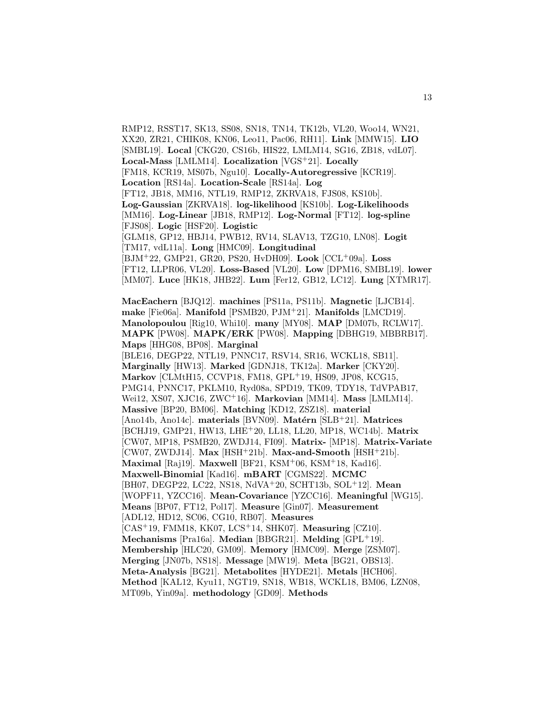RMP12, RSST17, SK13, SS08, SN18, TN14, TK12b, VL20, Woo14, WN21, XX20, ZR21, CHIK08, KN06, Leo11, Pac06, RH11]. **Link** [MMW15]. **LIO** [SMBL19]. **Local** [CKG20, CS16b, HIS22, LMLM14, SG16, ZB18, vdL07]. **Local-Mass** [LMLM14]. **Localization** [VGS<sup>+</sup>21]. **Locally** [FM18, KCR19, MS07b, Ngu10]. **Locally-Autoregressive** [KCR19]. **Location** [RS14a]. **Location-Scale** [RS14a]. **Log** [FT12, JB18, MM16, NTL19, RMP12, ZKRVA18, FJS08, KS10b]. **Log-Gaussian** [ZKRVA18]. **log-likelihood** [KS10b]. **Log-Likelihoods** [MM16]. **Log-Linear** [JB18, RMP12]. **Log-Normal** [FT12]. **log-spline** [FJS08]. **Logic** [HSF20]. **Logistic** [GLM18, GP12, HBJ14, PWB12, RV14, SLAV13, TZG10, LN08]. **Logit** [TM17, vdL11a]. **Long** [HMC09]. **Longitudinal** [BJM<sup>+</sup>22, GMP21, GR20, PS20, HvDH09]. **Look** [CCL<sup>+</sup>09a]. **Loss** [FT12, LLPR06, VL20]. **Loss-Based** [VL20]. **Low** [DPM16, SMBL19]. **lower** [MM07]. **Luce** [HK18, JHB22]. **Lum** [Fer12, GB12, LC12]. **Lung** [XTMR17]. **MacEachern** [BJQ12]. **machines** [PS11a, PS11b]. **Magnetic** [LJCB14]. **make** [Fie06a]. **Manifold** [PSMB20, PJM<sup>+</sup>21]. **Manifolds** [LMCD19]. **Manolopoulou** [Rig10, Whi10]. **many** [MY08]. **MAP** [DM07b, RCLW17]. **MAPK** [PW08]. **MAPK/ERK** [PW08]. **Mapping** [DBHG19, MBBRB17]. **Maps** [HHG08, BP08]. **Marginal** [BLE16, DEGP22, NTL19, PNNC17, RSV14, SR16, WCKL18, SB11]. **Marginally** [HW13]. **Marked** [GDNJ18, TK12a]. **Marker** [CKY20]. **Markov** [CLMtH15, CCVP18, FM18, GPL<sup>+</sup>19, HS09, JP08, KCG15, PMG14, PNNC17, PKLM10, Ryd08a, SPD19, TK09, TDY18, TdVPAB17, Wei12, XS07, XJC16, ZWC<sup>+</sup>16]. **Markovian** [MM14]. **Mass** [LMLM14]. **Massive** [BP20, BM06]. **Matching** [KD12, ZSZ18]. **material** [Ano14b, Ano14c]. materials [BVN09]. Matérn [SLB+21]. Matrices [BCHJ19, GMP21, HW13, LHE<sup>+</sup>20, LL18, LL20, MP18, WC14b]. **Matrix**

[CW07, MP18, PSMB20, ZWDJ14, FI09]. **Matrix-** [MP18]. **Matrix-Variate** [CW07, ZWDJ14]. **Max** [HSH<sup>+</sup>21b]. **Max-and-Smooth** [HSH<sup>+</sup>21b]. **Maximal** [Raj19]. **Maxwell** [BF21, KSM<sup>+</sup>06, KSM<sup>+</sup>18, Kad16]. **Maxwell-Binomial** [Kad16]. **mBART** [CGMS22]. **MCMC** [BH07, DEGP22, LC22, NS18, NdVA<sup>+</sup>20, SCHT13b, SOL<sup>+</sup>12]. **Mean** [WOPF11, YZCC16]. **Mean-Covariance** [YZCC16]. **Meaningful** [WG15]. **Means** [BP07, FT12, Pol17]. **Measure** [Gin07]. **Measurement** [ADL12, HD12, SC06, CG10, RB07]. **Measures** [CAS<sup>+</sup>19, FMM18, KK07, LCS<sup>+</sup>14, SHK07]. **Measuring** [CZ10]. **Mechanisms** [Pra16a]. **Median** [BBGR21]. **Melding** [GPL<sup>+</sup>19]. **Membership** [HLC20, GM09]. **Memory** [HMC09]. **Merge** [ZSM07].

**Meta-Analysis** [BG21]. **Metabolites** [HYDE21]. **Metals** [HCH06]. **Method** [KAL12, Kyu11, NGT19, SN18, WB18, WCKL18, BM06, LZN08,

**Merging** [JN07b, NS18]. **Message** [MW19]. **Meta** [BG21, OBS13].

MT09b, Yin09a]. **methodology** [GD09]. **Methods**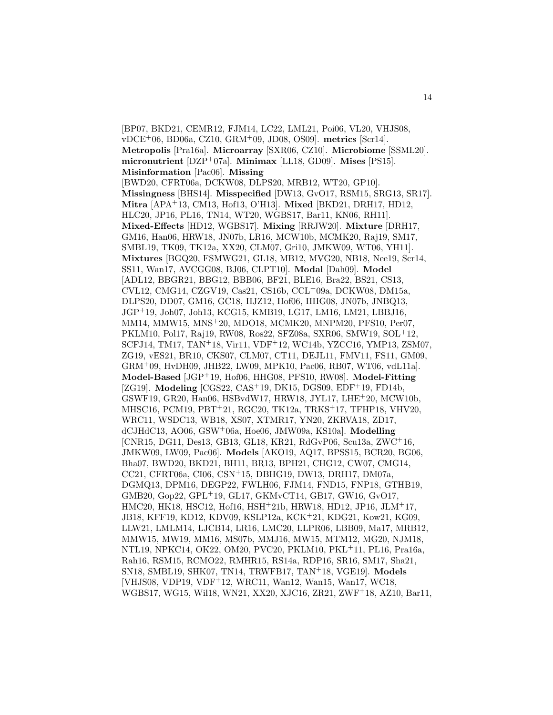[BP07, BKD21, CEMR12, FJM14, LC22, LML21, Poi06, VL20, VHJS08, vDCE<sup>+</sup>06, BD06a, CZ10, GRM<sup>+</sup>09, JD08, OS09]. **metrics** [Scr14]. **Metropolis** [Pra16a]. **Microarray** [SXR06, CZ10]. **Microbiome** [SSML20]. **micronutrient** [DZP<sup>+</sup>07a]. **Minimax** [LL18, GD09]. **Mises** [PS15]. **Misinformation** [Pac06]. **Missing** [BWD20, CFRT06a, DCKW08, DLPS20, MRB12, WT20, GP10]. **Missingness** [BHS14]. **Misspecified** [DW13, GvO17, RSM15, SRG13, SR17]. **Mitra** [APA<sup>+</sup>13, CM13, Hof13, O'H13]. **Mixed** [BKD21, DRH17, HD12, HLC20, JP16, PL16, TN14, WT20, WGBS17, Bar11, KN06, RH11]. **Mixed-Effects** [HD12, WGBS17]. **Mixing** [RRJW20]. **Mixture** [DRH17, GM16, Han06, HRW18, JN07b, LR16, MCW10b, MCMK20, Raj19, SM17, SMBL19, TK09, TK12a, XX20, CLM07, Gri10, JMKW09, WT06, YH11]. **Mixtures** [BGQ20, FSMWG21, GL18, MB12, MVG20, NB18, Nee19, Scr14, SS11, Wan17, AVCGG08, BJ06, CLPT10]. **Modal** [Dah09]. **Model** [ADL12, BBGR21, BBG12, BBB06, BF21, BLE16, Bra22, BS21, CS13, CVL12, CMG14, CZGV19, Cas21, CS16b, CCL<sup>+</sup>09a, DCKW08, DM15a, DLPS20, DD07, GM16, GC18, HJZ12, Hof06, HHG08, JN07b, JNBQ13, JGP<sup>+</sup>19, Joh07, Joh13, KCG15, KMB19, LG17, LM16, LM21, LBBJ16, MM14, MMW15, MNS<sup>+</sup>20, MDO18, MCMK20, MNPM20, PFS10, Per07, PKLM10, Pol17, Raj19, RW08, Ros22, SFZ08a, SXR06, SMW19, SOL<sup>+</sup>12, SCFJ14, TM17, TAN<sup>+</sup>18, Vir11, VDF<sup>+</sup>12, WC14b, YZCC16, YMP13, ZSM07, ZG19, vES21, BR10, CKS07, CLM07, CT11, DEJL11, FMV11, FS11, GM09, GRM<sup>+</sup>09, HvDH09, JHB22, LW09, MPK10, Pac06, RB07, WT06, vdL11a]. **Model-Based** [JGP<sup>+</sup>19, Hof06, HHG08, PFS10, RW08]. **Model-Fitting** [ZG19]. **Modeling** [CGS22, CAS<sup>+</sup>19, DK15, DGS09, EDF<sup>+</sup>19, FD14b, GSWF19, GR20, Han06, HSBvdW17, HRW18, JYL17, LHE<sup>+</sup>20, MCW10b, MHSC16, PCM19, PBT<sup>+</sup>21, RGC20, TK12a, TRKS<sup>+</sup>17, TFHP18, VHV20, WRC11, WSDC13, WB18, XS07, XTMR17, YN20, ZKRVA18, ZD17, dCJHdC13, AO06, GSW<sup>+</sup>06a, Hoe06, JMW09a, KS10a]. **Modelling** [CNR15, DG11, Des13, GB13, GL18, KR21, RdGvP06, Scu13a, ZWC<sup>+</sup>16, JMKW09, LW09, Pac06]. **Models** [AKO19, AQ17, BPSS15, BCR20, BG06, Bha07, BWD20, BKD21, BH11, BR13, BPH21, CHG12, CW07, CMG14, CC21, CFRT06a, CI06, CSN<sup>+</sup>15, DBHG19, DW13, DRH17, DM07a, DGMQ13, DPM16, DEGP22, FWLH06, FJM14, FND15, FNP18, GTHB19, GMB20, Gop22, GPL<sup>+</sup>19, GL17, GKMvCT14, GB17, GW16, GvO17, HMC20, HK18, HSC12, Hof16, HSH<sup>+</sup>21b, HRW18, HD12, JP16, JLM<sup>+</sup>17, JB18, KFF19, KD12, KDV09, KSLP12a, KCK<sup>+</sup>21, KDG21, Kow21, KG09, LLW21, LMLM14, LJCB14, LR16, LMC20, LLPR06, LBB09, Ma17, MRB12, MMW15, MW19, MM16, MS07b, MMJ16, MW15, MTM12, MG20, NJM18, NTL19, NPKC14, OK22, OM20, PVC20, PKLM10, PKL<sup>+</sup>11, PL16, Pra16a, Rah16, RSM15, RCMO22, RMHR15, RS14a, RDP16, SR16, SM17, Sha21, SN18, SMBL19, SHK07, TN14, TRWFB17, TAN<sup>+</sup>18, VGE19]. **Models** [VHJS08, VDP19, VDF<sup>+</sup>12, WRC11, Wan12, Wan15, Wan17, WC18, WGBS17, WG15, Wil18, WN21, XX20, XJC16, ZR21, ZWF<sup>+</sup>18, AZ10, Bar11,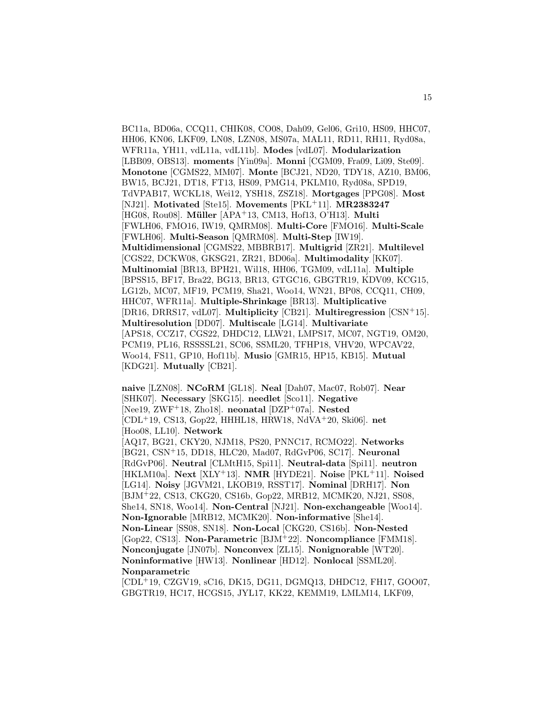BC11a, BD06a, CCQ11, CHIK08, CO08, Dah09, Gel06, Gri10, HS09, HHC07, HH06, KN06, LKF09, LN08, LZN08, MS07a, MAL11, RD11, RH11, Ryd08a, WFR11a, YH11, vdL11a, vdL11b]. **Modes** [vdL07]. **Modularization** [LBB09, OBS13]. **moments** [Yin09a]. **Monni** [CGM09, Fra09, Li09, Ste09]. **Monotone** [CGMS22, MM07]. **Monte** [BCJ21, ND20, TDY18, AZ10, BM06, BW15, BCJ21, DT18, FT13, HS09, PMG14, PKLM10, Ryd08a, SPD19, TdVPAB17, WCKL18, Wei12, YSH18, ZSZ18]. **Mortgages** [PPG08]. **Most** [NJ21]. **Motivated** [Ste15]. **Movements** [PKL<sup>+</sup>11]. **MR2383247** [HG08, Rou08]. **M¨uller** [APA<sup>+</sup>13, CM13, Hof13, O'H13]. **Multi** [FWLH06, FMO16, IW19, QMRM08]. **Multi-Core** [FMO16]. **Multi-Scale** [FWLH06]. **Multi-Season** [QMRM08]. **Multi-Step** [IW19]. **Multidimensional** [CGMS22, MBBRB17]. **Multigrid** [ZR21]. **Multilevel** [CGS22, DCKW08, GKSG21, ZR21, BD06a]. **Multimodality** [KK07]. **Multinomial** [BR13, BPH21, Wil18, HH06, TGM09, vdL11a]. **Multiple** [BPSS15, BF17, Bra22, BG13, BR13, GTGC16, GBGTR19, KDV09, KCG15, LG12b, MC07, MF19, PCM19, Sha21, Woo14, WN21, BP08, CCQ11, CH09, HHC07, WFR11a]. **Multiple-Shrinkage** [BR13]. **Multiplicative** [DR16, DRRS17, vdL07]. **Multiplicity** [CB21]. **Multiregression** [CSN<sup>+</sup>15]. **Multiresolution** [DD07]. **Multiscale** [LG14]. **Multivariate** [APS18, CCZ17, CGS22, DHDC12, LLW21, LMPS17, MC07, NGT19, OM20, PCM19, PL16, RSSSSL21, SC06, SSML20, TFHP18, VHV20, WPCAV22, Woo14, FS11, GP10, Hof11b]. **Musio** [GMR15, HP15, KB15]. **Mutual** [KDG21]. **Mutually** [CB21].

**naive** [LZN08]. **NCoRM** [GL18]. **Neal** [Dah07, Mac07, Rob07]. **Near** [SHK07]. **Necessary** [SKG15]. **needlet** [Sco11]. **Negative** [Nee19, ZWF<sup>+</sup>18, Zho18]. **neonatal** [DZP<sup>+</sup>07a]. **Nested** [CDL<sup>+</sup>19, CS13, Gop22, HHHL18, HRW18, NdVA<sup>+</sup>20, Ski06]. **net** [Hoo08, LL10]. **Network** [AQ17, BG21, CKY20, NJM18, PS20, PNNC17, RCMO22]. **Networks** [BG21, CSN<sup>+</sup>15, DD18, HLC20, Mad07, RdGvP06, SC17]. **Neuronal** [RdGvP06]. **Neutral** [CLMtH15, Spi11]. **Neutral-data** [Spi11]. **neutron** [HKLM10a]. **Next** [XLY<sup>+</sup>13]. **NMR** [HYDE21]. **Noise** [PKL<sup>+</sup>11]. **Noised** [LG14]. **Noisy** [JGVM21, LKOB19, RSST17]. **Nominal** [DRH17]. **Non** [BJM<sup>+</sup>22, CS13, CKG20, CS16b, Gop22, MRB12, MCMK20, NJ21, SS08, She14, SN18, Woo14]. **Non-Central** [NJ21]. **Non-exchangeable** [Woo14]. **Non-Ignorable** [MRB12, MCMK20]. **Non-informative** [She14]. **Non-Linear** [SS08, SN18]. **Non-Local** [CKG20, CS16b]. **Non-Nested** [Gop22, CS13]. **Non-Parametric** [BJM<sup>+</sup>22]. **Noncompliance** [FMM18]. **Nonconjugate** [JN07b]. **Nonconvex** [ZL15]. **Nonignorable** [WT20]. **Noninformative** [HW13]. **Nonlinear** [HD12]. **Nonlocal** [SSML20]. **Nonparametric**

[CDL<sup>+</sup>19, CZGV19, sC16, DK15, DG11, DGMQ13, DHDC12, FH17, GOO07, GBGTR19, HC17, HCGS15, JYL17, KK22, KEMM19, LMLM14, LKF09,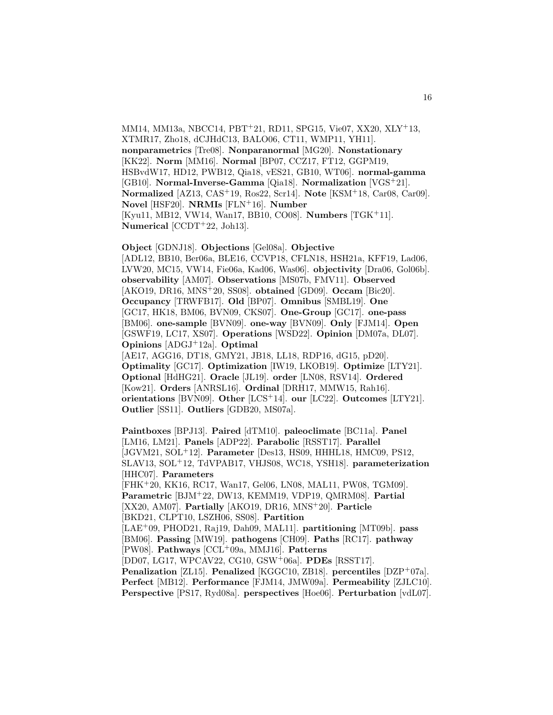MM14, MM13a, NBCC14, PBT<sup>+</sup>21, RD11, SPG15, Vie07, XX20, XLY<sup>+</sup>13, XTMR17, Zho18, dCJHdC13, BALO06, CT11, WMP11, YH11]. **nonparametrics** [Tre08]. **Nonparanormal** [MG20]. **Nonstationary** [KK22]. **Norm** [MM16]. **Normal** [BP07, CCZ17, FT12, GGPM19, HSBvdW17, HD12, PWB12, Qia18, vES21, GB10, WT06]. **normal-gamma** [GB10]. **Normal-Inverse-Gamma** [Qia18]. **Normalization** [VGS<sup>+</sup>21]. **Normalized** [AZ13, CAS<sup>+</sup>19, Ros22, Scr14]. **Note** [KSM<sup>+</sup>18, Car08, Car09]. **Novel** [HSF20]. **NRMIs** [FLN<sup>+</sup>16]. **Number** [Kyu11, MB12, VW14, Wan17, BB10, CO08]. **Numbers** [TGK<sup>+</sup>11]. **Numerical** [CCDT<sup>+</sup>22, Joh13].

**Object** [GDNJ18]. **Objections** [Gel08a]. **Objective** [ADL12, BB10, Ber06a, BLE16, CCVP18, CFLN18, HSH21a, KFF19, Lad06, LVW20, MC15, VW14, Fie06a, Kad06, Was06]. **objectivity** [Dra06, Gol06b]. **observability** [AM07]. **Observations** [MS07b, FMV11]. **Observed** [AKO19, DR16, MNS<sup>+</sup>20, SS08]. **obtained** [GD09]. **Occam** [Bic20]. **Occupancy** [TRWFB17]. **Old** [BP07]. **Omnibus** [SMBL19]. **One** [GC17, HK18, BM06, BVN09, CKS07]. **One-Group** [GC17]. **one-pass** [BM06]. **one-sample** [BVN09]. **one-way** [BVN09]. **Only** [FJM14]. **Open** [GSWF19, LC17, XS07]. **Operations** [WSD22]. **Opinion** [DM07a, DL07]. **Opinions** [ADGJ<sup>+</sup>12a]. **Optimal** [AE17, AGG16, DT18, GMY21, JB18, LL18, RDP16, dG15, pD20].

**Optimality** [GC17]. **Optimization** [IW19, LKOB19]. **Optimize** [LTY21]. **Optional** [HdHG21]. **Oracle** [JL19]. **order** [LN08, RSV14]. **Ordered** [Kow21]. **Orders** [ANRSL16]. **Ordinal** [DRH17, MMW15, Rah16]. **orientations** [BVN09]. **Other** [LCS<sup>+</sup>14]. **our** [LC22]. **Outcomes** [LTY21]. **Outlier** [SS11]. **Outliers** [GDB20, MS07a].

**Paintboxes** [BPJ13]. **Paired** [dTM10]. **paleoclimate** [BC11a]. **Panel** [LM16, LM21]. **Panels** [ADP22]. **Parabolic** [RSST17]. **Parallel** [JGVM21, SOL<sup>+</sup>12]. **Parameter** [Des13, HS09, HHHL18, HMC09, PS12, SLAV13, SOL<sup>+</sup>12, TdVPAB17, VHJS08, WC18, YSH18]. **parameterization** [HHC07]. **Parameters**

[FHK<sup>+</sup>20, KK16, RC17, Wan17, Gel06, LN08, MAL11, PW08, TGM09]. **Parametric** [BJM<sup>+</sup>22, DW13, KEMM19, VDP19, QMRM08]. **Partial** [XX20, AM07]. **Partially** [AKO19, DR16, MNS<sup>+</sup>20]. **Particle** [BKD21, CLPT10, LSZH06, SS08]. **Partition**

[LAE<sup>+</sup>09, PHOD21, Raj19, Dah09, MAL11]. **partitioning** [MT09b]. **pass** [BM06]. **Passing** [MW19]. **pathogens** [CH09]. **Paths** [RC17]. **pathway** [PW08]. **Pathways** [CCL<sup>+</sup>09a, MMJ16]. **Patterns**

[DD07, LG17, WPCAV22, CG10, GSW<sup>+</sup>06a]. **PDEs** [RSST17].

**Penalization** [ZL15]. **Penalized** [KGGC10, ZB18]. **percentiles** [DZP<sup>+</sup>07a]. **Perfect** [MB12]. **Performance** [FJM14, JMW09a]. **Permeability** [ZJLC10]. **Perspective** [PS17, Ryd08a]. **perspectives** [Hoe06]. **Perturbation** [vdL07].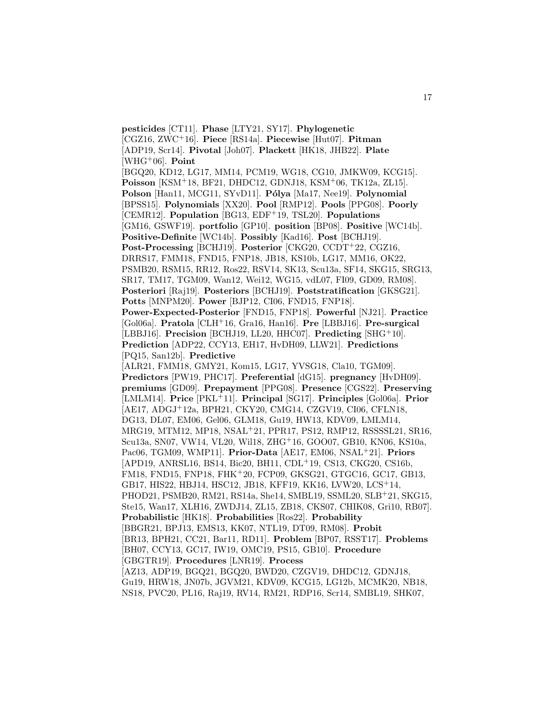**pesticides** [CT11]. **Phase** [LTY21, SY17]. **Phylogenetic** [CGZ16, ZWC<sup>+</sup>16]. **Piece** [RS14a]. **Piecewise** [Hut07]. **Pitman** [ADP19, Scr14]. **Pivotal** [Joh07]. **Plackett** [HK18, JHB22]. **Plate** [WHG<sup>+</sup>06]. **Point** [BGQ20, KD12, LG17, MM14, PCM19, WG18, CG10, JMKW09, KCG15]. **Poisson** [KSM<sup>+</sup>18, BF21, DHDC12, GDNJ18, KSM<sup>+</sup>06, TK12a, ZL15]. **Polson** [Han11, MCG11, SYvD11]. **P´olya** [Ma17, Nee19]. **Polynomial** [BPSS15]. **Polynomials** [XX20]. **Pool** [RMP12]. **Pools** [PPG08]. **Poorly** [CEMR12]. **Population** [BG13, EDF<sup>+</sup>19, TSL20]. **Populations** [GM16, GSWF19]. **portfolio** [GP10]. **position** [BP08]. **Positive** [WC14b]. **Positive-Definite** [WC14b]. **Possibly** [Kad16]. **Post** [BCHJ19]. **Post-Processing** [BCHJ19]. **Posterior** [CKG20, CCDT<sup>+</sup>22, CGZ16, DRRS17, FMM18, FND15, FNP18, JB18, KS10b, LG17, MM16, OK22, PSMB20, RSM15, RR12, Ros22, RSV14, SK13, Scu13a, SF14, SKG15, SRG13, SR17, TM17, TGM09, Wan12, Wei12, WG15, vdL07, FI09, GD09, RM08]. **Posteriori** [Raj19]. **Posteriors** [BCHJ19]. **Poststratification** [GKSG21]. **Potts** [MNPM20]. **Power** [BJP12, CI06, FND15, FNP18]. **Power-Expected-Posterior** [FND15, FNP18]. **Powerful** [NJ21]. **Practice** [Gol06a]. **Pratola** [CLH<sup>+</sup>16, Gra16, Han16]. **Pre** [LBBJ16]. **Pre-surgical** [LBBJ16]. **Precision** [BCHJ19, LL20, HHC07]. **Predicting** [SHG<sup>+</sup>10]. **Prediction** [ADP22, CCY13, EH17, HvDH09, LLW21]. **Predictions** [PQ15, San12b]. **Predictive** [ALR21, FMM18, GMY21, Kom15, LG17, YVSG18, Cla10, TGM09]. **Predictors** [PW19, PHC17]. **Preferential** [dG15]. **pregnancy** [HvDH09]. **premiums** [GD09]. **Prepayment** [PPG08]. **Presence** [CGS22]. **Preserving** [LMLM14]. **Price** [PKL<sup>+</sup>11]. **Principal** [SG17]. **Principles** [Gol06a]. **Prior** [AE17, ADGJ<sup>+</sup>12a, BPH21, CKY20, CMG14, CZGV19, CI06, CFLN18, DG13, DL07, EM06, Gel06, GLM18, Gu19, HW13, KDV09, LMLM14, MRG19, MTM12, MP18, NSAL<sup>+</sup>21, PPR17, PS12, RMP12, RSSSSL21, SR16, Scu13a, SN07, VW14, VL20, Wil18, ZHG<sup>+</sup>16, GOO07, GB10, KN06, KS10a, Pac06, TGM09, WMP11]. **Prior-Data** [AE17, EM06, NSAL<sup>+</sup>21]. **Priors** [APD19, ANRSL16, BS14, Bic20, BH11, CDL<sup>+</sup>19, CS13, CKG20, CS16b, FM18, FND15, FNP18, FHK<sup>+</sup>20, FCP09, GKSG21, GTGC16, GC17, GB13, GB17, HIS22, HBJ14, HSC12, JB18, KFF19, KK16, LVW20, LCS<sup>+</sup>14, PHOD21, PSMB20, RM21, RS14a, She14, SMBL19, SSML20, SLB<sup>+</sup>21, SKG15, Ste15, Wan17, XLH16, ZWDJ14, ZL15, ZB18, CKS07, CHIK08, Gri10, RB07]. **Probabilistic** [HK18]. **Probabilities** [Ros22]. **Probability** [BBGR21, BPJ13, EMS13, KK07, NTL19, DT09, RM08]. **Probit** [BR13, BPH21, CC21, Bar11, RD11]. **Problem** [BP07, RSST17]. **Problems** [BH07, CCY13, GC17, IW19, OMC19, PS15, GB10]. **Procedure** [GBGTR19]. **Procedures** [LNR19]. **Process** [AZ13, ADP19, BGQ21, BGQ20, BWD20, CZGV19, DHDC12, GDNJ18, Gu19, HRW18, JN07b, JGVM21, KDV09, KCG15, LG12b, MCMK20, NB18, NS18, PVC20, PL16, Raj19, RV14, RM21, RDP16, Scr14, SMBL19, SHK07,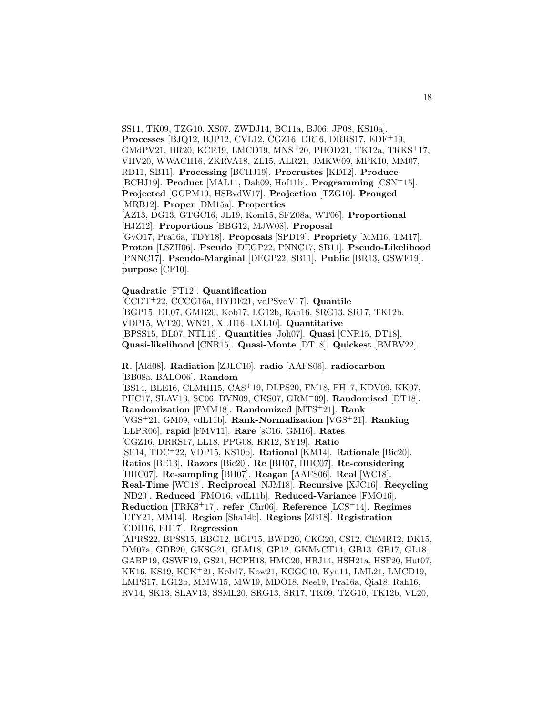SS11, TK09, TZG10, XS07, ZWDJ14, BC11a, BJ06, JP08, KS10a]. **Processes** [BJQ12, BJP12, CVL12, CGZ16, DR16, DRRS17, EDF<sup>+</sup>19, GMdPV21, HR20, KCR19, LMCD19, MNS<sup>+</sup>20, PHOD21, TK12a, TRKS<sup>+</sup>17, VHV20, WWACH16, ZKRVA18, ZL15, ALR21, JMKW09, MPK10, MM07, RD11, SB11]. **Processing** [BCHJ19]. **Procrustes** [KD12]. **Produce** [BCHJ19]. **Product** [MAL11, Dah09, Hof11b]. **Programming** [CSN<sup>+</sup>15]. **Projected** [GGPM19, HSBvdW17]. **Projection** [TZG10]. **Pronged** [MRB12]. **Proper** [DM15a]. **Properties** [AZ13, DG13, GTGC16, JL19, Kom15, SFZ08a, WT06]. **Proportional** [HJZ12]. **Proportions** [BBG12, MJW08]. **Proposal** [GvO17, Pra16a, TDY18]. **Proposals** [SPD19]. **Propriety** [MM16, TM17]. **Proton** [LSZH06]. **Pseudo** [DEGP22, PNNC17, SB11]. **Pseudo-Likelihood** [PNNC17]. **Pseudo-Marginal** [DEGP22, SB11]. **Public** [BR13, GSWF19]. **purpose** [CF10].

**Quadratic** [FT12]. **Quantification**

[CCDT<sup>+</sup>22, CCCG16a, HYDE21, vdPSvdV17]. **Quantile** [BGP15, DL07, GMB20, Kob17, LG12b, Rah16, SRG13, SR17, TK12b, VDP15, WT20, WN21, XLH16, LXL10]. **Quantitative** [BPSS15, DL07, NTL19]. **Quantities** [Joh07]. **Quasi** [CNR15, DT18]. **Quasi-likelihood** [CNR15]. **Quasi-Monte** [DT18]. **Quickest** [BMBV22].

**R.** [Ald08]. **Radiation** [ZJLC10]. **radio** [AAFS06]. **radiocarbon** [BB08a, BALO06]. **Random**

[BS14, BLE16, CLMtH15, CAS<sup>+</sup>19, DLPS20, FM18, FH17, KDV09, KK07, PHC17, SLAV13, SC06, BVN09, CKS07, GRM<sup>+</sup>09]. **Randomised** [DT18]. **Randomization** [FMM18]. **Randomized** [MTS<sup>+</sup>21]. **Rank** [VGS<sup>+</sup>21, GM09, vdL11b]. **Rank-Normalization** [VGS<sup>+</sup>21]. **Ranking** [LLPR06]. **rapid** [FMV11]. **Rare** [sC16, GM16]. **Rates** [CGZ16, DRRS17, LL18, PPG08, RR12, SY19]. **Ratio** [SF14, TDC<sup>+</sup>22, VDP15, KS10b]. **Rational** [KM14]. **Rationale** [Bic20]. **Ratios** [BE13]. **Razors** [Bic20]. **Re** [BH07, HHC07]. **Re-considering** [HHC07]. **Re-sampling** [BH07]. **Reagan** [AAFS06]. **Real** [WC18]. **Real-Time** [WC18]. **Reciprocal** [NJM18]. **Recursive** [XJC16]. **Recycling** [ND20]. **Reduced** [FMO16, vdL11b]. **Reduced-Variance** [FMO16]. **Reduction** [TRKS<sup>+</sup>17]. **refer** [Chr06]. **Reference** [LCS<sup>+</sup>14]. **Regimes** [LTY21, MM14]. **Region** [Sha14b]. **Regions** [ZB18]. **Registration** [CDH16, EH17]. **Regression** [APRS22, BPSS15, BBG12, BGP15, BWD20, CKG20, CS12, CEMR12, DK15, DM07a, GDB20, GKSG21, GLM18, GP12, GKMvCT14, GB13, GB17, GL18, GABP19, GSWF19, GS21, HCPH18, HMC20, HBJ14, HSH21a, HSF20, Hut07, KK16, KS19, KCK<sup>+</sup>21, Kob17, Kow21, KGGC10, Kyu11, LML21, LMCD19, LMPS17, LG12b, MMW15, MW19, MDO18, Nee19, Pra16a, Qia18, Rah16, RV14, SK13, SLAV13, SSML20, SRG13, SR17, TK09, TZG10, TK12b, VL20,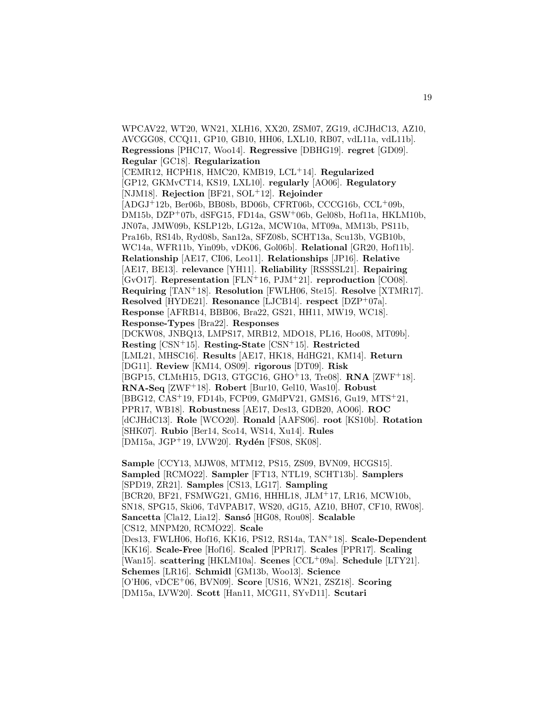WPCAV22, WT20, WN21, XLH16, XX20, ZSM07, ZG19, dCJHdC13, AZ10, AVCGG08, CCQ11, GP10, GB10, HH06, LXL10, RB07, vdL11a, vdL11b]. **Regressions** [PHC17, Woo14]. **Regressive** [DBHG19]. **regret** [GD09]. **Regular** [GC18]. **Regularization** [CEMR12, HCPH18, HMC20, KMB19, LCL<sup>+</sup>14]. **Regularized** [GP12, GKMvCT14, KS19, LXL10]. **regularly** [AO06]. **Regulatory** [NJM18]. **Rejection** [BF21, SOL<sup>+</sup>12]. **Rejoinder**  $[ADGJ+12b, Ber06b, BB08b, BD06b, CFRT06b, CCCG16b, CCL+09b,$ DM15b, DZP<sup>+</sup>07b, dSFG15, FD14a, GSW<sup>+</sup>06b, Gel08b, Hof11a, HKLM10b, JN07a, JMW09b, KSLP12b, LG12a, MCW10a, MT09a, MM13b, PS11b, Pra16b, RS14b, Ryd08b, San12a, SFZ08b, SCHT13a, Scu13b, VGB10b, WC14a, WFR11b, Yin09b, vDK06, Gol06b]. **Relational** [GR20, Hof11b]. **Relationship** [AE17, CI06, Leo11]. **Relationships** [JP16]. **Relative** [AE17, BE13]. **relevance** [YH11]. **Reliability** [RSSSSL21]. **Repairing** [GvO17]. **Representation** [FLN<sup>+</sup>16, PJM<sup>+</sup>21]. **reproduction** [CO08]. **Requiring** [TAN<sup>+</sup>18]. **Resolution** [FWLH06, Ste15]. **Resolve** [XTMR17]. **Resolved** [HYDE21]. **Resonance** [LJCB14]. **respect** [DZP<sup>+</sup>07a]. **Response** [AFRB14, BBB06, Bra22, GS21, HH11, MW19, WC18]. **Response-Types** [Bra22]. **Responses** [DCKW08, JNBQ13, LMPS17, MRB12, MDO18, PL16, Hoo08, MT09b]. **Resting** [CSN<sup>+</sup>15]. **Resting-State** [CSN<sup>+</sup>15]. **Restricted** [LML21, MHSC16]. **Results** [AE17, HK18, HdHG21, KM14]. **Return** [DG11]. **Review** [KM14, OS09]. **rigorous** [DT09]. **Risk** [BGP15, CLMtH15, DG13, GTGC16, GHO<sup>+</sup>13, Tre08]. **RNA** [ZWF<sup>+</sup>18]. **RNA-Seq** [ZWF<sup>+</sup>18]. **Robert** [Bur10, Gel10, Was10]. **Robust** [BBG12, CAS<sup>+</sup>19, FD14b, FCP09, GMdPV21, GMS16, Gu19, MTS<sup>+</sup>21, PPR17, WB18]. **Robustness** [AE17, Des13, GDB20, AO06]. **ROC** [dCJHdC13]. **Role** [WCO20]. **Ronald** [AAFS06]. **root** [KS10b]. **Rotation** [SHK07]. **Rubio** [Ber14, Sco14, WS14, Xu14]. **Rules** [DM15a, JGP<sup>+</sup>19, LVW20]. **Rydén** [FS08, SK08].

**Sample** [CCY13, MJW08, MTM12, PS15, ZS09, BVN09, HCGS15]. **Sampled** [RCMO22]. **Sampler** [FT13, NTL19, SCHT13b]. **Samplers** [SPD19, ZR21]. **Samples** [CS13, LG17]. **Sampling** [BCR20, BF21, FSMWG21, GM16, HHHL18, JLM<sup>+</sup>17, LR16, MCW10b, SN18, SPG15, Ski06, TdVPAB17, WS20, dG15, AZ10, BH07, CF10, RW08]. **Sancetta** [Cla12, Lia12]. **Sans´o** [HG08, Rou08]. **Scalable** [CS12, MNPM20, RCMO22]. **Scale** [Des13, FWLH06, Hof16, KK16, PS12, RS14a, TAN<sup>+</sup>18]. **Scale-Dependent** [KK16]. **Scale-Free** [Hof16]. **Scaled** [PPR17]. **Scales** [PPR17]. **Scaling** [Wan15]. **scattering** [HKLM10a]. **Scenes** [CCL<sup>+</sup>09a]. **Schedule** [LTY21]. **Schemes** [LR16]. **Schmidl** [GM13b, Woo13]. **Science** [O'H06, vDCE<sup>+</sup>06, BVN09]. **Score** [US16, WN21, ZSZ18]. **Scoring** [DM15a, LVW20]. **Scott** [Han11, MCG11, SYvD11]. **Scutari**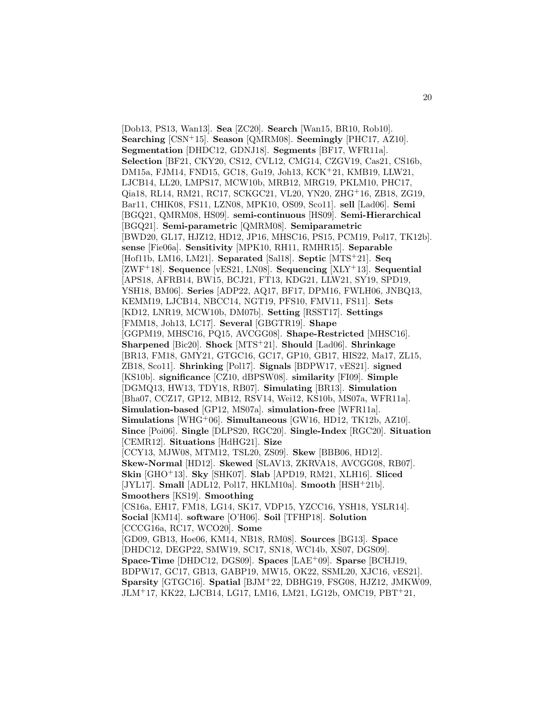[Dob13, PS13, Wan13]. **Sea** [ZC20]. **Search** [Wan15, BR10, Rob10]. **Searching** [CSN<sup>+</sup>15]. **Season** [QMRM08]. **Seemingly** [PHC17, AZ10]. **Segmentation** [DHDC12, GDNJ18]. **Segments** [BF17, WFR11a]. **Selection** [BF21, CKY20, CS12, CVL12, CMG14, CZGV19, Cas21, CS16b, DM15a, FJM14, FND15, GC18, Gu19, Joh13, KCK<sup>+</sup>21, KMB19, LLW21, LJCB14, LL20, LMPS17, MCW10b, MRB12, MRG19, PKLM10, PHC17, Qia18, RL14, RM21, RC17, SCKGC21, VL20, YN20, ZHG<sup>+</sup>16, ZB18, ZG19, Bar11, CHIK08, FS11, LZN08, MPK10, OS09, Sco11]. **sell** [Lad06]. **Semi** [BGQ21, QMRM08, HS09]. **semi-continuous** [HS09]. **Semi-Hierarchical** [BGQ21]. **Semi-parametric** [QMRM08]. **Semiparametric** [BWD20, GL17, HJZ12, HD12, JP16, MHSC16, PS15, PCM19, Pol17, TK12b]. **sense** [Fie06a]. **Sensitivity** [MPK10, RH11, RMHR15]. **Separable** [Hof11b, LM16, LM21]. **Separated** [Sal18]. **Septic** [MTS<sup>+</sup>21]. **Seq** [ZWF<sup>+</sup>18]. **Sequence** [vES21, LN08]. **Sequencing** [XLY<sup>+</sup>13]. **Sequential** [APS18, AFRB14, BW15, BCJ21, FT13, KDG21, LLW21, SY19, SPD19, YSH18, BM06]. **Series** [ADP22, AQ17, BF17, DPM16, FWLH06, JNBQ13, KEMM19, LJCB14, NBCC14, NGT19, PFS10, FMV11, FS11]. **Sets** [KD12, LNR19, MCW10b, DM07b]. **Setting** [RSST17]. **Settings** [FMM18, Joh13, LC17]. **Several** [GBGTR19]. **Shape** [GGPM19, MHSC16, PQ15, AVCGG08]. **Shape-Restricted** [MHSC16]. **Sharpened** [Bic20]. **Shock** [MTS<sup>+</sup>21]. **Should** [Lad06]. **Shrinkage** [BR13, FM18, GMY21, GTGC16, GC17, GP10, GB17, HIS22, Ma17, ZL15, ZB18, Sco11]. **Shrinking** [Pol17]. **Signals** [BDPW17, vES21]. **signed** [KS10b]. **significance** [CZ10, dBPSW08]. **similarity** [FI09]. **Simple** [DGMQ13, HW13, TDY18, RB07]. **Simulating** [BR13]. **Simulation** [Bha07, CCZ17, GP12, MB12, RSV14, Wei12, KS10b, MS07a, WFR11a]. **Simulation-based** [GP12, MS07a]. **simulation-free** [WFR11a]. **Simulations** [WHG<sup>+</sup>06]. **Simultaneous** [GW16, HD12, TK12b, AZ10]. **Since** [Poi06]. **Single** [DLPS20, RGC20]. **Single-Index** [RGC20]. **Situation** [CEMR12]. **Situations** [HdHG21]. **Size** [CCY13, MJW08, MTM12, TSL20, ZS09]. **Skew** [BBB06, HD12]. **Skew-Normal** [HD12]. **Skewed** [SLAV13, ZKRVA18, AVCGG08, RB07]. **Skin** [GHO<sup>+</sup>13]. **Sky** [SHK07]. **Slab** [APD19, RM21, XLH16]. **Sliced** [JYL17]. **Small** [ADL12, Pol17, HKLM10a]. **Smooth** [HSH<sup>+</sup>21b]. **Smoothers** [KS19]. **Smoothing** [CS16a, EH17, FM18, LG14, SK17, VDP15, YZCC16, YSH18, YSLR14]. **Social** [KM14]. **software** [O'H06]. **Soil** [TFHP18]. **Solution** [CCCG16a, RC17, WCO20]. **Some** [GD09, GB13, Hoe06, KM14, NB18, RM08]. **Sources** [BG13]. **Space** [DHDC12, DEGP22, SMW19, SC17, SN18, WC14b, XS07, DGS09]. **Space-Time** [DHDC12, DGS09]. **Spaces** [LAE<sup>+</sup>09]. **Sparse** [BCHJ19, BDPW17, GC17, GB13, GABP19, MW15, OK22, SSML20, XJC16, vES21]. **Sparsity** [GTGC16]. **Spatial** [BJM<sup>+</sup>22, DBHG19, FSG08, HJZ12, JMKW09, JLM<sup>+</sup>17, KK22, LJCB14, LG17, LM16, LM21, LG12b, OMC19, PBT<sup>+</sup>21,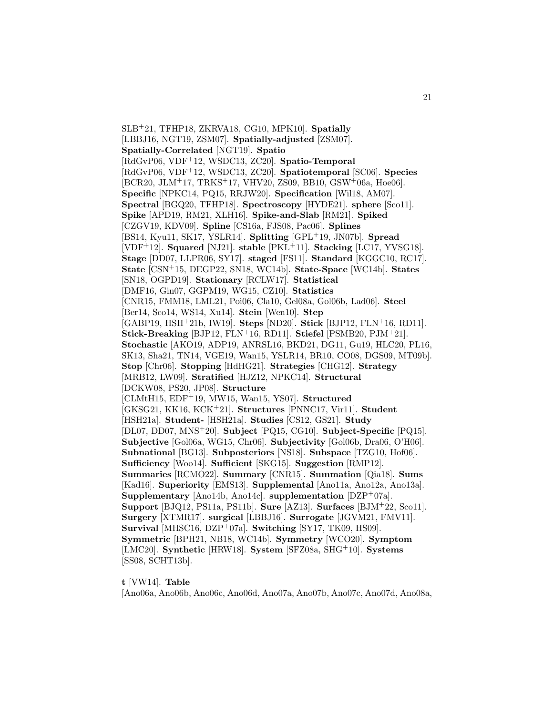SLB<sup>+</sup>21, TFHP18, ZKRVA18, CG10, MPK10]. **Spatially** [LBBJ16, NGT19, ZSM07]. **Spatially-adjusted** [ZSM07]. **Spatially-Correlated** [NGT19]. **Spatio** [RdGvP06, VDF<sup>+</sup>12, WSDC13, ZC20]. **Spatio-Temporal** [RdGvP06, VDF<sup>+</sup>12, WSDC13, ZC20]. **Spatiotemporal** [SC06]. **Species** [BCR20, JLM<sup>+</sup>17, TRKS<sup>+</sup>17, VHV20, ZS09, BB10, GSW<sup>+</sup>06a, Hoe06]. **Specific** [NPKC14, PQ15, RRJW20]. **Specification** [Wil18, AM07]. **Spectral** [BGQ20, TFHP18]. **Spectroscopy** [HYDE21]. **sphere** [Sco11]. **Spike** [APD19, RM21, XLH16]. **Spike-and-Slab** [RM21]. **Spiked** [CZGV19, KDV09]. **Spline** [CS16a, FJS08, Pac06]. **Splines** [BS14, Kyu11, SK17, YSLR14]. **Splitting** [GPL<sup>+</sup>19, JN07b]. **Spread** [VDF<sup>+</sup>12]. **Squared** [NJ21]. **stable** [PKL<sup>+</sup>11]. **Stacking** [LC17, YVSG18]. **Stage** [DD07, LLPR06, SY17]. **staged** [FS11]. **Standard** [KGGC10, RC17]. **State** [CSN<sup>+</sup>15, DEGP22, SN18, WC14b]. **State-Space** [WC14b]. **States** [SN18, OGPD19]. **Stationary** [RCLW17]. **Statistical** [DMF16, Gin07, GGPM19, WG15, CZ10]. **Statistics** [CNR15, FMM18, LML21, Poi06, Cla10, Gel08a, Gol06b, Lad06]. **Steel** [Ber14, Sco14, WS14, Xu14]. **Stein** [Wen10]. **Step** [GABP19, HSH<sup>+</sup>21b, IW19]. **Steps** [ND20]. **Stick** [BJP12, FLN<sup>+</sup>16, RD11]. **Stick-Breaking** [BJP12, FLN<sup>+</sup>16, RD11]. **Stiefel** [PSMB20, PJM<sup>+</sup>21]. **Stochastic** [AKO19, ADP19, ANRSL16, BKD21, DG11, Gu19, HLC20, PL16, SK13, Sha21, TN14, VGE19, Wan15, YSLR14, BR10, CO08, DGS09, MT09b]. **Stop** [Chr06]. **Stopping** [HdHG21]. **Strategies** [CHG12]. **Strategy** [MRB12, LW09]. **Stratified** [HJZ12, NPKC14]. **Structural** [DCKW08, PS20, JP08]. **Structure** [CLMtH15, EDF<sup>+</sup>19, MW15, Wan15, YS07]. **Structured** [GKSG21, KK16, KCK<sup>+</sup>21]. **Structures** [PNNC17, Vir11]. **Student** [HSH21a]. **Student-** [HSH21a]. **Studies** [CS12, GS21]. **Study** [DL07, DD07, MNS<sup>+</sup>20]. **Subject** [PQ15, CG10]. **Subject-Specific** [PQ15]. **Subjective** [Gol06a, WG15, Chr06]. **Subjectivity** [Gol06b, Dra06, O'H06]. **Subnational** [BG13]. **Subposteriors** [NS18]. **Subspace** [TZG10, Hof06]. **Sufficiency** [Woo14]. **Sufficient** [SKG15]. **Suggestion** [RMP12]. **Summaries** [RCMO22]. **Summary** [CNR15]. **Summation** [Qia18]. **Sums** [Kad16]. **Superiority** [EMS13]. **Supplemental** [Ano11a, Ano12a, Ano13a]. **Supplementary** [Ano14b, Ano14c]. **supplementation** [DZP<sup>+</sup>07a]. **Support** [BJQ12, PS11a, PS11b]. **Sure** [AZ13]. **Surfaces** [BJM<sup>+</sup>22, Sco11]. **Surgery** [XTMR17]. **surgical** [LBBJ16]. **Surrogate** [JGVM21, FMV11]. **Survival** [MHSC16, DZP<sup>+</sup>07a]. **Switching** [SY17, TK09, HS09]. **Symmetric** [BPH21, NB18, WC14b]. **Symmetry** [WCO20]. **Symptom** [LMC20]. **Synthetic** [HRW18]. **System** [SFZ08a, SHG<sup>+</sup>10]. **Systems** [SS08, SCHT13b].

**t** [VW14]. **Table**

[Ano06a, Ano06b, Ano06c, Ano06d, Ano07a, Ano07b, Ano07c, Ano07d, Ano08a,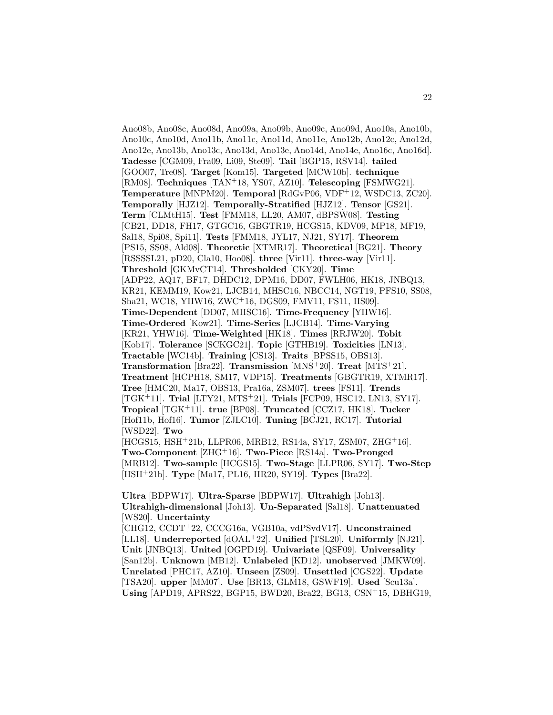Ano08b, Ano08c, Ano08d, Ano09a, Ano09b, Ano09c, Ano09d, Ano10a, Ano10b, Ano10c, Ano10d, Ano11b, Ano11c, Ano11d, Ano11e, Ano12b, Ano12c, Ano12d, Ano12e, Ano13b, Ano13c, Ano13d, Ano13e, Ano14d, Ano14e, Ano16c, Ano16d]. **Tadesse** [CGM09, Fra09, Li09, Ste09]. **Tail** [BGP15, RSV14]. **tailed** [GOO07, Tre08]. **Target** [Kom15]. **Targeted** [MCW10b]. **technique** [RM08]. **Techniques** [TAN<sup>+</sup>18, YS07, AZ10]. **Telescoping** [FSMWG21]. **Temperature** [MNPM20]. **Temporal** [RdGvP06, VDF<sup>+</sup>12, WSDC13, ZC20]. **Temporally** [HJZ12]. **Temporally-Stratified** [HJZ12]. **Tensor** [GS21]. **Term** [CLMtH15]. **Test** [FMM18, LL20, AM07, dBPSW08]. **Testing** [CB21, DD18, FH17, GTGC16, GBGTR19, HCGS15, KDV09, MP18, MF19, Sal18, Spi08, Spi11]. **Tests** [FMM18, JYL17, NJ21, SY17]. **Theorem** [PS15, SS08, Ald08]. **Theoretic** [XTMR17]. **Theoretical** [BG21]. **Theory** [RSSSSL21, pD20, Cla10, Hoo08]. **three** [Vir11]. **three-way** [Vir11]. **Threshold** [GKMvCT14]. **Thresholded** [CKY20]. **Time** [ADP22, AQ17, BF17, DHDC12, DPM16, DD07, FWLH06, HK18, JNBQ13, KR21, KEMM19, Kow21, LJCB14, MHSC16, NBCC14, NGT19, PFS10, SS08, Sha21, WC18, YHW16, ZWC<sup>+</sup>16, DGS09, FMV11, FS11, HS09]. **Time-Dependent** [DD07, MHSC16]. **Time-Frequency** [YHW16]. **Time-Ordered** [Kow21]. **Time-Series** [LJCB14]. **Time-Varying** [KR21, YHW16]. **Time-Weighted** [HK18]. **Times** [RRJW20]. **Tobit** [Kob17]. **Tolerance** [SCKGC21]. **Topic** [GTHB19]. **Toxicities** [LN13]. **Tractable** [WC14b]. **Training** [CS13]. **Traits** [BPSS15, OBS13]. **Transformation** [Bra22]. **Transmission** [MNS<sup>+</sup>20]. **Treat** [MTS<sup>+</sup>21]. **Treatment** [HCPH18, SM17, VDP15]. **Treatments** [GBGTR19, XTMR17]. **Tree** [HMC20, Ma17, OBS13, Pra16a, ZSM07]. **trees** [FS11]. **Trends** [TGK<sup>+</sup>11]. **Trial** [LTY21, MTS<sup>+</sup>21]. **Trials** [FCP09, HSC12, LN13, SY17]. **Tropical** [TGK<sup>+</sup>11]. **true** [BP08]. **Truncated** [CCZ17, HK18]. **Tucker** [Hof11b, Hof16]. **Tumor** [ZJLC10]. **Tuning** [BCJ21, RC17]. **Tutorial** [WSD22]. **Two** [HCGS15, HSH<sup>+</sup>21b, LLPR06, MRB12, RS14a, SY17, ZSM07, ZHG<sup>+</sup>16]. **Two-Component** [ZHG<sup>+</sup>16]. **Two-Piece** [RS14a]. **Two-Pronged** [MRB12]. **Two-sample** [HCGS15]. **Two-Stage** [LLPR06, SY17]. **Two-Step** [HSH<sup>+</sup>21b]. **Type** [Ma17, PL16, HR20, SY19]. **Types** [Bra22].

**Ultra** [BDPW17]. **Ultra-Sparse** [BDPW17]. **Ultrahigh** [Joh13]. **Ultrahigh-dimensional** [Joh13]. **Un-Separated** [Sal18]. **Unattenuated** [WS20]. **Uncertainty**

[CHG12, CCDT<sup>+</sup>22, CCCG16a, VGB10a, vdPSvdV17]. **Unconstrained** [LL18]. **Underreported** [dOAL<sup>+</sup>22]. **Unified** [TSL20]. **Uniformly** [NJ21]. **Unit** [JNBQ13]. **United** [OGPD19]. **Univariate** [QSF09]. **Universality** [San12b]. **Unknown** [MB12]. **Unlabeled** [KD12]. **unobserved** [JMKW09]. **Unrelated** [PHC17, AZ10]. **Unseen** [ZS09]. **Unsettled** [CGS22]. **Update** [TSA20]. **upper** [MM07]. **Use** [BR13, GLM18, GSWF19]. **Used** [Scu13a]. **Using** [APD19, APRS22, BGP15, BWD20, Bra22, BG13, CSN<sup>+</sup>15, DBHG19,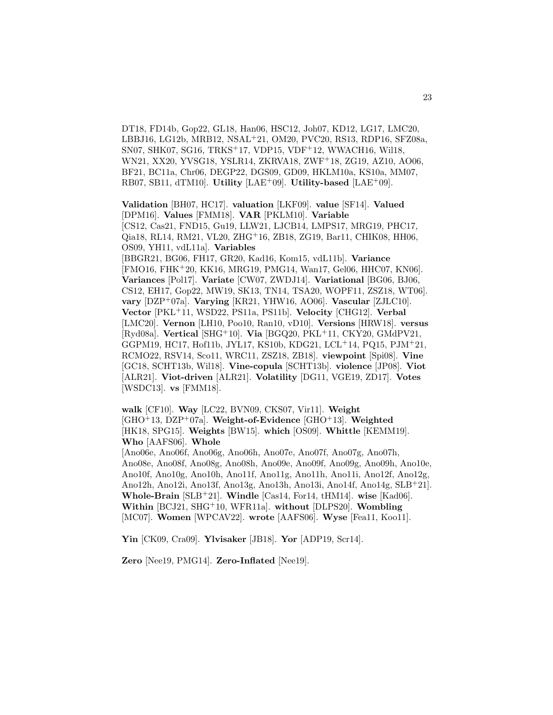DT18, FD14b, Gop22, GL18, Han06, HSC12, Joh07, KD12, LG17, LMC20, LBBJ16, LG12b, MRB12, NSAL<sup>+</sup>21, OM20, PVC20, RS13, RDP16, SFZ08a, SN07, SHK07, SG16, TRKS<sup>+</sup>17, VDP15, VDF<sup>+</sup>12, WWACH16, Wil18, WN21, XX20, YVSG18, YSLR14, ZKRVA18, ZWF<sup>+</sup>18, ZG19, AZ10, AO06, BF21, BC11a, Chr06, DEGP22, DGS09, GD09, HKLM10a, KS10a, MM07, RB07, SB11, dTM10]. **Utility** [LAE<sup>+</sup>09]. **Utility-based** [LAE<sup>+</sup>09].

**Validation** [BH07, HC17]. **valuation** [LKF09]. **value** [SF14]. **Valued** [DPM16]. **Values** [FMM18]. **VAR** [PKLM10]. **Variable** [CS12, Cas21, FND15, Gu19, LLW21, LJCB14, LMPS17, MRG19, PHC17, Qia18, RL14, RM21, VL20, ZHG<sup>+</sup>16, ZB18, ZG19, Bar11, CHIK08, HH06, OS09, YH11, vdL11a]. **Variables** [BBGR21, BG06, FH17, GR20, Kad16, Kom15, vdL11b]. **Variance** [FMO16, FHK<sup>+</sup>20, KK16, MRG19, PMG14, Wan17, Gel06, HHC07, KN06]. **Variances** [Pol17]. **Variate** [CW07, ZWDJ14]. **Variational** [BG06, BJ06, CS12, EH17, Gop22, MW19, SK13, TN14, TSA20, WOPF11, ZSZ18, WT06]. **vary** [DZP<sup>+</sup>07a]. **Varying** [KR21, YHW16, AO06]. **Vascular** [ZJLC10]. **Vector** [PKL<sup>+</sup>11, WSD22, PS11a, PS11b]. **Velocity** [CHG12]. **Verbal** [LMC20]. **Vernon** [LH10, Poo10, Ran10, vD10]. **Versions** [HRW18]. **versus** [Ryd08a]. **Vertical** [SHG<sup>+</sup>10]. **Via** [BGQ20, PKL<sup>+</sup>11, CKY20, GMdPV21, GGPM19, HC17, Hof11b, JYL17, KS10b, KDG21, LCL<sup>+</sup>14, PQ15, PJM<sup>+</sup>21, RCMO22, RSV14, Sco11, WRC11, ZSZ18, ZB18]. **viewpoint** [Spi08]. **Vine** [GC18, SCHT13b, Wil18]. **Vine-copula** [SCHT13b]. **violence** [JP08]. **Viot** [ALR21]. **Viot-driven** [ALR21]. **Volatility** [DG11, VGE19, ZD17]. **Votes** [WSDC13]. **vs** [FMM18].

**walk** [CF10]. **Way** [LC22, BVN09, CKS07, Vir11]. **Weight** [GHO<sup>+</sup>13, DZP<sup>+</sup>07a]. **Weight-of-Evidence** [GHO<sup>+</sup>13]. **Weighted** [HK18, SPG15]. **Weights** [BW15]. **which** [OS09]. **Whittle** [KEMM19]. **Who** [AAFS06]. **Whole**

[Ano06e, Ano06f, Ano06g, Ano06h, Ano07e, Ano07f, Ano07g, Ano07h, Ano08e, Ano08f, Ano08g, Ano08h, Ano09e, Ano09f, Ano09g, Ano09h, Ano10e, Ano10f, Ano10g, Ano10h, Ano11f, Ano11g, Ano11h, Ano11i, Ano12f, Ano12g, Ano12h, Ano12i, Ano13f, Ano13g, Ano13h, Ano13i, Ano14f, Ano14g, SLB<sup>+</sup>21]. **Whole-Brain** [SLB<sup>+</sup>21]. **Windle** [Cas14, For14, tHM14]. **wise** [Kad06]. **Within** [BCJ21, SHG<sup>+</sup>10, WFR11a]. **without** [DLPS20]. **Wombling** [MC07]. **Women** [WPCAV22]. **wrote** [AAFS06]. **Wyse** [Fea11, Koo11].

**Yin** [CK09, Cra09]. **Ylvisaker** [JB18]. **Yor** [ADP19, Scr14].

**Zero** [Nee19, PMG14]. **Zero-Inflated** [Nee19].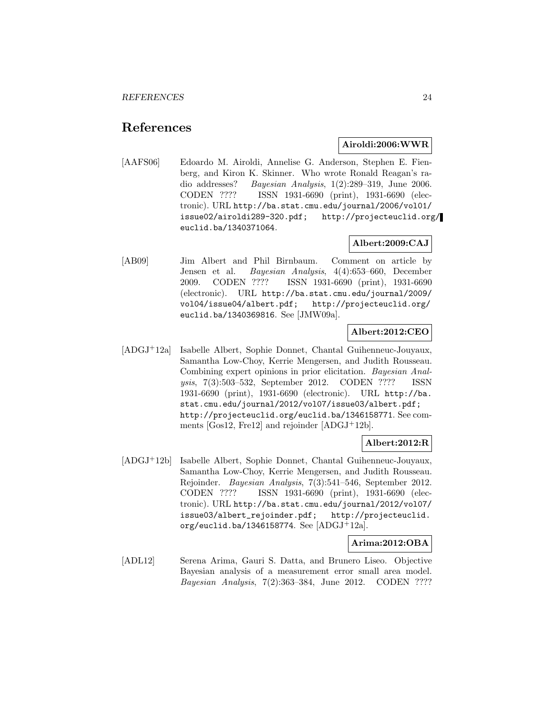# **References**

# **Airoldi:2006:WWR**

[AAFS06] Edoardo M. Airoldi, Annelise G. Anderson, Stephen E. Fienberg, and Kiron K. Skinner. Who wrote Ronald Reagan's radio addresses? Bayesian Analysis, 1(2):289–319, June 2006. CODEN ???? ISSN 1931-6690 (print), 1931-6690 (electronic). URL http://ba.stat.cmu.edu/journal/2006/vol01/ issue02/airoldi289-320.pdf; http://projecteuclid.org/ euclid.ba/1340371064.

# **Albert:2009:CAJ**

[AB09] Jim Albert and Phil Birnbaum. Comment on article by Jensen et al. Bayesian Analysis, 4(4):653–660, December 2009. CODEN ???? ISSN 1931-6690 (print), 1931-6690 (electronic). URL http://ba.stat.cmu.edu/journal/2009/ vol04/issue04/albert.pdf; http://projecteuclid.org/ euclid.ba/1340369816. See [JMW09a].

# **Albert:2012:CEO**

[ADGJ<sup>+</sup>12a] Isabelle Albert, Sophie Donnet, Chantal Guihenneuc-Jouyaux, Samantha Low-Choy, Kerrie Mengersen, and Judith Rousseau. Combining expert opinions in prior elicitation. Bayesian Analysis, 7(3):503–532, September 2012. CODEN ???? ISSN 1931-6690 (print), 1931-6690 (electronic). URL http://ba. stat.cmu.edu/journal/2012/vol07/issue03/albert.pdf; http://projecteuclid.org/euclid.ba/1346158771. See comments [Gos12, Fre12] and rejoinder [ADGJ<sup>+</sup>12b].

# **Albert:2012:R**

[ADGJ<sup>+</sup>12b] Isabelle Albert, Sophie Donnet, Chantal Guihenneuc-Jouyaux, Samantha Low-Choy, Kerrie Mengersen, and Judith Rousseau. Rejoinder. Bayesian Analysis, 7(3):541–546, September 2012. CODEN ???? ISSN 1931-6690 (print), 1931-6690 (electronic). URL http://ba.stat.cmu.edu/journal/2012/vol07/ issue03/albert\_rejoinder.pdf; http://projecteuclid. org/euclid.ba/1346158774. See [ADGJ<sup>+</sup>12a].

# **Arima:2012:OBA**

[ADL12] Serena Arima, Gauri S. Datta, and Brunero Liseo. Objective Bayesian analysis of a measurement error small area model. Bayesian Analysis, 7(2):363–384, June 2012. CODEN ????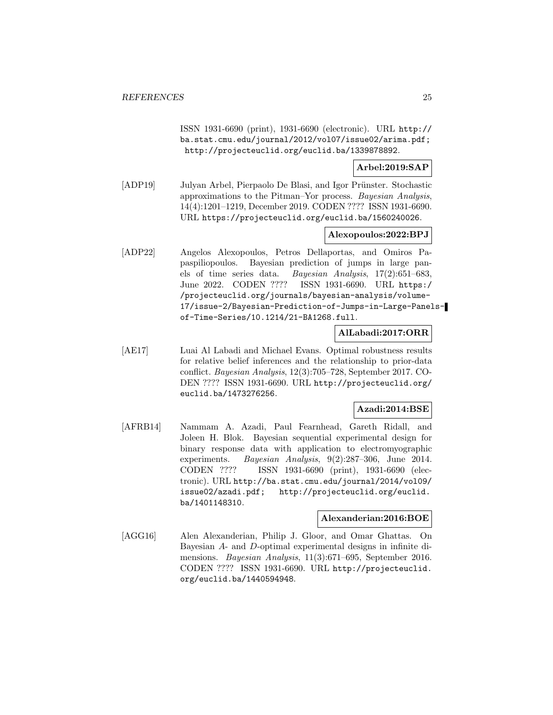ISSN 1931-6690 (print), 1931-6690 (electronic). URL http:// ba.stat.cmu.edu/journal/2012/vol07/issue02/arima.pdf; http://projecteuclid.org/euclid.ba/1339878892.

# **Arbel:2019:SAP**

[ADP19] Julyan Arbel, Pierpaolo De Blasi, and Igor Prünster. Stochastic approximations to the Pitman–Yor process. Bayesian Analysis, 14(4):1201–1219, December 2019. CODEN ???? ISSN 1931-6690. URL https://projecteuclid.org/euclid.ba/1560240026.

# **Alexopoulos:2022:BPJ**

[ADP22] Angelos Alexopoulos, Petros Dellaportas, and Omiros Papaspiliopoulos. Bayesian prediction of jumps in large panels of time series data. Bayesian Analysis, 17(2):651–683, June 2022. CODEN ???? ISSN 1931-6690. URL https:/ /projecteuclid.org/journals/bayesian-analysis/volume-17/issue-2/Bayesian-Prediction-of-Jumps-in-Large-Panelsof-Time-Series/10.1214/21-BA1268.full.

# **AlLabadi:2017:ORR**

[AE17] Luai Al Labadi and Michael Evans. Optimal robustness results for relative belief inferences and the relationship to prior-data conflict. Bayesian Analysis, 12(3):705–728, September 2017. CO-DEN ???? ISSN 1931-6690. URL http://projecteuclid.org/ euclid.ba/1473276256.

# **Azadi:2014:BSE**

[AFRB14] Nammam A. Azadi, Paul Fearnhead, Gareth Ridall, and Joleen H. Blok. Bayesian sequential experimental design for binary response data with application to electromyographic experiments. Bayesian Analysis, 9(2):287–306, June 2014. CODEN ???? ISSN 1931-6690 (print), 1931-6690 (electronic). URL http://ba.stat.cmu.edu/journal/2014/vol09/ issue02/azadi.pdf; http://projecteuclid.org/euclid. ba/1401148310.

#### **Alexanderian:2016:BOE**

[AGG16] Alen Alexanderian, Philip J. Gloor, and Omar Ghattas. On Bayesian A- and D-optimal experimental designs in infinite dimensions. Bayesian Analysis, 11(3):671–695, September 2016. CODEN ???? ISSN 1931-6690. URL http://projecteuclid. org/euclid.ba/1440594948.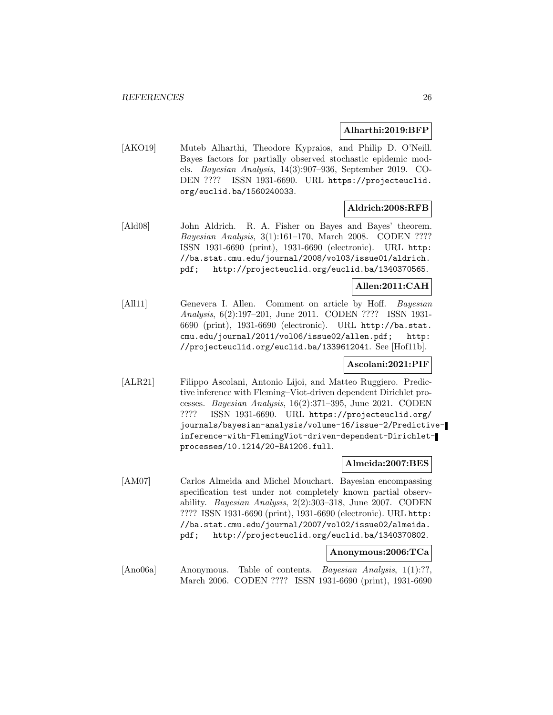#### **Alharthi:2019:BFP**

[AKO19] Muteb Alharthi, Theodore Kypraios, and Philip D. O'Neill. Bayes factors for partially observed stochastic epidemic models. Bayesian Analysis, 14(3):907–936, September 2019. CO-DEN ???? ISSN 1931-6690. URL https://projecteuclid. org/euclid.ba/1560240033.

# **Aldrich:2008:RFB**

[Ald08] John Aldrich. R. A. Fisher on Bayes and Bayes' theorem. Bayesian Analysis, 3(1):161–170, March 2008. CODEN ???? ISSN 1931-6690 (print), 1931-6690 (electronic). URL http: //ba.stat.cmu.edu/journal/2008/vol03/issue01/aldrich. pdf; http://projecteuclid.org/euclid.ba/1340370565.

# **Allen:2011:CAH**

[All11] Genevera I. Allen. Comment on article by Hoff. Bayesian Analysis, 6(2):197–201, June 2011. CODEN ???? ISSN 1931- 6690 (print), 1931-6690 (electronic). URL http://ba.stat. cmu.edu/journal/2011/vol06/issue02/allen.pdf; http: //projecteuclid.org/euclid.ba/1339612041. See [Hof11b].

# **Ascolani:2021:PIF**

[ALR21] Filippo Ascolani, Antonio Lijoi, and Matteo Ruggiero. Predictive inference with Fleming–Viot-driven dependent Dirichlet processes. Bayesian Analysis, 16(2):371–395, June 2021. CODEN ???? ISSN 1931-6690. URL https://projecteuclid.org/ journals/bayesian-analysis/volume-16/issue-2/Predictiveinference-with-FlemingViot-driven-dependent-Dirichletprocesses/10.1214/20-BA1206.full.

#### **Almeida:2007:BES**

[AM07] Carlos Almeida and Michel Mouchart. Bayesian encompassing specification test under not completely known partial observability. Bayesian Analysis, 2(2):303–318, June 2007. CODEN ???? ISSN 1931-6690 (print), 1931-6690 (electronic). URL http: //ba.stat.cmu.edu/journal/2007/vol02/issue02/almeida. pdf; http://projecteuclid.org/euclid.ba/1340370802.

#### **Anonymous:2006:TCa**

[Ano06a] Anonymous. Table of contents. *Bayesian Analysis*, 1(1):??, March 2006. CODEN ???? ISSN 1931-6690 (print), 1931-6690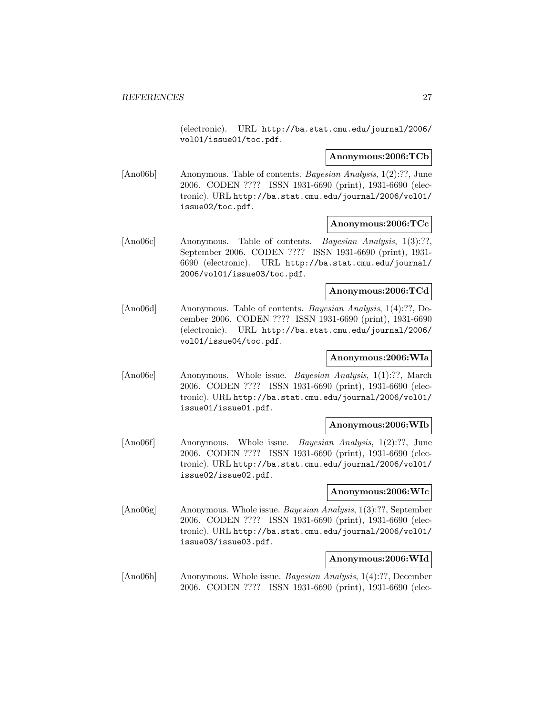(electronic). URL http://ba.stat.cmu.edu/journal/2006/ vol01/issue01/toc.pdf.

#### **Anonymous:2006:TCb**

[Ano06b] Anonymous. Table of contents. Bayesian Analysis, 1(2):??, June 2006. CODEN ???? ISSN 1931-6690 (print), 1931-6690 (electronic). URL http://ba.stat.cmu.edu/journal/2006/vol01/ issue02/toc.pdf.

# **Anonymous:2006:TCc**

[Ano06c] Anonymous. Table of contents. Bayesian Analysis, 1(3):??, September 2006. CODEN ???? ISSN 1931-6690 (print), 1931- 6690 (electronic). URL http://ba.stat.cmu.edu/journal/ 2006/vol01/issue03/toc.pdf.

# **Anonymous:2006:TCd**

[Ano06d] Anonymous. Table of contents. Bayesian Analysis, 1(4):??, December 2006. CODEN ???? ISSN 1931-6690 (print), 1931-6690 (electronic). URL http://ba.stat.cmu.edu/journal/2006/ vol01/issue04/toc.pdf.

# **Anonymous:2006:WIa**

[Ano06e] Anonymous. Whole issue. Bayesian Analysis, 1(1):??, March 2006. CODEN ???? ISSN 1931-6690 (print), 1931-6690 (electronic). URL http://ba.stat.cmu.edu/journal/2006/vol01/ issue01/issue01.pdf.

#### **Anonymous:2006:WIb**

[Ano06f] Anonymous. Whole issue. Bayesian Analysis, 1(2):??, June 2006. CODEN ???? ISSN 1931-6690 (print), 1931-6690 (electronic). URL http://ba.stat.cmu.edu/journal/2006/vol01/ issue02/issue02.pdf.

#### **Anonymous:2006:WIc**

[Ano06g] Anonymous. Whole issue. Bayesian Analysis, 1(3):??, September 2006. CODEN ???? ISSN 1931-6690 (print), 1931-6690 (electronic). URL http://ba.stat.cmu.edu/journal/2006/vol01/ issue03/issue03.pdf.

# **Anonymous:2006:WId**

[Ano06h] Anonymous. Whole issue. Bayesian Analysis, 1(4):??, December 2006. CODEN ???? ISSN 1931-6690 (print), 1931-6690 (elec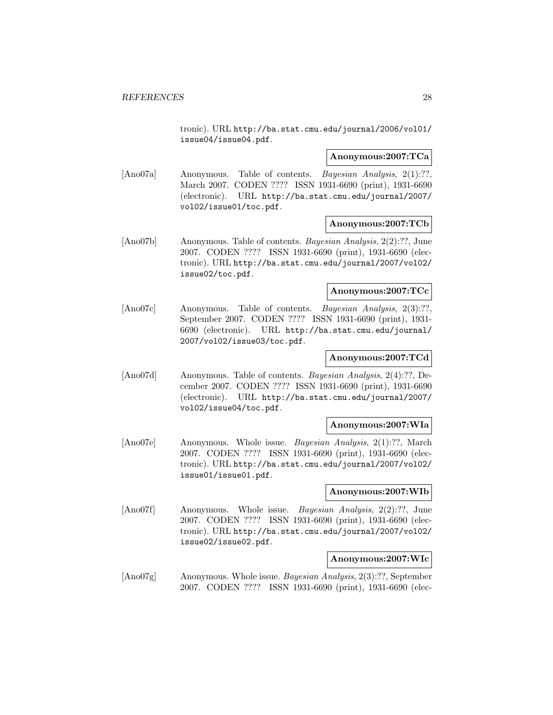tronic). URL http://ba.stat.cmu.edu/journal/2006/vol01/ issue04/issue04.pdf.

#### **Anonymous:2007:TCa**

[Ano07a] Anonymous. Table of contents. *Bayesian Analysis*, 2(1):??, March 2007. CODEN ???? ISSN 1931-6690 (print), 1931-6690 (electronic). URL http://ba.stat.cmu.edu/journal/2007/ vol02/issue01/toc.pdf.

# **Anonymous:2007:TCb**

[Ano07b] Anonymous. Table of contents. Bayesian Analysis, 2(2):??, June 2007. CODEN ???? ISSN 1931-6690 (print), 1931-6690 (electronic). URL http://ba.stat.cmu.edu/journal/2007/vol02/ issue02/toc.pdf.

#### **Anonymous:2007:TCc**

[Ano07c] Anonymous. Table of contents. Bayesian Analysis, 2(3):??, September 2007. CODEN ???? ISSN 1931-6690 (print), 1931- 6690 (electronic). URL http://ba.stat.cmu.edu/journal/ 2007/vol02/issue03/toc.pdf.

# **Anonymous:2007:TCd**

[Ano07d] Anonymous. Table of contents. Bayesian Analysis, 2(4):??, December 2007. CODEN ???? ISSN 1931-6690 (print), 1931-6690 (electronic). URL http://ba.stat.cmu.edu/journal/2007/ vol02/issue04/toc.pdf.

#### **Anonymous:2007:WIa**

[Ano07e] Anonymous. Whole issue. Bayesian Analysis, 2(1):??, March 2007. CODEN ???? ISSN 1931-6690 (print), 1931-6690 (electronic). URL http://ba.stat.cmu.edu/journal/2007/vol02/ issue01/issue01.pdf.

# **Anonymous:2007:WIb**

[Ano07f] Anonymous. Whole issue. Bayesian Analysis, 2(2):??, June 2007. CODEN ???? ISSN 1931-6690 (print), 1931-6690 (electronic). URL http://ba.stat.cmu.edu/journal/2007/vol02/ issue02/issue02.pdf.

#### **Anonymous:2007:WIc**

[Ano07g] Anonymous. Whole issue. Bayesian Analysis, 2(3):??, September 2007. CODEN ???? ISSN 1931-6690 (print), 1931-6690 (elec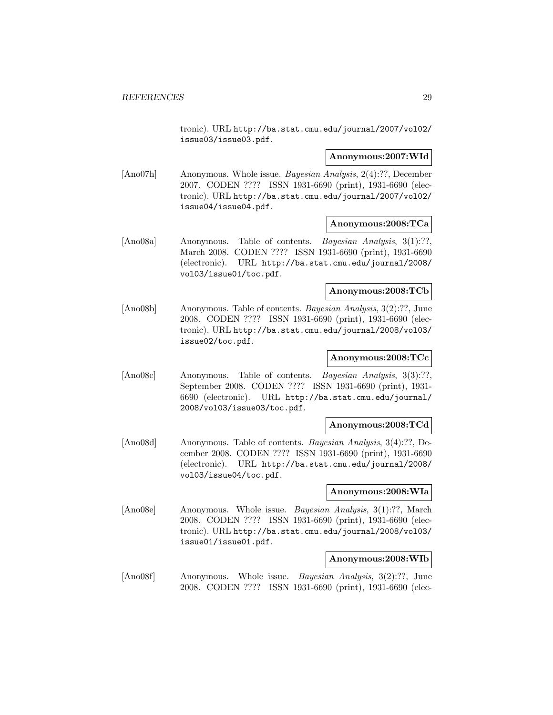tronic). URL http://ba.stat.cmu.edu/journal/2007/vol02/ issue03/issue03.pdf.

# **Anonymous:2007:WId**

[Ano07h] Anonymous. Whole issue. Bayesian Analysis, 2(4):??, December 2007. CODEN ???? ISSN 1931-6690 (print), 1931-6690 (electronic). URL http://ba.stat.cmu.edu/journal/2007/vol02/ issue04/issue04.pdf.

# **Anonymous:2008:TCa**

[Ano08a] Anonymous. Table of contents. Bayesian Analysis, 3(1):??, March 2008. CODEN ???? ISSN 1931-6690 (print), 1931-6690 (electronic). URL http://ba.stat.cmu.edu/journal/2008/ vol03/issue01/toc.pdf.

#### **Anonymous:2008:TCb**

[Ano08b] Anonymous. Table of contents. Bayesian Analysis, 3(2):??, June 2008. CODEN ???? ISSN 1931-6690 (print), 1931-6690 (electronic). URL http://ba.stat.cmu.edu/journal/2008/vol03/ issue02/toc.pdf.

# **Anonymous:2008:TCc**

[Ano08c] Anonymous. Table of contents. Bayesian Analysis, 3(3):??, September 2008. CODEN ???? ISSN 1931-6690 (print), 1931- 6690 (electronic). URL http://ba.stat.cmu.edu/journal/ 2008/vol03/issue03/toc.pdf.

# **Anonymous:2008:TCd**

[Ano08d] Anonymous. Table of contents. Bayesian Analysis, 3(4):??, December 2008. CODEN ???? ISSN 1931-6690 (print), 1931-6690 (electronic). URL http://ba.stat.cmu.edu/journal/2008/ vol03/issue04/toc.pdf.

# **Anonymous:2008:WIa**

[Ano08e] Anonymous. Whole issue. Bayesian Analysis, 3(1):??, March 2008. CODEN ???? ISSN 1931-6690 (print), 1931-6690 (electronic). URL http://ba.stat.cmu.edu/journal/2008/vol03/ issue01/issue01.pdf.

# **Anonymous:2008:WIb**

[Ano08f] Anonymous. Whole issue. Bayesian Analysis, 3(2):??, June 2008. CODEN ???? ISSN 1931-6690 (print), 1931-6690 (elec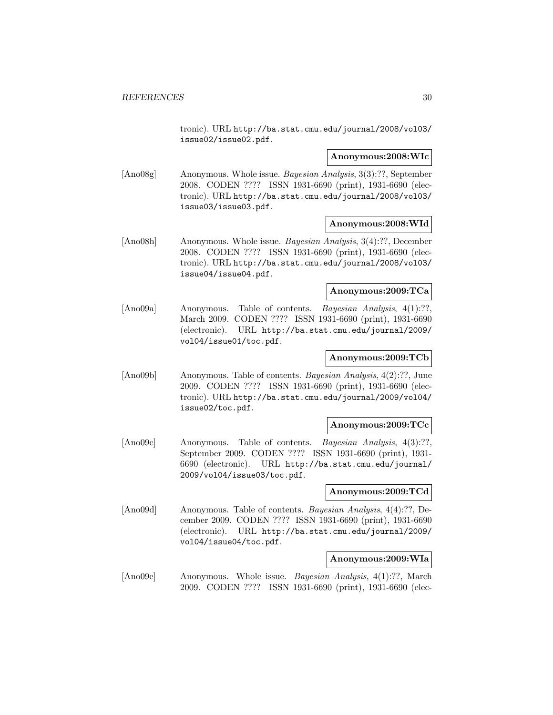tronic). URL http://ba.stat.cmu.edu/journal/2008/vol03/ issue02/issue02.pdf.

#### **Anonymous:2008:WIc**

[Ano08g] Anonymous. Whole issue. Bayesian Analysis, 3(3):??, September 2008. CODEN ???? ISSN 1931-6690 (print), 1931-6690 (electronic). URL http://ba.stat.cmu.edu/journal/2008/vol03/ issue03/issue03.pdf.

# **Anonymous:2008:WId**

[Ano08h] Anonymous. Whole issue. Bayesian Analysis, 3(4):??, December 2008. CODEN ???? ISSN 1931-6690 (print), 1931-6690 (electronic). URL http://ba.stat.cmu.edu/journal/2008/vol03/ issue04/issue04.pdf.

#### **Anonymous:2009:TCa**

[Ano09a] Anonymous. Table of contents. Bayesian Analysis, 4(1):??, March 2009. CODEN ???? ISSN 1931-6690 (print), 1931-6690 (electronic). URL http://ba.stat.cmu.edu/journal/2009/ vol04/issue01/toc.pdf.

# **Anonymous:2009:TCb**

[Ano09b] Anonymous. Table of contents. Bayesian Analysis, 4(2):??, June 2009. CODEN ???? ISSN 1931-6690 (print), 1931-6690 (electronic). URL http://ba.stat.cmu.edu/journal/2009/vol04/ issue02/toc.pdf.

#### **Anonymous:2009:TCc**

[Ano09c] Anonymous. Table of contents. Bayesian Analysis, 4(3):??, September 2009. CODEN ???? ISSN 1931-6690 (print), 1931- 6690 (electronic). URL http://ba.stat.cmu.edu/journal/ 2009/vol04/issue03/toc.pdf.

#### **Anonymous:2009:TCd**

[Ano09d] Anonymous. Table of contents. Bayesian Analysis, 4(4):??, December 2009. CODEN ???? ISSN 1931-6690 (print), 1931-6690 (electronic). URL http://ba.stat.cmu.edu/journal/2009/ vol04/issue04/toc.pdf.

#### **Anonymous:2009:WIa**

[Ano09e] Anonymous. Whole issue. Bayesian Analysis, 4(1):??, March 2009. CODEN ???? ISSN 1931-6690 (print), 1931-6690 (elec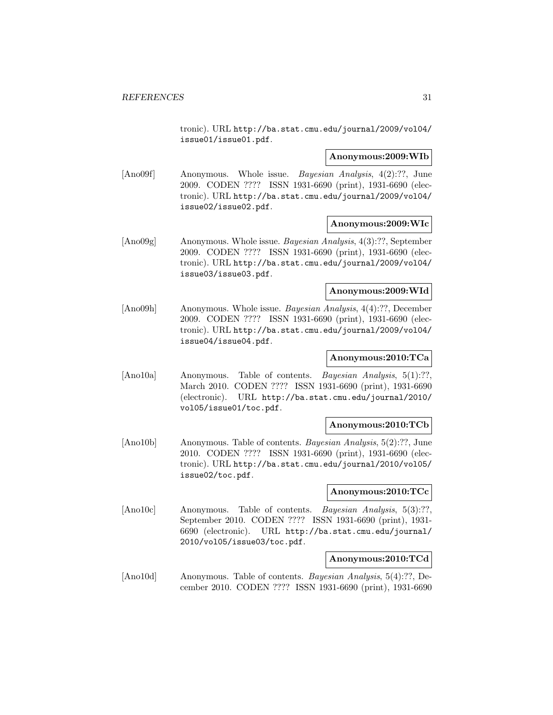tronic). URL http://ba.stat.cmu.edu/journal/2009/vol04/ issue01/issue01.pdf.

#### **Anonymous:2009:WIb**

[Ano09f] Anonymous. Whole issue. Bayesian Analysis, 4(2):??, June 2009. CODEN ???? ISSN 1931-6690 (print), 1931-6690 (electronic). URL http://ba.stat.cmu.edu/journal/2009/vol04/ issue02/issue02.pdf.

#### **Anonymous:2009:WIc**

[Ano09g] Anonymous. Whole issue. Bayesian Analysis, 4(3):??, September 2009. CODEN ???? ISSN 1931-6690 (print), 1931-6690 (electronic). URL http://ba.stat.cmu.edu/journal/2009/vol04/ issue03/issue03.pdf.

#### **Anonymous:2009:WId**

[Ano09h] Anonymous. Whole issue. Bayesian Analysis, 4(4):??, December 2009. CODEN ???? ISSN 1931-6690 (print), 1931-6690 (electronic). URL http://ba.stat.cmu.edu/journal/2009/vol04/ issue04/issue04.pdf.

# **Anonymous:2010:TCa**

[Ano10a] Anonymous. Table of contents. Bayesian Analysis, 5(1):??, March 2010. CODEN ???? ISSN 1931-6690 (print), 1931-6690 (electronic). URL http://ba.stat.cmu.edu/journal/2010/ vol05/issue01/toc.pdf.

#### **Anonymous:2010:TCb**

[Ano10b] Anonymous. Table of contents. Bayesian Analysis, 5(2):??, June 2010. CODEN ???? ISSN 1931-6690 (print), 1931-6690 (electronic). URL http://ba.stat.cmu.edu/journal/2010/vol05/ issue02/toc.pdf.

# **Anonymous:2010:TCc**

[Ano10c] Anonymous. Table of contents. Bayesian Analysis, 5(3):??, September 2010. CODEN ???? ISSN 1931-6690 (print), 1931- 6690 (electronic). URL http://ba.stat.cmu.edu/journal/ 2010/vol05/issue03/toc.pdf.

#### **Anonymous:2010:TCd**

[Ano10d] Anonymous. Table of contents. Bayesian Analysis, 5(4):??, December 2010. CODEN ???? ISSN 1931-6690 (print), 1931-6690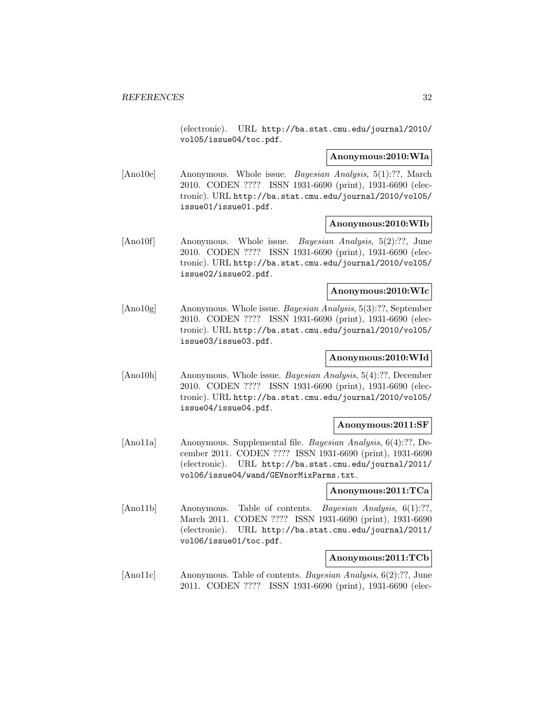(electronic). URL http://ba.stat.cmu.edu/journal/2010/ vol05/issue04/toc.pdf.

#### **Anonymous:2010:WIa**

[Ano10e] Anonymous. Whole issue. Bayesian Analysis, 5(1):??, March 2010. CODEN ???? ISSN 1931-6690 (print), 1931-6690 (electronic). URL http://ba.stat.cmu.edu/journal/2010/vol05/ issue01/issue01.pdf.

#### **Anonymous:2010:WIb**

[Ano10f] Anonymous. Whole issue. Bayesian Analysis, 5(2):??, June 2010. CODEN ???? ISSN 1931-6690 (print), 1931-6690 (electronic). URL http://ba.stat.cmu.edu/journal/2010/vol05/ issue02/issue02.pdf.

#### **Anonymous:2010:WIc**

[Ano10g] Anonymous. Whole issue. Bayesian Analysis, 5(3):??, September 2010. CODEN ???? ISSN 1931-6690 (print), 1931-6690 (electronic). URL http://ba.stat.cmu.edu/journal/2010/vol05/ issue03/issue03.pdf.

# **Anonymous:2010:WId**

[Ano10h] Anonymous. Whole issue. Bayesian Analysis, 5(4):??, December 2010. CODEN ???? ISSN 1931-6690 (print), 1931-6690 (electronic). URL http://ba.stat.cmu.edu/journal/2010/vol05/ issue04/issue04.pdf.

#### **Anonymous:2011:SF**

[Ano11a] Anonymous. Supplemental file. Bayesian Analysis, 6(4):??, December 2011. CODEN ???? ISSN 1931-6690 (print), 1931-6690 (electronic). URL http://ba.stat.cmu.edu/journal/2011/ vol06/issue04/wand/GEVnorMixParms.txt.

#### **Anonymous:2011:TCa**

[Ano11b] Anonymous. Table of contents. *Bayesian Analysis*, 6(1):??, March 2011. CODEN ???? ISSN 1931-6690 (print), 1931-6690 (electronic). URL http://ba.stat.cmu.edu/journal/2011/ vol06/issue01/toc.pdf.

#### **Anonymous:2011:TCb**

[Ano11c] Anonymous. Table of contents. Bayesian Analysis, 6(2):??, June 2011. CODEN ???? ISSN 1931-6690 (print), 1931-6690 (elec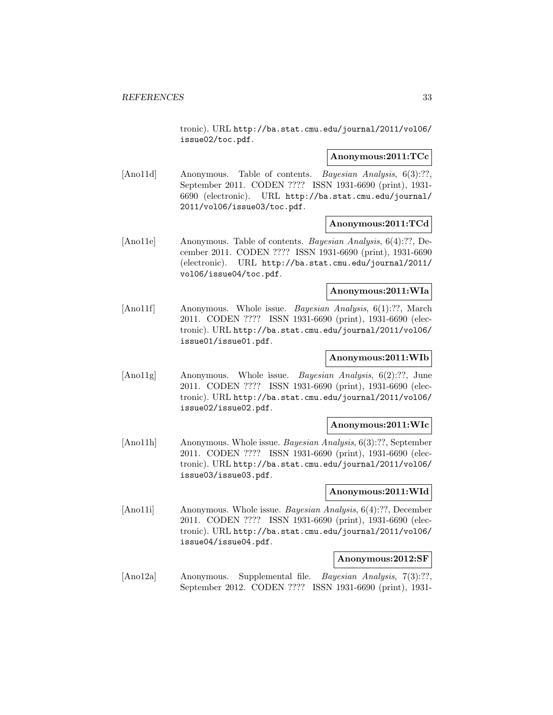tronic). URL http://ba.stat.cmu.edu/journal/2011/vol06/ issue02/toc.pdf.

# **Anonymous:2011:TCc**

[Ano11d] Anonymous. Table of contents. Bayesian Analysis, 6(3):??, September 2011. CODEN ???? ISSN 1931-6690 (print), 1931- 6690 (electronic). URL http://ba.stat.cmu.edu/journal/ 2011/vol06/issue03/toc.pdf.

# **Anonymous:2011:TCd**

[Ano11e] Anonymous. Table of contents. Bayesian Analysis, 6(4):??, December 2011. CODEN ???? ISSN 1931-6690 (print), 1931-6690 (electronic). URL http://ba.stat.cmu.edu/journal/2011/ vol06/issue04/toc.pdf.

#### **Anonymous:2011:WIa**

[Ano11f] Anonymous. Whole issue. *Bayesian Analysis*, 6(1):??, March 2011. CODEN ???? ISSN 1931-6690 (print), 1931-6690 (electronic). URL http://ba.stat.cmu.edu/journal/2011/vol06/ issue01/issue01.pdf.

# **Anonymous:2011:WIb**

[Ano11g] Anonymous. Whole issue. Bayesian Analysis, 6(2):??, June 2011. CODEN ???? ISSN 1931-6690 (print), 1931-6690 (electronic). URL http://ba.stat.cmu.edu/journal/2011/vol06/ issue02/issue02.pdf.

#### **Anonymous:2011:WIc**

[Ano11h] Anonymous. Whole issue. Bayesian Analysis, 6(3):??, September 2011. CODEN ???? ISSN 1931-6690 (print), 1931-6690 (electronic). URL http://ba.stat.cmu.edu/journal/2011/vol06/ issue03/issue03.pdf.

# **Anonymous:2011:WId**

[Ano11i] Anonymous. Whole issue. Bayesian Analysis, 6(4):??, December 2011. CODEN ???? ISSN 1931-6690 (print), 1931-6690 (electronic). URL http://ba.stat.cmu.edu/journal/2011/vol06/ issue04/issue04.pdf.

#### **Anonymous:2012:SF**

[Ano12a] Anonymous. Supplemental file. Bayesian Analysis, 7(3):??, September 2012. CODEN ???? ISSN 1931-6690 (print), 1931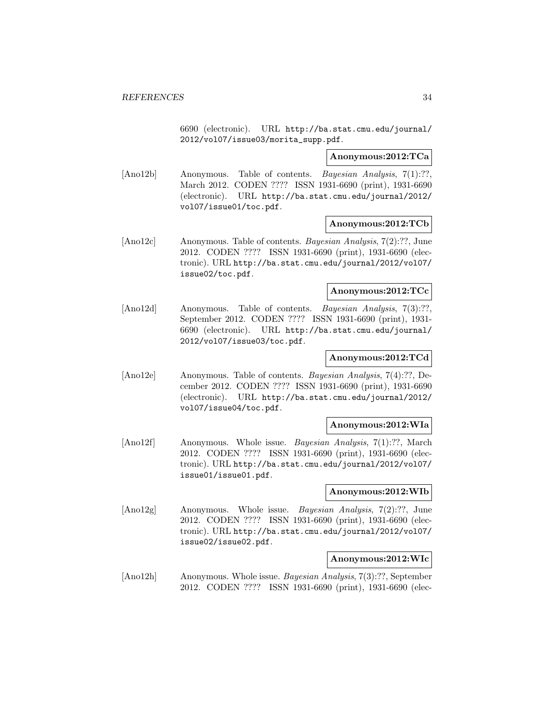6690 (electronic). URL http://ba.stat.cmu.edu/journal/ 2012/vol07/issue03/morita\_supp.pdf.

# **Anonymous:2012:TCa**

[Ano12b] Anonymous. Table of contents. *Bayesian Analysis*, 7(1):??, March 2012. CODEN ???? ISSN 1931-6690 (print), 1931-6690 (electronic). URL http://ba.stat.cmu.edu/journal/2012/ vol07/issue01/toc.pdf.

# **Anonymous:2012:TCb**

[Ano12c] Anonymous. Table of contents. Bayesian Analysis, 7(2):??, June 2012. CODEN ???? ISSN 1931-6690 (print), 1931-6690 (electronic). URL http://ba.stat.cmu.edu/journal/2012/vol07/ issue02/toc.pdf.

#### **Anonymous:2012:TCc**

[Ano12d] Anonymous. Table of contents. *Bayesian Analysis*, 7(3):??, September 2012. CODEN ???? ISSN 1931-6690 (print), 1931- 6690 (electronic). URL http://ba.stat.cmu.edu/journal/ 2012/vol07/issue03/toc.pdf.

# **Anonymous:2012:TCd**

[Ano12e] Anonymous. Table of contents. Bayesian Analysis, 7(4):??, December 2012. CODEN ???? ISSN 1931-6690 (print), 1931-6690 (electronic). URL http://ba.stat.cmu.edu/journal/2012/ vol07/issue04/toc.pdf.

#### **Anonymous:2012:WIa**

[Ano12f] Anonymous. Whole issue. Bayesian Analysis, 7(1):??, March 2012. CODEN ???? ISSN 1931-6690 (print), 1931-6690 (electronic). URL http://ba.stat.cmu.edu/journal/2012/vol07/ issue01/issue01.pdf.

# **Anonymous:2012:WIb**

[Ano12g] Anonymous. Whole issue. Bayesian Analysis, 7(2):??, June 2012. CODEN ???? ISSN 1931-6690 (print), 1931-6690 (electronic). URL http://ba.stat.cmu.edu/journal/2012/vol07/ issue02/issue02.pdf.

#### **Anonymous:2012:WIc**

[Ano12h] Anonymous. Whole issue. Bayesian Analysis, 7(3):??, September 2012. CODEN ???? ISSN 1931-6690 (print), 1931-6690 (elec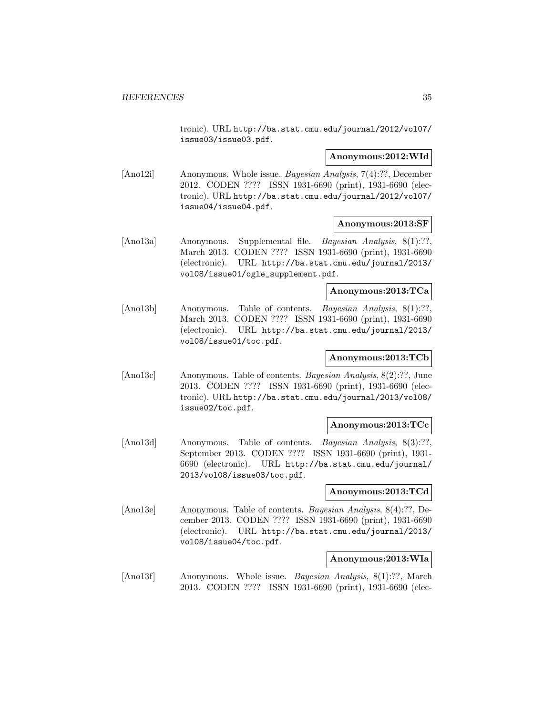tronic). URL http://ba.stat.cmu.edu/journal/2012/vol07/ issue03/issue03.pdf.

#### **Anonymous:2012:WId**

[Ano12i] Anonymous. Whole issue. Bayesian Analysis, 7(4):??, December 2012. CODEN ???? ISSN 1931-6690 (print), 1931-6690 (electronic). URL http://ba.stat.cmu.edu/journal/2012/vol07/ issue04/issue04.pdf.

#### **Anonymous:2013:SF**

[Ano13a] Anonymous. Supplemental file. *Bayesian Analysis*, 8(1):??, March 2013. CODEN ???? ISSN 1931-6690 (print), 1931-6690 (electronic). URL http://ba.stat.cmu.edu/journal/2013/ vol08/issue01/ogle\_supplement.pdf.

#### **Anonymous:2013:TCa**

[Ano13b] Anonymous. Table of contents. Bayesian Analysis, 8(1):??, March 2013. CODEN ???? ISSN 1931-6690 (print), 1931-6690 (electronic). URL http://ba.stat.cmu.edu/journal/2013/ vol08/issue01/toc.pdf.

# **Anonymous:2013:TCb**

[Ano13c] Anonymous. Table of contents. Bayesian Analysis, 8(2):??, June 2013. CODEN ???? ISSN 1931-6690 (print), 1931-6690 (electronic). URL http://ba.stat.cmu.edu/journal/2013/vol08/ issue02/toc.pdf.

#### **Anonymous:2013:TCc**

[Ano13d] Anonymous. Table of contents. *Bayesian Analysis*, 8(3):??, September 2013. CODEN ???? ISSN 1931-6690 (print), 1931- 6690 (electronic). URL http://ba.stat.cmu.edu/journal/ 2013/vol08/issue03/toc.pdf.

#### **Anonymous:2013:TCd**

[Ano13e] Anonymous. Table of contents. Bayesian Analysis, 8(4):??, December 2013. CODEN ???? ISSN 1931-6690 (print), 1931-6690 (electronic). URL http://ba.stat.cmu.edu/journal/2013/ vol08/issue04/toc.pdf.

#### **Anonymous:2013:WIa**

[Ano13f] Anonymous. Whole issue. *Bayesian Analysis*, 8(1):??, March 2013. CODEN ???? ISSN 1931-6690 (print), 1931-6690 (elec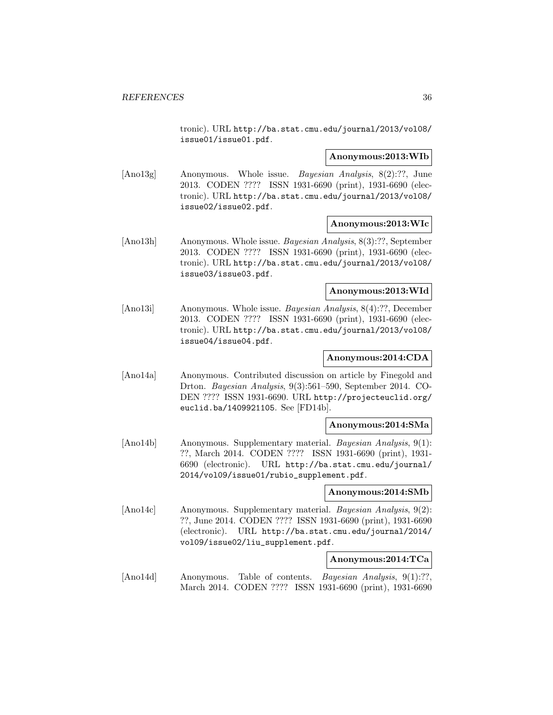tronic). URL http://ba.stat.cmu.edu/journal/2013/vol08/ issue01/issue01.pdf.

#### **Anonymous:2013:WIb**

[Ano13g] Anonymous. Whole issue. Bayesian Analysis, 8(2):??, June 2013. CODEN ???? ISSN 1931-6690 (print), 1931-6690 (electronic). URL http://ba.stat.cmu.edu/journal/2013/vol08/ issue02/issue02.pdf.

#### **Anonymous:2013:WIc**

[Ano13h] Anonymous. Whole issue. Bayesian Analysis, 8(3):??, September 2013. CODEN ???? ISSN 1931-6690 (print), 1931-6690 (electronic). URL http://ba.stat.cmu.edu/journal/2013/vol08/ issue03/issue03.pdf.

#### **Anonymous:2013:WId**

[Ano13i] Anonymous. Whole issue. Bayesian Analysis, 8(4):??, December 2013. CODEN ???? ISSN 1931-6690 (print), 1931-6690 (electronic). URL http://ba.stat.cmu.edu/journal/2013/vol08/ issue04/issue04.pdf.

# **Anonymous:2014:CDA**

[Ano14a] Anonymous. Contributed discussion on article by Finegold and Drton. Bayesian Analysis, 9(3):561–590, September 2014. CO-DEN ???? ISSN 1931-6690. URL http://projecteuclid.org/ euclid.ba/1409921105. See [FD14b].

#### **Anonymous:2014:SMa**

[Ano14b] Anonymous. Supplementary material. Bayesian Analysis, 9(1): ??, March 2014. CODEN ???? ISSN 1931-6690 (print), 1931- 6690 (electronic). URL http://ba.stat.cmu.edu/journal/ 2014/vol09/issue01/rubio\_supplement.pdf.

#### **Anonymous:2014:SMb**

[Ano14c] Anonymous. Supplementary material. Bayesian Analysis, 9(2): ??, June 2014. CODEN ???? ISSN 1931-6690 (print), 1931-6690 (electronic). URL http://ba.stat.cmu.edu/journal/2014/ vol09/issue02/liu\_supplement.pdf.

#### **Anonymous:2014:TCa**

[Ano14d] Anonymous. Table of contents. *Bayesian Analysis*, 9(1):??, March 2014. CODEN ???? ISSN 1931-6690 (print), 1931-6690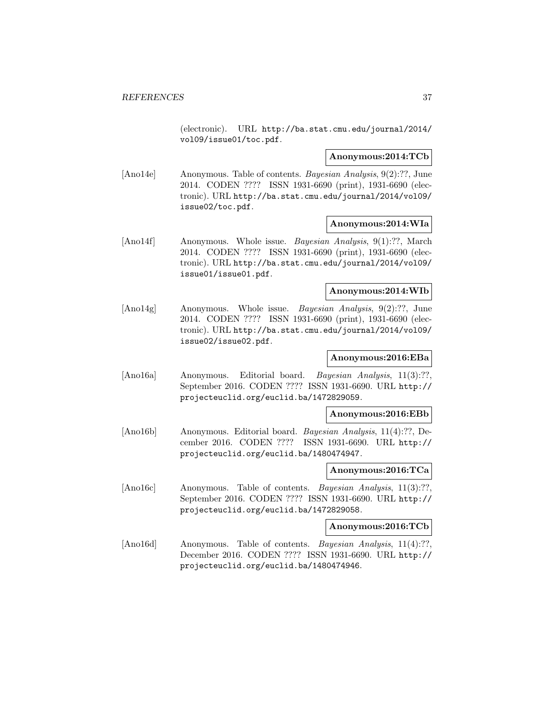(electronic). URL http://ba.stat.cmu.edu/journal/2014/ vol09/issue01/toc.pdf.

#### **Anonymous:2014:TCb**

[Ano14e] Anonymous. Table of contents. Bayesian Analysis, 9(2):??, June 2014. CODEN ???? ISSN 1931-6690 (print), 1931-6690 (electronic). URL http://ba.stat.cmu.edu/journal/2014/vol09/ issue02/toc.pdf.

## **Anonymous:2014:WIa**

[Ano14f] Anonymous. Whole issue. *Bayesian Analysis*, 9(1):??, March 2014. CODEN ???? ISSN 1931-6690 (print), 1931-6690 (electronic). URL http://ba.stat.cmu.edu/journal/2014/vol09/ issue01/issue01.pdf.

### **Anonymous:2014:WIb**

[Ano14g] Anonymous. Whole issue. Bayesian Analysis, 9(2):??, June 2014. CODEN ???? ISSN 1931-6690 (print), 1931-6690 (electronic). URL http://ba.stat.cmu.edu/journal/2014/vol09/ issue02/issue02.pdf.

# **Anonymous:2016:EBa**

[Ano16a] Anonymous. Editorial board. Bayesian Analysis, 11(3):??, September 2016. CODEN ???? ISSN 1931-6690. URL http:// projecteuclid.org/euclid.ba/1472829059.

#### **Anonymous:2016:EBb**

[Ano16b] Anonymous. Editorial board. Bayesian Analysis, 11(4):??, December 2016. CODEN ???? ISSN 1931-6690. URL http:// projecteuclid.org/euclid.ba/1480474947.

#### **Anonymous:2016:TCa**

[Ano16c] Anonymous. Table of contents. Bayesian Analysis, 11(3):??, September 2016. CODEN ???? ISSN 1931-6690. URL http:// projecteuclid.org/euclid.ba/1472829058.

## **Anonymous:2016:TCb**

[Ano16d] Anonymous. Table of contents. *Bayesian Analysis*, 11(4):??, December 2016. CODEN ???? ISSN 1931-6690. URL http:// projecteuclid.org/euclid.ba/1480474946.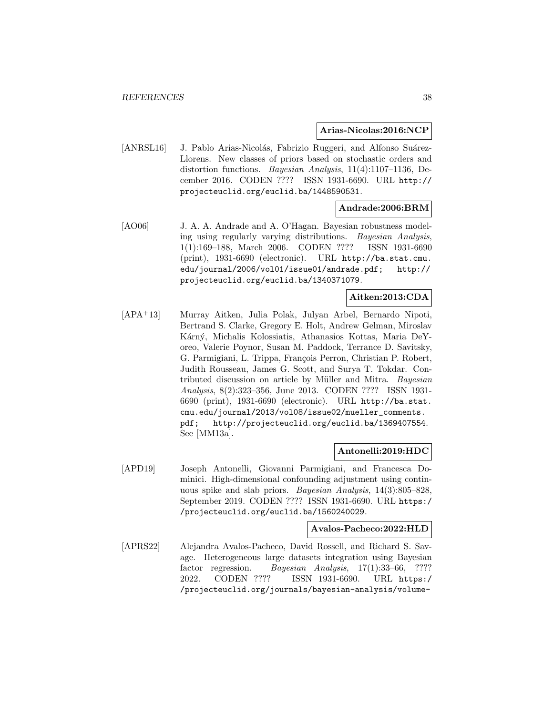**Arias-Nicolas:2016:NCP**

[ANRSL16] J. Pablo Arias-Nicolás, Fabrizio Ruggeri, and Alfonso Suárez-Llorens. New classes of priors based on stochastic orders and distortion functions. Bayesian Analysis, 11(4):1107–1136, December 2016. CODEN ???? ISSN 1931-6690. URL http:// projecteuclid.org/euclid.ba/1448590531.

# **Andrade:2006:BRM**

[AO06] J. A. A. Andrade and A. O'Hagan. Bayesian robustness modeling using regularly varying distributions. Bayesian Analysis, 1(1):169–188, March 2006. CODEN ???? ISSN 1931-6690 (print), 1931-6690 (electronic). URL http://ba.stat.cmu. edu/journal/2006/vol01/issue01/andrade.pdf; http:// projecteuclid.org/euclid.ba/1340371079.

# **Aitken:2013:CDA**

[APA<sup>+</sup>13] Murray Aitken, Julia Polak, Julyan Arbel, Bernardo Nipoti, Bertrand S. Clarke, Gregory E. Holt, Andrew Gelman, Miroslav Kárný, Michalis Kolossiatis, Athanasios Kottas, Maria DeYoreo, Valerie Poynor, Susan M. Paddock, Terrance D. Savitsky, G. Parmigiani, L. Trippa, François Perron, Christian P. Robert, Judith Rousseau, James G. Scott, and Surya T. Tokdar. Contributed discussion on article by Müller and Mitra. Bayesian Analysis, 8(2):323–356, June 2013. CODEN ???? ISSN 1931- 6690 (print), 1931-6690 (electronic). URL http://ba.stat. cmu.edu/journal/2013/vol08/issue02/mueller\_comments. pdf; http://projecteuclid.org/euclid.ba/1369407554. See [MM13a].

## **Antonelli:2019:HDC**

[APD19] Joseph Antonelli, Giovanni Parmigiani, and Francesca Dominici. High-dimensional confounding adjustment using continuous spike and slab priors. Bayesian Analysis, 14(3):805–828, September 2019. CODEN ???? ISSN 1931-6690. URL https:/ /projecteuclid.org/euclid.ba/1560240029.

#### **Avalos-Pacheco:2022:HLD**

[APRS22] Alejandra Avalos-Pacheco, David Rossell, and Richard S. Savage. Heterogeneous large datasets integration using Bayesian factor regression. Bayesian Analysis, 17(1):33–66, ???? 2022. CODEN ???? ISSN 1931-6690. URL https:/ /projecteuclid.org/journals/bayesian-analysis/volume-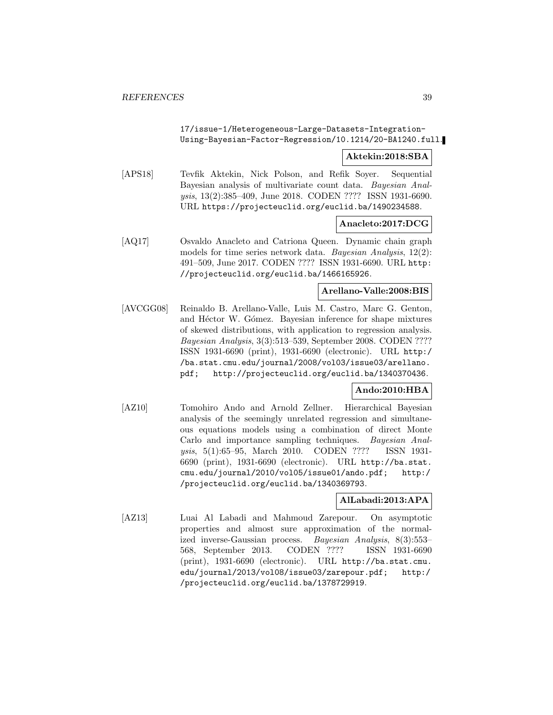# 17/issue-1/Heterogeneous-Large-Datasets-Integration-Using-Bayesian-Factor-Regression/10.1214/20-BA1240.full.

## **Aktekin:2018:SBA**

[APS18] Tevfik Aktekin, Nick Polson, and Refik Soyer. Sequential Bayesian analysis of multivariate count data. Bayesian Analysis, 13(2):385–409, June 2018. CODEN ???? ISSN 1931-6690. URL https://projecteuclid.org/euclid.ba/1490234588.

## **Anacleto:2017:DCG**

[AQ17] Osvaldo Anacleto and Catriona Queen. Dynamic chain graph models for time series network data. Bayesian Analysis, 12(2): 491–509, June 2017. CODEN ???? ISSN 1931-6690. URL http: //projecteuclid.org/euclid.ba/1466165926.

#### **Arellano-Valle:2008:BIS**

[AVCGG08] Reinaldo B. Arellano-Valle, Luis M. Castro, Marc G. Genton, and Héctor W. Gómez. Bayesian inference for shape mixtures of skewed distributions, with application to regression analysis. Bayesian Analysis, 3(3):513–539, September 2008. CODEN ???? ISSN 1931-6690 (print), 1931-6690 (electronic). URL http:/ /ba.stat.cmu.edu/journal/2008/vol03/issue03/arellano. pdf; http://projecteuclid.org/euclid.ba/1340370436.

# **Ando:2010:HBA**

[AZ10] Tomohiro Ando and Arnold Zellner. Hierarchical Bayesian analysis of the seemingly unrelated regression and simultaneous equations models using a combination of direct Monte Carlo and importance sampling techniques. Bayesian Analysis, 5(1):65–95, March 2010. CODEN ???? ISSN 1931- 6690 (print), 1931-6690 (electronic). URL http://ba.stat. cmu.edu/journal/2010/vol05/issue01/ando.pdf; http:/ /projecteuclid.org/euclid.ba/1340369793.

# **AlLabadi:2013:APA**

[AZ13] Luai Al Labadi and Mahmoud Zarepour. On asymptotic properties and almost sure approximation of the normalized inverse-Gaussian process. Bayesian Analysis, 8(3):553– 568, September 2013. CODEN ???? ISSN 1931-6690 (print), 1931-6690 (electronic). URL http://ba.stat.cmu. edu/journal/2013/vol08/issue03/zarepour.pdf; http:/ /projecteuclid.org/euclid.ba/1378729919.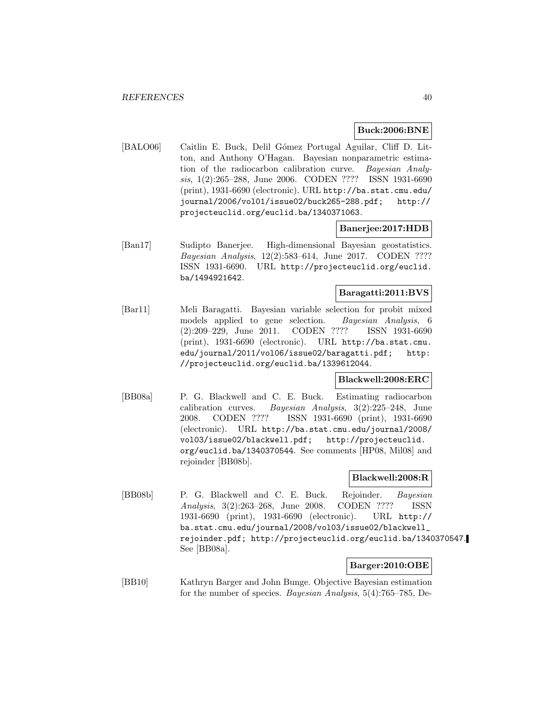### **Buck:2006:BNE**

[BALO06] Caitlin E. Buck, Delil Gómez Portugal Aguilar, Cliff D. Litton, and Anthony O'Hagan. Bayesian nonparametric estimation of the radiocarbon calibration curve. Bayesian Analysis, 1(2):265–288, June 2006. CODEN ???? ISSN 1931-6690 (print), 1931-6690 (electronic). URL http://ba.stat.cmu.edu/ journal/2006/vol01/issue02/buck265-288.pdf; http:// projecteuclid.org/euclid.ba/1340371063.

# **Banerjee:2017:HDB**

[Ban17] Sudipto Banerjee. High-dimensional Bayesian geostatistics. Bayesian Analysis, 12(2):583–614, June 2017. CODEN ???? ISSN 1931-6690. URL http://projecteuclid.org/euclid. ba/1494921642.

# **Baragatti:2011:BVS**

[Bar11] Meli Baragatti. Bayesian variable selection for probit mixed models applied to gene selection. Bayesian Analysis, 6 (2):209–229, June 2011. CODEN ???? ISSN 1931-6690 (print), 1931-6690 (electronic). URL http://ba.stat.cmu. edu/journal/2011/vol06/issue02/baragatti.pdf; http: //projecteuclid.org/euclid.ba/1339612044.

## **Blackwell:2008:ERC**

[BB08a] P. G. Blackwell and C. E. Buck. Estimating radiocarbon calibration curves. Bayesian Analysis, 3(2):225–248, June 2008. CODEN ???? ISSN 1931-6690 (print), 1931-6690 (electronic). URL http://ba.stat.cmu.edu/journal/2008/ vol03/issue02/blackwell.pdf; http://projecteuclid. org/euclid.ba/1340370544. See comments [HP08, Mil08] and rejoinder [BB08b].

# **Blackwell:2008:R**

[BB08b] P. G. Blackwell and C. E. Buck. Rejoinder. Bayesian Analysis, 3(2):263–268, June 2008. CODEN ???? ISSN 1931-6690 (print), 1931-6690 (electronic). URL http:// ba.stat.cmu.edu/journal/2008/vol03/issue02/blackwell\_ rejoinder.pdf; http://projecteuclid.org/euclid.ba/1340370547. See [BB08a].

# **Barger:2010:OBE**

[BB10] Kathryn Barger and John Bunge. Objective Bayesian estimation for the number of species. Bayesian Analysis, 5(4):765–785, De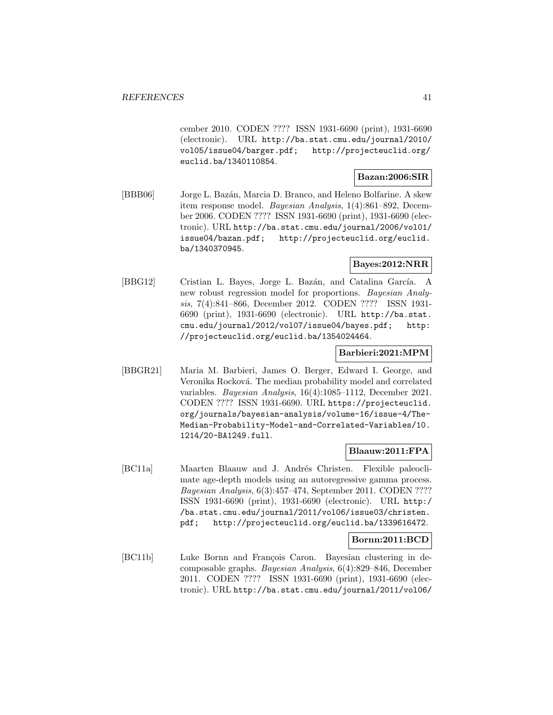cember 2010. CODEN ???? ISSN 1931-6690 (print), 1931-6690 (electronic). URL http://ba.stat.cmu.edu/journal/2010/ vol05/issue04/barger.pdf; http://projecteuclid.org/ euclid.ba/1340110854.

### **Bazan:2006:SIR**

[BBB06] Jorge L. Baz´an, Marcia D. Branco, and Heleno Bolfarine. A skew item response model. Bayesian Analysis, 1(4):861–892, December 2006. CODEN ???? ISSN 1931-6690 (print), 1931-6690 (electronic). URL http://ba.stat.cmu.edu/journal/2006/vol01/ issue04/bazan.pdf; http://projecteuclid.org/euclid. ba/1340370945.

# **Bayes:2012:NRR**

[BBG12] Cristian L. Bayes, Jorge L. Bazán, and Catalina García. A new robust regression model for proportions. Bayesian Analysis, 7(4):841–866, December 2012. CODEN ???? ISSN 1931- 6690 (print), 1931-6690 (electronic). URL http://ba.stat. cmu.edu/journal/2012/vol07/issue04/bayes.pdf; http: //projecteuclid.org/euclid.ba/1354024464.

# **Barbieri:2021:MPM**

[BBGR21] Maria M. Barbieri, James O. Berger, Edward I. George, and Veronika Rocková. The median probability model and correlated variables. Bayesian Analysis, 16(4):1085–1112, December 2021. CODEN ???? ISSN 1931-6690. URL https://projecteuclid. org/journals/bayesian-analysis/volume-16/issue-4/The-Median-Probability-Model-and-Correlated-Variables/10. 1214/20-BA1249.full.

# **Blaauw:2011:FPA**

[BC11a] Maarten Blaauw and J. Andrés Christen. Flexible paleoclimate age-depth models using an autoregressive gamma process. Bayesian Analysis, 6(3):457–474, September 2011. CODEN ???? ISSN 1931-6690 (print), 1931-6690 (electronic). URL http:/ /ba.stat.cmu.edu/journal/2011/vol06/issue03/christen. pdf; http://projecteuclid.org/euclid.ba/1339616472.

#### **Bornn:2011:BCD**

[BC11b] Luke Bornn and François Caron. Bayesian clustering in decomposable graphs. Bayesian Analysis, 6(4):829–846, December 2011. CODEN ???? ISSN 1931-6690 (print), 1931-6690 (electronic). URL http://ba.stat.cmu.edu/journal/2011/vol06/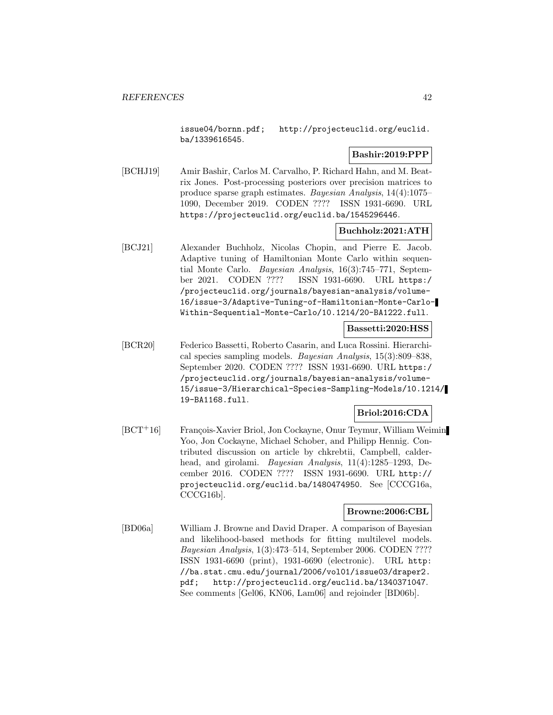issue04/bornn.pdf; http://projecteuclid.org/euclid. ba/1339616545.

# **Bashir:2019:PPP**

[BCHJ19] Amir Bashir, Carlos M. Carvalho, P. Richard Hahn, and M. Beatrix Jones. Post-processing posteriors over precision matrices to produce sparse graph estimates. Bayesian Analysis, 14(4):1075– 1090, December 2019. CODEN ???? ISSN 1931-6690. URL https://projecteuclid.org/euclid.ba/1545296446.

## **Buchholz:2021:ATH**

[BCJ21] Alexander Buchholz, Nicolas Chopin, and Pierre E. Jacob. Adaptive tuning of Hamiltonian Monte Carlo within sequential Monte Carlo. Bayesian Analysis, 16(3):745–771, September 2021. CODEN ???? ISSN 1931-6690. URL https:/ /projecteuclid.org/journals/bayesian-analysis/volume-16/issue-3/Adaptive-Tuning-of-Hamiltonian-Monte-Carlo-Within-Sequential-Monte-Carlo/10.1214/20-BA1222.full.

# **Bassetti:2020:HSS**

[BCR20] Federico Bassetti, Roberto Casarin, and Luca Rossini. Hierarchical species sampling models. Bayesian Analysis, 15(3):809–838, September 2020. CODEN ???? ISSN 1931-6690. URL https:/ /projecteuclid.org/journals/bayesian-analysis/volume-15/issue-3/Hierarchical-Species-Sampling-Models/10.1214/ 19-BA1168.full.

# **Briol:2016:CDA**

[BCT<sup>+</sup>16] François-Xavier Briol, Jon Cockayne, Onur Teymur, William Weimin Yoo, Jon Cockayne, Michael Schober, and Philipp Hennig. Contributed discussion on article by chkrebtii, Campbell, calderhead, and girolami. Bayesian Analysis, 11(4):1285–1293, December 2016. CODEN ???? ISSN 1931-6690. URL http:// projecteuclid.org/euclid.ba/1480474950. See [CCCG16a, CCCG16b].

## **Browne:2006:CBL**

[BD06a] William J. Browne and David Draper. A comparison of Bayesian and likelihood-based methods for fitting multilevel models. Bayesian Analysis, 1(3):473–514, September 2006. CODEN ???? ISSN 1931-6690 (print), 1931-6690 (electronic). URL http: //ba.stat.cmu.edu/journal/2006/vol01/issue03/draper2. pdf; http://projecteuclid.org/euclid.ba/1340371047. See comments [Gel06, KN06, Lam06] and rejoinder [BD06b].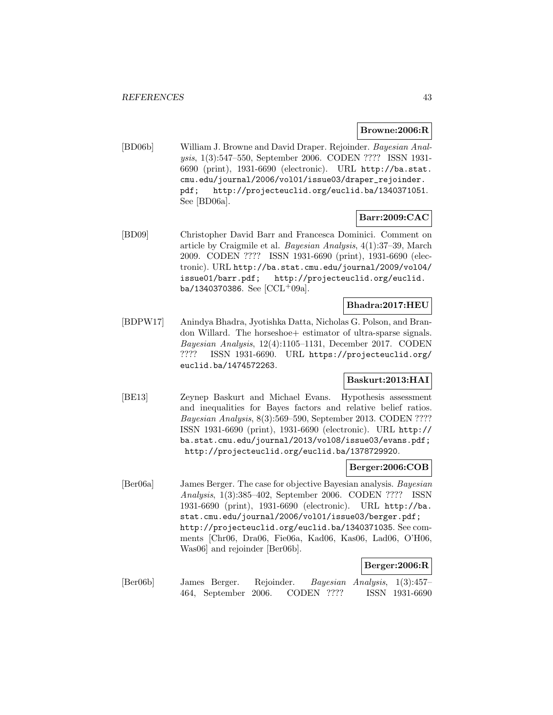### **Browne:2006:R**

[BD06b] William J. Browne and David Draper. Rejoinder. Bayesian Analysis, 1(3):547–550, September 2006. CODEN ???? ISSN 1931- 6690 (print), 1931-6690 (electronic). URL http://ba.stat. cmu.edu/journal/2006/vol01/issue03/draper\_rejoinder. pdf; http://projecteuclid.org/euclid.ba/1340371051. See [BD06a].

## **Barr:2009:CAC**

[BD09] Christopher David Barr and Francesca Dominici. Comment on article by Craigmile et al. Bayesian Analysis, 4(1):37–39, March 2009. CODEN ???? ISSN 1931-6690 (print), 1931-6690 (electronic). URL http://ba.stat.cmu.edu/journal/2009/vol04/ issue01/barr.pdf; http://projecteuclid.org/euclid. ba/1340370386. See  $[CL+09a]$ .

#### **Bhadra:2017:HEU**

[BDPW17] Anindya Bhadra, Jyotishka Datta, Nicholas G. Polson, and Brandon Willard. The horseshoe+ estimator of ultra-sparse signals. Bayesian Analysis, 12(4):1105–1131, December 2017. CODEN ???? ISSN 1931-6690. URL https://projecteuclid.org/ euclid.ba/1474572263.

# **Baskurt:2013:HAI**

[BE13] Zeynep Baskurt and Michael Evans. Hypothesis assessment and inequalities for Bayes factors and relative belief ratios. Bayesian Analysis, 8(3):569–590, September 2013. CODEN ???? ISSN 1931-6690 (print), 1931-6690 (electronic). URL http:// ba.stat.cmu.edu/journal/2013/vol08/issue03/evans.pdf; http://projecteuclid.org/euclid.ba/1378729920.

### **Berger:2006:COB**

[Ber06a] James Berger. The case for objective Bayesian analysis. Bayesian Analysis, 1(3):385–402, September 2006. CODEN ???? ISSN 1931-6690 (print), 1931-6690 (electronic). URL http://ba. stat.cmu.edu/journal/2006/vol01/issue03/berger.pdf; http://projecteuclid.org/euclid.ba/1340371035. See comments [Chr06, Dra06, Fie06a, Kad06, Kas06, Lad06, O'H06, Was06] and rejoinder [Ber06b].

# **Berger:2006:R**

[Ber06b] James Berger. Rejoinder. Bayesian Analysis, 1(3):457– 464, September 2006. CODEN ???? ISSN 1931-6690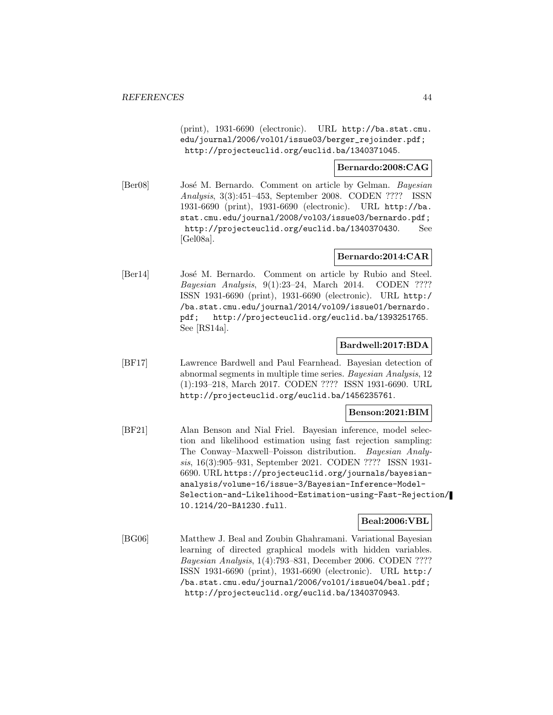(print), 1931-6690 (electronic). URL http://ba.stat.cmu. edu/journal/2006/vol01/issue03/berger\_rejoinder.pdf; http://projecteuclid.org/euclid.ba/1340371045.

## **Bernardo:2008:CAG**

[Ber08] José M. Bernardo. Comment on article by Gelman. Bayesian Analysis, 3(3):451–453, September 2008. CODEN ???? ISSN 1931-6690 (print), 1931-6690 (electronic). URL http://ba. stat.cmu.edu/journal/2008/vol03/issue03/bernardo.pdf; http://projecteuclid.org/euclid.ba/1340370430. See [Gel08a].

# **Bernardo:2014:CAR**

[Ber14] José M. Bernardo. Comment on article by Rubio and Steel. Bayesian Analysis, 9(1):23–24, March 2014. CODEN ???? ISSN 1931-6690 (print), 1931-6690 (electronic). URL http:/ /ba.stat.cmu.edu/journal/2014/vol09/issue01/bernardo. pdf; http://projecteuclid.org/euclid.ba/1393251765. See [RS14a].

## **Bardwell:2017:BDA**

[BF17] Lawrence Bardwell and Paul Fearnhead. Bayesian detection of abnormal segments in multiple time series. Bayesian Analysis, 12 (1):193–218, March 2017. CODEN ???? ISSN 1931-6690. URL http://projecteuclid.org/euclid.ba/1456235761.

#### **Benson:2021:BIM**

[BF21] Alan Benson and Nial Friel. Bayesian inference, model selection and likelihood estimation using fast rejection sampling: The Conway–Maxwell–Poisson distribution. Bayesian Analysis, 16(3):905–931, September 2021. CODEN ???? ISSN 1931- 6690. URL https://projecteuclid.org/journals/bayesiananalysis/volume-16/issue-3/Bayesian-Inference-Model-Selection-and-Likelihood-Estimation-using-Fast-Rejection/ 10.1214/20-BA1230.full.

## **Beal:2006:VBL**

[BG06] Matthew J. Beal and Zoubin Ghahramani. Variational Bayesian learning of directed graphical models with hidden variables. Bayesian Analysis, 1(4):793–831, December 2006. CODEN ???? ISSN 1931-6690 (print), 1931-6690 (electronic). URL http:/ /ba.stat.cmu.edu/journal/2006/vol01/issue04/beal.pdf; http://projecteuclid.org/euclid.ba/1340370943.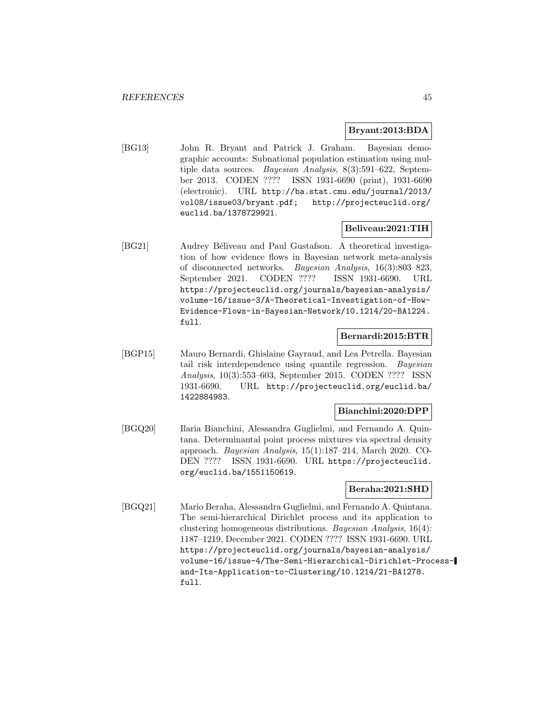## **Bryant:2013:BDA**

[BG13] John R. Bryant and Patrick J. Graham. Bayesian demographic accounts: Subnational population estimation using multiple data sources. Bayesian Analysis, 8(3):591–622, September 2013. CODEN ???? ISSN 1931-6690 (print), 1931-6690 (electronic). URL http://ba.stat.cmu.edu/journal/2013/ vol08/issue03/bryant.pdf; http://projecteuclid.org/ euclid.ba/1378729921.

# **Beliveau:2021:TIH**

[BG21] Audrey Béliveau and Paul Gustafson. A theoretical investigation of how evidence flows in Bayesian network meta-analysis of disconnected networks. Bayesian Analysis, 16(3):803–823, September 2021. CODEN ???? ISSN 1931-6690. URL https://projecteuclid.org/journals/bayesian-analysis/ volume-16/issue-3/A-Theoretical-Investigation-of-How-Evidence-Flows-in-Bayesian-Network/10.1214/20-BA1224. full.

#### **Bernardi:2015:BTR**

[BGP15] Mauro Bernardi, Ghislaine Gayraud, and Lea Petrella. Bayesian tail risk interdependence using quantile regression. Bayesian Analysis, 10(3):553–603, September 2015. CODEN ???? ISSN 1931-6690. URL http://projecteuclid.org/euclid.ba/ 1422884983.

# **Bianchini:2020:DPP**

[BGQ20] Ilaria Bianchini, Alessandra Guglielmi, and Fernando A. Quintana. Determinantal point process mixtures via spectral density approach. Bayesian Analysis, 15(1):187–214, March 2020. CO-DEN ???? ISSN 1931-6690. URL https://projecteuclid. org/euclid.ba/1551150619.

# **Beraha:2021:SHD**

[BGQ21] Mario Beraha, Alessandra Guglielmi, and Fernando A. Quintana. The semi-hierarchical Dirichlet process and its application to clustering homogeneous distributions. Bayesian Analysis, 16(4): 1187–1219, December 2021. CODEN ???? ISSN 1931-6690. URL https://projecteuclid.org/journals/bayesian-analysis/ volume-16/issue-4/The-Semi-Hierarchical-Dirichlet-Processand-Its-Application-to-Clustering/10.1214/21-BA1278. full.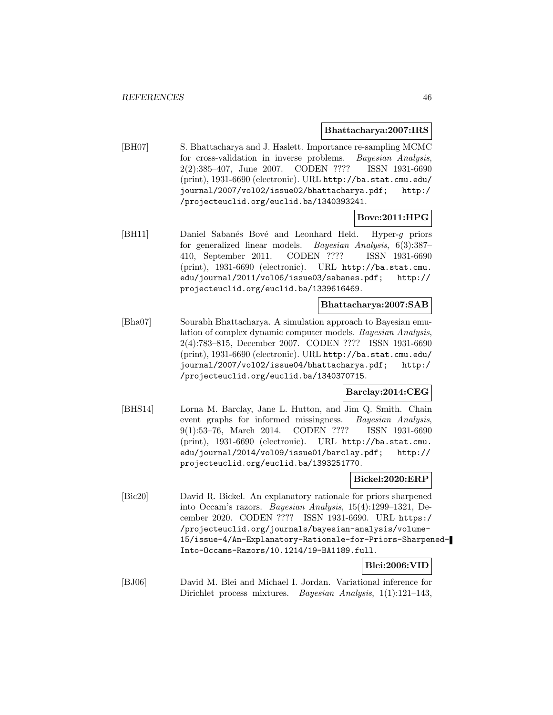#### **Bhattacharya:2007:IRS**

[BH07] S. Bhattacharya and J. Haslett. Importance re-sampling MCMC for cross-validation in inverse problems. Bayesian Analysis, 2(2):385–407, June 2007. CODEN ???? ISSN 1931-6690 (print), 1931-6690 (electronic). URL http://ba.stat.cmu.edu/ journal/2007/vol02/issue02/bhattacharya.pdf; http:/ /projecteuclid.org/euclid.ba/1340393241.

# **Bove:2011:HPG**

[BH11] Daniel Sabanés Bové and Leonhard Held. Hyper-g priors for generalized linear models. Bayesian Analysis, 6(3):387– 410, September 2011. CODEN ???? ISSN 1931-6690 (print), 1931-6690 (electronic). URL http://ba.stat.cmu. edu/journal/2011/vol06/issue03/sabanes.pdf; http:// projecteuclid.org/euclid.ba/1339616469.

# **Bhattacharya:2007:SAB**

[Bha07] Sourabh Bhattacharya. A simulation approach to Bayesian emulation of complex dynamic computer models. Bayesian Analysis, 2(4):783–815, December 2007. CODEN ???? ISSN 1931-6690 (print), 1931-6690 (electronic). URL http://ba.stat.cmu.edu/ journal/2007/vol02/issue04/bhattacharya.pdf; http:/ /projecteuclid.org/euclid.ba/1340370715.

## **Barclay:2014:CEG**

[BHS14] Lorna M. Barclay, Jane L. Hutton, and Jim Q. Smith. Chain event graphs for informed missingness. Bayesian Analysis, 9(1):53–76, March 2014. CODEN ???? ISSN 1931-6690 (print), 1931-6690 (electronic). URL http://ba.stat.cmu. edu/journal/2014/vol09/issue01/barclay.pdf; http:// projecteuclid.org/euclid.ba/1393251770.

## **Bickel:2020:ERP**

[Bic20] David R. Bickel. An explanatory rationale for priors sharpened into Occam's razors. Bayesian Analysis, 15(4):1299–1321, December 2020. CODEN ???? ISSN 1931-6690. URL https:/ /projecteuclid.org/journals/bayesian-analysis/volume-15/issue-4/An-Explanatory-Rationale-for-Priors-Sharpened-Into-Occams-Razors/10.1214/19-BA1189.full.

# **Blei:2006:VID**

[BJ06] David M. Blei and Michael I. Jordan. Variational inference for Dirichlet process mixtures. Bayesian Analysis, 1(1):121–143,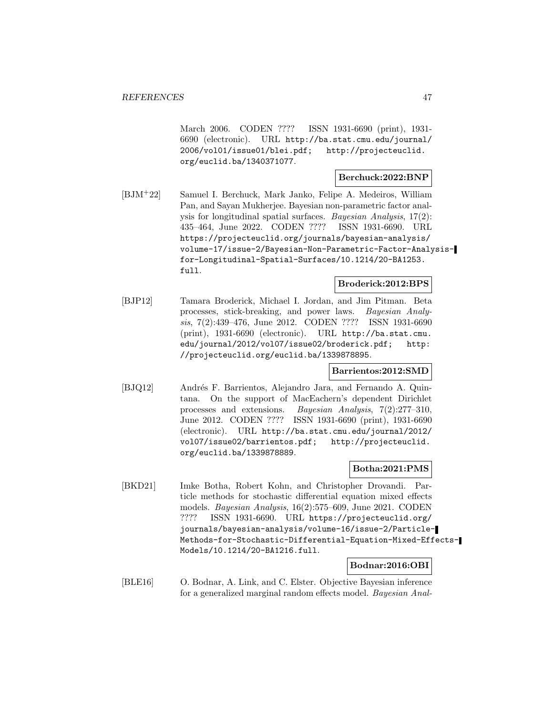March 2006. CODEN ???? ISSN 1931-6690 (print), 1931- 6690 (electronic). URL http://ba.stat.cmu.edu/journal/ 2006/vol01/issue01/blei.pdf; http://projecteuclid. org/euclid.ba/1340371077.

#### **Berchuck:2022:BNP**

[BJM<sup>+</sup>22] Samuel I. Berchuck, Mark Janko, Felipe A. Medeiros, William Pan, and Sayan Mukherjee. Bayesian non-parametric factor analysis for longitudinal spatial surfaces. Bayesian Analysis, 17(2): 435–464, June 2022. CODEN ???? ISSN 1931-6690. URL https://projecteuclid.org/journals/bayesian-analysis/ volume-17/issue-2/Bayesian-Non-Parametric-Factor-Analysisfor-Longitudinal-Spatial-Surfaces/10.1214/20-BA1253. full.

# **Broderick:2012:BPS**

[BJP12] Tamara Broderick, Michael I. Jordan, and Jim Pitman. Beta processes, stick-breaking, and power laws. Bayesian Analysis, 7(2):439–476, June 2012. CODEN ???? ISSN 1931-6690 (print), 1931-6690 (electronic). URL http://ba.stat.cmu. edu/journal/2012/vol07/issue02/broderick.pdf; http: //projecteuclid.org/euclid.ba/1339878895.

# **Barrientos:2012:SMD**

[BJQ12] Andrés F. Barrientos, Alejandro Jara, and Fernando A. Quintana. On the support of MacEachern's dependent Dirichlet processes and extensions. Bayesian Analysis, 7(2):277–310, June 2012. CODEN ???? ISSN 1931-6690 (print), 1931-6690 (electronic). URL http://ba.stat.cmu.edu/journal/2012/ vol07/issue02/barrientos.pdf; http://projecteuclid. org/euclid.ba/1339878889.

# **Botha:2021:PMS**

[BKD21] Imke Botha, Robert Kohn, and Christopher Drovandi. Particle methods for stochastic differential equation mixed effects models. Bayesian Analysis, 16(2):575–609, June 2021. CODEN ???? ISSN 1931-6690. URL https://projecteuclid.org/ journals/bayesian-analysis/volume-16/issue-2/Particle-Methods-for-Stochastic-Differential-Equation-Mixed-Effects-Models/10.1214/20-BA1216.full.

# **Bodnar:2016:OBI**

[BLE16] O. Bodnar, A. Link, and C. Elster. Objective Bayesian inference for a generalized marginal random effects model. Bayesian Anal-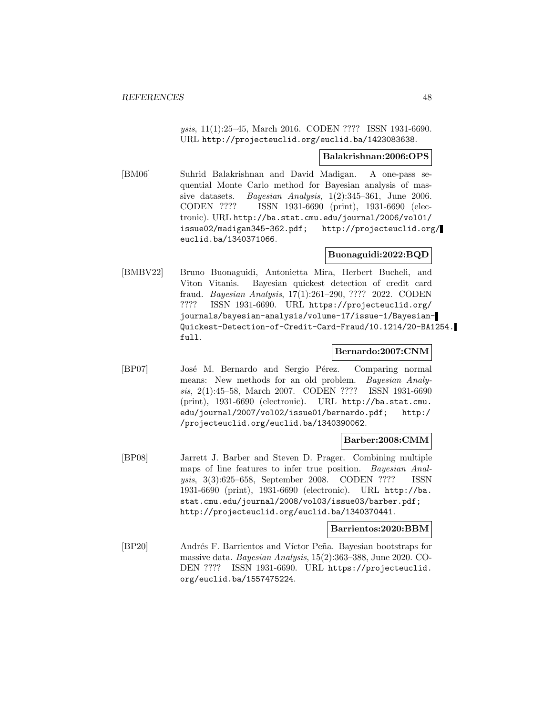ysis, 11(1):25–45, March 2016. CODEN ???? ISSN 1931-6690. URL http://projecteuclid.org/euclid.ba/1423083638.

## **Balakrishnan:2006:OPS**

[BM06] Suhrid Balakrishnan and David Madigan. A one-pass sequential Monte Carlo method for Bayesian analysis of massive datasets. Bayesian Analysis, 1(2):345–361, June 2006. CODEN ???? ISSN 1931-6690 (print), 1931-6690 (electronic). URL http://ba.stat.cmu.edu/journal/2006/vol01/ issue02/madigan345-362.pdf; http://projecteuclid.org/ euclid.ba/1340371066.

# **Buonaguidi:2022:BQD**

[BMBV22] Bruno Buonaguidi, Antonietta Mira, Herbert Bucheli, and Viton Vitanis. Bayesian quickest detection of credit card fraud. Bayesian Analysis, 17(1):261–290, ???? 2022. CODEN ???? ISSN 1931-6690. URL https://projecteuclid.org/ journals/bayesian-analysis/volume-17/issue-1/Bayesian-Quickest-Detection-of-Credit-Card-Fraud/10.1214/20-BA1254. full.

#### **Bernardo:2007:CNM**

[BP07] José M. Bernardo and Sergio Pérez. Comparing normal means: New methods for an old problem. Bayesian Analysis, 2(1):45–58, March 2007. CODEN ???? ISSN 1931-6690 (print), 1931-6690 (electronic). URL http://ba.stat.cmu. edu/journal/2007/vol02/issue01/bernardo.pdf; http:/ /projecteuclid.org/euclid.ba/1340390062.

#### **Barber:2008:CMM**

[BP08] Jarrett J. Barber and Steven D. Prager. Combining multiple maps of line features to infer true position. Bayesian Analysis, 3(3):625–658, September 2008. CODEN ???? ISSN 1931-6690 (print), 1931-6690 (electronic). URL http://ba. stat.cmu.edu/journal/2008/vol03/issue03/barber.pdf; http://projecteuclid.org/euclid.ba/1340370441.

#### **Barrientos:2020:BBM**

[BP20] Andrés F. Barrientos and Víctor Peña. Bayesian bootstraps for massive data. Bayesian Analysis, 15(2):363–388, June 2020. CO-DEN ???? ISSN 1931-6690. URL https://projecteuclid. org/euclid.ba/1557475224.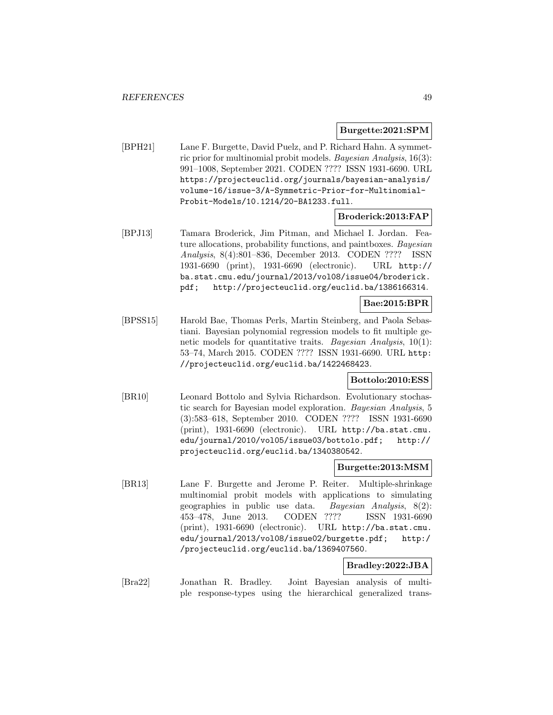#### **Burgette:2021:SPM**

[BPH21] Lane F. Burgette, David Puelz, and P. Richard Hahn. A symmetric prior for multinomial probit models. Bayesian Analysis, 16(3): 991–1008, September 2021. CODEN ???? ISSN 1931-6690. URL https://projecteuclid.org/journals/bayesian-analysis/ volume-16/issue-3/A-Symmetric-Prior-for-Multinomial-Probit-Models/10.1214/20-BA1233.full.

## **Broderick:2013:FAP**

[BPJ13] Tamara Broderick, Jim Pitman, and Michael I. Jordan. Feature allocations, probability functions, and paintboxes. Bayesian Analysis, 8(4):801–836, December 2013. CODEN ???? ISSN 1931-6690 (print), 1931-6690 (electronic). URL http:// ba.stat.cmu.edu/journal/2013/vol08/issue04/broderick. pdf; http://projecteuclid.org/euclid.ba/1386166314.

# **Bae:2015:BPR**

[BPSS15] Harold Bae, Thomas Perls, Martin Steinberg, and Paola Sebastiani. Bayesian polynomial regression models to fit multiple genetic models for quantitative traits. Bayesian Analysis, 10(1): 53–74, March 2015. CODEN ???? ISSN 1931-6690. URL http: //projecteuclid.org/euclid.ba/1422468423.

## **Bottolo:2010:ESS**

[BR10] Leonard Bottolo and Sylvia Richardson. Evolutionary stochastic search for Bayesian model exploration. Bayesian Analysis, 5 (3):583–618, September 2010. CODEN ???? ISSN 1931-6690 (print), 1931-6690 (electronic). URL http://ba.stat.cmu. edu/journal/2010/vol05/issue03/bottolo.pdf; http:// projecteuclid.org/euclid.ba/1340380542.

### **Burgette:2013:MSM**

[BR13] Lane F. Burgette and Jerome P. Reiter. Multiple-shrinkage multinomial probit models with applications to simulating geographies in public use data. Bayesian Analysis, 8(2): 453–478, June 2013. CODEN ???? ISSN 1931-6690 (print), 1931-6690 (electronic). URL http://ba.stat.cmu. edu/journal/2013/vol08/issue02/burgette.pdf; http:/ /projecteuclid.org/euclid.ba/1369407560.

# **Bradley:2022:JBA**

[Bra22] Jonathan R. Bradley. Joint Bayesian analysis of multiple response-types using the hierarchical generalized trans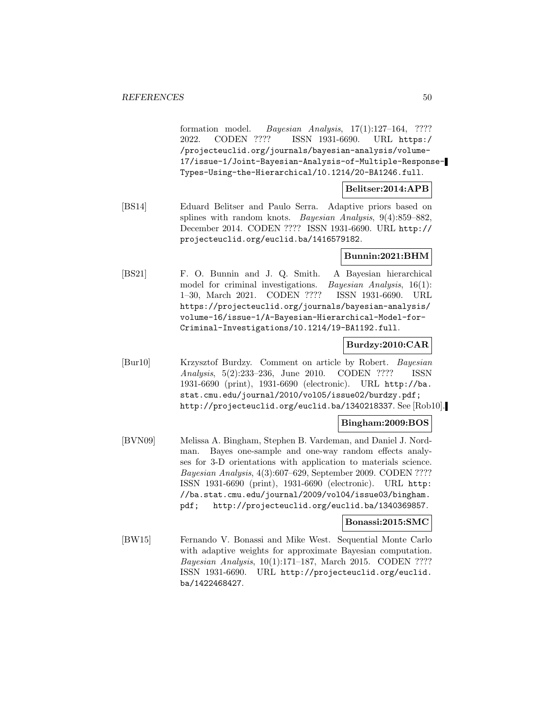formation model. Bayesian Analysis, 17(1):127–164, ???? 2022. CODEN ???? ISSN 1931-6690. URL https:/ /projecteuclid.org/journals/bayesian-analysis/volume-17/issue-1/Joint-Bayesian-Analysis-of-Multiple-Response-Types-Using-the-Hierarchical/10.1214/20-BA1246.full.

# **Belitser:2014:APB**

[BS14] Eduard Belitser and Paulo Serra. Adaptive priors based on splines with random knots. Bayesian Analysis, 9(4):859–882, December 2014. CODEN ???? ISSN 1931-6690. URL http:// projecteuclid.org/euclid.ba/1416579182.

# **Bunnin:2021:BHM**

[BS21] F. O. Bunnin and J. Q. Smith. A Bayesian hierarchical model for criminal investigations. *Bayesian Analysis*, 16(1): 1–30, March 2021. CODEN ???? ISSN 1931-6690. URL https://projecteuclid.org/journals/bayesian-analysis/ volume-16/issue-1/A-Bayesian-Hierarchical-Model-for-Criminal-Investigations/10.1214/19-BA1192.full.

#### **Burdzy:2010:CAR**

[Bur10] Krzysztof Burdzy. Comment on article by Robert. Bayesian Analysis, 5(2):233–236, June 2010. CODEN ???? ISSN 1931-6690 (print), 1931-6690 (electronic). URL http://ba. stat.cmu.edu/journal/2010/vol05/issue02/burdzy.pdf; http://projecteuclid.org/euclid.ba/1340218337. See [Rob10].

## **Bingham:2009:BOS**

[BVN09] Melissa A. Bingham, Stephen B. Vardeman, and Daniel J. Nordman. Bayes one-sample and one-way random effects analyses for 3-D orientations with application to materials science. Bayesian Analysis, 4(3):607–629, September 2009. CODEN ???? ISSN 1931-6690 (print), 1931-6690 (electronic). URL http: //ba.stat.cmu.edu/journal/2009/vol04/issue03/bingham. pdf; http://projecteuclid.org/euclid.ba/1340369857.

### **Bonassi:2015:SMC**

[BW15] Fernando V. Bonassi and Mike West. Sequential Monte Carlo with adaptive weights for approximate Bayesian computation. Bayesian Analysis, 10(1):171–187, March 2015. CODEN ???? ISSN 1931-6690. URL http://projecteuclid.org/euclid. ba/1422468427.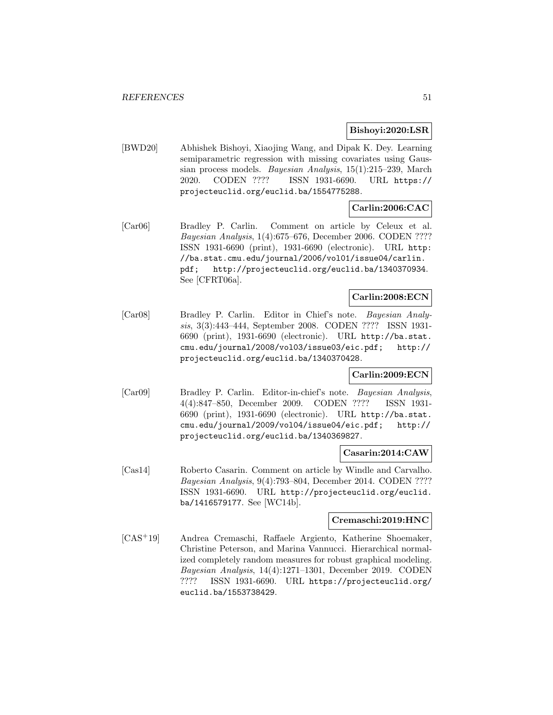#### **Bishoyi:2020:LSR**

[BWD20] Abhishek Bishoyi, Xiaojing Wang, and Dipak K. Dey. Learning semiparametric regression with missing covariates using Gaussian process models. Bayesian Analysis, 15(1):215–239, March 2020. CODEN ???? ISSN 1931-6690. URL https:// projecteuclid.org/euclid.ba/1554775288.

# **Carlin:2006:CAC**

[Car06] Bradley P. Carlin. Comment on article by Celeux et al. Bayesian Analysis, 1(4):675–676, December 2006. CODEN ???? ISSN 1931-6690 (print), 1931-6690 (electronic). URL http: //ba.stat.cmu.edu/journal/2006/vol01/issue04/carlin. pdf; http://projecteuclid.org/euclid.ba/1340370934. See [CFRT06a].

# **Carlin:2008:ECN**

[Car08] Bradley P. Carlin. Editor in Chief's note. Bayesian Analysis, 3(3):443–444, September 2008. CODEN ???? ISSN 1931- 6690 (print), 1931-6690 (electronic). URL http://ba.stat. cmu.edu/journal/2008/vol03/issue03/eic.pdf; http:// projecteuclid.org/euclid.ba/1340370428.

# **Carlin:2009:ECN**

[Car09] Bradley P. Carlin. Editor-in-chief's note. Bayesian Analysis, 4(4):847–850, December 2009. CODEN ???? ISSN 1931- 6690 (print), 1931-6690 (electronic). URL http://ba.stat. cmu.edu/journal/2009/vol04/issue04/eic.pdf; http:// projecteuclid.org/euclid.ba/1340369827.

## **Casarin:2014:CAW**

[Cas14] Roberto Casarin. Comment on article by Windle and Carvalho. Bayesian Analysis, 9(4):793–804, December 2014. CODEN ???? ISSN 1931-6690. URL http://projecteuclid.org/euclid. ba/1416579177. See [WC14b].

# **Cremaschi:2019:HNC**

[CAS<sup>+</sup>19] Andrea Cremaschi, Raffaele Argiento, Katherine Shoemaker, Christine Peterson, and Marina Vannucci. Hierarchical normalized completely random measures for robust graphical modeling. Bayesian Analysis, 14(4):1271–1301, December 2019. CODEN ???? ISSN 1931-6690. URL https://projecteuclid.org/ euclid.ba/1553738429.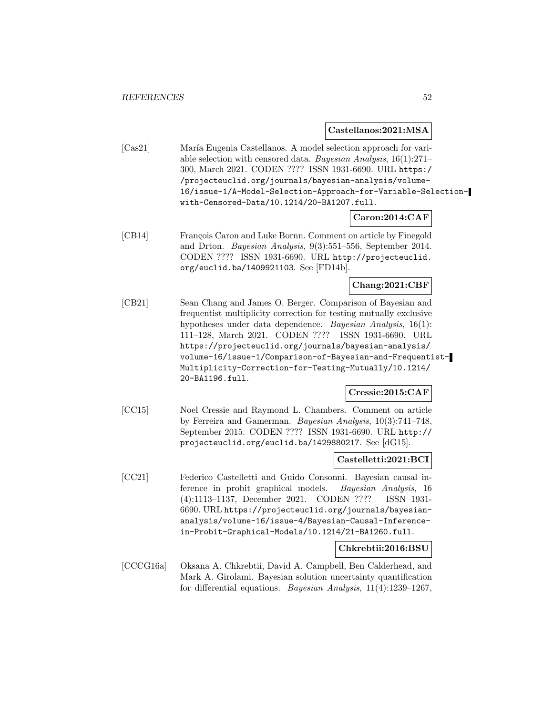**Castellanos:2021:MSA**

[Cas21] María Eugenia Castellanos. A model selection approach for variable selection with censored data. Bayesian Analysis, 16(1):271– 300, March 2021. CODEN ???? ISSN 1931-6690. URL https:/ /projecteuclid.org/journals/bayesian-analysis/volume-16/issue-1/A-Model-Selection-Approach-for-Variable-Selectionwith-Censored-Data/10.1214/20-BA1207.full.

## **Caron:2014:CAF**

[CB14] François Caron and Luke Bornn. Comment on article by Finegold and Drton. Bayesian Analysis, 9(3):551–556, September 2014. CODEN ???? ISSN 1931-6690. URL http://projecteuclid. org/euclid.ba/1409921103. See [FD14b].

**Chang:2021:CBF**

[CB21] Sean Chang and James O. Berger. Comparison of Bayesian and frequentist multiplicity correction for testing mutually exclusive hypotheses under data dependence. Bayesian Analysis, 16(1): 111–128, March 2021. CODEN ???? ISSN 1931-6690. URL https://projecteuclid.org/journals/bayesian-analysis/ volume-16/issue-1/Comparison-of-Bayesian-and-Frequentist-Multiplicity-Correction-for-Testing-Mutually/10.1214/ 20-BA1196.full.

# **Cressie:2015:CAF**

[CC15] Noel Cressie and Raymond L. Chambers. Comment on article by Ferreira and Gamerman. Bayesian Analysis, 10(3):741–748, September 2015. CODEN ???? ISSN 1931-6690. URL http:// projecteuclid.org/euclid.ba/1429880217. See [dG15].

## **Castelletti:2021:BCI**

[CC21] Federico Castelletti and Guido Consonni. Bayesian causal inference in probit graphical models. Bayesian Analysis, 16 (4):1113–1137, December 2021. CODEN ???? ISSN 1931- 6690. URL https://projecteuclid.org/journals/bayesiananalysis/volume-16/issue-4/Bayesian-Causal-Inferencein-Probit-Graphical-Models/10.1214/21-BA1260.full.

## **Chkrebtii:2016:BSU**

[CCCG16a] Oksana A. Chkrebtii, David A. Campbell, Ben Calderhead, and Mark A. Girolami. Bayesian solution uncertainty quantification for differential equations. Bayesian Analysis, 11(4):1239–1267,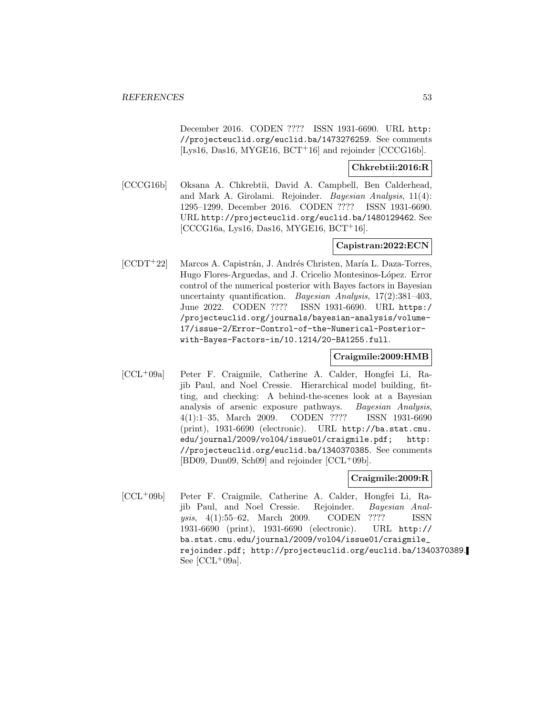December 2016. CODEN ???? ISSN 1931-6690. URL http: //projecteuclid.org/euclid.ba/1473276259. See comments [Lys16, Das16, MYGE16,  $BCT+16$ ] and rejoinder [CCCG16b].

## **Chkrebtii:2016:R**

[CCCG16b] Oksana A. Chkrebtii, David A. Campbell, Ben Calderhead, and Mark A. Girolami. Rejoinder. Bayesian Analysis, 11(4): 1295–1299, December 2016. CODEN ???? ISSN 1931-6690. URL http://projecteuclid.org/euclid.ba/1480129462. See [CCCG16a, Lys16, Das16, MYGE16, BCT<sup>+</sup>16].

## **Capistran:2022:ECN**

[CCDT+22] Marcos A. Capistrán, J. Andrés Christen, María L. Daza-Torres, Hugo Flores-Arguedas, and J. Cricelio Montesinos-López. Error control of the numerical posterior with Bayes factors in Bayesian uncertainty quantification. Bayesian Analysis, 17(2):381-403, June 2022. CODEN ???? ISSN 1931-6690. URL https:/ /projecteuclid.org/journals/bayesian-analysis/volume-17/issue-2/Error-Control-of-the-Numerical-Posteriorwith-Bayes-Factors-in/10.1214/20-BA1255.full.

# **Craigmile:2009:HMB**

[CCL<sup>+</sup>09a] Peter F. Craigmile, Catherine A. Calder, Hongfei Li, Rajib Paul, and Noel Cressie. Hierarchical model building, fitting, and checking: A behind-the-scenes look at a Bayesian analysis of arsenic exposure pathways. Bayesian Analysis, 4(1):1–35, March 2009. CODEN ???? ISSN 1931-6690 (print), 1931-6690 (electronic). URL http://ba.stat.cmu. edu/journal/2009/vol04/issue01/craigmile.pdf; http: //projecteuclid.org/euclid.ba/1340370385. See comments [BD09, Dun09, Sch09] and rejoinder [CCL<sup>+</sup>09b].

# **Craigmile:2009:R**

[CCL<sup>+</sup>09b] Peter F. Craigmile, Catherine A. Calder, Hongfei Li, Rajib Paul, and Noel Cressie. Rejoinder. Bayesian Analysis, 4(1):55–62, March 2009. CODEN ???? ISSN 1931-6690 (print), 1931-6690 (electronic). URL http:// ba.stat.cmu.edu/journal/2009/vol04/issue01/craigmile\_ rejoinder.pdf; http://projecteuclid.org/euclid.ba/1340370389. See  $[CL+09a]$ .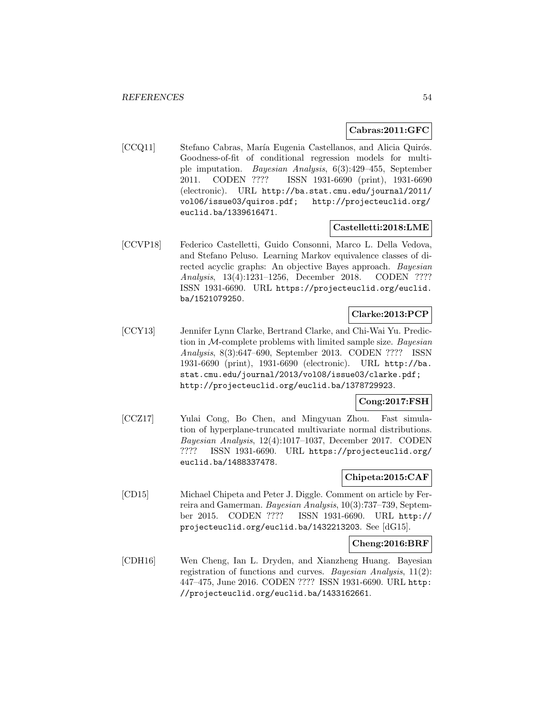### **Cabras:2011:GFC**

[CCQ11] Stefano Cabras, María Eugenia Castellanos, and Alicia Quirós. Goodness-of-fit of conditional regression models for multiple imputation. Bayesian Analysis, 6(3):429–455, September 2011. CODEN ???? ISSN 1931-6690 (print), 1931-6690 (electronic). URL http://ba.stat.cmu.edu/journal/2011/ vol06/issue03/quiros.pdf; http://projecteuclid.org/ euclid.ba/1339616471.

# **Castelletti:2018:LME**

[CCVP18] Federico Castelletti, Guido Consonni, Marco L. Della Vedova, and Stefano Peluso. Learning Markov equivalence classes of directed acyclic graphs: An objective Bayes approach. Bayesian Analysis, 13(4):1231–1256, December 2018. CODEN ???? ISSN 1931-6690. URL https://projecteuclid.org/euclid. ba/1521079250.

# **Clarke:2013:PCP**

[CCY13] Jennifer Lynn Clarke, Bertrand Clarke, and Chi-Wai Yu. Prediction in  $M$ -complete problems with limited sample size. Bayesian Analysis, 8(3):647–690, September 2013. CODEN ???? ISSN 1931-6690 (print), 1931-6690 (electronic). URL http://ba. stat.cmu.edu/journal/2013/vol08/issue03/clarke.pdf; http://projecteuclid.org/euclid.ba/1378729923.

# **Cong:2017:FSH**

[CCZ17] Yulai Cong, Bo Chen, and Mingyuan Zhou. Fast simulation of hyperplane-truncated multivariate normal distributions. Bayesian Analysis, 12(4):1017–1037, December 2017. CODEN ???? ISSN 1931-6690. URL https://projecteuclid.org/ euclid.ba/1488337478.

# **Chipeta:2015:CAF**

[CD15] Michael Chipeta and Peter J. Diggle. Comment on article by Ferreira and Gamerman. Bayesian Analysis, 10(3):737–739, September 2015. CODEN ???? ISSN 1931-6690. URL http:// projecteuclid.org/euclid.ba/1432213203. See [dG15].

## **Cheng:2016:BRF**

[CDH16] Wen Cheng, Ian L. Dryden, and Xianzheng Huang. Bayesian registration of functions and curves. Bayesian Analysis, 11(2): 447–475, June 2016. CODEN ???? ISSN 1931-6690. URL http: //projecteuclid.org/euclid.ba/1433162661.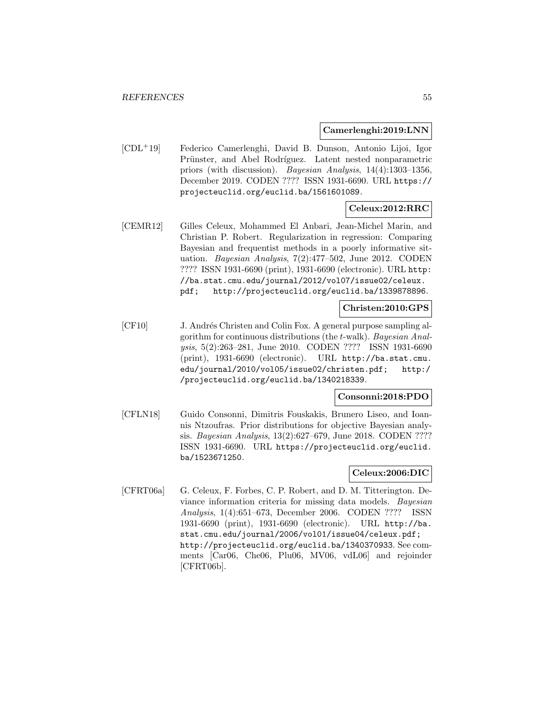**Camerlenghi:2019:LNN**

[CDL<sup>+</sup>19] Federico Camerlenghi, David B. Dunson, Antonio Lijoi, Igor Prünster, and Abel Rodríguez. Latent nested nonparametric priors (with discussion). Bayesian Analysis, 14(4):1303–1356, December 2019. CODEN ???? ISSN 1931-6690. URL https:// projecteuclid.org/euclid.ba/1561601089.

# **Celeux:2012:RRC**

[CEMR12] Gilles Celeux, Mohammed El Anbari, Jean-Michel Marin, and Christian P. Robert. Regularization in regression: Comparing Bayesian and frequentist methods in a poorly informative situation. Bayesian Analysis, 7(2):477–502, June 2012. CODEN ???? ISSN 1931-6690 (print), 1931-6690 (electronic). URL http: //ba.stat.cmu.edu/journal/2012/vol07/issue02/celeux. pdf; http://projecteuclid.org/euclid.ba/1339878896.

# **Christen:2010:GPS**

[CF10] J. Andrés Christen and Colin Fox. A general purpose sampling algorithm for continuous distributions (the t-walk). Bayesian Analysis, 5(2):263–281, June 2010. CODEN ???? ISSN 1931-6690 (print), 1931-6690 (electronic). URL http://ba.stat.cmu. edu/journal/2010/vol05/issue02/christen.pdf; http:/ /projecteuclid.org/euclid.ba/1340218339.

# **Consonni:2018:PDO**

[CFLN18] Guido Consonni, Dimitris Fouskakis, Brunero Liseo, and Ioannis Ntzoufras. Prior distributions for objective Bayesian analysis. Bayesian Analysis, 13(2):627–679, June 2018. CODEN ???? ISSN 1931-6690. URL https://projecteuclid.org/euclid. ba/1523671250.

## **Celeux:2006:DIC**

[CFRT06a] G. Celeux, F. Forbes, C. P. Robert, and D. M. Titterington. Deviance information criteria for missing data models. Bayesian Analysis, 1(4):651–673, December 2006. CODEN ???? ISSN 1931-6690 (print), 1931-6690 (electronic). URL http://ba. stat.cmu.edu/journal/2006/vol01/issue04/celeux.pdf; http://projecteuclid.org/euclid.ba/1340370933. See comments [Car06, Che06, Plu06, MV06, vdL06] and rejoinder [CFRT06b].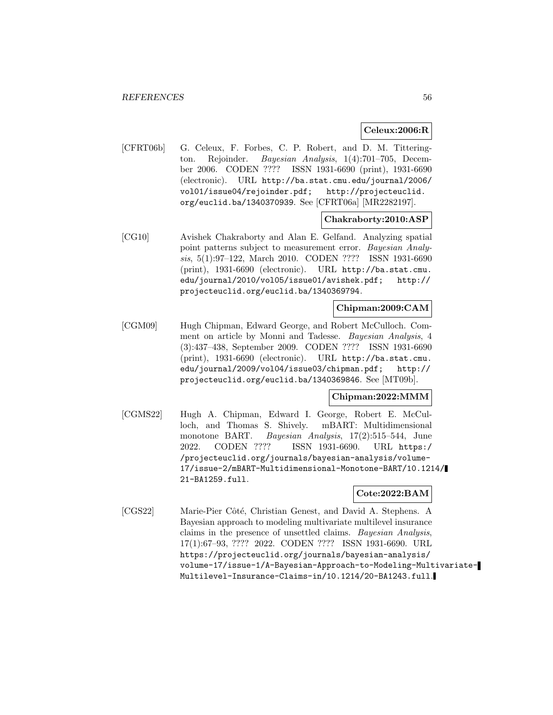# **Celeux:2006:R**

[CFRT06b] G. Celeux, F. Forbes, C. P. Robert, and D. M. Titterington. Rejoinder. Bayesian Analysis, 1(4):701–705, December 2006. CODEN ???? ISSN 1931-6690 (print), 1931-6690 (electronic). URL http://ba.stat.cmu.edu/journal/2006/ vol01/issue04/rejoinder.pdf; http://projecteuclid. org/euclid.ba/1340370939. See [CFRT06a] [MR2282197].

## **Chakraborty:2010:ASP**

[CG10] Avishek Chakraborty and Alan E. Gelfand. Analyzing spatial point patterns subject to measurement error. Bayesian Analysis, 5(1):97–122, March 2010. CODEN ???? ISSN 1931-6690 (print), 1931-6690 (electronic). URL http://ba.stat.cmu. edu/journal/2010/vol05/issue01/avishek.pdf; http:// projecteuclid.org/euclid.ba/1340369794.

# **Chipman:2009:CAM**

[CGM09] Hugh Chipman, Edward George, and Robert McCulloch. Comment on article by Monni and Tadesse. Bayesian Analysis, 4 (3):437–438, September 2009. CODEN ???? ISSN 1931-6690 (print), 1931-6690 (electronic). URL http://ba.stat.cmu. edu/journal/2009/vol04/issue03/chipman.pdf; http:// projecteuclid.org/euclid.ba/1340369846. See [MT09b].

## **Chipman:2022:MMM**

[CGMS22] Hugh A. Chipman, Edward I. George, Robert E. McCulloch, and Thomas S. Shively. mBART: Multidimensional monotone BART. Bayesian Analysis, 17(2):515–544, June 2022. CODEN ???? ISSN 1931-6690. URL https:/ /projecteuclid.org/journals/bayesian-analysis/volume-17/issue-2/mBART-Multidimensional-Monotone-BART/10.1214/ 21-BA1259.full.

## **Cote:2022:BAM**

[CGS22] Marie-Pier Côté, Christian Genest, and David A. Stephens. A Bayesian approach to modeling multivariate multilevel insurance claims in the presence of unsettled claims. Bayesian Analysis, 17(1):67–93, ???? 2022. CODEN ???? ISSN 1931-6690. URL https://projecteuclid.org/journals/bayesian-analysis/ volume-17/issue-1/A-Bayesian-Approach-to-Modeling-Multivariate-Multilevel-Insurance-Claims-in/10.1214/20-BA1243.full.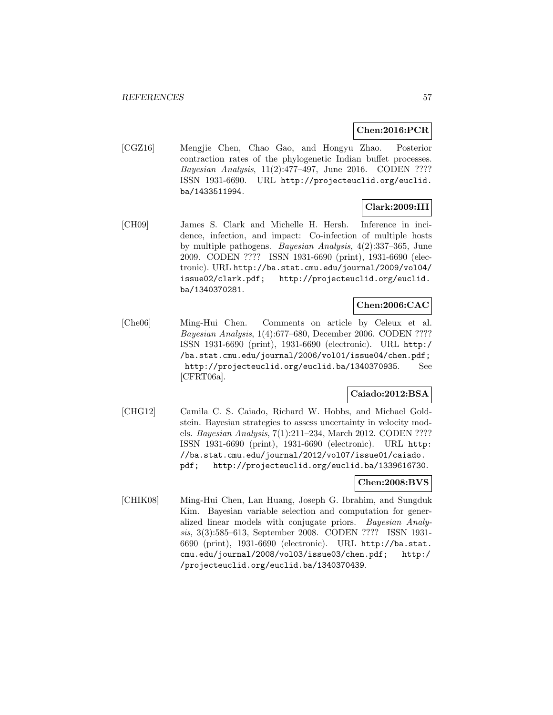# **Chen:2016:PCR**

[CGZ16] Mengjie Chen, Chao Gao, and Hongyu Zhao. Posterior contraction rates of the phylogenetic Indian buffet processes. Bayesian Analysis, 11(2):477–497, June 2016. CODEN ???? ISSN 1931-6690. URL http://projecteuclid.org/euclid. ba/1433511994.

# **Clark:2009:III**

[CH09] James S. Clark and Michelle H. Hersh. Inference in incidence, infection, and impact: Co-infection of multiple hosts by multiple pathogens. Bayesian Analysis, 4(2):337–365, June 2009. CODEN ???? ISSN 1931-6690 (print), 1931-6690 (electronic). URL http://ba.stat.cmu.edu/journal/2009/vol04/ issue02/clark.pdf; http://projecteuclid.org/euclid. ba/1340370281.

# **Chen:2006:CAC**

[Che06] Ming-Hui Chen. Comments on article by Celeux et al. Bayesian Analysis, 1(4):677–680, December 2006. CODEN ???? ISSN 1931-6690 (print), 1931-6690 (electronic). URL http:/ /ba.stat.cmu.edu/journal/2006/vol01/issue04/chen.pdf; http://projecteuclid.org/euclid.ba/1340370935. See [CFRT06a].

# **Caiado:2012:BSA**

[CHG12] Camila C. S. Caiado, Richard W. Hobbs, and Michael Goldstein. Bayesian strategies to assess uncertainty in velocity models. Bayesian Analysis, 7(1):211–234, March 2012. CODEN ???? ISSN 1931-6690 (print), 1931-6690 (electronic). URL http: //ba.stat.cmu.edu/journal/2012/vol07/issue01/caiado. pdf; http://projecteuclid.org/euclid.ba/1339616730.

## **Chen:2008:BVS**

[CHIK08] Ming-Hui Chen, Lan Huang, Joseph G. Ibrahim, and Sungduk Kim. Bayesian variable selection and computation for generalized linear models with conjugate priors. Bayesian Analysis, 3(3):585–613, September 2008. CODEN ???? ISSN 1931- 6690 (print), 1931-6690 (electronic). URL http://ba.stat. cmu.edu/journal/2008/vol03/issue03/chen.pdf; http:/ /projecteuclid.org/euclid.ba/1340370439.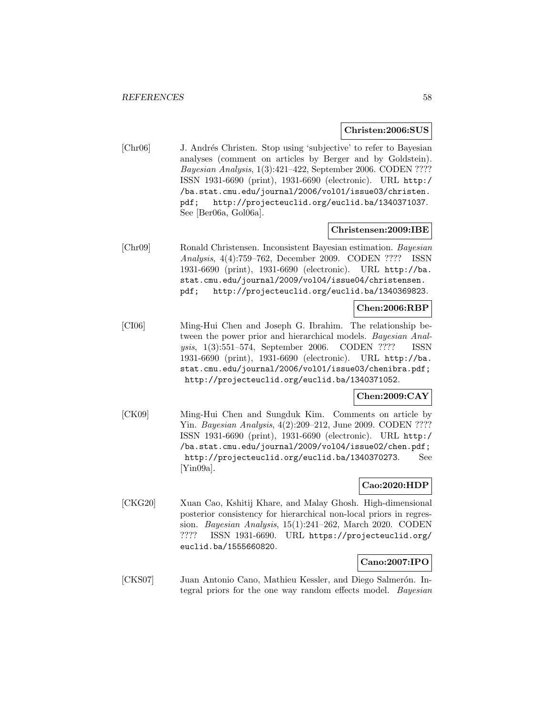#### **Christen:2006:SUS**

[Chr06] J. Andrés Christen. Stop using 'subjective' to refer to Bayesian analyses (comment on articles by Berger and by Goldstein). Bayesian Analysis, 1(3):421–422, September 2006. CODEN ???? ISSN 1931-6690 (print), 1931-6690 (electronic). URL http:/ /ba.stat.cmu.edu/journal/2006/vol01/issue03/christen. pdf; http://projecteuclid.org/euclid.ba/1340371037. See [Ber06a, Gol06a].

#### **Christensen:2009:IBE**

[Chr09] Ronald Christensen. Inconsistent Bayesian estimation. Bayesian Analysis, 4(4):759–762, December 2009. CODEN ???? ISSN 1931-6690 (print), 1931-6690 (electronic). URL http://ba. stat.cmu.edu/journal/2009/vol04/issue04/christensen. pdf; http://projecteuclid.org/euclid.ba/1340369823.

## **Chen:2006:RBP**

[CI06] Ming-Hui Chen and Joseph G. Ibrahim. The relationship between the power prior and hierarchical models. Bayesian Analysis, 1(3):551–574, September 2006. CODEN ???? ISSN 1931-6690 (print), 1931-6690 (electronic). URL http://ba. stat.cmu.edu/journal/2006/vol01/issue03/chenibra.pdf; http://projecteuclid.org/euclid.ba/1340371052.

# **Chen:2009:CAY**

[CK09] Ming-Hui Chen and Sungduk Kim. Comments on article by Yin. Bayesian Analysis, 4(2):209–212, June 2009. CODEN ???? ISSN 1931-6690 (print), 1931-6690 (electronic). URL http:/ /ba.stat.cmu.edu/journal/2009/vol04/issue02/chen.pdf; http://projecteuclid.org/euclid.ba/1340370273. See [Yin09a].

# **Cao:2020:HDP**

[CKG20] Xuan Cao, Kshitij Khare, and Malay Ghosh. High-dimensional posterior consistency for hierarchical non-local priors in regression. Bayesian Analysis, 15(1):241–262, March 2020. CODEN ???? ISSN 1931-6690. URL https://projecteuclid.org/ euclid.ba/1555660820.

## **Cano:2007:IPO**

[CKS07] Juan Antonio Cano, Mathieu Kessler, and Diego Salmerón. Integral priors for the one way random effects model. Bayesian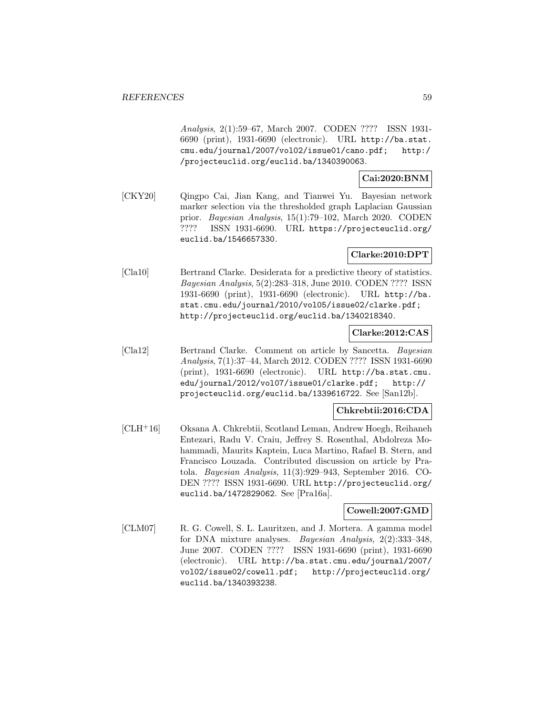Analysis, 2(1):59–67, March 2007. CODEN ???? ISSN 1931- 6690 (print), 1931-6690 (electronic). URL http://ba.stat. cmu.edu/journal/2007/vol02/issue01/cano.pdf; http:/ /projecteuclid.org/euclid.ba/1340390063.

# **Cai:2020:BNM**

[CKY20] Qingpo Cai, Jian Kang, and Tianwei Yu. Bayesian network marker selection via the thresholded graph Laplacian Gaussian prior. Bayesian Analysis, 15(1):79–102, March 2020. CODEN ???? ISSN 1931-6690. URL https://projecteuclid.org/ euclid.ba/1546657330.

# **Clarke:2010:DPT**

[Cla10] Bertrand Clarke. Desiderata for a predictive theory of statistics. Bayesian Analysis, 5(2):283–318, June 2010. CODEN ???? ISSN 1931-6690 (print), 1931-6690 (electronic). URL http://ba. stat.cmu.edu/journal/2010/vol05/issue02/clarke.pdf; http://projecteuclid.org/euclid.ba/1340218340.

# **Clarke:2012:CAS**

[Cla12] Bertrand Clarke. Comment on article by Sancetta. Bayesian Analysis, 7(1):37–44, March 2012. CODEN ???? ISSN 1931-6690 (print), 1931-6690 (electronic). URL http://ba.stat.cmu. edu/journal/2012/vol07/issue01/clarke.pdf; http:// projecteuclid.org/euclid.ba/1339616722. See [San12b].

# **Chkrebtii:2016:CDA**

[CLH<sup>+</sup>16] Oksana A. Chkrebtii, Scotland Leman, Andrew Hoegh, Reihaneh Entezari, Radu V. Craiu, Jeffrey S. Rosenthal, Abdolreza Mohammadi, Maurits Kaptein, Luca Martino, Rafael B. Stern, and Francisco Louzada. Contributed discussion on article by Pratola. Bayesian Analysis, 11(3):929–943, September 2016. CO-DEN ???? ISSN 1931-6690. URL http://projecteuclid.org/ euclid.ba/1472829062. See [Pra16a].

## **Cowell:2007:GMD**

[CLM07] R. G. Cowell, S. L. Lauritzen, and J. Mortera. A gamma model for DNA mixture analyses. Bayesian Analysis, 2(2):333–348, June 2007. CODEN ???? ISSN 1931-6690 (print), 1931-6690 (electronic). URL http://ba.stat.cmu.edu/journal/2007/ vol02/issue02/cowell.pdf; http://projecteuclid.org/ euclid.ba/1340393238.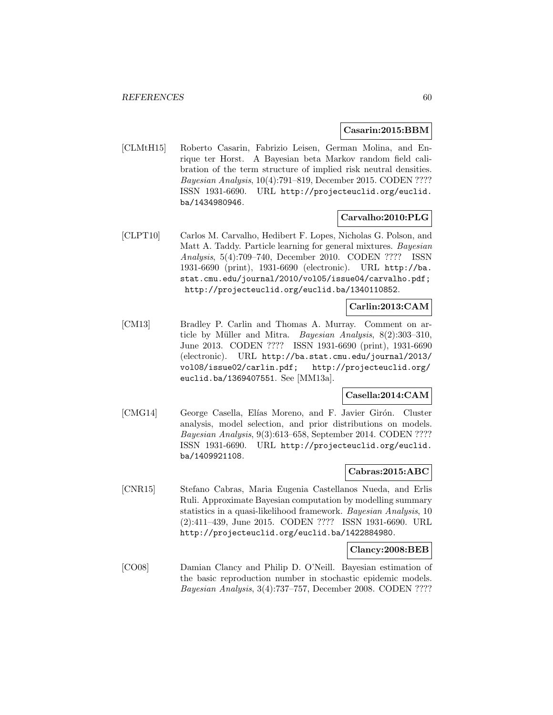### **Casarin:2015:BBM**

[CLMtH15] Roberto Casarin, Fabrizio Leisen, German Molina, and Enrique ter Horst. A Bayesian beta Markov random field calibration of the term structure of implied risk neutral densities. Bayesian Analysis, 10(4):791–819, December 2015. CODEN ???? ISSN 1931-6690. URL http://projecteuclid.org/euclid. ba/1434980946.

# **Carvalho:2010:PLG**

[CLPT10] Carlos M. Carvalho, Hedibert F. Lopes, Nicholas G. Polson, and Matt A. Taddy. Particle learning for general mixtures. Bayesian Analysis, 5(4):709–740, December 2010. CODEN ???? ISSN 1931-6690 (print), 1931-6690 (electronic). URL http://ba. stat.cmu.edu/journal/2010/vol05/issue04/carvalho.pdf; http://projecteuclid.org/euclid.ba/1340110852.

# **Carlin:2013:CAM**

[CM13] Bradley P. Carlin and Thomas A. Murray. Comment on article by Müller and Mitra. *Bayesian Analysis*,  $8(2):303-310$ , June 2013. CODEN ???? ISSN 1931-6690 (print), 1931-6690 (electronic). URL http://ba.stat.cmu.edu/journal/2013/ vol08/issue02/carlin.pdf; http://projecteuclid.org/ euclid.ba/1369407551. See [MM13a].

# **Casella:2014:CAM**

[CMG14] George Casella, Elías Moreno, and F. Javier Girón. Cluster analysis, model selection, and prior distributions on models. Bayesian Analysis, 9(3):613–658, September 2014. CODEN ???? ISSN 1931-6690. URL http://projecteuclid.org/euclid. ba/1409921108.

#### **Cabras:2015:ABC**

[CNR15] Stefano Cabras, Maria Eugenia Castellanos Nueda, and Erlis Ruli. Approximate Bayesian computation by modelling summary statistics in a quasi-likelihood framework. Bayesian Analysis, 10 (2):411–439, June 2015. CODEN ???? ISSN 1931-6690. URL http://projecteuclid.org/euclid.ba/1422884980.

# **Clancy:2008:BEB**

[CO08] Damian Clancy and Philip D. O'Neill. Bayesian estimation of the basic reproduction number in stochastic epidemic models. Bayesian Analysis, 3(4):737–757, December 2008. CODEN ????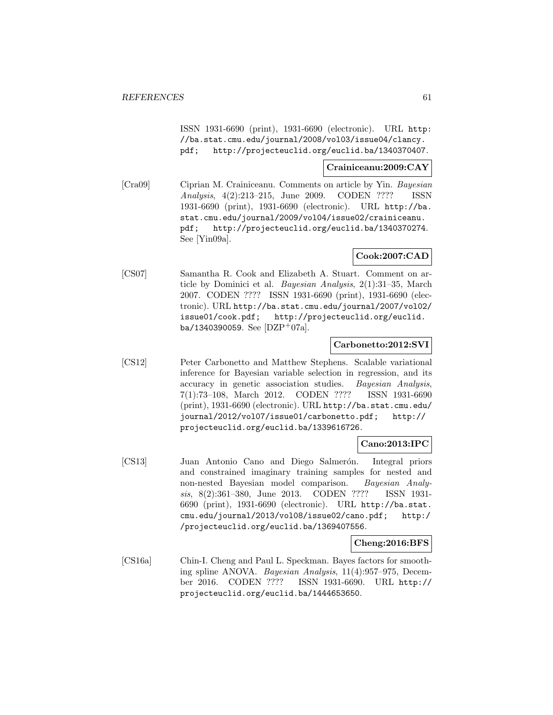ISSN 1931-6690 (print), 1931-6690 (electronic). URL http: //ba.stat.cmu.edu/journal/2008/vol03/issue04/clancy. pdf; http://projecteuclid.org/euclid.ba/1340370407.

# **Crainiceanu:2009:CAY**

[Cra09] Ciprian M. Crainiceanu. Comments on article by Yin. Bayesian Analysis, 4(2):213–215, June 2009. CODEN ???? ISSN 1931-6690 (print), 1931-6690 (electronic). URL http://ba. stat.cmu.edu/journal/2009/vol04/issue02/crainiceanu. pdf; http://projecteuclid.org/euclid.ba/1340370274. See [Yin09a].

# **Cook:2007:CAD**

[CS07] Samantha R. Cook and Elizabeth A. Stuart. Comment on article by Dominici et al. Bayesian Analysis, 2(1):31–35, March 2007. CODEN ???? ISSN 1931-6690 (print), 1931-6690 (electronic). URL http://ba.stat.cmu.edu/journal/2007/vol02/ issue01/cook.pdf; http://projecteuclid.org/euclid. ba/1340390059. See [DZP+07a].

## **Carbonetto:2012:SVI**

[CS12] Peter Carbonetto and Matthew Stephens. Scalable variational inference for Bayesian variable selection in regression, and its accuracy in genetic association studies. Bayesian Analysis, 7(1):73–108, March 2012. CODEN ???? ISSN 1931-6690 (print), 1931-6690 (electronic). URL http://ba.stat.cmu.edu/ journal/2012/vol07/issue01/carbonetto.pdf; http:// projecteuclid.org/euclid.ba/1339616726.

## **Cano:2013:IPC**

[CS13] Juan Antonio Cano and Diego Salmerón. Integral priors and constrained imaginary training samples for nested and non-nested Bayesian model comparison. Bayesian Analysis, 8(2):361–380, June 2013. CODEN ???? ISSN 1931- 6690 (print), 1931-6690 (electronic). URL http://ba.stat. cmu.edu/journal/2013/vol08/issue02/cano.pdf; http:/ /projecteuclid.org/euclid.ba/1369407556.

#### **Cheng:2016:BFS**

[CS16a] Chin-I. Cheng and Paul L. Speckman. Bayes factors for smoothing spline ANOVA. Bayesian Analysis, 11(4):957–975, December 2016. CODEN ???? ISSN 1931-6690. URL http:// projecteuclid.org/euclid.ba/1444653650.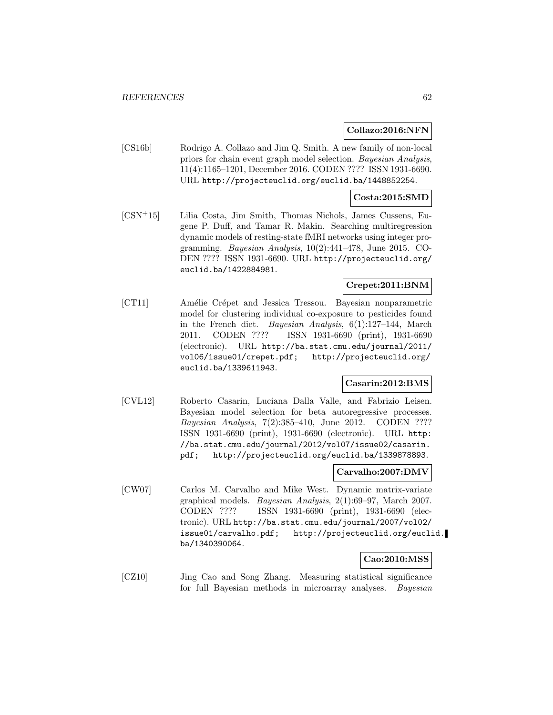#### **Collazo:2016:NFN**

[CS16b] Rodrigo A. Collazo and Jim Q. Smith. A new family of non-local priors for chain event graph model selection. Bayesian Analysis, 11(4):1165–1201, December 2016. CODEN ???? ISSN 1931-6690. URL http://projecteuclid.org/euclid.ba/1448852254.

### **Costa:2015:SMD**

[CSN<sup>+</sup>15] Lilia Costa, Jim Smith, Thomas Nichols, James Cussens, Eugene P. Duff, and Tamar R. Makin. Searching multiregression dynamic models of resting-state fMRI networks using integer programming. Bayesian Analysis, 10(2):441–478, June 2015. CO-DEN ???? ISSN 1931-6690. URL http://projecteuclid.org/ euclid.ba/1422884981.

## **Crepet:2011:BNM**

[CT11] Amélie Crépet and Jessica Tressou. Bayesian nonparametric model for clustering individual co-exposure to pesticides found in the French diet. Bayesian Analysis, 6(1):127–144, March 2011. CODEN ???? ISSN 1931-6690 (print), 1931-6690 (electronic). URL http://ba.stat.cmu.edu/journal/2011/ vol06/issue01/crepet.pdf; http://projecteuclid.org/ euclid.ba/1339611943.

#### **Casarin:2012:BMS**

[CVL12] Roberto Casarin, Luciana Dalla Valle, and Fabrizio Leisen. Bayesian model selection for beta autoregressive processes. Bayesian Analysis, 7(2):385–410, June 2012. CODEN ???? ISSN 1931-6690 (print), 1931-6690 (electronic). URL http: //ba.stat.cmu.edu/journal/2012/vol07/issue02/casarin. pdf; http://projecteuclid.org/euclid.ba/1339878893.

#### **Carvalho:2007:DMV**

[CW07] Carlos M. Carvalho and Mike West. Dynamic matrix-variate graphical models. Bayesian Analysis, 2(1):69–97, March 2007. CODEN ???? ISSN 1931-6690 (print), 1931-6690 (electronic). URL http://ba.stat.cmu.edu/journal/2007/vol02/ issue01/carvalho.pdf; http://projecteuclid.org/euclid. ba/1340390064.

## **Cao:2010:MSS**

[CZ10] Jing Cao and Song Zhang. Measuring statistical significance for full Bayesian methods in microarray analyses. Bayesian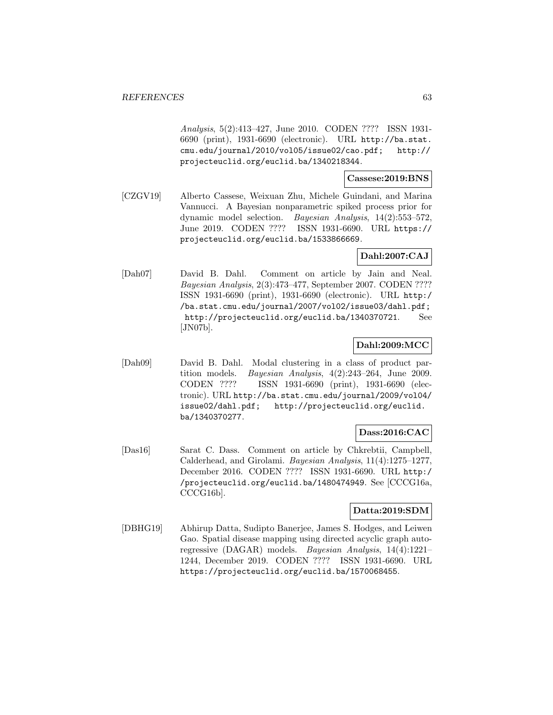Analysis, 5(2):413–427, June 2010. CODEN ???? ISSN 1931- 6690 (print), 1931-6690 (electronic). URL http://ba.stat. cmu.edu/journal/2010/vol05/issue02/cao.pdf; http:// projecteuclid.org/euclid.ba/1340218344.

### **Cassese:2019:BNS**

[CZGV19] Alberto Cassese, Weixuan Zhu, Michele Guindani, and Marina Vannucci. A Bayesian nonparametric spiked process prior for dynamic model selection. Bayesian Analysis, 14(2):553–572, June 2019. CODEN ???? ISSN 1931-6690. URL https:// projecteuclid.org/euclid.ba/1533866669.

# **Dahl:2007:CAJ**

[Dah07] David B. Dahl. Comment on article by Jain and Neal. Bayesian Analysis, 2(3):473–477, September 2007. CODEN ???? ISSN 1931-6690 (print), 1931-6690 (electronic). URL http:/ /ba.stat.cmu.edu/journal/2007/vol02/issue03/dahl.pdf; http://projecteuclid.org/euclid.ba/1340370721. See [JN07b].

# **Dahl:2009:MCC**

[Dah09] David B. Dahl. Modal clustering in a class of product partition models. Bayesian Analysis, 4(2):243–264, June 2009. CODEN ???? ISSN 1931-6690 (print), 1931-6690 (electronic). URL http://ba.stat.cmu.edu/journal/2009/vol04/ issue02/dahl.pdf; http://projecteuclid.org/euclid. ba/1340370277.

# **Dass:2016:CAC**

[Das16] Sarat C. Dass. Comment on article by Chkrebtii, Campbell, Calderhead, and Girolami. Bayesian Analysis, 11(4):1275–1277, December 2016. CODEN ???? ISSN 1931-6690. URL http:/ /projecteuclid.org/euclid.ba/1480474949. See [CCCG16a, CCCG16b].

# **Datta:2019:SDM**

[DBHG19] Abhirup Datta, Sudipto Banerjee, James S. Hodges, and Leiwen Gao. Spatial disease mapping using directed acyclic graph autoregressive (DAGAR) models. Bayesian Analysis, 14(4):1221– 1244, December 2019. CODEN ???? ISSN 1931-6690. URL https://projecteuclid.org/euclid.ba/1570068455.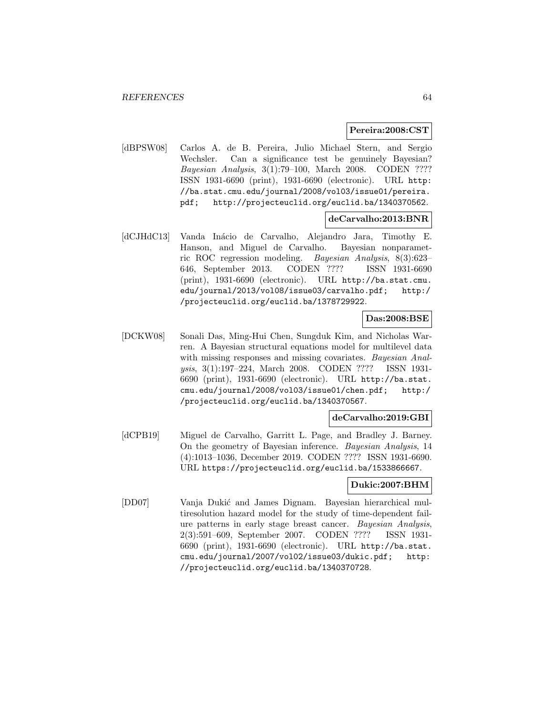#### **Pereira:2008:CST**

[dBPSW08] Carlos A. de B. Pereira, Julio Michael Stern, and Sergio Wechsler. Can a significance test be genuinely Bayesian? Bayesian Analysis, 3(1):79–100, March 2008. CODEN ???? ISSN 1931-6690 (print), 1931-6690 (electronic). URL http: //ba.stat.cmu.edu/journal/2008/vol03/issue01/pereira. pdf; http://projecteuclid.org/euclid.ba/1340370562.

## **deCarvalho:2013:BNR**

[dCJHdC13] Vanda Inácio de Carvalho, Alejandro Jara, Timothy E. Hanson, and Miguel de Carvalho. Bayesian nonparametric ROC regression modeling. Bayesian Analysis, 8(3):623– 646, September 2013. CODEN ???? ISSN 1931-6690 (print), 1931-6690 (electronic). URL http://ba.stat.cmu. edu/journal/2013/vol08/issue03/carvalho.pdf; http:/ /projecteuclid.org/euclid.ba/1378729922.

# **Das:2008:BSE**

[DCKW08] Sonali Das, Ming-Hui Chen, Sungduk Kim, and Nicholas Warren. A Bayesian structural equations model for multilevel data with missing responses and missing covariates. Bayesian Analysis, 3(1):197–224, March 2008. CODEN ???? ISSN 1931- 6690 (print), 1931-6690 (electronic). URL http://ba.stat. cmu.edu/journal/2008/vol03/issue01/chen.pdf; http:/ /projecteuclid.org/euclid.ba/1340370567.

# **deCarvalho:2019:GBI**

[dCPB19] Miguel de Carvalho, Garritt L. Page, and Bradley J. Barney. On the geometry of Bayesian inference. Bayesian Analysis, 14 (4):1013–1036, December 2019. CODEN ???? ISSN 1931-6690. URL https://projecteuclid.org/euclid.ba/1533866667.

#### **Dukic:2007:BHM**

[DD07] Vanja Duki´c and James Dignam. Bayesian hierarchical multiresolution hazard model for the study of time-dependent failure patterns in early stage breast cancer. Bayesian Analysis, 2(3):591–609, September 2007. CODEN ???? ISSN 1931- 6690 (print), 1931-6690 (electronic). URL http://ba.stat. cmu.edu/journal/2007/vol02/issue03/dukic.pdf; http: //projecteuclid.org/euclid.ba/1340370728.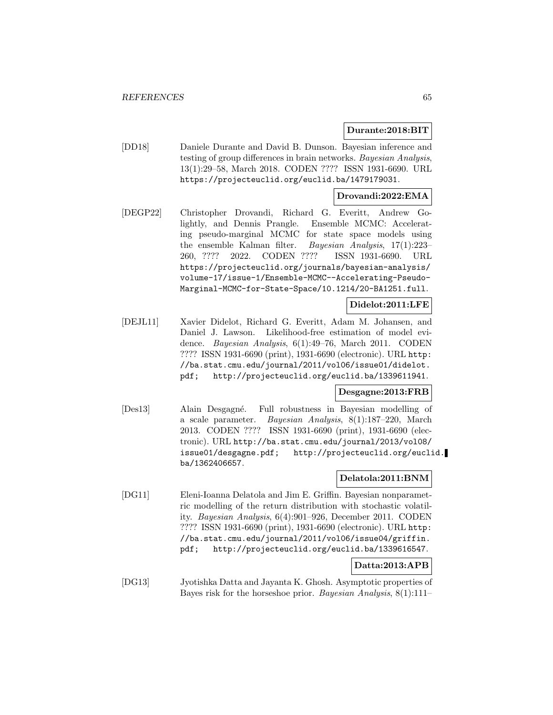#### **Durante:2018:BIT**

[DD18] Daniele Durante and David B. Dunson. Bayesian inference and testing of group differences in brain networks. Bayesian Analysis, 13(1):29–58, March 2018. CODEN ???? ISSN 1931-6690. URL https://projecteuclid.org/euclid.ba/1479179031.

#### **Drovandi:2022:EMA**

[DEGP22] Christopher Drovandi, Richard G. Everitt, Andrew Golightly, and Dennis Prangle. Ensemble MCMC: Accelerating pseudo-marginal MCMC for state space models using the ensemble Kalman filter. Bayesian Analysis, 17(1):223– 260, ???? 2022. CODEN ???? ISSN 1931-6690. URL https://projecteuclid.org/journals/bayesian-analysis/ volume-17/issue-1/Ensemble-MCMC--Accelerating-Pseudo-Marginal-MCMC-for-State-Space/10.1214/20-BA1251.full.

# **Didelot:2011:LFE**

[DEJL11] Xavier Didelot, Richard G. Everitt, Adam M. Johansen, and Daniel J. Lawson. Likelihood-free estimation of model evidence. Bayesian Analysis, 6(1):49–76, March 2011. CODEN ???? ISSN 1931-6690 (print), 1931-6690 (electronic). URL http: //ba.stat.cmu.edu/journal/2011/vol06/issue01/didelot. pdf; http://projecteuclid.org/euclid.ba/1339611941.

## **Desgagne:2013:FRB**

[Des13] Alain Desgagn´e. Full robustness in Bayesian modelling of a scale parameter. Bayesian Analysis, 8(1):187–220, March 2013. CODEN ???? ISSN 1931-6690 (print), 1931-6690 (electronic). URL http://ba.stat.cmu.edu/journal/2013/vol08/ issue01/desgagne.pdf; http://projecteuclid.org/euclid. ba/1362406657.

# **Delatola:2011:BNM**

[DG11] Eleni-Ioanna Delatola and Jim E. Griffin. Bayesian nonparametric modelling of the return distribution with stochastic volatility. Bayesian Analysis, 6(4):901–926, December 2011. CODEN ???? ISSN 1931-6690 (print), 1931-6690 (electronic). URL http: //ba.stat.cmu.edu/journal/2011/vol06/issue04/griffin. pdf; http://projecteuclid.org/euclid.ba/1339616547.

# **Datta:2013:APB**

[DG13] Jyotishka Datta and Jayanta K. Ghosh. Asymptotic properties of Bayes risk for the horseshoe prior. Bayesian Analysis, 8(1):111–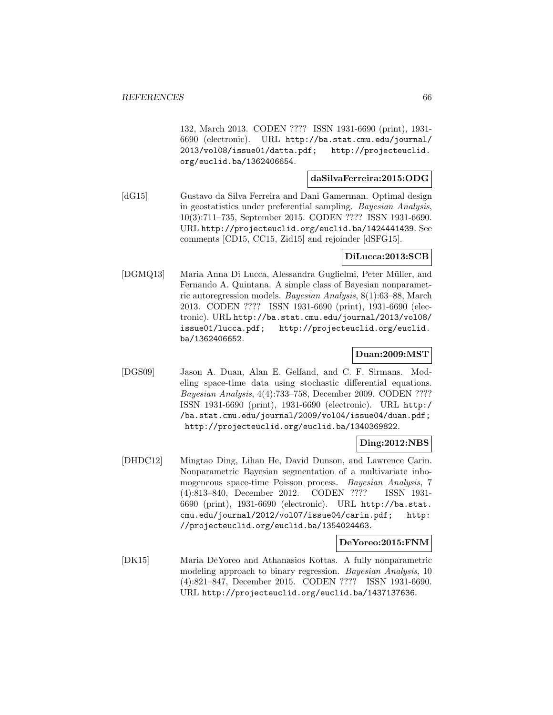132, March 2013. CODEN ???? ISSN 1931-6690 (print), 1931- 6690 (electronic). URL http://ba.stat.cmu.edu/journal/ 2013/vol08/issue01/datta.pdf; http://projecteuclid. org/euclid.ba/1362406654.

# **daSilvaFerreira:2015:ODG**

[dG15] Gustavo da Silva Ferreira and Dani Gamerman. Optimal design in geostatistics under preferential sampling. Bayesian Analysis, 10(3):711–735, September 2015. CODEN ???? ISSN 1931-6690. URL http://projecteuclid.org/euclid.ba/1424441439. See comments [CD15, CC15, Zid15] and rejoinder [dSFG15].

# **DiLucca:2013:SCB**

[DGMQ13] Maria Anna Di Lucca, Alessandra Guglielmi, Peter M¨uller, and Fernando A. Quintana. A simple class of Bayesian nonparametric autoregression models. Bayesian Analysis, 8(1):63–88, March 2013. CODEN ???? ISSN 1931-6690 (print), 1931-6690 (electronic). URL http://ba.stat.cmu.edu/journal/2013/vol08/ issue01/lucca.pdf; http://projecteuclid.org/euclid. ba/1362406652.

# **Duan:2009:MST**

[DGS09] Jason A. Duan, Alan E. Gelfand, and C. F. Sirmans. Modeling space-time data using stochastic differential equations. Bayesian Analysis, 4(4):733–758, December 2009. CODEN ???? ISSN 1931-6690 (print), 1931-6690 (electronic). URL http:/ /ba.stat.cmu.edu/journal/2009/vol04/issue04/duan.pdf; http://projecteuclid.org/euclid.ba/1340369822.

#### **Ding:2012:NBS**

[DHDC12] Mingtao Ding, Lihan He, David Dunson, and Lawrence Carin. Nonparametric Bayesian segmentation of a multivariate inhomogeneous space-time Poisson process. Bayesian Analysis, 7 (4):813–840, December 2012. CODEN ???? ISSN 1931- 6690 (print), 1931-6690 (electronic). URL http://ba.stat. cmu.edu/journal/2012/vol07/issue04/carin.pdf; http: //projecteuclid.org/euclid.ba/1354024463.

#### **DeYoreo:2015:FNM**

[DK15] Maria DeYoreo and Athanasios Kottas. A fully nonparametric modeling approach to binary regression. Bayesian Analysis, 10 (4):821–847, December 2015. CODEN ???? ISSN 1931-6690. URL http://projecteuclid.org/euclid.ba/1437137636.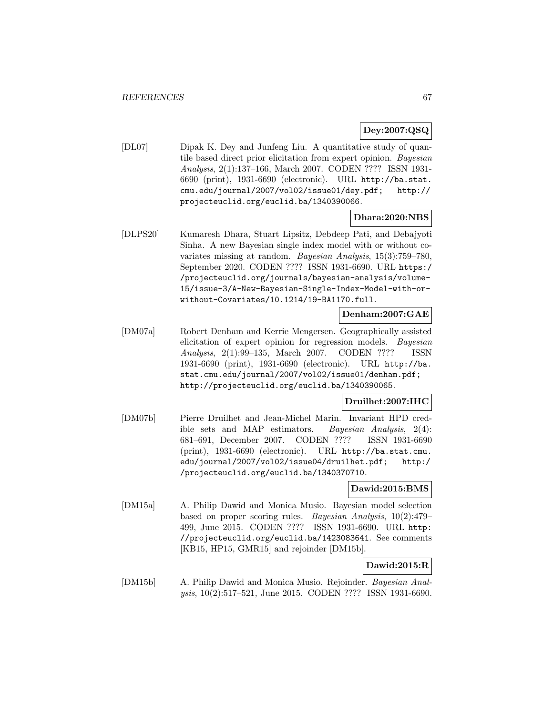# **Dey:2007:QSQ**

[DL07] Dipak K. Dey and Junfeng Liu. A quantitative study of quantile based direct prior elicitation from expert opinion. Bayesian Analysis, 2(1):137–166, March 2007. CODEN ???? ISSN 1931- 6690 (print), 1931-6690 (electronic). URL http://ba.stat. cmu.edu/journal/2007/vol02/issue01/dey.pdf; http:// projecteuclid.org/euclid.ba/1340390066.

# **Dhara:2020:NBS**

[DLPS20] Kumaresh Dhara, Stuart Lipsitz, Debdeep Pati, and Debajyoti Sinha. A new Bayesian single index model with or without covariates missing at random. Bayesian Analysis, 15(3):759–780, September 2020. CODEN ???? ISSN 1931-6690. URL https:/ /projecteuclid.org/journals/bayesian-analysis/volume-15/issue-3/A-New-Bayesian-Single-Index-Model-with-orwithout-Covariates/10.1214/19-BA1170.full.

# **Denham:2007:GAE**

[DM07a] Robert Denham and Kerrie Mengersen. Geographically assisted elicitation of expert opinion for regression models. Bayesian Analysis, 2(1):99–135, March 2007. CODEN ???? ISSN 1931-6690 (print), 1931-6690 (electronic). URL http://ba. stat.cmu.edu/journal/2007/vol02/issue01/denham.pdf; http://projecteuclid.org/euclid.ba/1340390065.

# **Druilhet:2007:IHC**

[DM07b] Pierre Druilhet and Jean-Michel Marin. Invariant HPD credible sets and MAP estimators. Bayesian Analysis, 2(4): 681–691, December 2007. CODEN ???? ISSN 1931-6690 (print), 1931-6690 (electronic). URL http://ba.stat.cmu. edu/journal/2007/vol02/issue04/druilhet.pdf; http:/ /projecteuclid.org/euclid.ba/1340370710.

### **Dawid:2015:BMS**

[DM15a] A. Philip Dawid and Monica Musio. Bayesian model selection based on proper scoring rules. Bayesian Analysis, 10(2):479– 499, June 2015. CODEN ???? ISSN 1931-6690. URL http: //projecteuclid.org/euclid.ba/1423083641. See comments [KB15, HP15, GMR15] and rejoinder [DM15b].

# **Dawid:2015:R**

[DM15b] A. Philip Dawid and Monica Musio. Rejoinder. Bayesian Analysis, 10(2):517–521, June 2015. CODEN ???? ISSN 1931-6690.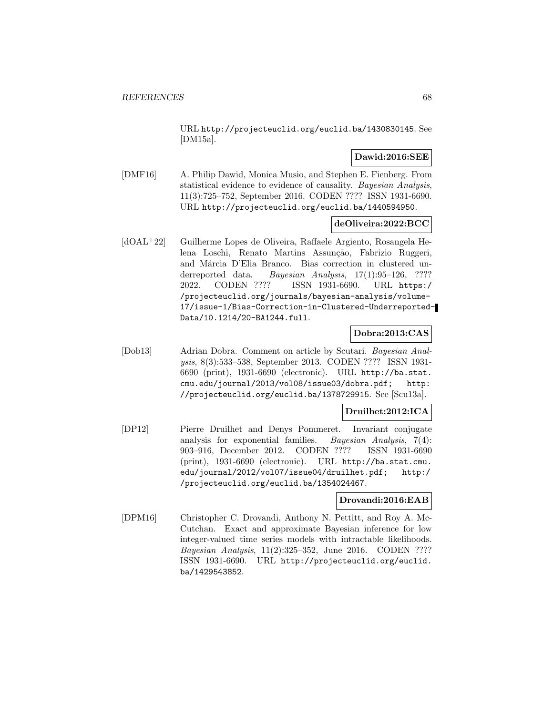URL http://projecteuclid.org/euclid.ba/1430830145. See [DM15a].

# **Dawid:2016:SEE**

[DMF16] A. Philip Dawid, Monica Musio, and Stephen E. Fienberg. From statistical evidence to evidence of causality. Bayesian Analysis, 11(3):725–752, September 2016. CODEN ???? ISSN 1931-6690. URL http://projecteuclid.org/euclid.ba/1440594950.

# **deOliveira:2022:BCC**

[dOAL<sup>+</sup>22] Guilherme Lopes de Oliveira, Raffaele Argiento, Rosangela Helena Loschi, Renato Martins Assunção, Fabrizio Ruggeri, and Márcia D'Elia Branco. Bias correction in clustered underreported data. Bayesian Analysis, 17(1):95-126, ???? 2022. CODEN ???? ISSN 1931-6690. URL https:/ /projecteuclid.org/journals/bayesian-analysis/volume-17/issue-1/Bias-Correction-in-Clustered-Underreported-Data/10.1214/20-BA1244.full.

# **Dobra:2013:CAS**

[Dob13] Adrian Dobra. Comment on article by Scutari. Bayesian Analysis, 8(3):533–538, September 2013. CODEN ???? ISSN 1931- 6690 (print), 1931-6690 (electronic). URL http://ba.stat. cmu.edu/journal/2013/vol08/issue03/dobra.pdf; http: //projecteuclid.org/euclid.ba/1378729915. See [Scu13a].

## **Druilhet:2012:ICA**

[DP12] Pierre Druilhet and Denys Pommeret. Invariant conjugate analysis for exponential families. Bayesian Analysis, 7(4): 903–916, December 2012. CODEN ???? ISSN 1931-6690 (print), 1931-6690 (electronic). URL http://ba.stat.cmu. edu/journal/2012/vol07/issue04/druilhet.pdf; http:/ /projecteuclid.org/euclid.ba/1354024467.

# **Drovandi:2016:EAB**

[DPM16] Christopher C. Drovandi, Anthony N. Pettitt, and Roy A. Mc-Cutchan. Exact and approximate Bayesian inference for low integer-valued time series models with intractable likelihoods. Bayesian Analysis, 11(2):325–352, June 2016. CODEN ???? ISSN 1931-6690. URL http://projecteuclid.org/euclid. ba/1429543852.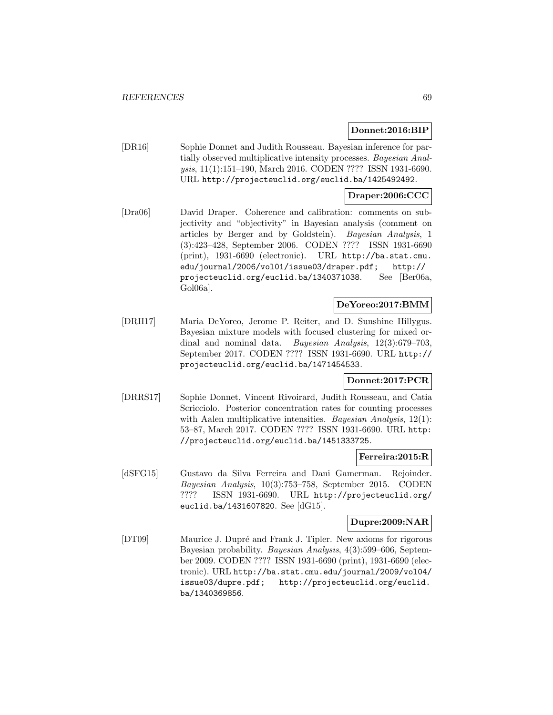## **Donnet:2016:BIP**

[DR16] Sophie Donnet and Judith Rousseau. Bayesian inference for partially observed multiplicative intensity processes. Bayesian Analysis, 11(1):151–190, March 2016. CODEN ???? ISSN 1931-6690. URL http://projecteuclid.org/euclid.ba/1425492492.

## **Draper:2006:CCC**

[Dra06] David Draper. Coherence and calibration: comments on subjectivity and "objectivity" in Bayesian analysis (comment on articles by Berger and by Goldstein). Bayesian Analysis, 1 (3):423–428, September 2006. CODEN ???? ISSN 1931-6690 (print), 1931-6690 (electronic). URL http://ba.stat.cmu. edu/journal/2006/vol01/issue03/draper.pdf; http:// projecteuclid.org/euclid.ba/1340371038. See [Ber06a, Gol06a].

#### **DeYoreo:2017:BMM**

[DRH17] Maria DeYoreo, Jerome P. Reiter, and D. Sunshine Hillygus. Bayesian mixture models with focused clustering for mixed ordinal and nominal data. Bayesian Analysis, 12(3):679–703, September 2017. CODEN ???? ISSN 1931-6690. URL http:// projecteuclid.org/euclid.ba/1471454533.

## **Donnet:2017:PCR**

[DRRS17] Sophie Donnet, Vincent Rivoirard, Judith Rousseau, and Catia Scricciolo. Posterior concentration rates for counting processes with Aalen multiplicative intensities. *Bayesian Analysis*,  $12(1)$ : 53–87, March 2017. CODEN ???? ISSN 1931-6690. URL http: //projecteuclid.org/euclid.ba/1451333725.

## **Ferreira:2015:R**

[dSFG15] Gustavo da Silva Ferreira and Dani Gamerman. Rejoinder. Bayesian Analysis, 10(3):753–758, September 2015. CODEN ???? ISSN 1931-6690. URL http://projecteuclid.org/ euclid.ba/1431607820. See [dG15].

# **Dupre:2009:NAR**

[DT09] Maurice J. Dupré and Frank J. Tipler. New axioms for rigorous Bayesian probability. Bayesian Analysis, 4(3):599–606, September 2009. CODEN ???? ISSN 1931-6690 (print), 1931-6690 (electronic). URL http://ba.stat.cmu.edu/journal/2009/vol04/ issue03/dupre.pdf; http://projecteuclid.org/euclid. ba/1340369856.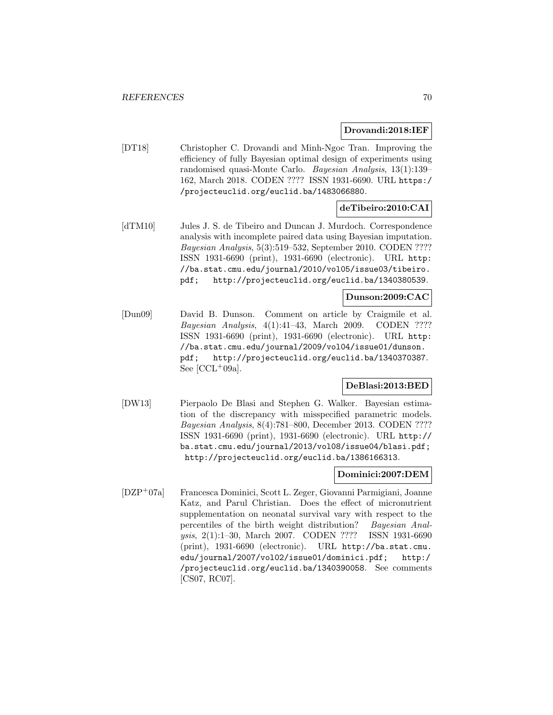#### **Drovandi:2018:IEF**

[DT18] Christopher C. Drovandi and Minh-Ngoc Tran. Improving the efficiency of fully Bayesian optimal design of experiments using randomised quasi-Monte Carlo. Bayesian Analysis, 13(1):139– 162, March 2018. CODEN ???? ISSN 1931-6690. URL https:/ /projecteuclid.org/euclid.ba/1483066880.

# **deTibeiro:2010:CAI**

[dTM10] Jules J. S. de Tibeiro and Duncan J. Murdoch. Correspondence analysis with incomplete paired data using Bayesian imputation. Bayesian Analysis, 5(3):519–532, September 2010. CODEN ???? ISSN 1931-6690 (print), 1931-6690 (electronic). URL http: //ba.stat.cmu.edu/journal/2010/vol05/issue03/tibeiro. pdf; http://projecteuclid.org/euclid.ba/1340380539.

# **Dunson:2009:CAC**

[Dun09] David B. Dunson. Comment on article by Craigmile et al. Bayesian Analysis, 4(1):41–43, March 2009. CODEN ???? ISSN 1931-6690 (print), 1931-6690 (electronic). URL http: //ba.stat.cmu.edu/journal/2009/vol04/issue01/dunson. pdf; http://projecteuclid.org/euclid.ba/1340370387. See  $[CL+09a]$ .

# **DeBlasi:2013:BED**

[DW13] Pierpaolo De Blasi and Stephen G. Walker. Bayesian estimation of the discrepancy with misspecified parametric models. Bayesian Analysis, 8(4):781–800, December 2013. CODEN ???? ISSN 1931-6690 (print), 1931-6690 (electronic). URL http:// ba.stat.cmu.edu/journal/2013/vol08/issue04/blasi.pdf; http://projecteuclid.org/euclid.ba/1386166313.

## **Dominici:2007:DEM**

[DZP<sup>+</sup>07a] Francesca Dominici, Scott L. Zeger, Giovanni Parmigiani, Joanne Katz, and Parul Christian. Does the effect of micronutrient supplementation on neonatal survival vary with respect to the percentiles of the birth weight distribution? Bayesian Analysis, 2(1):1–30, March 2007. CODEN ???? ISSN 1931-6690 (print), 1931-6690 (electronic). URL http://ba.stat.cmu. edu/journal/2007/vol02/issue01/dominici.pdf; http:/ /projecteuclid.org/euclid.ba/1340390058. See comments [CS07, RC07].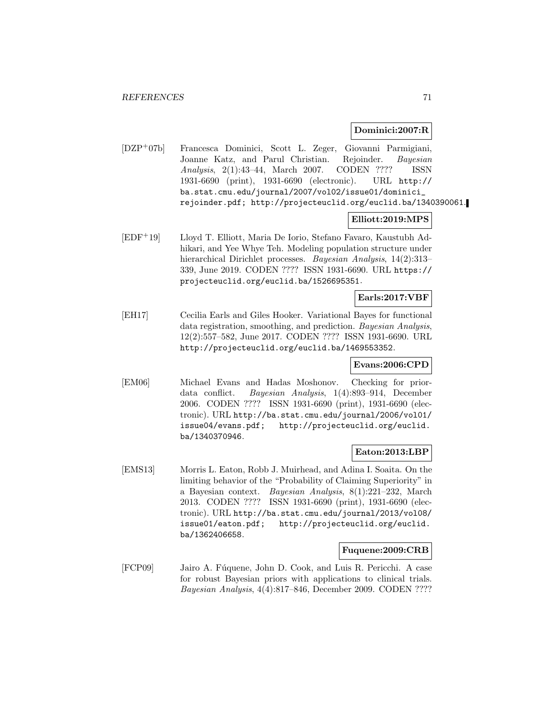## **Dominici:2007:R**

[DZP<sup>+</sup>07b] Francesca Dominici, Scott L. Zeger, Giovanni Parmigiani, Joanne Katz, and Parul Christian. Rejoinder. Bayesian Analysis, 2(1):43–44, March 2007. CODEN ???? ISSN 1931-6690 (print), 1931-6690 (electronic). URL http:// ba.stat.cmu.edu/journal/2007/vol02/issue01/dominici\_ rejoinder.pdf; http://projecteuclid.org/euclid.ba/1340390061.

## **Elliott:2019:MPS**

[EDF<sup>+</sup>19] Lloyd T. Elliott, Maria De Iorio, Stefano Favaro, Kaustubh Adhikari, and Yee Whye Teh. Modeling population structure under hierarchical Dirichlet processes. *Bayesian Analysis*, 14(2):313– 339, June 2019. CODEN ???? ISSN 1931-6690. URL https:// projecteuclid.org/euclid.ba/1526695351.

# **Earls:2017:VBF**

[EH17] Cecilia Earls and Giles Hooker. Variational Bayes for functional data registration, smoothing, and prediction. Bayesian Analysis, 12(2):557–582, June 2017. CODEN ???? ISSN 1931-6690. URL http://projecteuclid.org/euclid.ba/1469553352.

# **Evans:2006:CPD**

[EM06] Michael Evans and Hadas Moshonov. Checking for priordata conflict. Bayesian Analysis, 1(4):893–914, December 2006. CODEN ???? ISSN 1931-6690 (print), 1931-6690 (electronic). URL http://ba.stat.cmu.edu/journal/2006/vol01/ issue04/evans.pdf; http://projecteuclid.org/euclid. ba/1340370946.

## **Eaton:2013:LBP**

[EMS13] Morris L. Eaton, Robb J. Muirhead, and Adina I. Soaita. On the limiting behavior of the "Probability of Claiming Superiority" in a Bayesian context. Bayesian Analysis, 8(1):221–232, March 2013. CODEN ???? ISSN 1931-6690 (print), 1931-6690 (electronic). URL http://ba.stat.cmu.edu/journal/2013/vol08/ issue01/eaton.pdf; http://projecteuclid.org/euclid. ba/1362406658.

## **Fuquene:2009:CRB**

[FCP09] Jairo A. Fúquene, John D. Cook, and Luis R. Pericchi. A case for robust Bayesian priors with applications to clinical trials. Bayesian Analysis, 4(4):817–846, December 2009. CODEN ????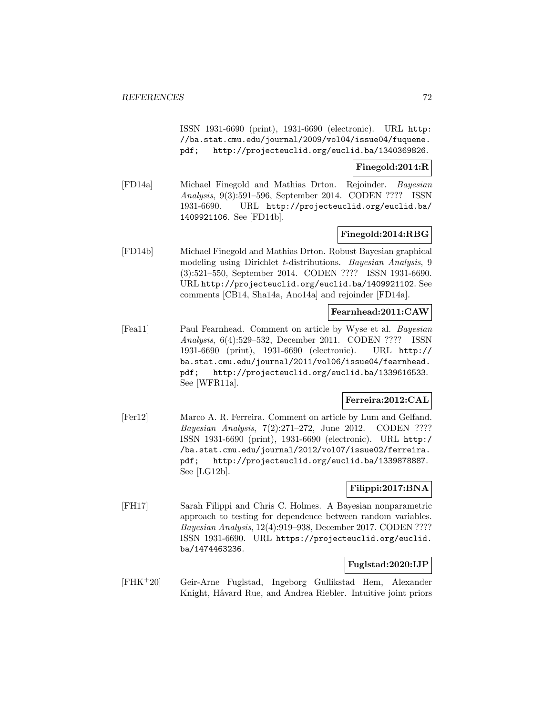ISSN 1931-6690 (print), 1931-6690 (electronic). URL http: //ba.stat.cmu.edu/journal/2009/vol04/issue04/fuquene. pdf; http://projecteuclid.org/euclid.ba/1340369826.

## **Finegold:2014:R**

[FD14a] Michael Finegold and Mathias Drton. Rejoinder. Bayesian Analysis, 9(3):591–596, September 2014. CODEN ???? ISSN 1931-6690. URL http://projecteuclid.org/euclid.ba/ 1409921106. See [FD14b].

### **Finegold:2014:RBG**

[FD14b] Michael Finegold and Mathias Drton. Robust Bayesian graphical modeling using Dirichlet t-distributions. Bayesian Analysis, 9 (3):521–550, September 2014. CODEN ???? ISSN 1931-6690. URL http://projecteuclid.org/euclid.ba/1409921102. See comments [CB14, Sha14a, Ano14a] and rejoinder [FD14a].

### **Fearnhead:2011:CAW**

[Fea11] Paul Fearnhead. Comment on article by Wyse et al. Bayesian Analysis, 6(4):529–532, December 2011. CODEN ???? ISSN 1931-6690 (print), 1931-6690 (electronic). URL http:// ba.stat.cmu.edu/journal/2011/vol06/issue04/fearnhead. pdf; http://projecteuclid.org/euclid.ba/1339616533. See [WFR11a].

## **Ferreira:2012:CAL**

[Fer12] Marco A. R. Ferreira. Comment on article by Lum and Gelfand. Bayesian Analysis, 7(2):271–272, June 2012. CODEN ???? ISSN 1931-6690 (print), 1931-6690 (electronic). URL http:/ /ba.stat.cmu.edu/journal/2012/vol07/issue02/ferreira. pdf; http://projecteuclid.org/euclid.ba/1339878887. See [LG12b].

# **Filippi:2017:BNA**

[FH17] Sarah Filippi and Chris C. Holmes. A Bayesian nonparametric approach to testing for dependence between random variables. Bayesian Analysis, 12(4):919–938, December 2017. CODEN ???? ISSN 1931-6690. URL https://projecteuclid.org/euclid. ba/1474463236.

#### **Fuglstad:2020:IJP**

[FHK<sup>+</sup>20] Geir-Arne Fuglstad, Ingeborg Gullikstad Hem, Alexander Knight, Håvard Rue, and Andrea Riebler. Intuitive joint priors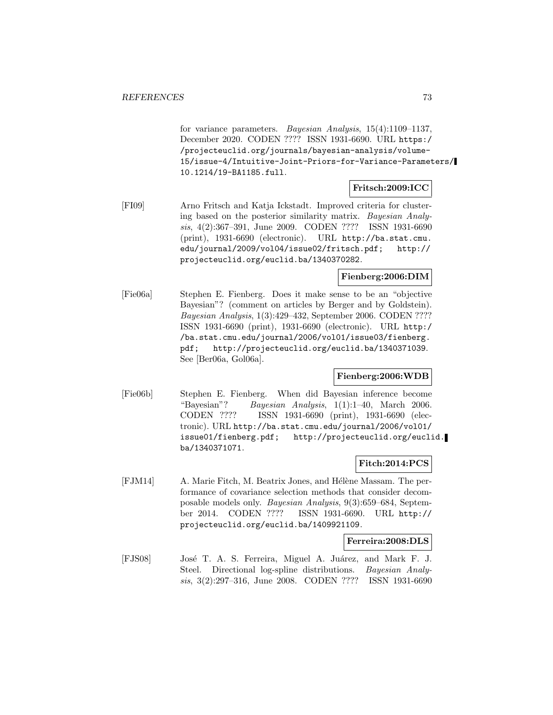for variance parameters. Bayesian Analysis, 15(4):1109–1137, December 2020. CODEN ???? ISSN 1931-6690. URL https:/ /projecteuclid.org/journals/bayesian-analysis/volume-15/issue-4/Intuitive-Joint-Priors-for-Variance-Parameters/ 10.1214/19-BA1185.full.

## **Fritsch:2009:ICC**

[FI09] Arno Fritsch and Katja Ickstadt. Improved criteria for clustering based on the posterior similarity matrix. Bayesian Analysis, 4(2):367–391, June 2009. CODEN ???? ISSN 1931-6690 (print), 1931-6690 (electronic). URL http://ba.stat.cmu. edu/journal/2009/vol04/issue02/fritsch.pdf; http:// projecteuclid.org/euclid.ba/1340370282.

## **Fienberg:2006:DIM**

[Fie06a] Stephen E. Fienberg. Does it make sense to be an "objective Bayesian"? (comment on articles by Berger and by Goldstein). Bayesian Analysis, 1(3):429–432, September 2006. CODEN ???? ISSN 1931-6690 (print), 1931-6690 (electronic). URL http:/ /ba.stat.cmu.edu/journal/2006/vol01/issue03/fienberg. pdf; http://projecteuclid.org/euclid.ba/1340371039. See [Ber06a, Gol06a].

### **Fienberg:2006:WDB**

[Fie06b] Stephen E. Fienberg. When did Bayesian inference become "Bayesian"? Bayesian Analysis,  $1(1):1-40$ , March 2006. CODEN ???? ISSN 1931-6690 (print), 1931-6690 (electronic). URL http://ba.stat.cmu.edu/journal/2006/vol01/ issue01/fienberg.pdf; http://projecteuclid.org/euclid. ba/1340371071.

## **Fitch:2014:PCS**

[FJM14] A. Marie Fitch, M. Beatrix Jones, and Hélène Massam. The performance of covariance selection methods that consider decomposable models only. Bayesian Analysis, 9(3):659–684, September 2014. CODEN ???? ISSN 1931-6690. URL http:// projecteuclid.org/euclid.ba/1409921109.

### **Ferreira:2008:DLS**

[FJS08] José T. A. S. Ferreira, Miguel A. Juárez, and Mark F. J. Steel. Directional log-spline distributions. Bayesian Analysis, 3(2):297–316, June 2008. CODEN ???? ISSN 1931-6690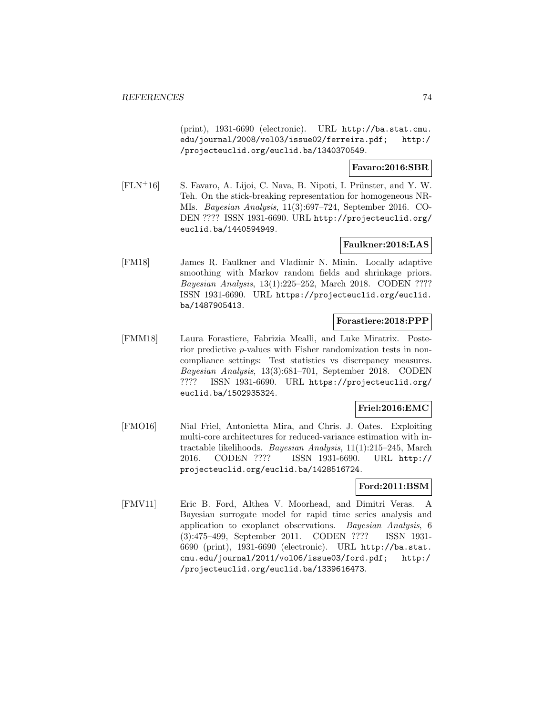(print), 1931-6690 (electronic). URL http://ba.stat.cmu. edu/journal/2008/vol03/issue02/ferreira.pdf; http:/ /projecteuclid.org/euclid.ba/1340370549.

### **Favaro:2016:SBR**

 $[FLN+16]$  S. Favaro, A. Lijoi, C. Nava, B. Nipoti, I. Prünster, and Y. W. Teh. On the stick-breaking representation for homogeneous NR-MIs. Bayesian Analysis, 11(3):697–724, September 2016. CO-DEN ???? ISSN 1931-6690. URL http://projecteuclid.org/ euclid.ba/1440594949.

## **Faulkner:2018:LAS**

[FM18] James R. Faulkner and Vladimir N. Minin. Locally adaptive smoothing with Markov random fields and shrinkage priors. Bayesian Analysis, 13(1):225–252, March 2018. CODEN ???? ISSN 1931-6690. URL https://projecteuclid.org/euclid. ba/1487905413.

#### **Forastiere:2018:PPP**

[FMM18] Laura Forastiere, Fabrizia Mealli, and Luke Miratrix. Posterior predictive p-values with Fisher randomization tests in noncompliance settings: Test statistics vs discrepancy measures. Bayesian Analysis, 13(3):681–701, September 2018. CODEN ???? ISSN 1931-6690. URL https://projecteuclid.org/ euclid.ba/1502935324.

### **Friel:2016:EMC**

[FMO16] Nial Friel, Antonietta Mira, and Chris. J. Oates. Exploiting multi-core architectures for reduced-variance estimation with intractable likelihoods. Bayesian Analysis, 11(1):215–245, March 2016. CODEN ???? ISSN 1931-6690. URL http:// projecteuclid.org/euclid.ba/1428516724.

## **Ford:2011:BSM**

[FMV11] Eric B. Ford, Althea V. Moorhead, and Dimitri Veras. A Bayesian surrogate model for rapid time series analysis and application to exoplanet observations. Bayesian Analysis, 6 (3):475–499, September 2011. CODEN ???? ISSN 1931- 6690 (print), 1931-6690 (electronic). URL http://ba.stat. cmu.edu/journal/2011/vol06/issue03/ford.pdf; http:/ /projecteuclid.org/euclid.ba/1339616473.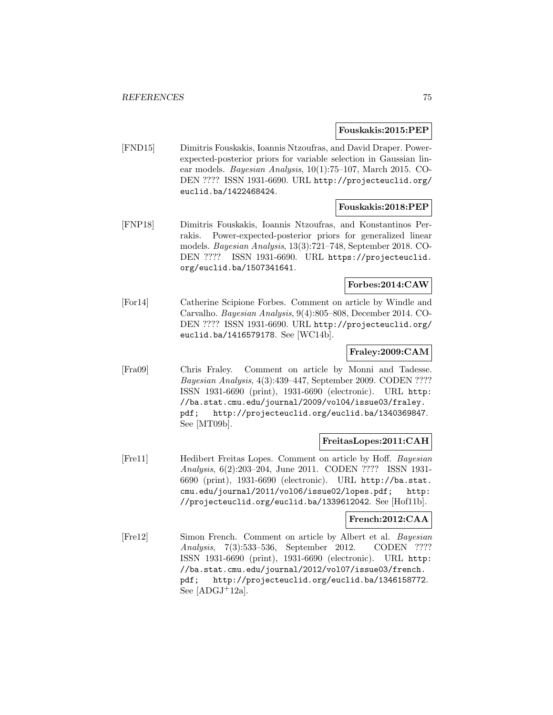**Fouskakis:2015:PEP**

[FND15] Dimitris Fouskakis, Ioannis Ntzoufras, and David Draper. Powerexpected-posterior priors for variable selection in Gaussian linear models. Bayesian Analysis, 10(1):75–107, March 2015. CO-DEN ???? ISSN 1931-6690. URL http://projecteuclid.org/ euclid.ba/1422468424.

### **Fouskakis:2018:PEP**

[FNP18] Dimitris Fouskakis, Ioannis Ntzoufras, and Konstantinos Perrakis. Power-expected-posterior priors for generalized linear models. Bayesian Analysis, 13(3):721–748, September 2018. CO-DEN ???? ISSN 1931-6690. URL https://projecteuclid. org/euclid.ba/1507341641.

#### **Forbes:2014:CAW**

[For14] Catherine Scipione Forbes. Comment on article by Windle and Carvalho. Bayesian Analysis, 9(4):805–808, December 2014. CO-DEN ???? ISSN 1931-6690. URL http://projecteuclid.org/ euclid.ba/1416579178. See [WC14b].

## **Fraley:2009:CAM**

[Fra09] Chris Fraley. Comment on article by Monni and Tadesse. Bayesian Analysis, 4(3):439–447, September 2009. CODEN ???? ISSN 1931-6690 (print), 1931-6690 (electronic). URL http: //ba.stat.cmu.edu/journal/2009/vol04/issue03/fraley. pdf; http://projecteuclid.org/euclid.ba/1340369847. See [MT09b].

### **FreitasLopes:2011:CAH**

[Fre11] Hedibert Freitas Lopes. Comment on article by Hoff. Bayesian Analysis, 6(2):203–204, June 2011. CODEN ???? ISSN 1931- 6690 (print), 1931-6690 (electronic). URL http://ba.stat. cmu.edu/journal/2011/vol06/issue02/lopes.pdf; http: //projecteuclid.org/euclid.ba/1339612042. See [Hof11b].

### **French:2012:CAA**

[Fre12] Simon French. Comment on article by Albert et al. Bayesian Analysis, 7(3):533–536, September 2012. CODEN ???? ISSN 1931-6690 (print), 1931-6690 (electronic). URL http: //ba.stat.cmu.edu/journal/2012/vol07/issue03/french. pdf; http://projecteuclid.org/euclid.ba/1346158772. See  $[ADGJ+12a]$ .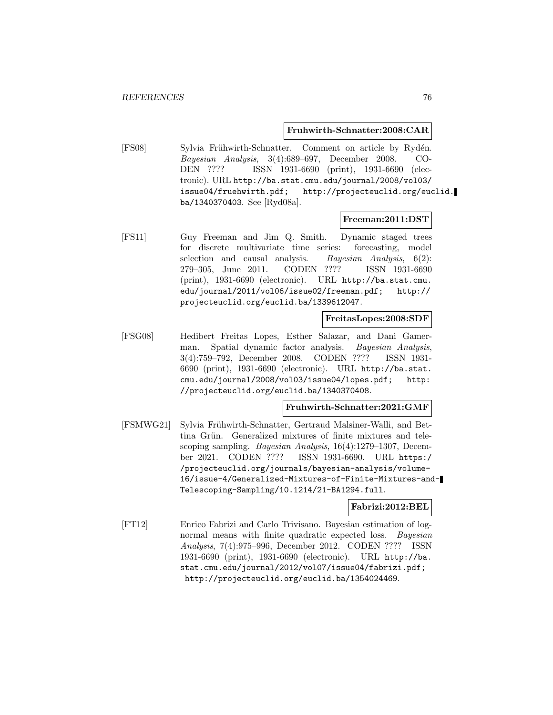#### **Fruhwirth-Schnatter:2008:CAR**

[FS08] Sylvia Frühwirth-Schnatter. Comment on article by Rydén. Bayesian Analysis, 3(4):689–697, December 2008. CO-DEN ???? ISSN 1931-6690 (print), 1931-6690 (electronic). URL http://ba.stat.cmu.edu/journal/2008/vol03/ issue04/fruehwirth.pdf; http://projecteuclid.org/euclid. ba/1340370403. See [Ryd08a].

#### **Freeman:2011:DST**

[FS11] Guy Freeman and Jim Q. Smith. Dynamic staged trees for discrete multivariate time series: forecasting, model selection and causal analysis. Bayesian Analysis,  $6(2)$ : 279–305, June 2011. CODEN ???? ISSN 1931-6690 (print), 1931-6690 (electronic). URL http://ba.stat.cmu. edu/journal/2011/vol06/issue02/freeman.pdf; http:// projecteuclid.org/euclid.ba/1339612047.

#### **FreitasLopes:2008:SDF**

[FSG08] Hedibert Freitas Lopes, Esther Salazar, and Dani Gamerman. Spatial dynamic factor analysis. Bayesian Analysis, 3(4):759–792, December 2008. CODEN ???? ISSN 1931- 6690 (print), 1931-6690 (electronic). URL http://ba.stat. cmu.edu/journal/2008/vol03/issue04/lopes.pdf; http: //projecteuclid.org/euclid.ba/1340370408.

## **Fruhwirth-Schnatter:2021:GMF**

[FSMWG21] Sylvia Frühwirth-Schnatter, Gertraud Malsiner-Walli, and Bettina Grün. Generalized mixtures of finite mixtures and telescoping sampling. Bayesian Analysis, 16(4):1279–1307, December 2021. CODEN ???? ISSN 1931-6690. URL https:/ /projecteuclid.org/journals/bayesian-analysis/volume-16/issue-4/Generalized-Mixtures-of-Finite-Mixtures-and-Telescoping-Sampling/10.1214/21-BA1294.full.

### **Fabrizi:2012:BEL**

[FT12] Enrico Fabrizi and Carlo Trivisano. Bayesian estimation of lognormal means with finite quadratic expected loss. Bayesian Analysis, 7(4):975–996, December 2012. CODEN ???? ISSN 1931-6690 (print), 1931-6690 (electronic). URL http://ba. stat.cmu.edu/journal/2012/vol07/issue04/fabrizi.pdf; http://projecteuclid.org/euclid.ba/1354024469.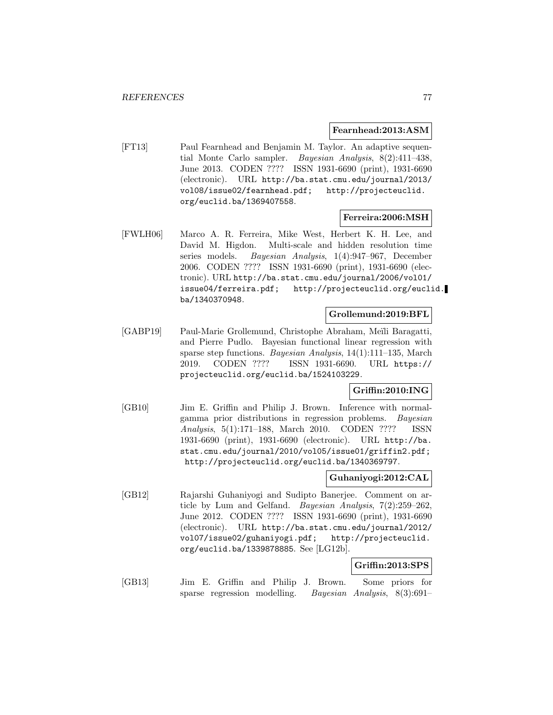### **Fearnhead:2013:ASM**

[FT13] Paul Fearnhead and Benjamin M. Taylor. An adaptive sequential Monte Carlo sampler. Bayesian Analysis, 8(2):411–438, June 2013. CODEN ???? ISSN 1931-6690 (print), 1931-6690 (electronic). URL http://ba.stat.cmu.edu/journal/2013/ vol08/issue02/fearnhead.pdf; http://projecteuclid. org/euclid.ba/1369407558.

### **Ferreira:2006:MSH**

[FWLH06] Marco A. R. Ferreira, Mike West, Herbert K. H. Lee, and David M. Higdon. Multi-scale and hidden resolution time series models. Bayesian Analysis, 1(4):947–967, December 2006. CODEN ???? ISSN 1931-6690 (print), 1931-6690 (electronic). URL http://ba.stat.cmu.edu/journal/2006/vol01/ issue04/ferreira.pdf; http://projecteuclid.org/euclid. ba/1340370948.

## **Grollemund:2019:BFL**

[GABP19] Paul-Marie Grollemund, Christophe Abraham, Meïli Baragatti, and Pierre Pudlo. Bayesian functional linear regression with sparse step functions. Bayesian Analysis, 14(1):111–135, March 2019. CODEN ???? ISSN 1931-6690. URL https:// projecteuclid.org/euclid.ba/1524103229.

## **Griffin:2010:ING**

[GB10] Jim E. Griffin and Philip J. Brown. Inference with normalgamma prior distributions in regression problems. Bayesian Analysis, 5(1):171–188, March 2010. CODEN ???? ISSN 1931-6690 (print), 1931-6690 (electronic). URL http://ba. stat.cmu.edu/journal/2010/vol05/issue01/griffin2.pdf; http://projecteuclid.org/euclid.ba/1340369797.

## **Guhaniyogi:2012:CAL**

[GB12] Rajarshi Guhaniyogi and Sudipto Banerjee. Comment on article by Lum and Gelfand. Bayesian Analysis, 7(2):259–262, June 2012. CODEN ???? ISSN 1931-6690 (print), 1931-6690 (electronic). URL http://ba.stat.cmu.edu/journal/2012/ vol07/issue02/guhaniyogi.pdf; http://projecteuclid. org/euclid.ba/1339878885. See [LG12b].

### **Griffin:2013:SPS**

[GB13] Jim E. Griffin and Philip J. Brown. Some priors for sparse regression modelling. Bayesian Analysis, 8(3):691–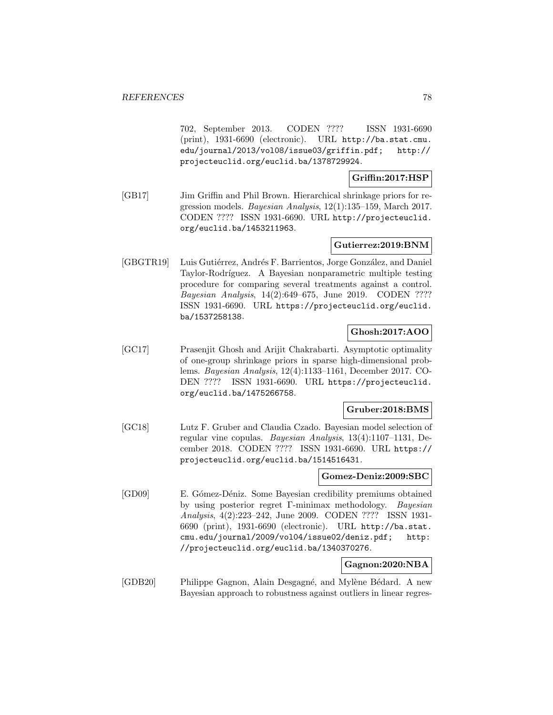702, September 2013. CODEN ???? ISSN 1931-6690 (print), 1931-6690 (electronic). URL http://ba.stat.cmu. edu/journal/2013/vol08/issue03/griffin.pdf; http:// projecteuclid.org/euclid.ba/1378729924.

## **Griffin:2017:HSP**

[GB17] Jim Griffin and Phil Brown. Hierarchical shrinkage priors for regression models. Bayesian Analysis, 12(1):135–159, March 2017. CODEN ???? ISSN 1931-6690. URL http://projecteuclid. org/euclid.ba/1453211963.

## **Gutierrez:2019:BNM**

[GBGTR19] Luis Gutiérrez, Andrés F. Barrientos, Jorge González, and Daniel Taylor-Rodríguez. A Bayesian nonparametric multiple testing procedure for comparing several treatments against a control. Bayesian Analysis, 14(2):649–675, June 2019. CODEN ???? ISSN 1931-6690. URL https://projecteuclid.org/euclid. ba/1537258138.

## **Ghosh:2017:AOO**

[GC17] Prasenjit Ghosh and Arijit Chakrabarti. Asymptotic optimality of one-group shrinkage priors in sparse high-dimensional problems. Bayesian Analysis, 12(4):1133–1161, December 2017. CO-DEN ???? ISSN 1931-6690. URL https://projecteuclid. org/euclid.ba/1475266758.

### **Gruber:2018:BMS**

[GC18] Lutz F. Gruber and Claudia Czado. Bayesian model selection of regular vine copulas. Bayesian Analysis, 13(4):1107–1131, December 2018. CODEN ???? ISSN 1931-6690. URL https:// projecteuclid.org/euclid.ba/1514516431.

### **Gomez-Deniz:2009:SBC**

[GD09] E. Gómez-Déniz. Some Bayesian credibility premiums obtained by using posterior regret Γ-minimax methodology. Bayesian Analysis, 4(2):223–242, June 2009. CODEN ???? ISSN 1931- 6690 (print), 1931-6690 (electronic). URL http://ba.stat. cmu.edu/journal/2009/vol04/issue02/deniz.pdf; http: //projecteuclid.org/euclid.ba/1340370276.

## **Gagnon:2020:NBA**

[GDB20] Philippe Gagnon, Alain Desgagné, and Mylène Bédard. A new Bayesian approach to robustness against outliers in linear regres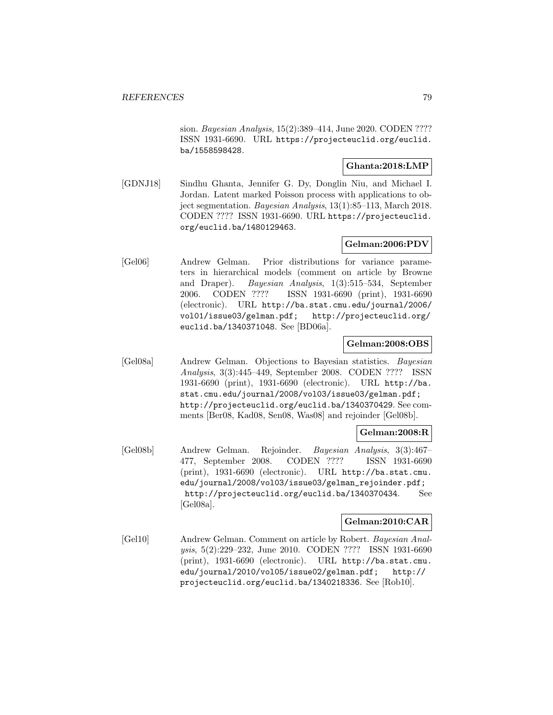sion. Bayesian Analysis, 15(2):389–414, June 2020. CODEN ???? ISSN 1931-6690. URL https://projecteuclid.org/euclid. ba/1558598428.

### **Ghanta:2018:LMP**

[GDNJ18] Sindhu Ghanta, Jennifer G. Dy, Donglin Niu, and Michael I. Jordan. Latent marked Poisson process with applications to object segmentation. Bayesian Analysis, 13(1):85–113, March 2018. CODEN ???? ISSN 1931-6690. URL https://projecteuclid. org/euclid.ba/1480129463.

## **Gelman:2006:PDV**

[Gel06] Andrew Gelman. Prior distributions for variance parameters in hierarchical models (comment on article by Browne and Draper). Bayesian Analysis, 1(3):515–534, September 2006. CODEN ???? ISSN 1931-6690 (print), 1931-6690 (electronic). URL http://ba.stat.cmu.edu/journal/2006/ vol01/issue03/gelman.pdf; http://projecteuclid.org/ euclid.ba/1340371048. See [BD06a].

## **Gelman:2008:OBS**

[Gel08a] Andrew Gelman. Objections to Bayesian statistics. Bayesian Analysis, 3(3):445–449, September 2008. CODEN ???? ISSN 1931-6690 (print), 1931-6690 (electronic). URL http://ba. stat.cmu.edu/journal/2008/vol03/issue03/gelman.pdf; http://projecteuclid.org/euclid.ba/1340370429. See comments [Ber08, Kad08, Sen08, Was08] and rejoinder [Gel08b].

### **Gelman:2008:R**

[Gel08b] Andrew Gelman. Rejoinder. Bayesian Analysis, 3(3):467– 477, September 2008. CODEN ???? ISSN 1931-6690 (print), 1931-6690 (electronic). URL http://ba.stat.cmu. edu/journal/2008/vol03/issue03/gelman\_rejoinder.pdf; http://projecteuclid.org/euclid.ba/1340370434. See [Gel08a].

## **Gelman:2010:CAR**

[Gel10] Andrew Gelman. Comment on article by Robert. Bayesian Analysis, 5(2):229–232, June 2010. CODEN ???? ISSN 1931-6690 (print), 1931-6690 (electronic). URL http://ba.stat.cmu. edu/journal/2010/vol05/issue02/gelman.pdf; http:// projecteuclid.org/euclid.ba/1340218336. See [Rob10].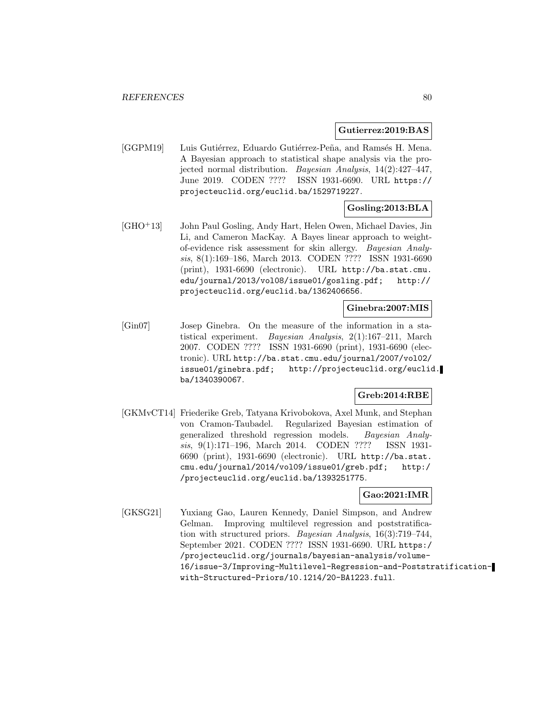**Gutierrez:2019:BAS**

[GGPM19] Luis Gutiérrez, Eduardo Gutiérrez-Peña, and Ramsés H. Mena. A Bayesian approach to statistical shape analysis via the projected normal distribution. Bayesian Analysis, 14(2):427–447, June 2019. CODEN ???? ISSN 1931-6690. URL https:// projecteuclid.org/euclid.ba/1529719227.

## **Gosling:2013:BLA**

[GHO<sup>+</sup>13] John Paul Gosling, Andy Hart, Helen Owen, Michael Davies, Jin Li, and Cameron MacKay. A Bayes linear approach to weightof-evidence risk assessment for skin allergy. Bayesian Analysis, 8(1):169–186, March 2013. CODEN ???? ISSN 1931-6690 (print), 1931-6690 (electronic). URL http://ba.stat.cmu. edu/journal/2013/vol08/issue01/gosling.pdf; http:// projecteuclid.org/euclid.ba/1362406656.

#### **Ginebra:2007:MIS**

[Gin07] Josep Ginebra. On the measure of the information in a statistical experiment. Bayesian Analysis, 2(1):167–211, March 2007. CODEN ???? ISSN 1931-6690 (print), 1931-6690 (electronic). URL http://ba.stat.cmu.edu/journal/2007/vol02/ issue01/ginebra.pdf; http://projecteuclid.org/euclid. ba/1340390067.

## **Greb:2014:RBE**

[GKMvCT14] Friederike Greb, Tatyana Krivobokova, Axel Munk, and Stephan von Cramon-Taubadel. Regularized Bayesian estimation of generalized threshold regression models. Bayesian Analysis, 9(1):171–196, March 2014. CODEN ???? ISSN 1931- 6690 (print), 1931-6690 (electronic). URL http://ba.stat. cmu.edu/journal/2014/vol09/issue01/greb.pdf; http:/ /projecteuclid.org/euclid.ba/1393251775.

### **Gao:2021:IMR**

[GKSG21] Yuxiang Gao, Lauren Kennedy, Daniel Simpson, and Andrew Gelman. Improving multilevel regression and poststratification with structured priors. Bayesian Analysis, 16(3):719–744, September 2021. CODEN ???? ISSN 1931-6690. URL https:/ /projecteuclid.org/journals/bayesian-analysis/volume-16/issue-3/Improving-Multilevel-Regression-and-Poststratificationwith-Structured-Priors/10.1214/20-BA1223.full.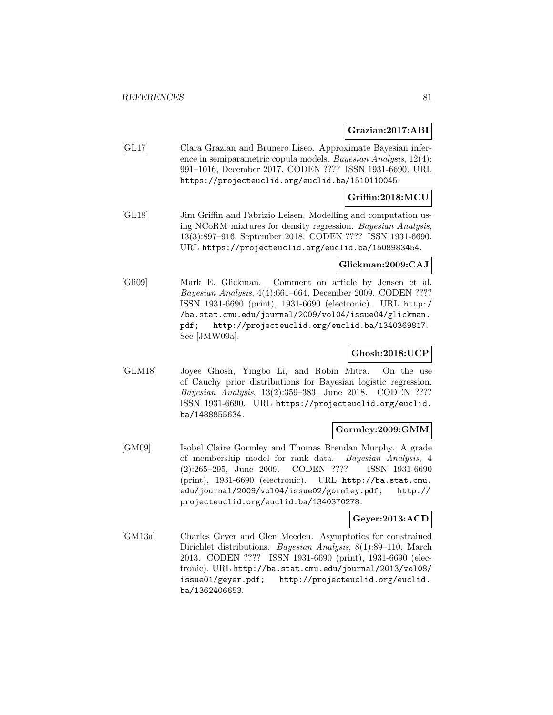#### **Grazian:2017:ABI**

[GL17] Clara Grazian and Brunero Liseo. Approximate Bayesian inference in semiparametric copula models. Bayesian Analysis, 12(4): 991–1016, December 2017. CODEN ???? ISSN 1931-6690. URL https://projecteuclid.org/euclid.ba/1510110045.

#### **Griffin:2018:MCU**

[GL18] Jim Griffin and Fabrizio Leisen. Modelling and computation using NCoRM mixtures for density regression. Bayesian Analysis, 13(3):897–916, September 2018. CODEN ???? ISSN 1931-6690. URL https://projecteuclid.org/euclid.ba/1508983454.

#### **Glickman:2009:CAJ**

[Gli09] Mark E. Glickman. Comment on article by Jensen et al. Bayesian Analysis, 4(4):661–664, December 2009. CODEN ???? ISSN 1931-6690 (print), 1931-6690 (electronic). URL http:/ /ba.stat.cmu.edu/journal/2009/vol04/issue04/glickman. pdf; http://projecteuclid.org/euclid.ba/1340369817. See [JMW09a].

## **Ghosh:2018:UCP**

[GLM18] Joyee Ghosh, Yingbo Li, and Robin Mitra. On the use of Cauchy prior distributions for Bayesian logistic regression. Bayesian Analysis, 13(2):359–383, June 2018. CODEN ???? ISSN 1931-6690. URL https://projecteuclid.org/euclid. ba/1488855634.

#### **Gormley:2009:GMM**

[GM09] Isobel Claire Gormley and Thomas Brendan Murphy. A grade of membership model for rank data. Bayesian Analysis, 4 (2):265–295, June 2009. CODEN ???? ISSN 1931-6690 (print), 1931-6690 (electronic). URL http://ba.stat.cmu. edu/journal/2009/vol04/issue02/gormley.pdf; http:// projecteuclid.org/euclid.ba/1340370278.

#### **Geyer:2013:ACD**

[GM13a] Charles Geyer and Glen Meeden. Asymptotics for constrained Dirichlet distributions. Bayesian Analysis, 8(1):89–110, March 2013. CODEN ???? ISSN 1931-6690 (print), 1931-6690 (electronic). URL http://ba.stat.cmu.edu/journal/2013/vol08/ issue01/geyer.pdf; http://projecteuclid.org/euclid. ba/1362406653.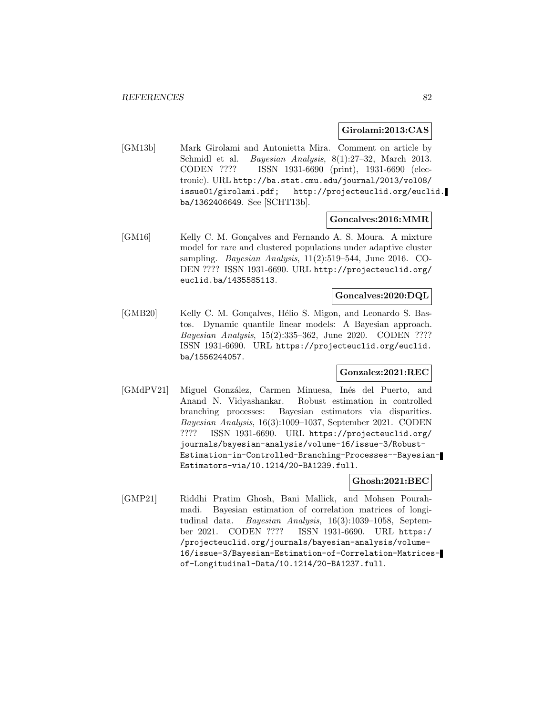#### **Girolami:2013:CAS**

[GM13b] Mark Girolami and Antonietta Mira. Comment on article by Schmidl et al. Bayesian Analysis, 8(1):27–32, March 2013. CODEN ???? ISSN 1931-6690 (print), 1931-6690 (electronic). URL http://ba.stat.cmu.edu/journal/2013/vol08/ issue01/girolami.pdf; http://projecteuclid.org/euclid. ba/1362406649. See [SCHT13b].

#### **Goncalves:2016:MMR**

[GM16] Kelly C. M. Gonçalves and Fernando A. S. Moura. A mixture model for rare and clustered populations under adaptive cluster sampling. Bayesian Analysis, 11(2):519–544, June 2016. CO-DEN ???? ISSN 1931-6690. URL http://projecteuclid.org/ euclid.ba/1435585113.

## **Goncalves:2020:DQL**

[GMB20] Kelly C. M. Gonçalves, Hélio S. Migon, and Leonardo S. Bastos. Dynamic quantile linear models: A Bayesian approach. Bayesian Analysis, 15(2):335–362, June 2020. CODEN ???? ISSN 1931-6690. URL https://projecteuclid.org/euclid. ba/1556244057.

## **Gonzalez:2021:REC**

[GMdPV21] Miguel González, Carmen Minuesa, Inés del Puerto, and Anand N. Vidyashankar. Robust estimation in controlled branching processes: Bayesian estimators via disparities. Bayesian Analysis, 16(3):1009–1037, September 2021. CODEN ???? ISSN 1931-6690. URL https://projecteuclid.org/ journals/bayesian-analysis/volume-16/issue-3/Robust-Estimation-in-Controlled-Branching-Processes--Bayesian-Estimators-via/10.1214/20-BA1239.full.

#### **Ghosh:2021:BEC**

[GMP21] Riddhi Pratim Ghosh, Bani Mallick, and Mohsen Pourahmadi. Bayesian estimation of correlation matrices of longitudinal data. Bayesian Analysis, 16(3):1039–1058, September 2021. CODEN ???? ISSN 1931-6690. URL https:/ /projecteuclid.org/journals/bayesian-analysis/volume-16/issue-3/Bayesian-Estimation-of-Correlation-Matricesof-Longitudinal-Data/10.1214/20-BA1237.full.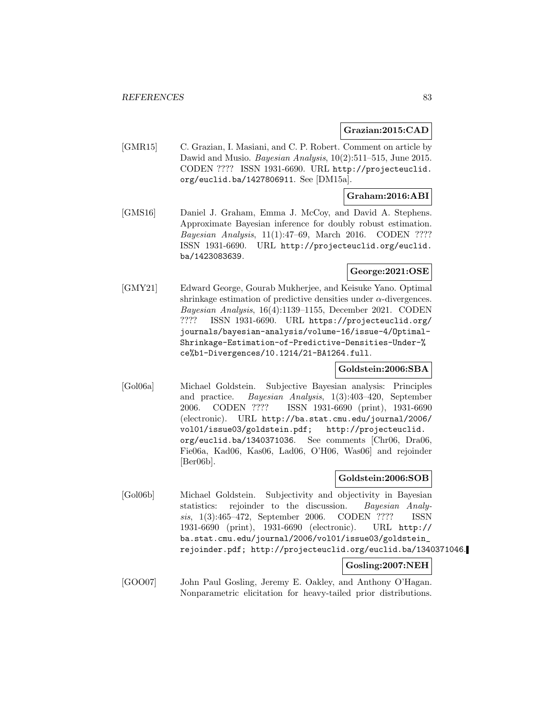### **Grazian:2015:CAD**

[GMR15] C. Grazian, I. Masiani, and C. P. Robert. Comment on article by Dawid and Musio. Bayesian Analysis, 10(2):511–515, June 2015. CODEN ???? ISSN 1931-6690. URL http://projecteuclid. org/euclid.ba/1427806911. See [DM15a].

## **Graham:2016:ABI**

[GMS16] Daniel J. Graham, Emma J. McCoy, and David A. Stephens. Approximate Bayesian inference for doubly robust estimation. Bayesian Analysis, 11(1):47–69, March 2016. CODEN ???? ISSN 1931-6690. URL http://projecteuclid.org/euclid. ba/1423083639.

## **George:2021:OSE**

[GMY21] Edward George, Gourab Mukherjee, and Keisuke Yano. Optimal shrinkage estimation of predictive densities under  $\alpha$ -divergences. Bayesian Analysis, 16(4):1139–1155, December 2021. CODEN ???? ISSN 1931-6690. URL https://projecteuclid.org/ journals/bayesian-analysis/volume-16/issue-4/Optimal-Shrinkage-Estimation-of-Predictive-Densities-Under-% ce%b1-Divergences/10.1214/21-BA1264.full.

### **Goldstein:2006:SBA**

[Gol06a] Michael Goldstein. Subjective Bayesian analysis: Principles and practice. Bayesian Analysis, 1(3):403–420, September 2006. CODEN ???? ISSN 1931-6690 (print), 1931-6690 (electronic). URL http://ba.stat.cmu.edu/journal/2006/ vol01/issue03/goldstein.pdf; http://projecteuclid. org/euclid.ba/1340371036. See comments [Chr06, Dra06, Fie06a, Kad06, Kas06, Lad06, O'H06, Was06] and rejoinder [Ber06b].

### **Goldstein:2006:SOB**

[Gol06b] Michael Goldstein. Subjectivity and objectivity in Bayesian statistics: rejoinder to the discussion. Bayesian Analysis, 1(3):465–472, September 2006. CODEN ???? ISSN 1931-6690 (print), 1931-6690 (electronic). URL http:// ba.stat.cmu.edu/journal/2006/vol01/issue03/goldstein\_ rejoinder.pdf; http://projecteuclid.org/euclid.ba/1340371046.

## **Gosling:2007:NEH**

[GOO07] John Paul Gosling, Jeremy E. Oakley, and Anthony O'Hagan. Nonparametric elicitation for heavy-tailed prior distributions.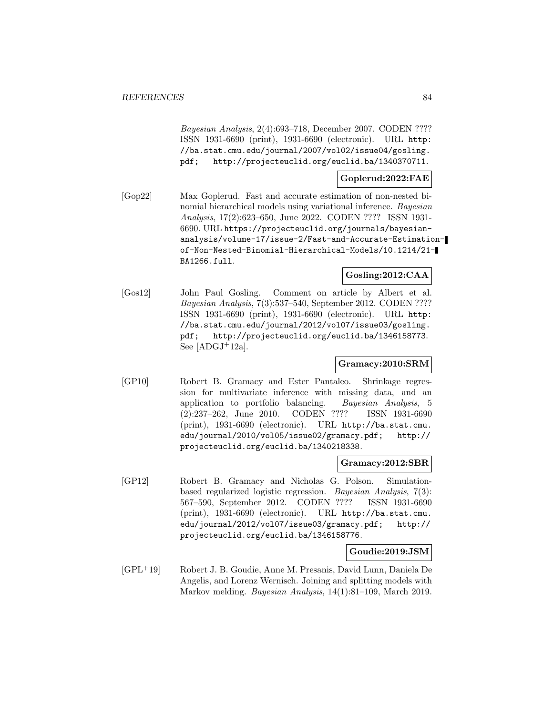Bayesian Analysis, 2(4):693–718, December 2007. CODEN ???? ISSN 1931-6690 (print), 1931-6690 (electronic). URL http: //ba.stat.cmu.edu/journal/2007/vol02/issue04/gosling. pdf; http://projecteuclid.org/euclid.ba/1340370711.

## **Goplerud:2022:FAE**

[Gop22] Max Goplerud. Fast and accurate estimation of non-nested binomial hierarchical models using variational inference. Bayesian Analysis, 17(2):623–650, June 2022. CODEN ???? ISSN 1931- 6690. URL https://projecteuclid.org/journals/bayesiananalysis/volume-17/issue-2/Fast-and-Accurate-Estimationof-Non-Nested-Binomial-Hierarchical-Models/10.1214/21- BA1266.full.

#### **Gosling:2012:CAA**

[Gos12] John Paul Gosling. Comment on article by Albert et al. Bayesian Analysis, 7(3):537–540, September 2012. CODEN ???? ISSN 1931-6690 (print), 1931-6690 (electronic). URL http: //ba.stat.cmu.edu/journal/2012/vol07/issue03/gosling. pdf; http://projecteuclid.org/euclid.ba/1346158773. See  $[ADGJ+12a]$ .

### **Gramacy:2010:SRM**

[GP10] Robert B. Gramacy and Ester Pantaleo. Shrinkage regression for multivariate inference with missing data, and an application to portfolio balancing. Bayesian Analysis, 5 (2):237–262, June 2010. CODEN ???? ISSN 1931-6690 (print), 1931-6690 (electronic). URL http://ba.stat.cmu. edu/journal/2010/vol05/issue02/gramacy.pdf; http:// projecteuclid.org/euclid.ba/1340218338.

#### **Gramacy:2012:SBR**

[GP12] Robert B. Gramacy and Nicholas G. Polson. Simulationbased regularized logistic regression. Bayesian Analysis, 7(3): 567–590, September 2012. CODEN ???? ISSN 1931-6690 (print), 1931-6690 (electronic). URL http://ba.stat.cmu. edu/journal/2012/vol07/issue03/gramacy.pdf; http:// projecteuclid.org/euclid.ba/1346158776.

#### **Goudie:2019:JSM**

[GPL<sup>+</sup>19] Robert J. B. Goudie, Anne M. Presanis, David Lunn, Daniela De Angelis, and Lorenz Wernisch. Joining and splitting models with Markov melding. Bayesian Analysis, 14(1):81–109, March 2019.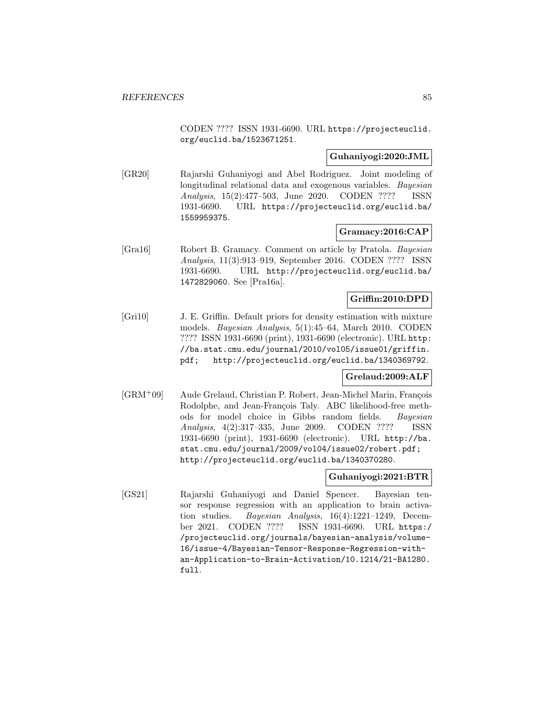CODEN ???? ISSN 1931-6690. URL https://projecteuclid. org/euclid.ba/1523671251.

### **Guhaniyogi:2020:JML**

[GR20] Rajarshi Guhaniyogi and Abel Rodriguez. Joint modeling of longitudinal relational data and exogenous variables. *Bayesian* Analysis, 15(2):477–503, June 2020. CODEN ???? ISSN 1931-6690. URL https://projecteuclid.org/euclid.ba/ 1559959375.

### **Gramacy:2016:CAP**

[Gra16] Robert B. Gramacy. Comment on article by Pratola. Bayesian Analysis, 11(3):913–919, September 2016. CODEN ???? ISSN 1931-6690. URL http://projecteuclid.org/euclid.ba/ 1472829060. See [Pra16a].

## **Griffin:2010:DPD**

[Gri10] J. E. Griffin. Default priors for density estimation with mixture models. Bayesian Analysis, 5(1):45–64, March 2010. CODEN ???? ISSN 1931-6690 (print), 1931-6690 (electronic). URL http: //ba.stat.cmu.edu/journal/2010/vol05/issue01/griffin. pdf; http://projecteuclid.org/euclid.ba/1340369792.

#### **Grelaud:2009:ALF**

[GRM<sup>+</sup>09] Aude Grelaud, Christian P. Robert, Jean-Michel Marin, François Rodolphe, and Jean-François Taly. ABC likelihood-free methods for model choice in Gibbs random fields. Bayesian Analysis, 4(2):317–335, June 2009. CODEN ???? ISSN 1931-6690 (print), 1931-6690 (electronic). URL http://ba. stat.cmu.edu/journal/2009/vol04/issue02/robert.pdf; http://projecteuclid.org/euclid.ba/1340370280.

## **Guhaniyogi:2021:BTR**

[GS21] Rajarshi Guhaniyogi and Daniel Spencer. Bayesian tensor response regression with an application to brain activation studies. Bayesian Analysis, 16(4):1221–1249, December 2021. CODEN ???? ISSN 1931-6690. URL https:/ /projecteuclid.org/journals/bayesian-analysis/volume-16/issue-4/Bayesian-Tensor-Response-Regression-withan-Application-to-Brain-Activation/10.1214/21-BA1280. full.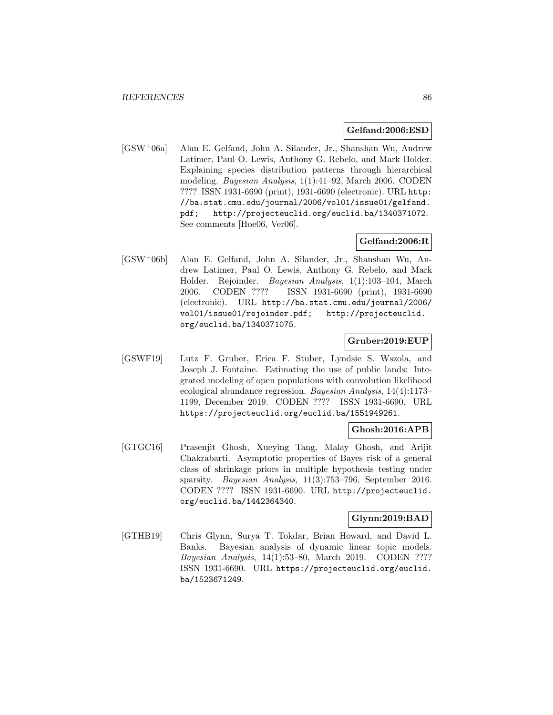#### **Gelfand:2006:ESD**

[GSW<sup>+</sup>06a] Alan E. Gelfand, John A. Silander, Jr., Shanshan Wu, Andrew Latimer, Paul O. Lewis, Anthony G. Rebelo, and Mark Holder. Explaining species distribution patterns through hierarchical modeling. Bayesian Analysis, 1(1):41–92, March 2006. CODEN ???? ISSN 1931-6690 (print), 1931-6690 (electronic). URL http: //ba.stat.cmu.edu/journal/2006/vol01/issue01/gelfand. pdf; http://projecteuclid.org/euclid.ba/1340371072. See comments [Hoe06, Ver06].

## **Gelfand:2006:R**

[GSW<sup>+</sup>06b] Alan E. Gelfand, John A. Silander, Jr., Shanshan Wu, Andrew Latimer, Paul O. Lewis, Anthony G. Rebelo, and Mark Holder. Rejoinder. Bayesian Analysis, 1(1):103–104, March 2006. CODEN ???? ISSN 1931-6690 (print), 1931-6690 (electronic). URL http://ba.stat.cmu.edu/journal/2006/ vol01/issue01/rejoinder.pdf; http://projecteuclid. org/euclid.ba/1340371075.

### **Gruber:2019:EUP**

[GSWF19] Lutz F. Gruber, Erica F. Stuber, Lyndsie S. Wszola, and Joseph J. Fontaine. Estimating the use of public lands: Integrated modeling of open populations with convolution likelihood ecological abundance regression. Bayesian Analysis, 14(4):1173– 1199, December 2019. CODEN ???? ISSN 1931-6690. URL https://projecteuclid.org/euclid.ba/1551949261.

## **Ghosh:2016:APB**

[GTGC16] Prasenjit Ghosh, Xueying Tang, Malay Ghosh, and Arijit Chakrabarti. Asymptotic properties of Bayes risk of a general class of shrinkage priors in multiple hypothesis testing under sparsity. Bayesian Analysis, 11(3):753-796, September 2016. CODEN ???? ISSN 1931-6690. URL http://projecteuclid. org/euclid.ba/1442364340.

#### **Glynn:2019:BAD**

[GTHB19] Chris Glynn, Surya T. Tokdar, Brian Howard, and David L. Banks. Bayesian analysis of dynamic linear topic models. Bayesian Analysis, 14(1):53–80, March 2019. CODEN ???? ISSN 1931-6690. URL https://projecteuclid.org/euclid. ba/1523671249.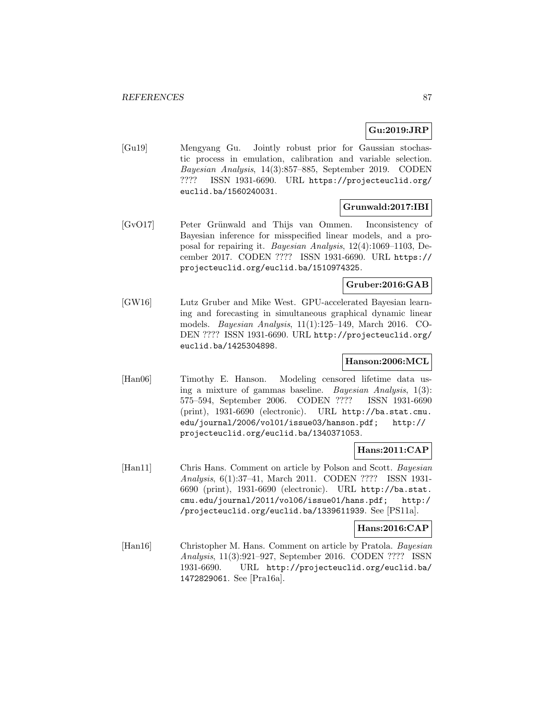## **Gu:2019:JRP**

[Gu19] Mengyang Gu. Jointly robust prior for Gaussian stochastic process in emulation, calibration and variable selection. Bayesian Analysis, 14(3):857–885, September 2019. CODEN ???? ISSN 1931-6690. URL https://projecteuclid.org/ euclid.ba/1560240031.

## **Grunwald:2017:IBI**

[GvO17] Peter Grünwald and Thijs van Ommen. Inconsistency of Bayesian inference for misspecified linear models, and a proposal for repairing it. Bayesian Analysis, 12(4):1069–1103, December 2017. CODEN ???? ISSN 1931-6690. URL https:// projecteuclid.org/euclid.ba/1510974325.

### **Gruber:2016:GAB**

[GW16] Lutz Gruber and Mike West. GPU-accelerated Bayesian learning and forecasting in simultaneous graphical dynamic linear models. Bayesian Analysis, 11(1):125–149, March 2016. CO-DEN ???? ISSN 1931-6690. URL http://projecteuclid.org/ euclid.ba/1425304898.

## **Hanson:2006:MCL**

[Han06] Timothy E. Hanson. Modeling censored lifetime data using a mixture of gammas baseline. Bayesian Analysis, 1(3): 575–594, September 2006. CODEN ???? ISSN 1931-6690 (print), 1931-6690 (electronic). URL http://ba.stat.cmu. edu/journal/2006/vol01/issue03/hanson.pdf; http:// projecteuclid.org/euclid.ba/1340371053.

## **Hans:2011:CAP**

[Han11] Chris Hans. Comment on article by Polson and Scott. Bayesian Analysis, 6(1):37–41, March 2011. CODEN ???? ISSN 1931- 6690 (print), 1931-6690 (electronic). URL http://ba.stat. cmu.edu/journal/2011/vol06/issue01/hans.pdf; http:/ /projecteuclid.org/euclid.ba/1339611939. See [PS11a].

### **Hans:2016:CAP**

[Han16] Christopher M. Hans. Comment on article by Pratola. Bayesian Analysis, 11(3):921–927, September 2016. CODEN ???? ISSN 1931-6690. URL http://projecteuclid.org/euclid.ba/ 1472829061. See [Pra16a].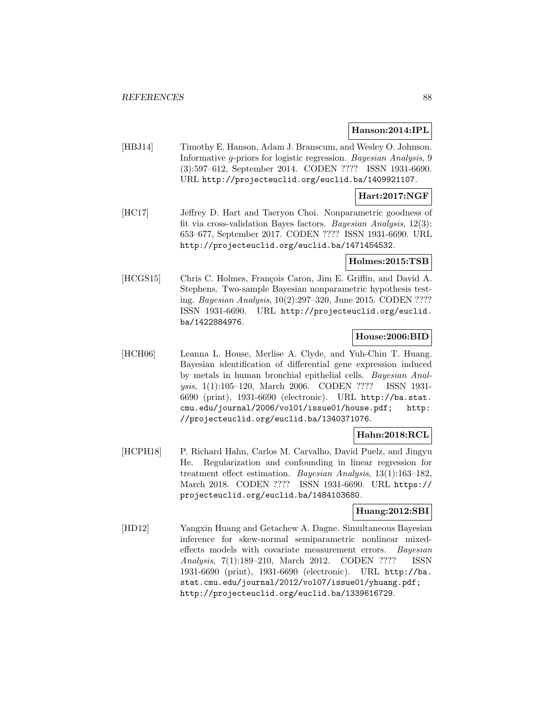#### **Hanson:2014:IPL**

[HBJ14] Timothy E. Hanson, Adam J. Branscum, and Wesley O. Johnson. Informative g-priors for logistic regression. Bayesian Analysis, 9 (3):597–612, September 2014. CODEN ???? ISSN 1931-6690. URL http://projecteuclid.org/euclid.ba/1409921107.

## **Hart:2017:NGF**

[HC17] Jeffrey D. Hart and Taeryon Choi. Nonparametric goodness of fit via cross-validation Bayes factors. Bayesian Analysis, 12(3): 653–677, September 2017. CODEN ???? ISSN 1931-6690. URL http://projecteuclid.org/euclid.ba/1471454532.

#### **Holmes:2015:TSB**

[HCGS15] Chris C. Holmes, François Caron, Jim E. Griffin, and David A. Stephens. Two-sample Bayesian nonparametric hypothesis testing. Bayesian Analysis, 10(2):297–320, June 2015. CODEN ???? ISSN 1931-6690. URL http://projecteuclid.org/euclid. ba/1422884976.

## **House:2006:BID**

[HCH06] Leanna L. House, Merlise A. Clyde, and Yuh-Chin T. Huang. Bayesian identification of differential gene expression induced by metals in human bronchial epithelial cells. Bayesian Analysis, 1(1):105–120, March 2006. CODEN ???? ISSN 1931- 6690 (print), 1931-6690 (electronic). URL http://ba.stat. cmu.edu/journal/2006/vol01/issue01/house.pdf; http: //projecteuclid.org/euclid.ba/1340371076.

### **Hahn:2018:RCL**

[HCPH18] P. Richard Hahn, Carlos M. Carvalho, David Puelz, and Jingyu He. Regularization and confounding in linear regression for treatment effect estimation. Bayesian Analysis, 13(1):163–182, March 2018. CODEN ???? ISSN 1931-6690. URL https:// projecteuclid.org/euclid.ba/1484103680.

### **Huang:2012:SBI**

[HD12] Yangxin Huang and Getachew A. Dagne. Simultaneous Bayesian inference for skew-normal semiparametric nonlinear mixedeffects models with covariate measurement errors. Bayesian Analysis, 7(1):189–210, March 2012. CODEN ???? ISSN 1931-6690 (print), 1931-6690 (electronic). URL http://ba. stat.cmu.edu/journal/2012/vol07/issue01/yhuang.pdf; http://projecteuclid.org/euclid.ba/1339616729.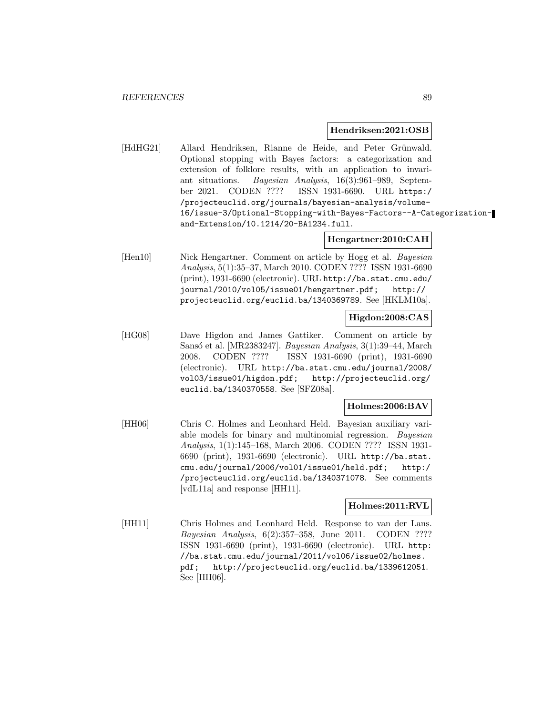#### **Hendriksen:2021:OSB**

[HdHG21] Allard Hendriksen, Rianne de Heide, and Peter Grünwald. Optional stopping with Bayes factors: a categorization and extension of folklore results, with an application to invariant situations. Bayesian Analysis, 16(3):961–989, September 2021. CODEN ???? ISSN 1931-6690. URL https:/ /projecteuclid.org/journals/bayesian-analysis/volume-16/issue-3/Optional-Stopping-with-Bayes-Factors--A-Categorizationand-Extension/10.1214/20-BA1234.full.

## **Hengartner:2010:CAH**

[Hen10] Nick Hengartner. Comment on article by Hogg et al. Bayesian Analysis, 5(1):35–37, March 2010. CODEN ???? ISSN 1931-6690 (print), 1931-6690 (electronic). URL http://ba.stat.cmu.edu/ journal/2010/vol05/issue01/hengartner.pdf; http:// projecteuclid.org/euclid.ba/1340369789. See [HKLM10a].

### **Higdon:2008:CAS**

[HG08] Dave Higdon and James Gattiker. Comment on article by Sansó et al. [MR2383247]. *Bayesian Analysis*, 3(1):39–44, March 2008. CODEN ???? ISSN 1931-6690 (print), 1931-6690 (electronic). URL http://ba.stat.cmu.edu/journal/2008/ vol03/issue01/higdon.pdf; http://projecteuclid.org/ euclid.ba/1340370558. See [SFZ08a].

### **Holmes:2006:BAV**

[HH06] Chris C. Holmes and Leonhard Held. Bayesian auxiliary variable models for binary and multinomial regression. Bayesian Analysis, 1(1):145–168, March 2006. CODEN ???? ISSN 1931- 6690 (print), 1931-6690 (electronic). URL http://ba.stat. cmu.edu/journal/2006/vol01/issue01/held.pdf; http:/ /projecteuclid.org/euclid.ba/1340371078. See comments [vdL11a] and response [HH11].

## **Holmes:2011:RVL**

[HH11] Chris Holmes and Leonhard Held. Response to van der Lans. Bayesian Analysis, 6(2):357–358, June 2011. CODEN ???? ISSN 1931-6690 (print), 1931-6690 (electronic). URL http: //ba.stat.cmu.edu/journal/2011/vol06/issue02/holmes. pdf; http://projecteuclid.org/euclid.ba/1339612051. See [HH06].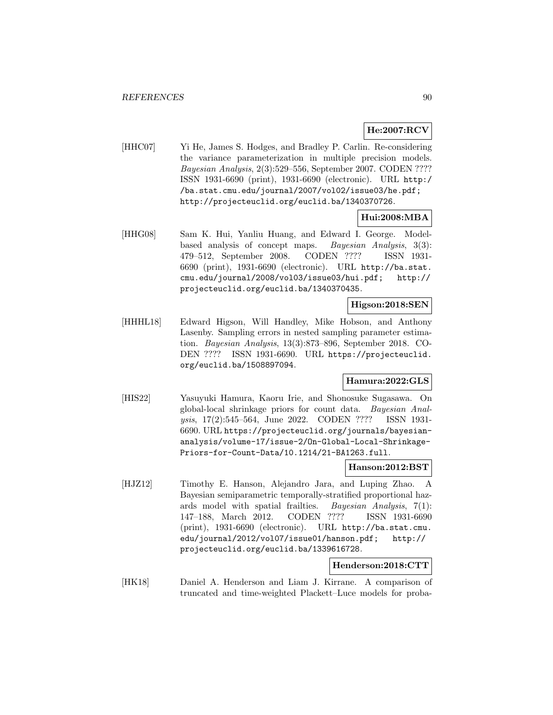## **He:2007:RCV**

[HHC07] Yi He, James S. Hodges, and Bradley P. Carlin. Re-considering the variance parameterization in multiple precision models. Bayesian Analysis, 2(3):529–556, September 2007. CODEN ???? ISSN 1931-6690 (print), 1931-6690 (electronic). URL http:/ /ba.stat.cmu.edu/journal/2007/vol02/issue03/he.pdf; http://projecteuclid.org/euclid.ba/1340370726.

## **Hui:2008:MBA**

[HHG08] Sam K. Hui, Yanliu Huang, and Edward I. George. Modelbased analysis of concept maps. Bayesian Analysis, 3(3): 479–512, September 2008. CODEN ???? ISSN 1931- 6690 (print), 1931-6690 (electronic). URL http://ba.stat. cmu.edu/journal/2008/vol03/issue03/hui.pdf; http:// projecteuclid.org/euclid.ba/1340370435.

### **Higson:2018:SEN**

[HHHL18] Edward Higson, Will Handley, Mike Hobson, and Anthony Lasenby. Sampling errors in nested sampling parameter estimation. Bayesian Analysis, 13(3):873–896, September 2018. CO-DEN ???? ISSN 1931-6690. URL https://projecteuclid. org/euclid.ba/1508897094.

### **Hamura:2022:GLS**

[HIS22] Yasuyuki Hamura, Kaoru Irie, and Shonosuke Sugasawa. On global-local shrinkage priors for count data. Bayesian Analysis, 17(2):545–564, June 2022. CODEN ???? ISSN 1931- 6690. URL https://projecteuclid.org/journals/bayesiananalysis/volume-17/issue-2/On-Global-Local-Shrinkage-Priors-for-Count-Data/10.1214/21-BA1263.full.

#### **Hanson:2012:BST**

[HJZ12] Timothy E. Hanson, Alejandro Jara, and Luping Zhao. A Bayesian semiparametric temporally-stratified proportional hazards model with spatial frailties. Bayesian Analysis, 7(1): 147–188, March 2012. CODEN ???? ISSN 1931-6690 (print), 1931-6690 (electronic). URL http://ba.stat.cmu. edu/journal/2012/vol07/issue01/hanson.pdf; http:// projecteuclid.org/euclid.ba/1339616728.

#### **Henderson:2018:CTT**

[HK18] Daniel A. Henderson and Liam J. Kirrane. A comparison of truncated and time-weighted Plackett–Luce models for proba-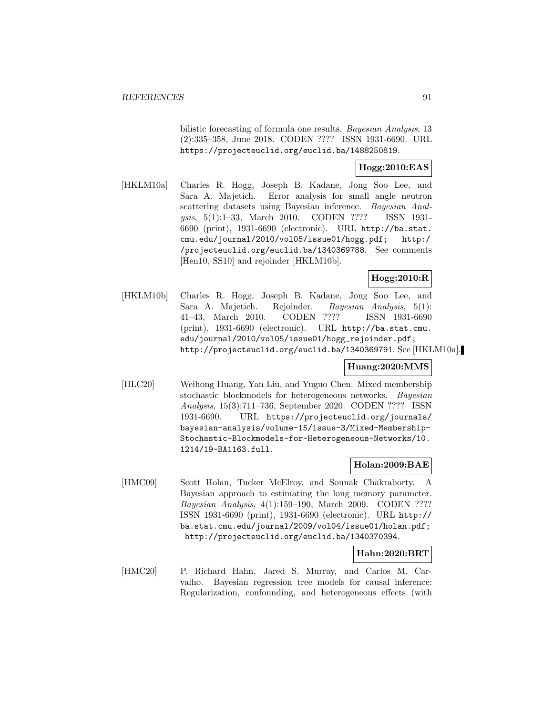bilistic forecasting of formula one results. Bayesian Analysis, 13 (2):335–358, June 2018. CODEN ???? ISSN 1931-6690. URL https://projecteuclid.org/euclid.ba/1488250819.

## **Hogg:2010:EAS**

[HKLM10a] Charles R. Hogg, Joseph B. Kadane, Jong Soo Lee, and Sara A. Majetich. Error analysis for small angle neutron scattering datasets using Bayesian inference. Bayesian Analysis, 5(1):1–33, March 2010. CODEN ???? ISSN 1931- 6690 (print), 1931-6690 (electronic). URL http://ba.stat. cmu.edu/journal/2010/vol05/issue01/hogg.pdf; http:/ /projecteuclid.org/euclid.ba/1340369788. See comments [Hen10, SS10] and rejoinder [HKLM10b].

## **Hogg:2010:R**

[HKLM10b] Charles R. Hogg, Joseph B. Kadane, Jong Soo Lee, and Sara A. Majetich. Rejoinder. Bayesian Analysis, 5(1): 41–43, March 2010. CODEN ???? ISSN 1931-6690 (print), 1931-6690 (electronic). URL http://ba.stat.cmu. edu/journal/2010/vol05/issue01/hogg\_rejoinder.pdf; http://projecteuclid.org/euclid.ba/1340369791. See [HKLM10a].

## **Huang:2020:MMS**

[HLC20] Weihong Huang, Yan Liu, and Yuguo Chen. Mixed membership stochastic blockmodels for heterogeneous networks. Bayesian Analysis, 15(3):711–736, September 2020. CODEN ???? ISSN 1931-6690. URL https://projecteuclid.org/journals/ bayesian-analysis/volume-15/issue-3/Mixed-Membership-Stochastic-Blockmodels-for-Heterogeneous-Networks/10. 1214/19-BA1163.full.

## **Holan:2009:BAE**

[HMC09] Scott Holan, Tucker McElroy, and Sounak Chakraborty. A Bayesian approach to estimating the long memory parameter. Bayesian Analysis, 4(1):159–190, March 2009. CODEN ???? ISSN 1931-6690 (print), 1931-6690 (electronic). URL http:// ba.stat.cmu.edu/journal/2009/vol04/issue01/holan.pdf; http://projecteuclid.org/euclid.ba/1340370394.

### **Hahn:2020:BRT**

[HMC20] P. Richard Hahn, Jared S. Murray, and Carlos M. Carvalho. Bayesian regression tree models for causal inference: Regularization, confounding, and heterogeneous effects (with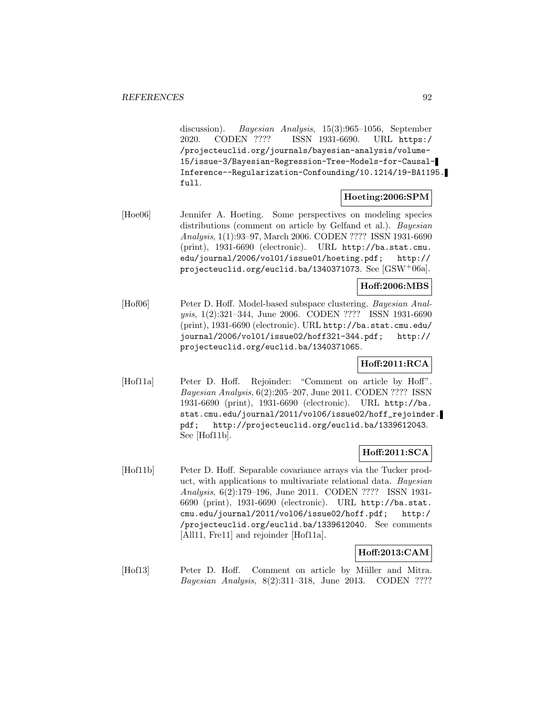discussion). Bayesian Analysis, 15(3):965–1056, September 2020. CODEN ???? ISSN 1931-6690. URL https:/ /projecteuclid.org/journals/bayesian-analysis/volume-15/issue-3/Bayesian-Regression-Tree-Models-for-Causal-Inference--Regularization-Confounding/10.1214/19-BA1195. full.

## **Hoeting:2006:SPM**

[Hoe06] Jennifer A. Hoeting. Some perspectives on modeling species distributions (comment on article by Gelfand et al.). *Bayesian* Analysis, 1(1):93–97, March 2006. CODEN ???? ISSN 1931-6690 (print), 1931-6690 (electronic). URL http://ba.stat.cmu. edu/journal/2006/vol01/issue01/hoeting.pdf; http:// projecteuclid.org/euclid.ba/1340371073. See [GSW<sup>+</sup>06a].

## **Hoff:2006:MBS**

[Hof06] Peter D. Hoff. Model-based subspace clustering. Bayesian Analysis, 1(2):321–344, June 2006. CODEN ???? ISSN 1931-6690 (print), 1931-6690 (electronic). URL http://ba.stat.cmu.edu/ journal/2006/vol01/issue02/hoff321-344.pdf; http:// projecteuclid.org/euclid.ba/1340371065.

## **Hoff:2011:RCA**

[Hof11a] Peter D. Hoff. Rejoinder: "Comment on article by Hoff". Bayesian Analysis, 6(2):205–207, June 2011. CODEN ???? ISSN 1931-6690 (print), 1931-6690 (electronic). URL http://ba. stat.cmu.edu/journal/2011/vol06/issue02/hoff\_rejoinder. pdf; http://projecteuclid.org/euclid.ba/1339612043. See [Hof11b].

## **Hoff:2011:SCA**

[Hof11b] Peter D. Hoff. Separable covariance arrays via the Tucker product, with applications to multivariate relational data. Bayesian Analysis, 6(2):179–196, June 2011. CODEN ???? ISSN 1931- 6690 (print), 1931-6690 (electronic). URL http://ba.stat. cmu.edu/journal/2011/vol06/issue02/hoff.pdf; http:/ /projecteuclid.org/euclid.ba/1339612040. See comments [All11, Fre11] and rejoinder [Hof11a].

### **Hoff:2013:CAM**

[Hof13] Peter D. Hoff. Comment on article by Müller and Mitra. Bayesian Analysis, 8(2):311–318, June 2013. CODEN ????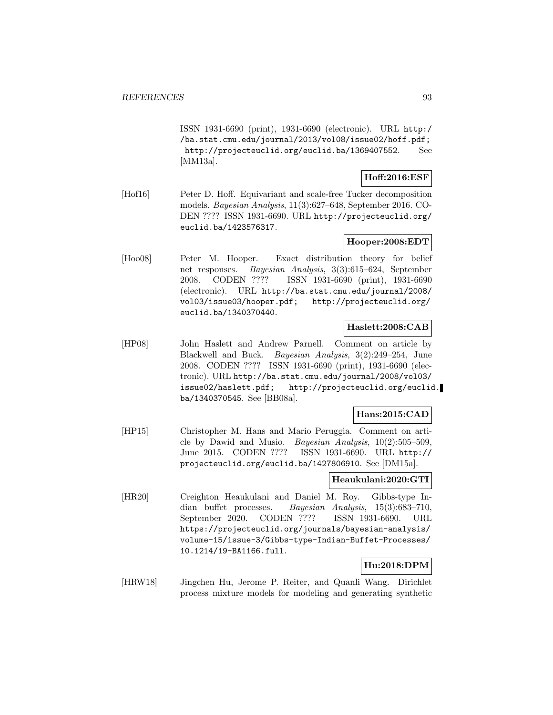ISSN 1931-6690 (print), 1931-6690 (electronic). URL http:/ /ba.stat.cmu.edu/journal/2013/vol08/issue02/hoff.pdf; http://projecteuclid.org/euclid.ba/1369407552. See [MM13a].

## **Hoff:2016:ESF**

[Hof16] Peter D. Hoff. Equivariant and scale-free Tucker decomposition models. Bayesian Analysis, 11(3):627–648, September 2016. CO-DEN ???? ISSN 1931-6690. URL http://projecteuclid.org/ euclid.ba/1423576317.

## **Hooper:2008:EDT**

[Hoo08] Peter M. Hooper. Exact distribution theory for belief net responses. Bayesian Analysis, 3(3):615–624, September 2008. CODEN ???? ISSN 1931-6690 (print), 1931-6690 (electronic). URL http://ba.stat.cmu.edu/journal/2008/ vol03/issue03/hooper.pdf; http://projecteuclid.org/ euclid.ba/1340370440.

## **Haslett:2008:CAB**

[HP08] John Haslett and Andrew Parnell. Comment on article by Blackwell and Buck. Bayesian Analysis, 3(2):249–254, June 2008. CODEN ???? ISSN 1931-6690 (print), 1931-6690 (electronic). URL http://ba.stat.cmu.edu/journal/2008/vol03/ issue02/haslett.pdf; http://projecteuclid.org/euclid. ba/1340370545. See [BB08a].

## **Hans:2015:CAD**

[HP15] Christopher M. Hans and Mario Peruggia. Comment on article by Dawid and Musio. Bayesian Analysis, 10(2):505–509, June 2015. CODEN ???? ISSN 1931-6690. URL http:// projecteuclid.org/euclid.ba/1427806910. See [DM15a].

## **Heaukulani:2020:GTI**

[HR20] Creighton Heaukulani and Daniel M. Roy. Gibbs-type Indian buffet processes. Bayesian Analysis, 15(3):683–710, September 2020. CODEN ???? ISSN 1931-6690. URL https://projecteuclid.org/journals/bayesian-analysis/ volume-15/issue-3/Gibbs-type-Indian-Buffet-Processes/ 10.1214/19-BA1166.full.

# **Hu:2018:DPM**

[HRW18] Jingchen Hu, Jerome P. Reiter, and Quanli Wang. Dirichlet process mixture models for modeling and generating synthetic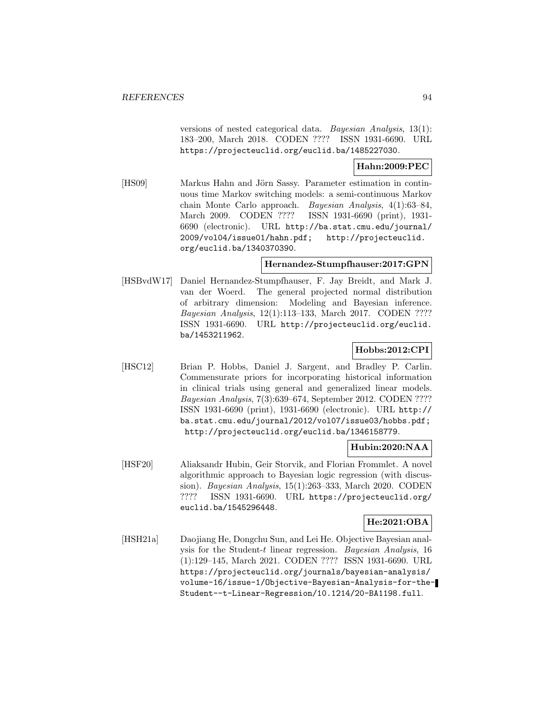versions of nested categorical data. Bayesian Analysis, 13(1): 183–200, March 2018. CODEN ???? ISSN 1931-6690. URL https://projecteuclid.org/euclid.ba/1485227030.

**Hahn:2009:PEC**

[HS09] Markus Hahn and Jörn Sassy. Parameter estimation in continuous time Markov switching models: a semi-continuous Markov chain Monte Carlo approach. Bayesian Analysis, 4(1):63–84, March 2009. CODEN ???? ISSN 1931-6690 (print), 1931- 6690 (electronic). URL http://ba.stat.cmu.edu/journal/ 2009/vol04/issue01/hahn.pdf; http://projecteuclid. org/euclid.ba/1340370390.

#### **Hernandez-Stumpfhauser:2017:GPN**

[HSBvdW17] Daniel Hernandez-Stumpfhauser, F. Jay Breidt, and Mark J. van der Woerd. The general projected normal distribution of arbitrary dimension: Modeling and Bayesian inference. Bayesian Analysis, 12(1):113–133, March 2017. CODEN ???? ISSN 1931-6690. URL http://projecteuclid.org/euclid. ba/1453211962.

## **Hobbs:2012:CPI**

[HSC12] Brian P. Hobbs, Daniel J. Sargent, and Bradley P. Carlin. Commensurate priors for incorporating historical information in clinical trials using general and generalized linear models. Bayesian Analysis, 7(3):639–674, September 2012. CODEN ???? ISSN 1931-6690 (print), 1931-6690 (electronic). URL http:// ba.stat.cmu.edu/journal/2012/vol07/issue03/hobbs.pdf; http://projecteuclid.org/euclid.ba/1346158779.

## **Hubin:2020:NAA**

[HSF20] Aliaksandr Hubin, Geir Storvik, and Florian Frommlet. A novel algorithmic approach to Bayesian logic regression (with discussion). Bayesian Analysis, 15(1):263–333, March 2020. CODEN ???? ISSN 1931-6690. URL https://projecteuclid.org/ euclid.ba/1545296448.

## **He:2021:OBA**

[HSH21a] Daojiang He, Dongchu Sun, and Lei He. Objective Bayesian analysis for the Student-t linear regression. Bayesian Analysis, 16 (1):129–145, March 2021. CODEN ???? ISSN 1931-6690. URL https://projecteuclid.org/journals/bayesian-analysis/ volume-16/issue-1/Objective-Bayesian-Analysis-for-the-Student--t-Linear-Regression/10.1214/20-BA1198.full.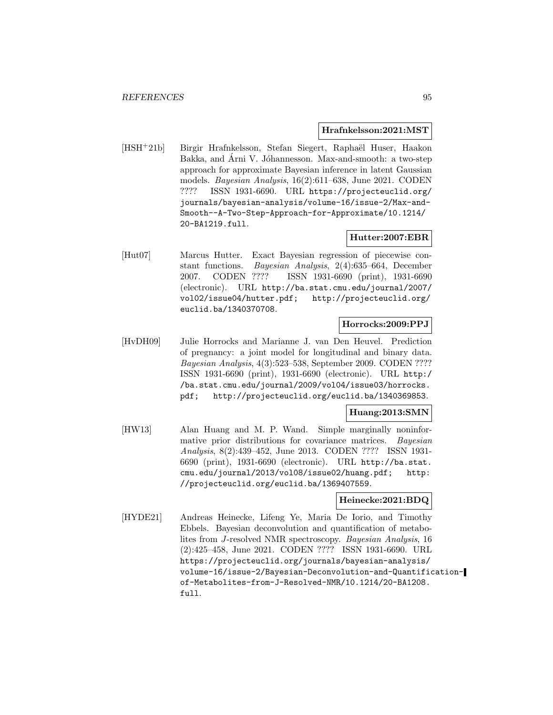#### **Hrafnkelsson:2021:MST**

[HSH<sup>+</sup>21b] Birgir Hrafnkelsson, Stefan Siegert, Raphaël Huser, Haakon Bakka, and Arni V. Jóhannesson. Max-and-smooth: a two-step approach for approximate Bayesian inference in latent Gaussian models. Bayesian Analysis, 16(2):611–638, June 2021. CODEN ???? ISSN 1931-6690. URL https://projecteuclid.org/ journals/bayesian-analysis/volume-16/issue-2/Max-and-Smooth--A-Two-Step-Approach-for-Approximate/10.1214/ 20-BA1219.full.

## **Hutter:2007:EBR**

[Hut07] Marcus Hutter. Exact Bayesian regression of piecewise constant functions. Bayesian Analysis, 2(4):635–664, December 2007. CODEN ???? ISSN 1931-6690 (print), 1931-6690 (electronic). URL http://ba.stat.cmu.edu/journal/2007/ vol02/issue04/hutter.pdf; http://projecteuclid.org/ euclid.ba/1340370708.

## **Horrocks:2009:PPJ**

[HvDH09] Julie Horrocks and Marianne J. van Den Heuvel. Prediction of pregnancy: a joint model for longitudinal and binary data. Bayesian Analysis, 4(3):523–538, September 2009. CODEN ???? ISSN 1931-6690 (print), 1931-6690 (electronic). URL http:/ /ba.stat.cmu.edu/journal/2009/vol04/issue03/horrocks. pdf; http://projecteuclid.org/euclid.ba/1340369853.

### **Huang:2013:SMN**

[HW13] Alan Huang and M. P. Wand. Simple marginally noninformative prior distributions for covariance matrices. Bayesian Analysis, 8(2):439–452, June 2013. CODEN ???? ISSN 1931- 6690 (print), 1931-6690 (electronic). URL http://ba.stat. cmu.edu/journal/2013/vol08/issue02/huang.pdf; http: //projecteuclid.org/euclid.ba/1369407559.

### **Heinecke:2021:BDQ**

[HYDE21] Andreas Heinecke, Lifeng Ye, Maria De Iorio, and Timothy Ebbels. Bayesian deconvolution and quantification of metabolites from J-resolved NMR spectroscopy. Bayesian Analysis, 16 (2):425–458, June 2021. CODEN ???? ISSN 1931-6690. URL https://projecteuclid.org/journals/bayesian-analysis/ volume-16/issue-2/Bayesian-Deconvolution-and-Quantificationof-Metabolites-from-J-Resolved-NMR/10.1214/20-BA1208. full.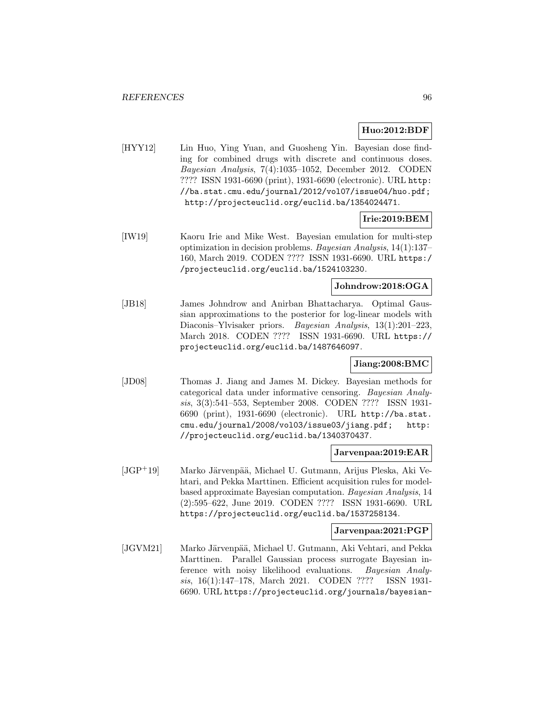## **Huo:2012:BDF**

[HYY12] Lin Huo, Ying Yuan, and Guosheng Yin. Bayesian dose finding for combined drugs with discrete and continuous doses. Bayesian Analysis, 7(4):1035–1052, December 2012. CODEN ???? ISSN 1931-6690 (print), 1931-6690 (electronic). URL http: //ba.stat.cmu.edu/journal/2012/vol07/issue04/huo.pdf; http://projecteuclid.org/euclid.ba/1354024471.

## **Irie:2019:BEM**

[IW19] Kaoru Irie and Mike West. Bayesian emulation for multi-step optimization in decision problems. Bayesian Analysis, 14(1):137– 160, March 2019. CODEN ???? ISSN 1931-6690. URL https:/ /projecteuclid.org/euclid.ba/1524103230.

## **Johndrow:2018:OGA**

[JB18] James Johndrow and Anirban Bhattacharya. Optimal Gaussian approximations to the posterior for log-linear models with Diaconis–Ylvisaker priors. Bayesian Analysis, 13(1):201–223, March 2018. CODEN ???? ISSN 1931-6690. URL https:// projecteuclid.org/euclid.ba/1487646097.

### **Jiang:2008:BMC**

[JD08] Thomas J. Jiang and James M. Dickey. Bayesian methods for categorical data under informative censoring. Bayesian Analysis, 3(3):541–553, September 2008. CODEN ???? ISSN 1931- 6690 (print), 1931-6690 (electronic). URL http://ba.stat. cmu.edu/journal/2008/vol03/issue03/jiang.pdf; http: //projecteuclid.org/euclid.ba/1340370437.

#### **Jarvenpaa:2019:EAR**

 $[JGP<sup>+</sup>19]$  Marko Järvenpää, Michael U. Gutmann, Arijus Pleska, Aki Vehtari, and Pekka Marttinen. Efficient acquisition rules for modelbased approximate Bayesian computation. Bayesian Analysis, 14 (2):595–622, June 2019. CODEN ???? ISSN 1931-6690. URL https://projecteuclid.org/euclid.ba/1537258134.

#### **Jarvenpaa:2021:PGP**

[JGVM21] Marko Järvenpää, Michael U. Gutmann, Aki Vehtari, and Pekka Marttinen. Parallel Gaussian process surrogate Bayesian inference with noisy likelihood evaluations. Bayesian Analysis, 16(1):147–178, March 2021. CODEN ???? ISSN 1931- 6690. URL https://projecteuclid.org/journals/bayesian-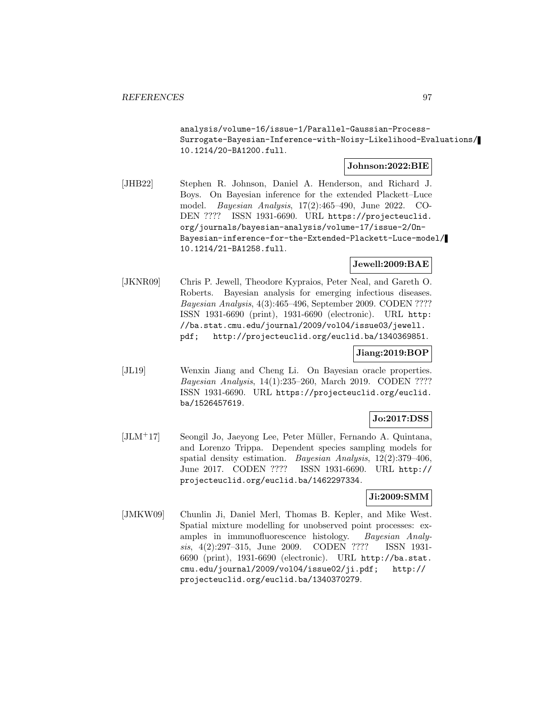analysis/volume-16/issue-1/Parallel-Gaussian-Process-Surrogate-Bayesian-Inference-with-Noisy-Likelihood-Evaluations/ 10.1214/20-BA1200.full.

#### **Johnson:2022:BIE**

[JHB22] Stephen R. Johnson, Daniel A. Henderson, and Richard J. Boys. On Bayesian inference for the extended Plackett–Luce model. Bayesian Analysis, 17(2):465–490, June 2022. CO-DEN ???? ISSN 1931-6690. URL https://projecteuclid. org/journals/bayesian-analysis/volume-17/issue-2/On-Bayesian-inference-for-the-Extended-Plackett-Luce-model/ 10.1214/21-BA1258.full.

## **Jewell:2009:BAE**

[JKNR09] Chris P. Jewell, Theodore Kypraios, Peter Neal, and Gareth O. Roberts. Bayesian analysis for emerging infectious diseases. Bayesian Analysis, 4(3):465–496, September 2009. CODEN ???? ISSN 1931-6690 (print), 1931-6690 (electronic). URL http: //ba.stat.cmu.edu/journal/2009/vol04/issue03/jewell. pdf; http://projecteuclid.org/euclid.ba/1340369851.

## **Jiang:2019:BOP**

[JL19] Wenxin Jiang and Cheng Li. On Bayesian oracle properties. Bayesian Analysis, 14(1):235–260, March 2019. CODEN ???? ISSN 1931-6690. URL https://projecteuclid.org/euclid. ba/1526457619.

## **Jo:2017:DSS**

[JLM+17] Seongil Jo, Jaeyong Lee, Peter Müller, Fernando A. Quintana, and Lorenzo Trippa. Dependent species sampling models for spatial density estimation. Bayesian Analysis, 12(2):379–406, June 2017. CODEN ???? ISSN 1931-6690. URL http:// projecteuclid.org/euclid.ba/1462297334.

### **Ji:2009:SMM**

[JMKW09] Chunlin Ji, Daniel Merl, Thomas B. Kepler, and Mike West. Spatial mixture modelling for unobserved point processes: examples in immunofluorescence histology. Bayesian Analysis, 4(2):297–315, June 2009. CODEN ???? ISSN 1931- 6690 (print), 1931-6690 (electronic). URL http://ba.stat. cmu.edu/journal/2009/vol04/issue02/ji.pdf; http:// projecteuclid.org/euclid.ba/1340370279.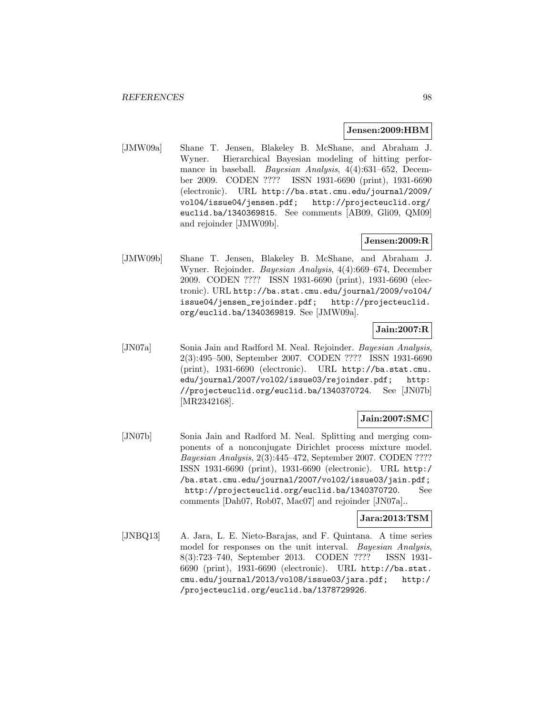#### **Jensen:2009:HBM**

[JMW09a] Shane T. Jensen, Blakeley B. McShane, and Abraham J. Wyner. Hierarchical Bayesian modeling of hitting performance in baseball. Bayesian Analysis, 4(4):631–652, December 2009. CODEN ???? ISSN 1931-6690 (print), 1931-6690 (electronic). URL http://ba.stat.cmu.edu/journal/2009/ vol04/issue04/jensen.pdf; http://projecteuclid.org/ euclid.ba/1340369815. See comments [AB09, Gli09, QM09] and rejoinder [JMW09b].

## **Jensen:2009:R**

[JMW09b] Shane T. Jensen, Blakeley B. McShane, and Abraham J. Wyner. Rejoinder. Bayesian Analysis, 4(4):669–674, December 2009. CODEN ???? ISSN 1931-6690 (print), 1931-6690 (electronic). URL http://ba.stat.cmu.edu/journal/2009/vol04/ issue04/jensen\_rejoinder.pdf; http://projecteuclid. org/euclid.ba/1340369819. See [JMW09a].

## **Jain:2007:R**

[JN07a] Sonia Jain and Radford M. Neal. Rejoinder. Bayesian Analysis, 2(3):495–500, September 2007. CODEN ???? ISSN 1931-6690 (print), 1931-6690 (electronic). URL http://ba.stat.cmu. edu/journal/2007/vol02/issue03/rejoinder.pdf; http: //projecteuclid.org/euclid.ba/1340370724. See [JN07b] [MR2342168].

### **Jain:2007:SMC**

[JN07b] Sonia Jain and Radford M. Neal. Splitting and merging components of a nonconjugate Dirichlet process mixture model. Bayesian Analysis, 2(3):445–472, September 2007. CODEN ???? ISSN 1931-6690 (print), 1931-6690 (electronic). URL http:/ /ba.stat.cmu.edu/journal/2007/vol02/issue03/jain.pdf; http://projecteuclid.org/euclid.ba/1340370720. See comments [Dah07, Rob07, Mac07] and rejoinder [JN07a]..

### **Jara:2013:TSM**

[JNBQ13] A. Jara, L. E. Nieto-Barajas, and F. Quintana. A time series model for responses on the unit interval. Bayesian Analysis, 8(3):723–740, September 2013. CODEN ???? ISSN 1931- 6690 (print), 1931-6690 (electronic). URL http://ba.stat. cmu.edu/journal/2013/vol08/issue03/jara.pdf; http:/ /projecteuclid.org/euclid.ba/1378729926.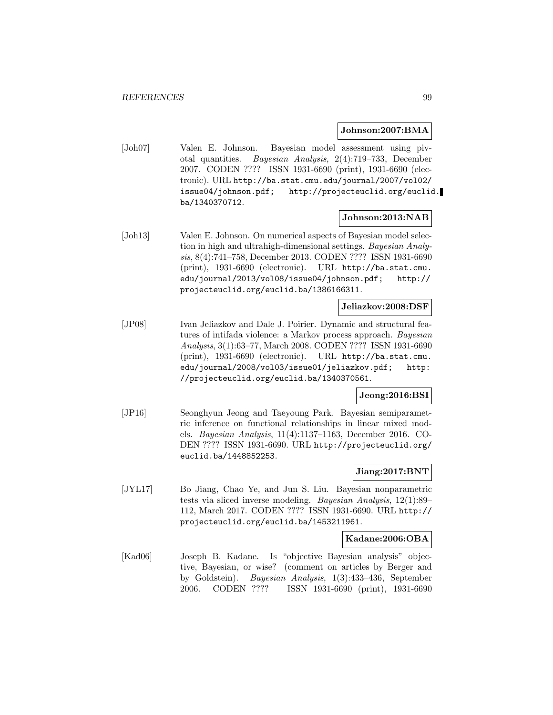#### **Johnson:2007:BMA**

[Joh07] Valen E. Johnson. Bayesian model assessment using pivotal quantities. Bayesian Analysis, 2(4):719–733, December 2007. CODEN ???? ISSN 1931-6690 (print), 1931-6690 (electronic). URL http://ba.stat.cmu.edu/journal/2007/vol02/ issue04/johnson.pdf; http://projecteuclid.org/euclid. ba/1340370712.

### **Johnson:2013:NAB**

[Joh13] Valen E. Johnson. On numerical aspects of Bayesian model selection in high and ultrahigh-dimensional settings. Bayesian Analysis, 8(4):741–758, December 2013. CODEN ???? ISSN 1931-6690 (print), 1931-6690 (electronic). URL http://ba.stat.cmu. edu/journal/2013/vol08/issue04/johnson.pdf; http:// projecteuclid.org/euclid.ba/1386166311.

### **Jeliazkov:2008:DSF**

[JP08] Ivan Jeliazkov and Dale J. Poirier. Dynamic and structural features of intifada violence: a Markov process approach. Bayesian Analysis, 3(1):63–77, March 2008. CODEN ???? ISSN 1931-6690 (print), 1931-6690 (electronic). URL http://ba.stat.cmu. edu/journal/2008/vol03/issue01/jeliazkov.pdf; http: //projecteuclid.org/euclid.ba/1340370561.

### **Jeong:2016:BSI**

[JP16] Seonghyun Jeong and Taeyoung Park. Bayesian semiparametric inference on functional relationships in linear mixed models. Bayesian Analysis, 11(4):1137–1163, December 2016. CO-DEN ???? ISSN 1931-6690. URL http://projecteuclid.org/ euclid.ba/1448852253.

### **Jiang:2017:BNT**

[JYL17] Bo Jiang, Chao Ye, and Jun S. Liu. Bayesian nonparametric tests via sliced inverse modeling. Bayesian Analysis, 12(1):89– 112, March 2017. CODEN ???? ISSN 1931-6690. URL http:// projecteuclid.org/euclid.ba/1453211961.

### **Kadane:2006:OBA**

[Kad06] Joseph B. Kadane. Is "objective Bayesian analysis" objective, Bayesian, or wise? (comment on articles by Berger and by Goldstein). Bayesian Analysis, 1(3):433–436, September 2006. CODEN ???? ISSN 1931-6690 (print), 1931-6690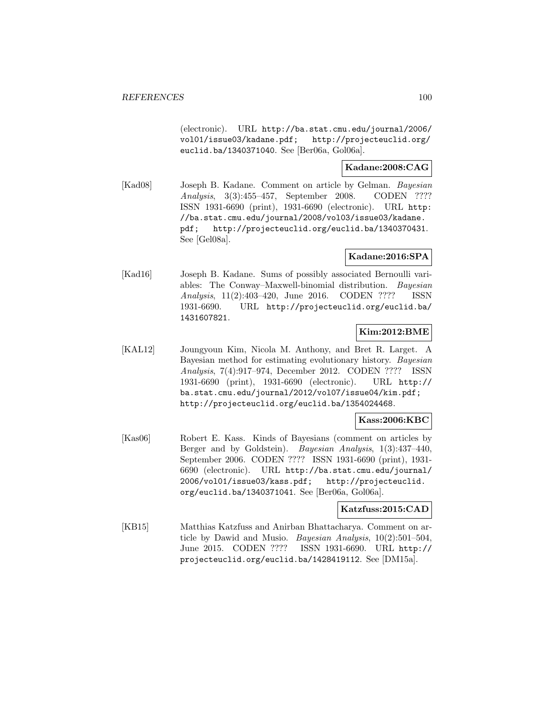(electronic). URL http://ba.stat.cmu.edu/journal/2006/ vol01/issue03/kadane.pdf; http://projecteuclid.org/ euclid.ba/1340371040. See [Ber06a, Gol06a].

## **Kadane:2008:CAG**

[Kad08] Joseph B. Kadane. Comment on article by Gelman. Bayesian Analysis, 3(3):455–457, September 2008. CODEN ???? ISSN 1931-6690 (print), 1931-6690 (electronic). URL http: //ba.stat.cmu.edu/journal/2008/vol03/issue03/kadane. pdf; http://projecteuclid.org/euclid.ba/1340370431. See [Gel08a].

## **Kadane:2016:SPA**

[Kad16] Joseph B. Kadane. Sums of possibly associated Bernoulli variables: The Conway–Maxwell-binomial distribution. Bayesian Analysis, 11(2):403–420, June 2016. CODEN ???? ISSN 1931-6690. URL http://projecteuclid.org/euclid.ba/ 1431607821.

## **Kim:2012:BME**

[KAL12] Joungyoun Kim, Nicola M. Anthony, and Bret R. Larget. A Bayesian method for estimating evolutionary history. Bayesian Analysis, 7(4):917–974, December 2012. CODEN ???? ISSN 1931-6690 (print), 1931-6690 (electronic). URL http:// ba.stat.cmu.edu/journal/2012/vol07/issue04/kim.pdf; http://projecteuclid.org/euclid.ba/1354024468.

## **Kass:2006:KBC**

[Kas06] Robert E. Kass. Kinds of Bayesians (comment on articles by Berger and by Goldstein). Bayesian Analysis, 1(3):437–440, September 2006. CODEN ???? ISSN 1931-6690 (print), 1931- 6690 (electronic). URL http://ba.stat.cmu.edu/journal/ 2006/vol01/issue03/kass.pdf; http://projecteuclid. org/euclid.ba/1340371041. See [Ber06a, Gol06a].

## **Katzfuss:2015:CAD**

[KB15] Matthias Katzfuss and Anirban Bhattacharya. Comment on article by Dawid and Musio. Bayesian Analysis, 10(2):501–504, June 2015. CODEN ???? ISSN 1931-6690. URL http:// projecteuclid.org/euclid.ba/1428419112. See [DM15a].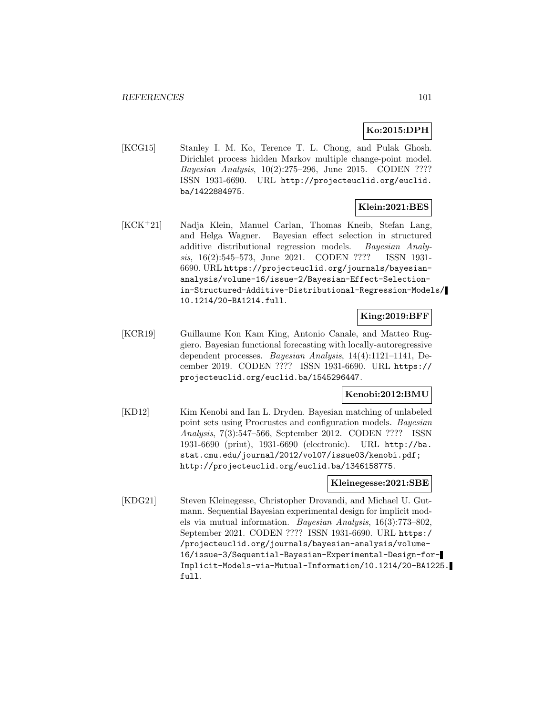## **Ko:2015:DPH**

[KCG15] Stanley I. M. Ko, Terence T. L. Chong, and Pulak Ghosh. Dirichlet process hidden Markov multiple change-point model. Bayesian Analysis, 10(2):275–296, June 2015. CODEN ???? ISSN 1931-6690. URL http://projecteuclid.org/euclid. ba/1422884975.

### **Klein:2021:BES**

[KCK<sup>+</sup>21] Nadja Klein, Manuel Carlan, Thomas Kneib, Stefan Lang, and Helga Wagner. Bayesian effect selection in structured additive distributional regression models. Bayesian Analysis, 16(2):545–573, June 2021. CODEN ???? ISSN 1931- 6690. URL https://projecteuclid.org/journals/bayesiananalysis/volume-16/issue-2/Bayesian-Effect-Selectionin-Structured-Additive-Distributional-Regression-Models/ 10.1214/20-BA1214.full.

## **King:2019:BFF**

[KCR19] Guillaume Kon Kam King, Antonio Canale, and Matteo Ruggiero. Bayesian functional forecasting with locally-autoregressive dependent processes. Bayesian Analysis, 14(4):1121–1141, December 2019. CODEN ???? ISSN 1931-6690. URL https:// projecteuclid.org/euclid.ba/1545296447.

### **Kenobi:2012:BMU**

[KD12] Kim Kenobi and Ian L. Dryden. Bayesian matching of unlabeled point sets using Procrustes and configuration models. Bayesian Analysis, 7(3):547–566, September 2012. CODEN ???? ISSN 1931-6690 (print), 1931-6690 (electronic). URL http://ba. stat.cmu.edu/journal/2012/vol07/issue03/kenobi.pdf; http://projecteuclid.org/euclid.ba/1346158775.

### **Kleinegesse:2021:SBE**

[KDG21] Steven Kleinegesse, Christopher Drovandi, and Michael U. Gutmann. Sequential Bayesian experimental design for implicit models via mutual information. Bayesian Analysis, 16(3):773–802, September 2021. CODEN ???? ISSN 1931-6690. URL https:/ /projecteuclid.org/journals/bayesian-analysis/volume-16/issue-3/Sequential-Bayesian-Experimental-Design-for-Implicit-Models-via-Mutual-Information/10.1214/20-BA1225. full.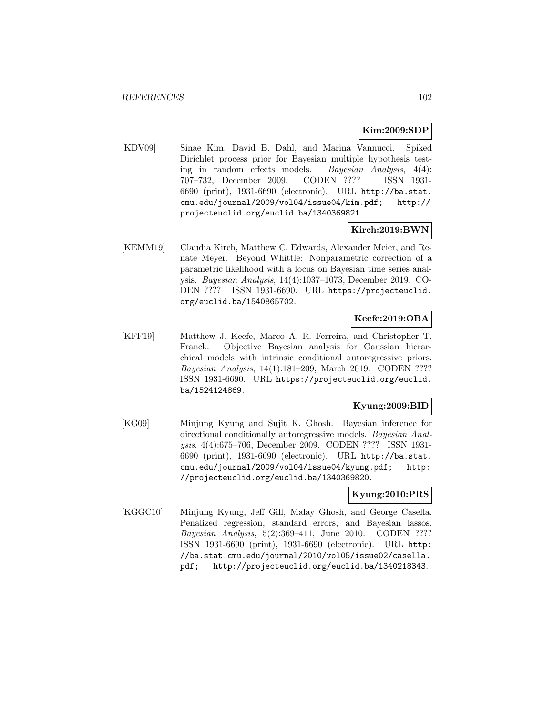## **Kim:2009:SDP**

[KDV09] Sinae Kim, David B. Dahl, and Marina Vannucci. Spiked Dirichlet process prior for Bayesian multiple hypothesis testing in random effects models. Bayesian Analysis, 4(4): 707–732, December 2009. CODEN ???? ISSN 1931- 6690 (print), 1931-6690 (electronic). URL http://ba.stat. cmu.edu/journal/2009/vol04/issue04/kim.pdf; http:// projecteuclid.org/euclid.ba/1340369821.

### **Kirch:2019:BWN**

[KEMM19] Claudia Kirch, Matthew C. Edwards, Alexander Meier, and Renate Meyer. Beyond Whittle: Nonparametric correction of a parametric likelihood with a focus on Bayesian time series analysis. Bayesian Analysis, 14(4):1037–1073, December 2019. CO-DEN ???? ISSN 1931-6690. URL https://projecteuclid. org/euclid.ba/1540865702.

## **Keefe:2019:OBA**

[KFF19] Matthew J. Keefe, Marco A. R. Ferreira, and Christopher T. Franck. Objective Bayesian analysis for Gaussian hierarchical models with intrinsic conditional autoregressive priors. Bayesian Analysis, 14(1):181–209, March 2019. CODEN ???? ISSN 1931-6690. URL https://projecteuclid.org/euclid. ba/1524124869.

## **Kyung:2009:BID**

[KG09] Minjung Kyung and Sujit K. Ghosh. Bayesian inference for directional conditionally autoregressive models. Bayesian Analysis, 4(4):675–706, December 2009. CODEN ???? ISSN 1931- 6690 (print), 1931-6690 (electronic). URL http://ba.stat. cmu.edu/journal/2009/vol04/issue04/kyung.pdf; http: //projecteuclid.org/euclid.ba/1340369820.

### **Kyung:2010:PRS**

[KGGC10] Minjung Kyung, Jeff Gill, Malay Ghosh, and George Casella. Penalized regression, standard errors, and Bayesian lassos. Bayesian Analysis, 5(2):369–411, June 2010. CODEN ???? ISSN 1931-6690 (print), 1931-6690 (electronic). URL http: //ba.stat.cmu.edu/journal/2010/vol05/issue02/casella. pdf; http://projecteuclid.org/euclid.ba/1340218343.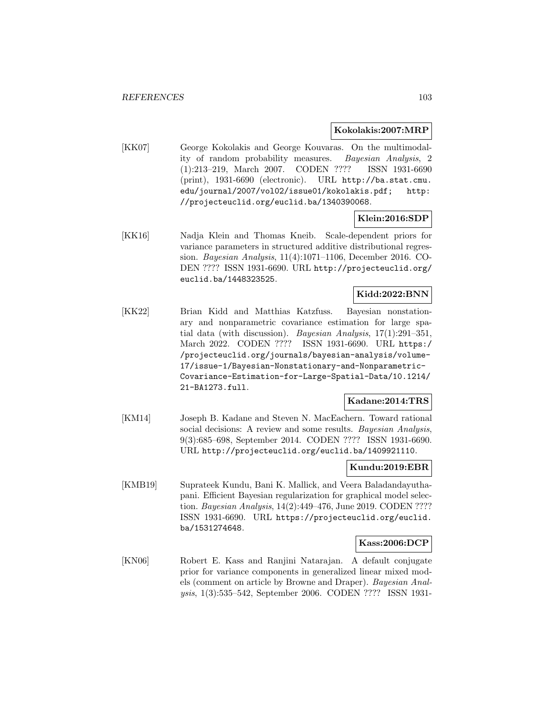#### **Kokolakis:2007:MRP**

[KK07] George Kokolakis and George Kouvaras. On the multimodality of random probability measures. Bayesian Analysis, 2 (1):213–219, March 2007. CODEN ???? ISSN 1931-6690 (print), 1931-6690 (electronic). URL http://ba.stat.cmu. edu/journal/2007/vol02/issue01/kokolakis.pdf; http: //projecteuclid.org/euclid.ba/1340390068.

## **Klein:2016:SDP**

[KK16] Nadja Klein and Thomas Kneib. Scale-dependent priors for variance parameters in structured additive distributional regression. Bayesian Analysis, 11(4):1071–1106, December 2016. CO-DEN ???? ISSN 1931-6690. URL http://projecteuclid.org/ euclid.ba/1448323525.

### **Kidd:2022:BNN**

[KK22] Brian Kidd and Matthias Katzfuss. Bayesian nonstationary and nonparametric covariance estimation for large spatial data (with discussion). Bayesian Analysis, 17(1):291–351, March 2022. CODEN ???? ISSN 1931-6690. URL https:/ /projecteuclid.org/journals/bayesian-analysis/volume-17/issue-1/Bayesian-Nonstationary-and-Nonparametric-Covariance-Estimation-for-Large-Spatial-Data/10.1214/ 21-BA1273.full.

## **Kadane:2014:TRS**

[KM14] Joseph B. Kadane and Steven N. MacEachern. Toward rational social decisions: A review and some results. Bayesian Analysis, 9(3):685–698, September 2014. CODEN ???? ISSN 1931-6690. URL http://projecteuclid.org/euclid.ba/1409921110.

#### **Kundu:2019:EBR**

[KMB19] Suprateek Kundu, Bani K. Mallick, and Veera Baladandayuthapani. Efficient Bayesian regularization for graphical model selection. Bayesian Analysis, 14(2):449–476, June 2019. CODEN ???? ISSN 1931-6690. URL https://projecteuclid.org/euclid. ba/1531274648.

### **Kass:2006:DCP**

[KN06] Robert E. Kass and Ranjini Natarajan. A default conjugate prior for variance components in generalized linear mixed models (comment on article by Browne and Draper). Bayesian Analysis, 1(3):535–542, September 2006. CODEN ???? ISSN 1931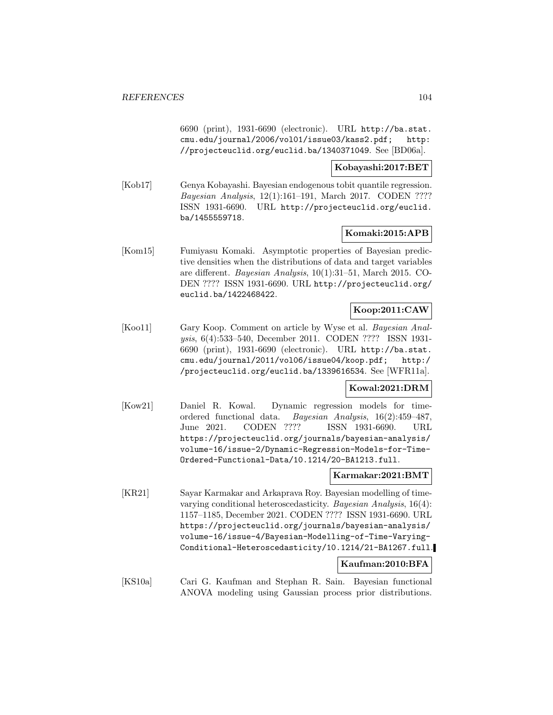6690 (print), 1931-6690 (electronic). URL http://ba.stat. cmu.edu/journal/2006/vol01/issue03/kass2.pdf; http: //projecteuclid.org/euclid.ba/1340371049. See [BD06a].

**Kobayashi:2017:BET**

[Kob17] Genya Kobayashi. Bayesian endogenous tobit quantile regression. Bayesian Analysis, 12(1):161–191, March 2017. CODEN ???? ISSN 1931-6690. URL http://projecteuclid.org/euclid. ba/1455559718.

### **Komaki:2015:APB**

[Kom15] Fumiyasu Komaki. Asymptotic properties of Bayesian predictive densities when the distributions of data and target variables are different. Bayesian Analysis, 10(1):31–51, March 2015. CO-DEN ???? ISSN 1931-6690. URL http://projecteuclid.org/ euclid.ba/1422468422.

## **Koop:2011:CAW**

[Koo11] Gary Koop. Comment on article by Wyse et al. Bayesian Analysis, 6(4):533–540, December 2011. CODEN ???? ISSN 1931- 6690 (print), 1931-6690 (electronic). URL http://ba.stat. cmu.edu/journal/2011/vol06/issue04/koop.pdf; http:/ /projecteuclid.org/euclid.ba/1339616534. See [WFR11a].

### **Kowal:2021:DRM**

[Kow21] Daniel R. Kowal. Dynamic regression models for timeordered functional data. Bayesian Analysis, 16(2):459–487, June 2021. CODEN ???? ISSN 1931-6690. URL https://projecteuclid.org/journals/bayesian-analysis/ volume-16/issue-2/Dynamic-Regression-Models-for-Time-Ordered-Functional-Data/10.1214/20-BA1213.full.

### **Karmakar:2021:BMT**

[KR21] Sayar Karmakar and Arkaprava Roy. Bayesian modelling of timevarying conditional heteroscedasticity. Bayesian Analysis, 16(4): 1157–1185, December 2021. CODEN ???? ISSN 1931-6690. URL https://projecteuclid.org/journals/bayesian-analysis/ volume-16/issue-4/Bayesian-Modelling-of-Time-Varying-Conditional-Heteroscedasticity/10.1214/21-BA1267.full.

#### **Kaufman:2010:BFA**

[KS10a] Cari G. Kaufman and Stephan R. Sain. Bayesian functional ANOVA modeling using Gaussian process prior distributions.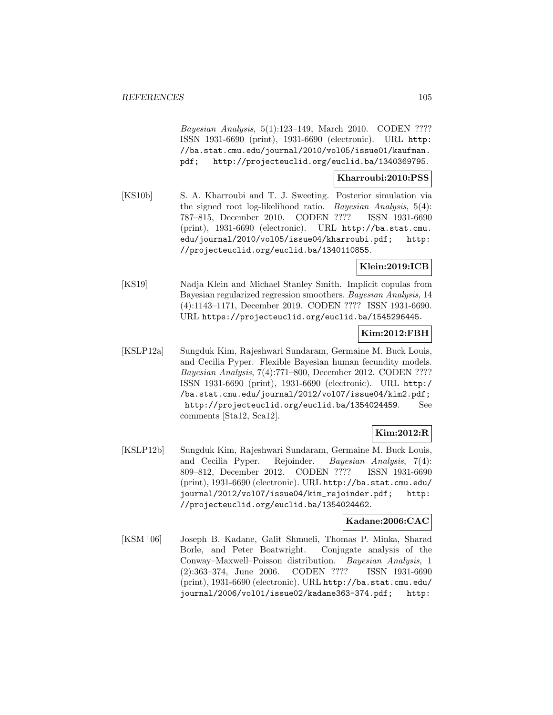Bayesian Analysis, 5(1):123–149, March 2010. CODEN ???? ISSN 1931-6690 (print), 1931-6690 (electronic). URL http: //ba.stat.cmu.edu/journal/2010/vol05/issue01/kaufman. pdf; http://projecteuclid.org/euclid.ba/1340369795.

### **Kharroubi:2010:PSS**

[KS10b] S. A. Kharroubi and T. J. Sweeting. Posterior simulation via the signed root log-likelihood ratio. Bayesian Analysis, 5(4): 787–815, December 2010. CODEN ???? ISSN 1931-6690 (print), 1931-6690 (electronic). URL http://ba.stat.cmu. edu/journal/2010/vol05/issue04/kharroubi.pdf; http: //projecteuclid.org/euclid.ba/1340110855.

## **Klein:2019:ICB**

[KS19] Nadja Klein and Michael Stanley Smith. Implicit copulas from Bayesian regularized regression smoothers. Bayesian Analysis, 14 (4):1143–1171, December 2019. CODEN ???? ISSN 1931-6690. URL https://projecteuclid.org/euclid.ba/1545296445.

#### **Kim:2012:FBH**

[KSLP12a] Sungduk Kim, Rajeshwari Sundaram, Germaine M. Buck Louis, and Cecilia Pyper. Flexible Bayesian human fecundity models. Bayesian Analysis, 7(4):771–800, December 2012. CODEN ???? ISSN 1931-6690 (print), 1931-6690 (electronic). URL http:/ /ba.stat.cmu.edu/journal/2012/vol07/issue04/kim2.pdf; http://projecteuclid.org/euclid.ba/1354024459. See comments [Sta12, Sca12].

## **Kim:2012:R**

[KSLP12b] Sungduk Kim, Rajeshwari Sundaram, Germaine M. Buck Louis, and Cecilia Pyper. Rejoinder. Bayesian Analysis, 7(4): 809–812, December 2012. CODEN ???? ISSN 1931-6690 (print), 1931-6690 (electronic). URL http://ba.stat.cmu.edu/ journal/2012/vol07/issue04/kim\_rejoinder.pdf; http: //projecteuclid.org/euclid.ba/1354024462.

### **Kadane:2006:CAC**

[KSM<sup>+</sup>06] Joseph B. Kadane, Galit Shmueli, Thomas P. Minka, Sharad Borle, and Peter Boatwright. Conjugate analysis of the Conway–Maxwell–Poisson distribution. Bayesian Analysis, 1 (2):363–374, June 2006. CODEN ???? ISSN 1931-6690 (print), 1931-6690 (electronic). URL http://ba.stat.cmu.edu/ journal/2006/vol01/issue02/kadane363-374.pdf; http: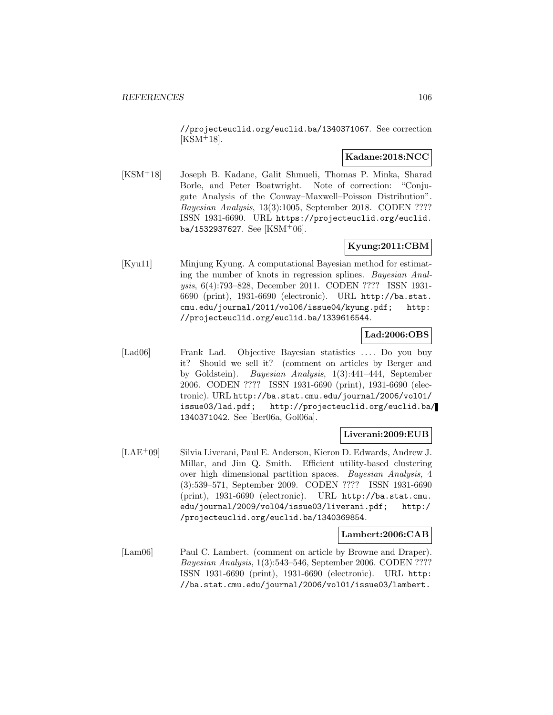//projecteuclid.org/euclid.ba/1340371067. See correction  $[KSM<sup>+</sup>18].$ 

## **Kadane:2018:NCC**

[KSM<sup>+</sup>18] Joseph B. Kadane, Galit Shmueli, Thomas P. Minka, Sharad Borle, and Peter Boatwright. Note of correction: "Conjugate Analysis of the Conway–Maxwell–Poisson Distribution". Bayesian Analysis, 13(3):1005, September 2018. CODEN ???? ISSN 1931-6690. URL https://projecteuclid.org/euclid. ba/1532937627. See [KSM+06].

## **Kyung:2011:CBM**

[Kyu11] Minjung Kyung. A computational Bayesian method for estimating the number of knots in regression splines. Bayesian Analysis, 6(4):793–828, December 2011. CODEN ???? ISSN 1931- 6690 (print), 1931-6690 (electronic). URL http://ba.stat. cmu.edu/journal/2011/vol06/issue04/kyung.pdf; http: //projecteuclid.org/euclid.ba/1339616544.

## **Lad:2006:OBS**

[Lad06] Frank Lad. Objective Bayesian statistics .... Do you buy it? Should we sell it? (comment on articles by Berger and by Goldstein). Bayesian Analysis, 1(3):441–444, September 2006. CODEN ???? ISSN 1931-6690 (print), 1931-6690 (electronic). URL http://ba.stat.cmu.edu/journal/2006/vol01/ issue03/lad.pdf; http://projecteuclid.org/euclid.ba/ 1340371042. See [Ber06a, Gol06a].

### **Liverani:2009:EUB**

[LAE<sup>+</sup>09] Silvia Liverani, Paul E. Anderson, Kieron D. Edwards, Andrew J. Millar, and Jim Q. Smith. Efficient utility-based clustering over high dimensional partition spaces. Bayesian Analysis, 4 (3):539–571, September 2009. CODEN ???? ISSN 1931-6690 (print), 1931-6690 (electronic). URL http://ba.stat.cmu. edu/journal/2009/vol04/issue03/liverani.pdf; http:/ /projecteuclid.org/euclid.ba/1340369854.

## **Lambert:2006:CAB**

[Lam06] Paul C. Lambert. (comment on article by Browne and Draper). Bayesian Analysis, 1(3):543–546, September 2006. CODEN ???? ISSN 1931-6690 (print), 1931-6690 (electronic). URL http: //ba.stat.cmu.edu/journal/2006/vol01/issue03/lambert.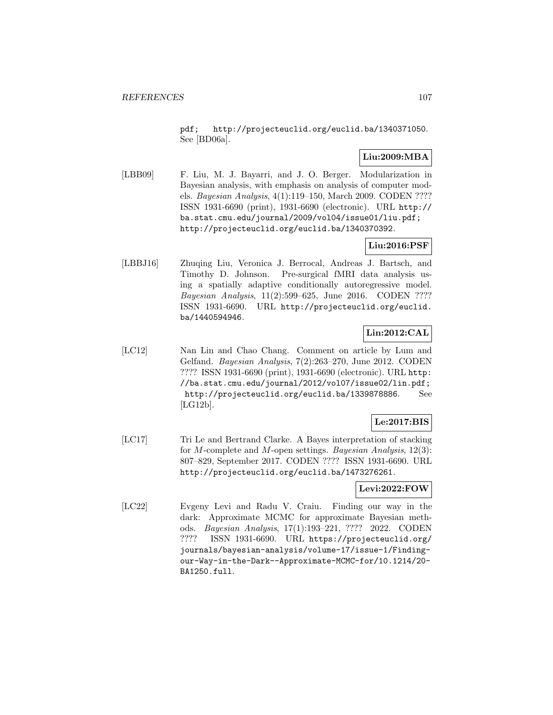pdf; http://projecteuclid.org/euclid.ba/1340371050. See [BD06a].

## **Liu:2009:MBA**

[LBB09] F. Liu, M. J. Bayarri, and J. O. Berger. Modularization in Bayesian analysis, with emphasis on analysis of computer models. Bayesian Analysis, 4(1):119–150, March 2009. CODEN ???? ISSN 1931-6690 (print), 1931-6690 (electronic). URL http:// ba.stat.cmu.edu/journal/2009/vol04/issue01/liu.pdf; http://projecteuclid.org/euclid.ba/1340370392.

## **Liu:2016:PSF**

[LBBJ16] Zhuqing Liu, Veronica J. Berrocal, Andreas J. Bartsch, and Timothy D. Johnson. Pre-surgical fMRI data analysis using a spatially adaptive conditionally autoregressive model. Bayesian Analysis, 11(2):599–625, June 2016. CODEN ???? ISSN 1931-6690. URL http://projecteuclid.org/euclid. ba/1440594946.

## **Lin:2012:CAL**

[LC12] Nan Lin and Chao Chang. Comment on article by Lum and Gelfand. Bayesian Analysis, 7(2):263–270, June 2012. CODEN ???? ISSN 1931-6690 (print), 1931-6690 (electronic). URL http: //ba.stat.cmu.edu/journal/2012/vol07/issue02/lin.pdf; http://projecteuclid.org/euclid.ba/1339878886. See [LG12b].

## **Le:2017:BIS**

[LC17] Tri Le and Bertrand Clarke. A Bayes interpretation of stacking for M-complete and M-open settings. Bayesian Analysis,  $12(3)$ : 807–829, September 2017. CODEN ???? ISSN 1931-6690. URL http://projecteuclid.org/euclid.ba/1473276261.

## **Levi:2022:FOW**

[LC22] Evgeny Levi and Radu V. Craiu. Finding our way in the dark: Approximate MCMC for approximate Bayesian methods. Bayesian Analysis, 17(1):193–221, ???? 2022. CODEN ???? ISSN 1931-6690. URL https://projecteuclid.org/ journals/bayesian-analysis/volume-17/issue-1/Findingour-Way-in-the-Dark--Approximate-MCMC-for/10.1214/20- BA1250.full.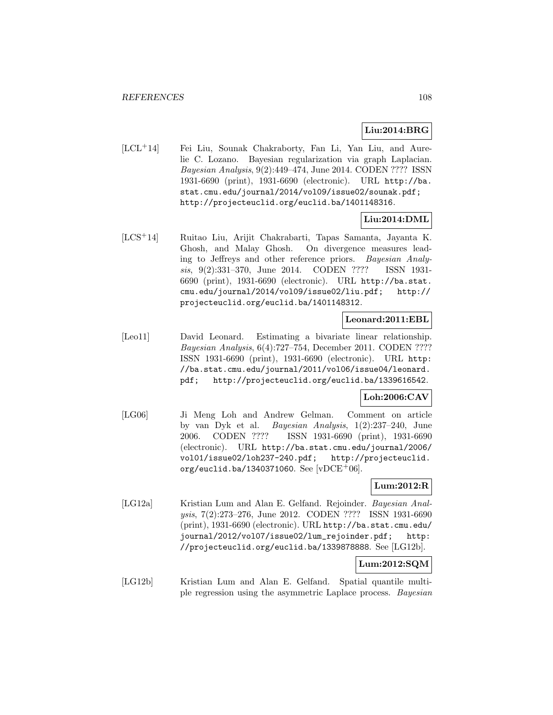## **Liu:2014:BRG**

[LCL<sup>+</sup>14] Fei Liu, Sounak Chakraborty, Fan Li, Yan Liu, and Aurelie C. Lozano. Bayesian regularization via graph Laplacian. Bayesian Analysis, 9(2):449–474, June 2014. CODEN ???? ISSN 1931-6690 (print), 1931-6690 (electronic). URL http://ba. stat.cmu.edu/journal/2014/vol09/issue02/sounak.pdf; http://projecteuclid.org/euclid.ba/1401148316.

## **Liu:2014:DML**

[LCS<sup>+</sup>14] Ruitao Liu, Arijit Chakrabarti, Tapas Samanta, Jayanta K. Ghosh, and Malay Ghosh. On divergence measures leading to Jeffreys and other reference priors. Bayesian Analysis, 9(2):331–370, June 2014. CODEN ???? ISSN 1931- 6690 (print), 1931-6690 (electronic). URL http://ba.stat. cmu.edu/journal/2014/vol09/issue02/liu.pdf; http:// projecteuclid.org/euclid.ba/1401148312.

### **Leonard:2011:EBL**

[Leo11] David Leonard. Estimating a bivariate linear relationship. Bayesian Analysis, 6(4):727–754, December 2011. CODEN ???? ISSN 1931-6690 (print), 1931-6690 (electronic). URL http: //ba.stat.cmu.edu/journal/2011/vol06/issue04/leonard. pdf; http://projecteuclid.org/euclid.ba/1339616542.

## **Loh:2006:CAV**

[LG06] Ji Meng Loh and Andrew Gelman. Comment on article by van Dyk et al. Bayesian Analysis, 1(2):237–240, June 2006. CODEN ???? ISSN 1931-6690 (print), 1931-6690 (electronic). URL http://ba.stat.cmu.edu/journal/2006/ vol01/issue02/loh237-240.pdf; http://projecteuclid. org/euclid.ba/1340371060. See  $|vDCE^+06|$ .

## **Lum:2012:R**

[LG12a] Kristian Lum and Alan E. Gelfand. Rejoinder. Bayesian Analysis, 7(2):273–276, June 2012. CODEN ???? ISSN 1931-6690 (print), 1931-6690 (electronic). URL http://ba.stat.cmu.edu/ journal/2012/vol07/issue02/lum\_rejoinder.pdf; http: //projecteuclid.org/euclid.ba/1339878888. See [LG12b].

## **Lum:2012:SQM**

[LG12b] Kristian Lum and Alan E. Gelfand. Spatial quantile multiple regression using the asymmetric Laplace process. Bayesian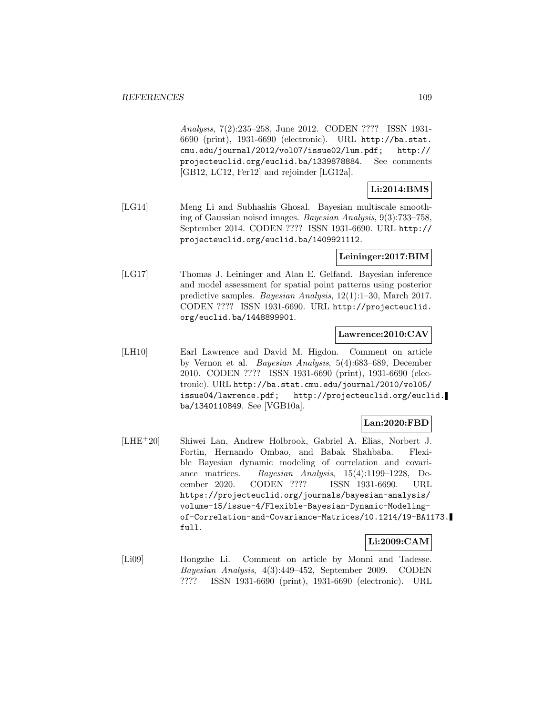Analysis, 7(2):235–258, June 2012. CODEN ???? ISSN 1931- 6690 (print), 1931-6690 (electronic). URL http://ba.stat. cmu.edu/journal/2012/vol07/issue02/lum.pdf; http:// projecteuclid.org/euclid.ba/1339878884. See comments [GB12, LC12, Fer12] and rejoinder [LG12a].

## **Li:2014:BMS**

[LG14] Meng Li and Subhashis Ghosal. Bayesian multiscale smoothing of Gaussian noised images. Bayesian Analysis, 9(3):733–758, September 2014. CODEN ???? ISSN 1931-6690. URL http:// projecteuclid.org/euclid.ba/1409921112.

### **Leininger:2017:BIM**

[LG17] Thomas J. Leininger and Alan E. Gelfand. Bayesian inference and model assessment for spatial point patterns using posterior predictive samples. Bayesian Analysis, 12(1):1–30, March 2017. CODEN ???? ISSN 1931-6690. URL http://projecteuclid. org/euclid.ba/1448899901.

### **Lawrence:2010:CAV**

[LH10] Earl Lawrence and David M. Higdon. Comment on article by Vernon et al. Bayesian Analysis, 5(4):683–689, December 2010. CODEN ???? ISSN 1931-6690 (print), 1931-6690 (electronic). URL http://ba.stat.cmu.edu/journal/2010/vol05/ issue04/lawrence.pdf; http://projecteuclid.org/euclid. ba/1340110849. See [VGB10a].

# **Lan:2020:FBD**

[LHE<sup>+</sup>20] Shiwei Lan, Andrew Holbrook, Gabriel A. Elias, Norbert J. Fortin, Hernando Ombao, and Babak Shahbaba. Flexible Bayesian dynamic modeling of correlation and covariance matrices. Bayesian Analysis, 15(4):1199–1228, December 2020. CODEN ???? ISSN 1931-6690. URL https://projecteuclid.org/journals/bayesian-analysis/ volume-15/issue-4/Flexible-Bayesian-Dynamic-Modelingof-Correlation-and-Covariance-Matrices/10.1214/19-BA1173. full.

# **Li:2009:CAM**

[Li09] Hongzhe Li. Comment on article by Monni and Tadesse. Bayesian Analysis, 4(3):449–452, September 2009. CODEN ???? ISSN 1931-6690 (print), 1931-6690 (electronic). URL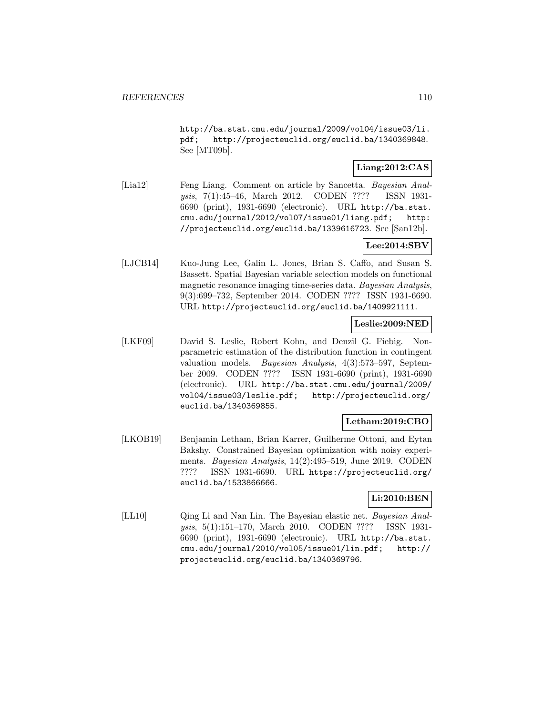http://ba.stat.cmu.edu/journal/2009/vol04/issue03/li. pdf; http://projecteuclid.org/euclid.ba/1340369848. See [MT09b].

### **Liang:2012:CAS**

[Lia12] Feng Liang. Comment on article by Sancetta. Bayesian Analysis, 7(1):45–46, March 2012. CODEN ???? ISSN 1931- 6690 (print), 1931-6690 (electronic). URL http://ba.stat. cmu.edu/journal/2012/vol07/issue01/liang.pdf; http: //projecteuclid.org/euclid.ba/1339616723. See [San12b].

## **Lee:2014:SBV**

[LJCB14] Kuo-Jung Lee, Galin L. Jones, Brian S. Caffo, and Susan S. Bassett. Spatial Bayesian variable selection models on functional magnetic resonance imaging time-series data. Bayesian Analysis, 9(3):699–732, September 2014. CODEN ???? ISSN 1931-6690. URL http://projecteuclid.org/euclid.ba/1409921111.

### **Leslie:2009:NED**

[LKF09] David S. Leslie, Robert Kohn, and Denzil G. Fiebig. Nonparametric estimation of the distribution function in contingent valuation models. Bayesian Analysis, 4(3):573–597, September 2009. CODEN ???? ISSN 1931-6690 (print), 1931-6690 (electronic). URL http://ba.stat.cmu.edu/journal/2009/ vol04/issue03/leslie.pdf; http://projecteuclid.org/ euclid.ba/1340369855.

## **Letham:2019:CBO**

[LKOB19] Benjamin Letham, Brian Karrer, Guilherme Ottoni, and Eytan Bakshy. Constrained Bayesian optimization with noisy experiments. Bayesian Analysis, 14(2):495–519, June 2019. CODEN ???? ISSN 1931-6690. URL https://projecteuclid.org/ euclid.ba/1533866666.

### **Li:2010:BEN**

[LL10] Qing Li and Nan Lin. The Bayesian elastic net. Bayesian Analysis, 5(1):151–170, March 2010. CODEN ???? ISSN 1931- 6690 (print), 1931-6690 (electronic). URL http://ba.stat. cmu.edu/journal/2010/vol05/issue01/lin.pdf; http:// projecteuclid.org/euclid.ba/1340369796.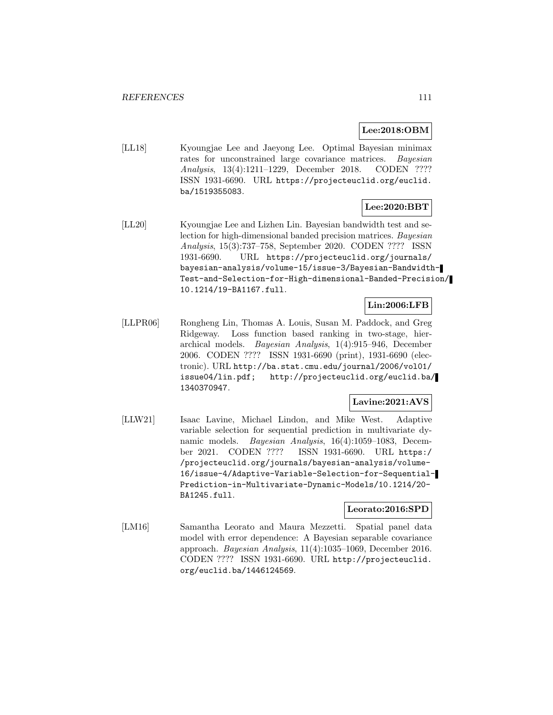## **Lee:2018:OBM**

[LL18] Kyoungjae Lee and Jaeyong Lee. Optimal Bayesian minimax rates for unconstrained large covariance matrices. Bayesian Analysis, 13(4):1211–1229, December 2018. CODEN ???? ISSN 1931-6690. URL https://projecteuclid.org/euclid. ba/1519355083.

# **Lee:2020:BBT**

[LL20] Kyoungjae Lee and Lizhen Lin. Bayesian bandwidth test and selection for high-dimensional banded precision matrices. Bayesian Analysis, 15(3):737–758, September 2020. CODEN ???? ISSN 1931-6690. URL https://projecteuclid.org/journals/ bayesian-analysis/volume-15/issue-3/Bayesian-Bandwidth-Test-and-Selection-for-High-dimensional-Banded-Precision/ 10.1214/19-BA1167.full.

### **Lin:2006:LFB**

[LLPR06] Rongheng Lin, Thomas A. Louis, Susan M. Paddock, and Greg Ridgeway. Loss function based ranking in two-stage, hierarchical models. Bayesian Analysis, 1(4):915–946, December 2006. CODEN ???? ISSN 1931-6690 (print), 1931-6690 (electronic). URL http://ba.stat.cmu.edu/journal/2006/vol01/ issue04/lin.pdf; http://projecteuclid.org/euclid.ba/ 1340370947.

# **Lavine:2021:AVS**

[LLW21] Isaac Lavine, Michael Lindon, and Mike West. Adaptive variable selection for sequential prediction in multivariate dynamic models. Bayesian Analysis, 16(4):1059–1083, December 2021. CODEN ???? ISSN 1931-6690. URL https:/ /projecteuclid.org/journals/bayesian-analysis/volume-16/issue-4/Adaptive-Variable-Selection-for-Sequential-Prediction-in-Multivariate-Dynamic-Models/10.1214/20- BA1245.full.

### **Leorato:2016:SPD**

[LM16] Samantha Leorato and Maura Mezzetti. Spatial panel data model with error dependence: A Bayesian separable covariance approach. Bayesian Analysis, 11(4):1035–1069, December 2016. CODEN ???? ISSN 1931-6690. URL http://projecteuclid. org/euclid.ba/1446124569.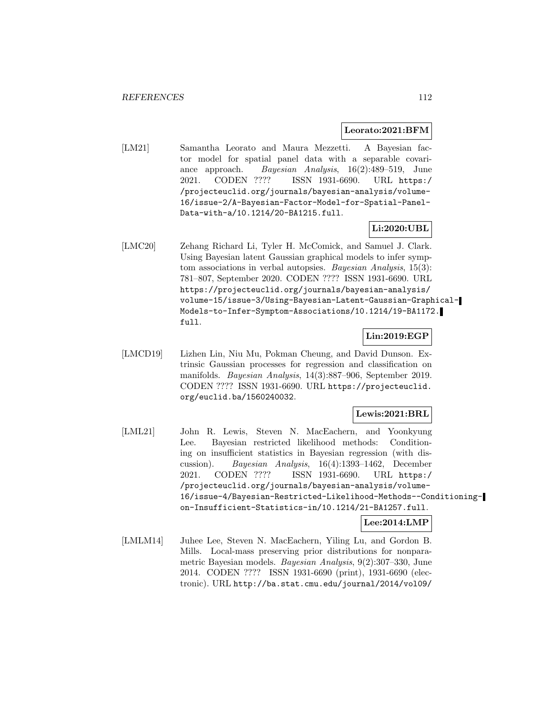#### **Leorato:2021:BFM**

[LM21] Samantha Leorato and Maura Mezzetti. A Bayesian factor model for spatial panel data with a separable covariance approach. Bayesian Analysis, 16(2):489–519, June 2021. CODEN ???? ISSN 1931-6690. URL https:/ /projecteuclid.org/journals/bayesian-analysis/volume-16/issue-2/A-Bayesian-Factor-Model-for-Spatial-Panel-Data-with-a/10.1214/20-BA1215.full.

# **Li:2020:UBL**

[LMC20] Zehang Richard Li, Tyler H. McComick, and Samuel J. Clark. Using Bayesian latent Gaussian graphical models to infer symptom associations in verbal autopsies. Bayesian Analysis, 15(3): 781–807, September 2020. CODEN ???? ISSN 1931-6690. URL https://projecteuclid.org/journals/bayesian-analysis/ volume-15/issue-3/Using-Bayesian-Latent-Gaussian-Graphical-Models-to-Infer-Symptom-Associations/10.1214/19-BA1172. full.

## **Lin:2019:EGP**

[LMCD19] Lizhen Lin, Niu Mu, Pokman Cheung, and David Dunson. Extrinsic Gaussian processes for regression and classification on manifolds. Bayesian Analysis, 14(3):887–906, September 2019. CODEN ???? ISSN 1931-6690. URL https://projecteuclid. org/euclid.ba/1560240032.

### **Lewis:2021:BRL**

[LML21] John R. Lewis, Steven N. MacEachern, and Yoonkyung Lee. Bayesian restricted likelihood methods: Conditioning on insufficient statistics in Bayesian regression (with discussion). Bayesian Analysis, 16(4):1393–1462, December 2021. CODEN ???? ISSN 1931-6690. URL https:/ /projecteuclid.org/journals/bayesian-analysis/volume-16/issue-4/Bayesian-Restricted-Likelihood-Methods--Conditioningon-Insufficient-Statistics-in/10.1214/21-BA1257.full.

### **Lee:2014:LMP**

[LMLM14] Juhee Lee, Steven N. MacEachern, Yiling Lu, and Gordon B. Mills. Local-mass preserving prior distributions for nonparametric Bayesian models. Bayesian Analysis, 9(2):307–330, June 2014. CODEN ???? ISSN 1931-6690 (print), 1931-6690 (electronic). URL http://ba.stat.cmu.edu/journal/2014/vol09/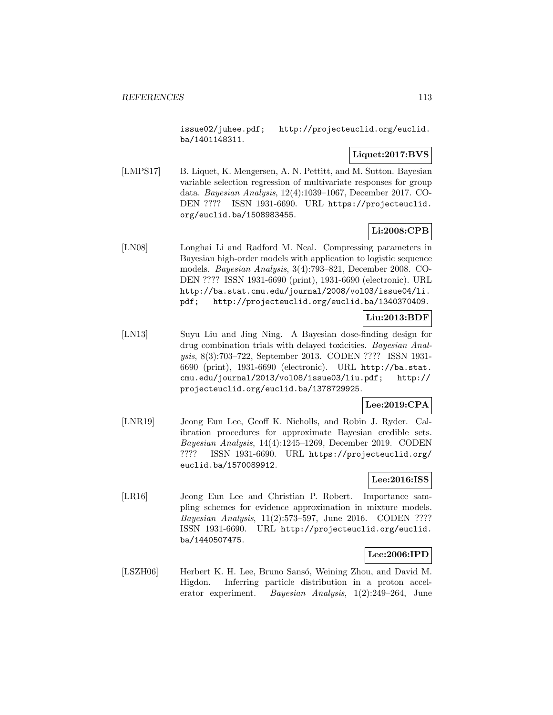issue02/juhee.pdf; http://projecteuclid.org/euclid. ba/1401148311.

# **Liquet:2017:BVS**

[LMPS17] B. Liquet, K. Mengersen, A. N. Pettitt, and M. Sutton. Bayesian variable selection regression of multivariate responses for group data. Bayesian Analysis, 12(4):1039–1067, December 2017. CO-DEN ???? ISSN 1931-6690. URL https://projecteuclid. org/euclid.ba/1508983455.

# **Li:2008:CPB**

[LN08] Longhai Li and Radford M. Neal. Compressing parameters in Bayesian high-order models with application to logistic sequence models. Bayesian Analysis, 3(4):793–821, December 2008. CO-DEN ???? ISSN 1931-6690 (print), 1931-6690 (electronic). URL http://ba.stat.cmu.edu/journal/2008/vol03/issue04/li. pdf; http://projecteuclid.org/euclid.ba/1340370409.

# **Liu:2013:BDF**

[LN13] Suyu Liu and Jing Ning. A Bayesian dose-finding design for drug combination trials with delayed toxicities. Bayesian Analysis, 8(3):703–722, September 2013. CODEN ???? ISSN 1931- 6690 (print), 1931-6690 (electronic). URL http://ba.stat. cmu.edu/journal/2013/vol08/issue03/liu.pdf; http:// projecteuclid.org/euclid.ba/1378729925.

# **Lee:2019:CPA**

[LNR19] Jeong Eun Lee, Geoff K. Nicholls, and Robin J. Ryder. Calibration procedures for approximate Bayesian credible sets. Bayesian Analysis, 14(4):1245–1269, December 2019. CODEN ???? ISSN 1931-6690. URL https://projecteuclid.org/ euclid.ba/1570089912.

# **Lee:2016:ISS**

[LR16] Jeong Eun Lee and Christian P. Robert. Importance sampling schemes for evidence approximation in mixture models. Bayesian Analysis, 11(2):573–597, June 2016. CODEN ???? ISSN 1931-6690. URL http://projecteuclid.org/euclid. ba/1440507475.

### **Lee:2006:IPD**

[LSZH06] Herbert K. H. Lee, Bruno Sansó, Weining Zhou, and David M. Higdon. Inferring particle distribution in a proton accelerator experiment. Bayesian Analysis, 1(2):249–264, June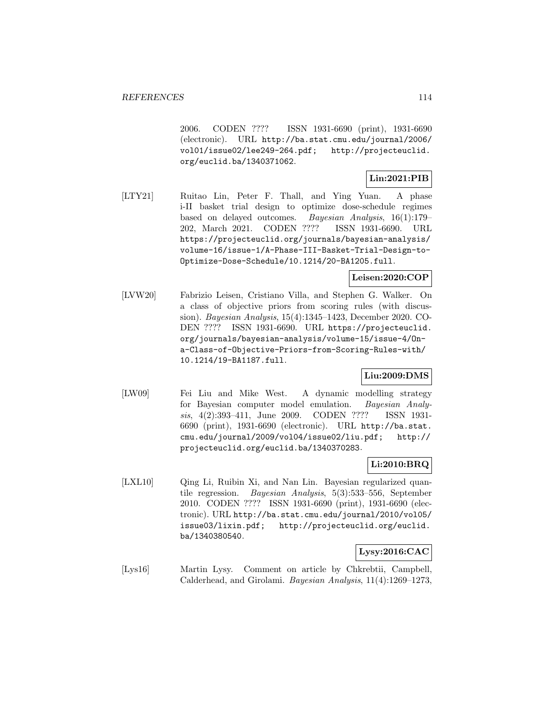2006. CODEN ???? ISSN 1931-6690 (print), 1931-6690 (electronic). URL http://ba.stat.cmu.edu/journal/2006/ vol01/issue02/lee249-264.pdf; http://projecteuclid. org/euclid.ba/1340371062.

# **Lin:2021:PIB**

[LTY21] Ruitao Lin, Peter F. Thall, and Ying Yuan. A phase i-II basket trial design to optimize dose-schedule regimes based on delayed outcomes. Bayesian Analysis, 16(1):179– 202, March 2021. CODEN ???? ISSN 1931-6690. URL https://projecteuclid.org/journals/bayesian-analysis/ volume-16/issue-1/A-Phase-III-Basket-Trial-Design-to-Optimize-Dose-Schedule/10.1214/20-BA1205.full.

## **Leisen:2020:COP**

[LVW20] Fabrizio Leisen, Cristiano Villa, and Stephen G. Walker. On a class of objective priors from scoring rules (with discussion). Bayesian Analysis, 15(4):1345–1423, December 2020. CO-DEN ???? ISSN 1931-6690. URL https://projecteuclid. org/journals/bayesian-analysis/volume-15/issue-4/Ona-Class-of-Objective-Priors-from-Scoring-Rules-with/ 10.1214/19-BA1187.full.

## **Liu:2009:DMS**

[LW09] Fei Liu and Mike West. A dynamic modelling strategy for Bayesian computer model emulation. Bayesian Analysis, 4(2):393–411, June 2009. CODEN ???? ISSN 1931- 6690 (print), 1931-6690 (electronic). URL http://ba.stat. cmu.edu/journal/2009/vol04/issue02/liu.pdf; http:// projecteuclid.org/euclid.ba/1340370283.

### **Li:2010:BRQ**

[LXL10] Qing Li, Ruibin Xi, and Nan Lin. Bayesian regularized quantile regression. Bayesian Analysis, 5(3):533–556, September 2010. CODEN ???? ISSN 1931-6690 (print), 1931-6690 (electronic). URL http://ba.stat.cmu.edu/journal/2010/vol05/ issue03/lixin.pdf; http://projecteuclid.org/euclid. ba/1340380540.

### **Lysy:2016:CAC**

[Lys16] Martin Lysy. Comment on article by Chkrebtii, Campbell, Calderhead, and Girolami. Bayesian Analysis, 11(4):1269–1273,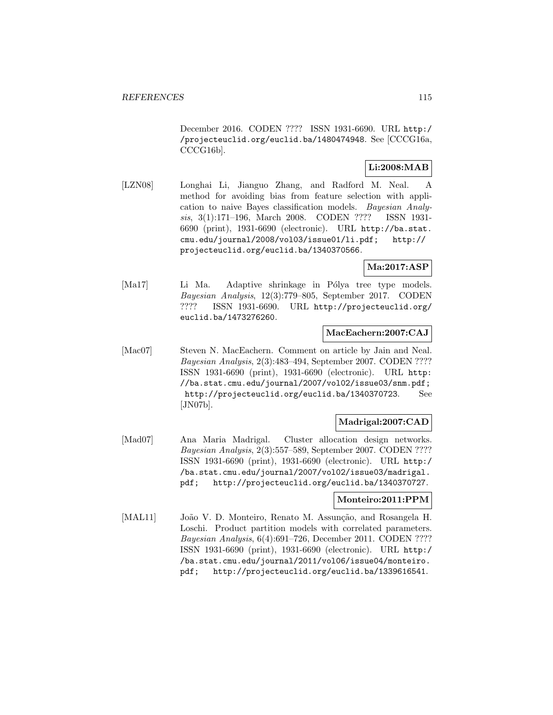December 2016. CODEN ???? ISSN 1931-6690. URL http:/ /projecteuclid.org/euclid.ba/1480474948. See [CCCG16a, CCCG16b].

### **Li:2008:MAB**

[LZN08] Longhai Li, Jianguo Zhang, and Radford M. Neal. A method for avoiding bias from feature selection with application to naive Bayes classification models. Bayesian Analysis, 3(1):171–196, March 2008. CODEN ???? ISSN 1931- 6690 (print), 1931-6690 (electronic). URL http://ba.stat. cmu.edu/journal/2008/vol03/issue01/li.pdf; http:// projecteuclid.org/euclid.ba/1340370566.

# **Ma:2017:ASP**

[Ma17] Li Ma. Adaptive shrinkage in Pólya tree type models. Bayesian Analysis, 12(3):779–805, September 2017. CODEN ???? ISSN 1931-6690. URL http://projecteuclid.org/ euclid.ba/1473276260.

## **MacEachern:2007:CAJ**

[Mac07] Steven N. MacEachern. Comment on article by Jain and Neal. Bayesian Analysis, 2(3):483–494, September 2007. CODEN ???? ISSN 1931-6690 (print), 1931-6690 (electronic). URL http: //ba.stat.cmu.edu/journal/2007/vol02/issue03/snm.pdf; http://projecteuclid.org/euclid.ba/1340370723. See [JN07b].

## **Madrigal:2007:CAD**

[Mad07] Ana Maria Madrigal. Cluster allocation design networks. Bayesian Analysis, 2(3):557–589, September 2007. CODEN ???? ISSN 1931-6690 (print), 1931-6690 (electronic). URL http:/ /ba.stat.cmu.edu/journal/2007/vol02/issue03/madrigal. pdf; http://projecteuclid.org/euclid.ba/1340370727.

### **Monteiro:2011:PPM**

[MAL11] João V. D. Monteiro, Renato M. Assunção, and Rosangela H. Loschi. Product partition models with correlated parameters. Bayesian Analysis, 6(4):691–726, December 2011. CODEN ???? ISSN 1931-6690 (print), 1931-6690 (electronic). URL http:/ /ba.stat.cmu.edu/journal/2011/vol06/issue04/monteiro. pdf; http://projecteuclid.org/euclid.ba/1339616541.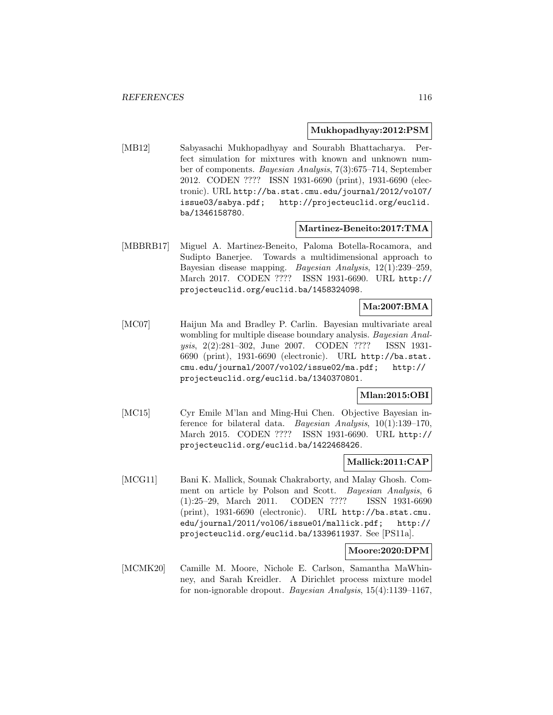#### **Mukhopadhyay:2012:PSM**

[MB12] Sabyasachi Mukhopadhyay and Sourabh Bhattacharya. Perfect simulation for mixtures with known and unknown number of components. Bayesian Analysis, 7(3):675–714, September 2012. CODEN ???? ISSN 1931-6690 (print), 1931-6690 (electronic). URL http://ba.stat.cmu.edu/journal/2012/vol07/ issue03/sabya.pdf; http://projecteuclid.org/euclid. ba/1346158780.

### **Martinez-Beneito:2017:TMA**

[MBBRB17] Miguel A. Martinez-Beneito, Paloma Botella-Rocamora, and Sudipto Banerjee. Towards a multidimensional approach to Bayesian disease mapping. Bayesian Analysis, 12(1):239–259, March 2017. CODEN ???? ISSN 1931-6690. URL http:// projecteuclid.org/euclid.ba/1458324098.

## **Ma:2007:BMA**

[MC07] Haijun Ma and Bradley P. Carlin. Bayesian multivariate areal wombling for multiple disease boundary analysis. Bayesian Analysis, 2(2):281–302, June 2007. CODEN ???? ISSN 1931- 6690 (print), 1931-6690 (electronic). URL http://ba.stat. cmu.edu/journal/2007/vol02/issue02/ma.pdf; http:// projecteuclid.org/euclid.ba/1340370801.

## **Mlan:2015:OBI**

[MC15] Cyr Emile M'lan and Ming-Hui Chen. Objective Bayesian inference for bilateral data. Bayesian Analysis, 10(1):139–170, March 2015. CODEN ???? ISSN 1931-6690. URL http:// projecteuclid.org/euclid.ba/1422468426.

### **Mallick:2011:CAP**

[MCG11] Bani K. Mallick, Sounak Chakraborty, and Malay Ghosh. Comment on article by Polson and Scott. Bayesian Analysis, 6 (1):25–29, March 2011. CODEN ???? ISSN 1931-6690 (print), 1931-6690 (electronic). URL http://ba.stat.cmu. edu/journal/2011/vol06/issue01/mallick.pdf; http:// projecteuclid.org/euclid.ba/1339611937. See [PS11a].

### **Moore:2020:DPM**

[MCMK20] Camille M. Moore, Nichole E. Carlson, Samantha MaWhinney, and Sarah Kreidler. A Dirichlet process mixture model for non-ignorable dropout. Bayesian Analysis, 15(4):1139–1167,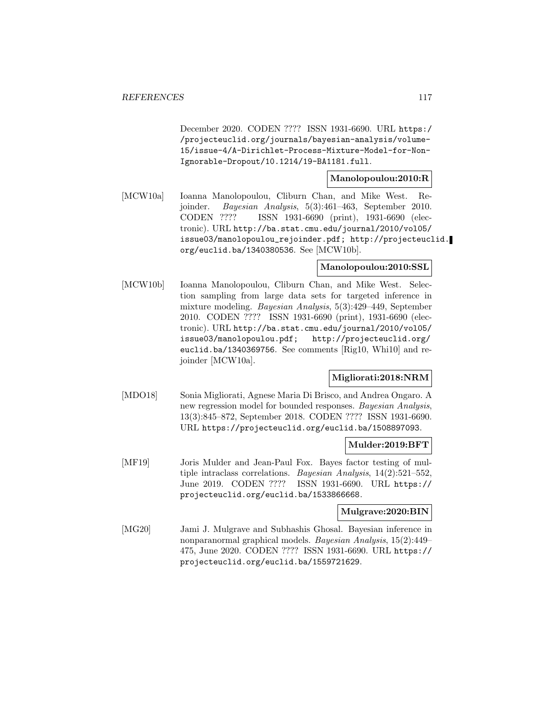December 2020. CODEN ???? ISSN 1931-6690. URL https:/ /projecteuclid.org/journals/bayesian-analysis/volume-15/issue-4/A-Dirichlet-Process-Mixture-Model-for-Non-Ignorable-Dropout/10.1214/19-BA1181.full.

### **Manolopoulou:2010:R**

[MCW10a] Ioanna Manolopoulou, Cliburn Chan, and Mike West. Rejoinder. Bayesian Analysis, 5(3):461–463, September 2010. CODEN ???? ISSN 1931-6690 (print), 1931-6690 (electronic). URL http://ba.stat.cmu.edu/journal/2010/vol05/ issue03/manolopoulou\_rejoinder.pdf; http://projecteuclid. org/euclid.ba/1340380536. See [MCW10b].

### **Manolopoulou:2010:SSL**

[MCW10b] Ioanna Manolopoulou, Cliburn Chan, and Mike West. Selection sampling from large data sets for targeted inference in mixture modeling. Bayesian Analysis, 5(3):429–449, September 2010. CODEN ???? ISSN 1931-6690 (print), 1931-6690 (electronic). URL http://ba.stat.cmu.edu/journal/2010/vol05/ issue03/manolopoulou.pdf; http://projecteuclid.org/ euclid.ba/1340369756. See comments [Rig10, Whi10] and rejoinder [MCW10a].

## **Migliorati:2018:NRM**

[MDO18] Sonia Migliorati, Agnese Maria Di Brisco, and Andrea Ongaro. A new regression model for bounded responses. Bayesian Analysis, 13(3):845–872, September 2018. CODEN ???? ISSN 1931-6690. URL https://projecteuclid.org/euclid.ba/1508897093.

### **Mulder:2019:BFT**

[MF19] Joris Mulder and Jean-Paul Fox. Bayes factor testing of multiple intraclass correlations. Bayesian Analysis, 14(2):521–552, June 2019. CODEN ???? ISSN 1931-6690. URL https:// projecteuclid.org/euclid.ba/1533866668.

#### **Mulgrave:2020:BIN**

[MG20] Jami J. Mulgrave and Subhashis Ghosal. Bayesian inference in nonparanormal graphical models. Bayesian Analysis, 15(2):449– 475, June 2020. CODEN ???? ISSN 1931-6690. URL https:// projecteuclid.org/euclid.ba/1559721629.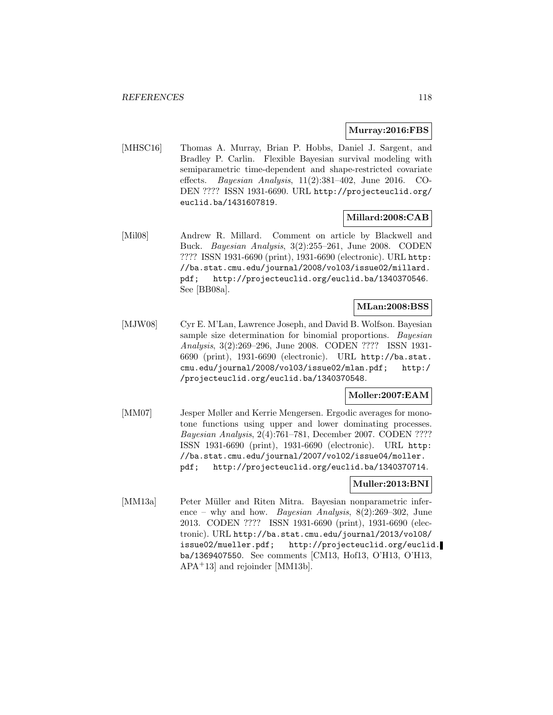#### **Murray:2016:FBS**

[MHSC16] Thomas A. Murray, Brian P. Hobbs, Daniel J. Sargent, and Bradley P. Carlin. Flexible Bayesian survival modeling with semiparametric time-dependent and shape-restricted covariate effects. Bayesian Analysis, 11(2):381–402, June 2016. CO-DEN ???? ISSN 1931-6690. URL http://projecteuclid.org/ euclid.ba/1431607819.

### **Millard:2008:CAB**

[Mil08] Andrew R. Millard. Comment on article by Blackwell and Buck. Bayesian Analysis, 3(2):255–261, June 2008. CODEN ???? ISSN 1931-6690 (print), 1931-6690 (electronic). URL http: //ba.stat.cmu.edu/journal/2008/vol03/issue02/millard. pdf; http://projecteuclid.org/euclid.ba/1340370546. See [BB08a].

### **MLan:2008:BSS**

[MJW08] Cyr E. M'Lan, Lawrence Joseph, and David B. Wolfson. Bayesian sample size determination for binomial proportions. *Bayesian* Analysis, 3(2):269–296, June 2008. CODEN ???? ISSN 1931- 6690 (print), 1931-6690 (electronic). URL http://ba.stat. cmu.edu/journal/2008/vol03/issue02/mlan.pdf; http:/ /projecteuclid.org/euclid.ba/1340370548.

## **Moller:2007:EAM**

[MM07] Jesper Møller and Kerrie Mengersen. Ergodic averages for monotone functions using upper and lower dominating processes. Bayesian Analysis, 2(4):761–781, December 2007. CODEN ???? ISSN 1931-6690 (print), 1931-6690 (electronic). URL http: //ba.stat.cmu.edu/journal/2007/vol02/issue04/moller. pdf; http://projecteuclid.org/euclid.ba/1340370714.

## **Muller:2013:BNI**

[MM13a] Peter Müller and Riten Mitra. Bayesian nonparametric inference – why and how. *Bayesian Analysis*,  $8(2):269-302$ , June 2013. CODEN ???? ISSN 1931-6690 (print), 1931-6690 (electronic). URL http://ba.stat.cmu.edu/journal/2013/vol08/ issue02/mueller.pdf; http://projecteuclid.org/euclid. ba/1369407550. See comments [CM13, Hof13, O'H13, O'H13, APA<sup>+</sup>13] and rejoinder [MM13b].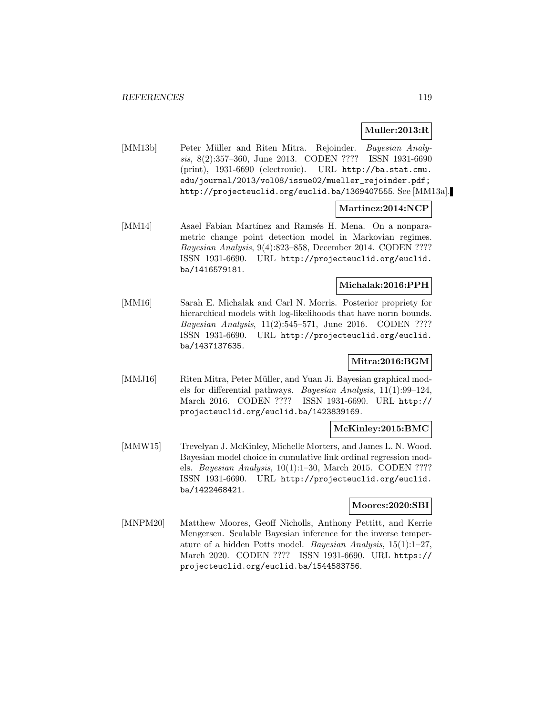### **Muller:2013:R**

[MM13b] Peter Müller and Riten Mitra. Rejoinder. Bayesian Analysis, 8(2):357–360, June 2013. CODEN ???? ISSN 1931-6690 (print), 1931-6690 (electronic). URL http://ba.stat.cmu. edu/journal/2013/vol08/issue02/mueller\_rejoinder.pdf; http://projecteuclid.org/euclid.ba/1369407555. See [MM13a].

### **Martinez:2014:NCP**

[MM14] Asael Fabian Martínez and Ramsés H. Mena. On a nonparametric change point detection model in Markovian regimes. Bayesian Analysis, 9(4):823–858, December 2014. CODEN ???? ISSN 1931-6690. URL http://projecteuclid.org/euclid. ba/1416579181.

#### **Michalak:2016:PPH**

[MM16] Sarah E. Michalak and Carl N. Morris. Posterior propriety for hierarchical models with log-likelihoods that have norm bounds. Bayesian Analysis, 11(2):545–571, June 2016. CODEN ???? ISSN 1931-6690. URL http://projecteuclid.org/euclid. ba/1437137635.

# **Mitra:2016:BGM**

[MMJ16] Riten Mitra, Peter Müller, and Yuan Ji. Bayesian graphical models for differential pathways. Bayesian Analysis, 11(1):99–124, March 2016. CODEN ???? ISSN 1931-6690. URL http:// projecteuclid.org/euclid.ba/1423839169.

### **McKinley:2015:BMC**

[MMW15] Trevelyan J. McKinley, Michelle Morters, and James L. N. Wood. Bayesian model choice in cumulative link ordinal regression models. Bayesian Analysis, 10(1):1–30, March 2015. CODEN ???? ISSN 1931-6690. URL http://projecteuclid.org/euclid. ba/1422468421.

#### **Moores:2020:SBI**

[MNPM20] Matthew Moores, Geoff Nicholls, Anthony Pettitt, and Kerrie Mengersen. Scalable Bayesian inference for the inverse temperature of a hidden Potts model. Bayesian Analysis, 15(1):1–27, March 2020. CODEN ???? ISSN 1931-6690. URL https:// projecteuclid.org/euclid.ba/1544583756.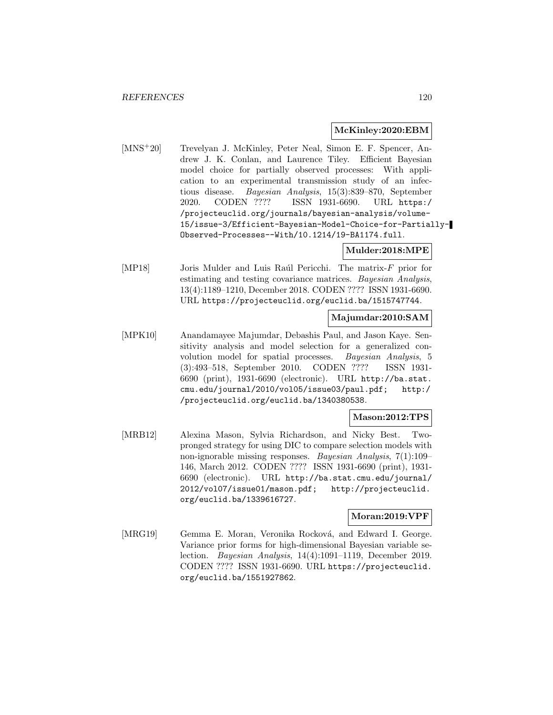#### **McKinley:2020:EBM**

[MNS<sup>+</sup>20] Trevelyan J. McKinley, Peter Neal, Simon E. F. Spencer, Andrew J. K. Conlan, and Laurence Tiley. Efficient Bayesian model choice for partially observed processes: With application to an experimental transmission study of an infectious disease. Bayesian Analysis, 15(3):839–870, September 2020. CODEN ???? ISSN 1931-6690. URL https:/ /projecteuclid.org/journals/bayesian-analysis/volume-15/issue-3/Efficient-Bayesian-Model-Choice-for-Partially-Observed-Processes--With/10.1214/19-BA1174.full.

### **Mulder:2018:MPE**

[MP18] Joris Mulder and Luis Raúl Pericchi. The matrix- $F$  prior for estimating and testing covariance matrices. Bayesian Analysis, 13(4):1189–1210, December 2018. CODEN ???? ISSN 1931-6690. URL https://projecteuclid.org/euclid.ba/1515747744.

### **Majumdar:2010:SAM**

[MPK10] Anandamayee Majumdar, Debashis Paul, and Jason Kaye. Sensitivity analysis and model selection for a generalized convolution model for spatial processes. Bayesian Analysis, 5 (3):493–518, September 2010. CODEN ???? ISSN 1931- 6690 (print), 1931-6690 (electronic). URL http://ba.stat. cmu.edu/journal/2010/vol05/issue03/paul.pdf; http:/ /projecteuclid.org/euclid.ba/1340380538.

### **Mason:2012:TPS**

[MRB12] Alexina Mason, Sylvia Richardson, and Nicky Best. Twopronged strategy for using DIC to compare selection models with non-ignorable missing responses. Bayesian Analysis, 7(1):109– 146, March 2012. CODEN ???? ISSN 1931-6690 (print), 1931- 6690 (electronic). URL http://ba.stat.cmu.edu/journal/ 2012/vol07/issue01/mason.pdf; http://projecteuclid. org/euclid.ba/1339616727.

### **Moran:2019:VPF**

[MRG19] Gemma E. Moran, Veronika Rocková, and Edward I. George. Variance prior forms for high-dimensional Bayesian variable selection. Bayesian Analysis, 14(4):1091–1119, December 2019. CODEN ???? ISSN 1931-6690. URL https://projecteuclid. org/euclid.ba/1551927862.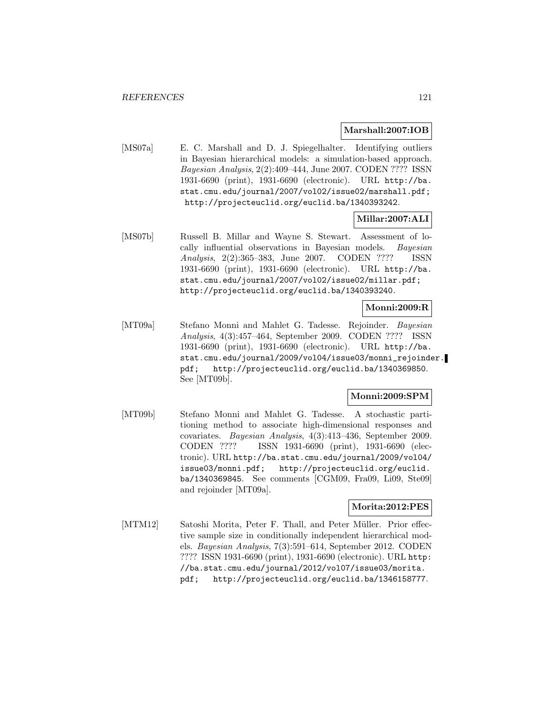#### **Marshall:2007:IOB**

[MS07a] E. C. Marshall and D. J. Spiegelhalter. Identifying outliers in Bayesian hierarchical models: a simulation-based approach. Bayesian Analysis, 2(2):409–444, June 2007. CODEN ???? ISSN 1931-6690 (print), 1931-6690 (electronic). URL http://ba. stat.cmu.edu/journal/2007/vol02/issue02/marshall.pdf; http://projecteuclid.org/euclid.ba/1340393242.

### **Millar:2007:ALI**

[MS07b] Russell B. Millar and Wayne S. Stewart. Assessment of locally influential observations in Bayesian models. Bayesian Analysis, 2(2):365–383, June 2007. CODEN ???? ISSN 1931-6690 (print), 1931-6690 (electronic). URL http://ba. stat.cmu.edu/journal/2007/vol02/issue02/millar.pdf; http://projecteuclid.org/euclid.ba/1340393240.

### **Monni:2009:R**

[MT09a] Stefano Monni and Mahlet G. Tadesse. Rejoinder. Bayesian Analysis, 4(3):457–464, September 2009. CODEN ???? ISSN 1931-6690 (print), 1931-6690 (electronic). URL http://ba. stat.cmu.edu/journal/2009/vol04/issue03/monni\_rejoinder. pdf; http://projecteuclid.org/euclid.ba/1340369850. See [MT09b].

### **Monni:2009:SPM**

[MT09b] Stefano Monni and Mahlet G. Tadesse. A stochastic partitioning method to associate high-dimensional responses and covariates. Bayesian Analysis, 4(3):413–436, September 2009. CODEN ???? ISSN 1931-6690 (print), 1931-6690 (electronic). URL http://ba.stat.cmu.edu/journal/2009/vol04/ issue03/monni.pdf; http://projecteuclid.org/euclid. ba/1340369845. See comments [CGM09, Fra09, Li09, Ste09] and rejoinder [MT09a].

## **Morita:2012:PES**

[MTM12] Satoshi Morita, Peter F. Thall, and Peter Müller. Prior effective sample size in conditionally independent hierarchical models. Bayesian Analysis, 7(3):591–614, September 2012. CODEN ???? ISSN 1931-6690 (print), 1931-6690 (electronic). URL http: //ba.stat.cmu.edu/journal/2012/vol07/issue03/morita. pdf; http://projecteuclid.org/euclid.ba/1346158777.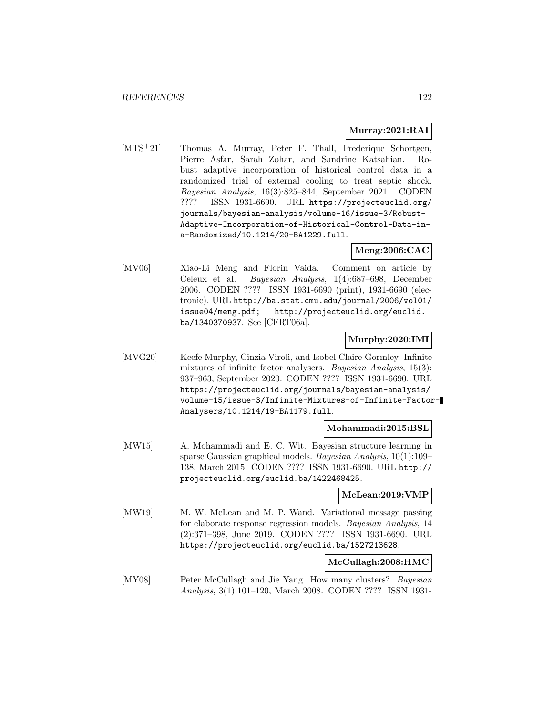#### **Murray:2021:RAI**

[MTS<sup>+</sup>21] Thomas A. Murray, Peter F. Thall, Frederique Schortgen, Pierre Asfar, Sarah Zohar, and Sandrine Katsahian. Robust adaptive incorporation of historical control data in a randomized trial of external cooling to treat septic shock. Bayesian Analysis, 16(3):825–844, September 2021. CODEN ???? ISSN 1931-6690. URL https://projecteuclid.org/ journals/bayesian-analysis/volume-16/issue-3/Robust-Adaptive-Incorporation-of-Historical-Control-Data-ina-Randomized/10.1214/20-BA1229.full.

# **Meng:2006:CAC**

[MV06] Xiao-Li Meng and Florin Vaida. Comment on article by Celeux et al. Bayesian Analysis, 1(4):687–698, December 2006. CODEN ???? ISSN 1931-6690 (print), 1931-6690 (electronic). URL http://ba.stat.cmu.edu/journal/2006/vol01/ issue04/meng.pdf; http://projecteuclid.org/euclid. ba/1340370937. See [CFRT06a].

### **Murphy:2020:IMI**

[MVG20] Keefe Murphy, Cinzia Viroli, and Isobel Claire Gormley. Infinite mixtures of infinite factor analysers. Bayesian Analysis, 15(3): 937–963, September 2020. CODEN ???? ISSN 1931-6690. URL https://projecteuclid.org/journals/bayesian-analysis/ volume-15/issue-3/Infinite-Mixtures-of-Infinite-Factor-Analysers/10.1214/19-BA1179.full.

### **Mohammadi:2015:BSL**

[MW15] A. Mohammadi and E. C. Wit. Bayesian structure learning in sparse Gaussian graphical models. Bayesian Analysis, 10(1):109– 138, March 2015. CODEN ???? ISSN 1931-6690. URL http:// projecteuclid.org/euclid.ba/1422468425.

### **McLean:2019:VMP**

[MW19] M. W. McLean and M. P. Wand. Variational message passing for elaborate response regression models. Bayesian Analysis, 14 (2):371–398, June 2019. CODEN ???? ISSN 1931-6690. URL https://projecteuclid.org/euclid.ba/1527213628.

### **McCullagh:2008:HMC**

[MY08] Peter McCullagh and Jie Yang. How many clusters? Bayesian Analysis, 3(1):101–120, March 2008. CODEN ???? ISSN 1931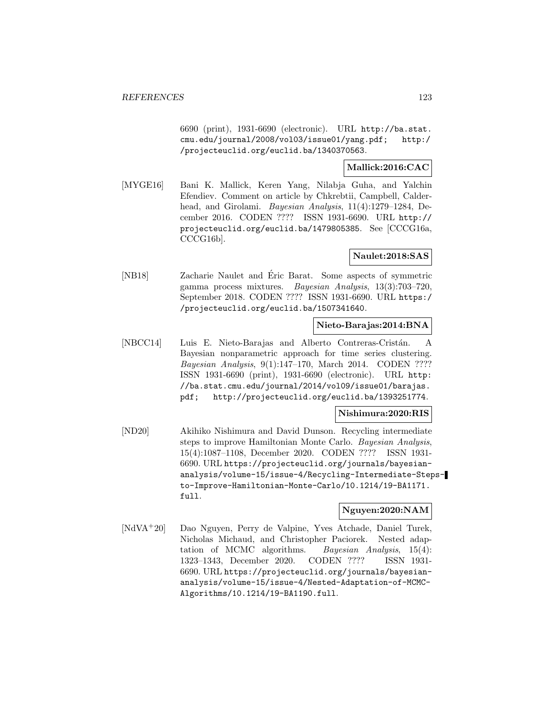6690 (print), 1931-6690 (electronic). URL http://ba.stat. cmu.edu/journal/2008/vol03/issue01/yang.pdf; http:/ /projecteuclid.org/euclid.ba/1340370563.

### **Mallick:2016:CAC**

[MYGE16] Bani K. Mallick, Keren Yang, Nilabja Guha, and Yalchin Efendiev. Comment on article by Chkrebtii, Campbell, Calderhead, and Girolami. Bayesian Analysis, 11(4):1279–1284, December 2016. CODEN ???? ISSN 1931-6690. URL http:// projecteuclid.org/euclid.ba/1479805385. See [CCCG16a, CCCG16b].

### **Naulet:2018:SAS**

[NB18] Zacharie Naulet and Eric Barat. Some aspects of symmetric gamma process mixtures. Bayesian Analysis, 13(3):703–720, September 2018. CODEN ???? ISSN 1931-6690. URL https:/ /projecteuclid.org/euclid.ba/1507341640.

### **Nieto-Barajas:2014:BNA**

[NBCC14] Luis E. Nieto-Barajas and Alberto Contreras-Cristán. A Bayesian nonparametric approach for time series clustering. Bayesian Analysis, 9(1):147–170, March 2014. CODEN ???? ISSN 1931-6690 (print), 1931-6690 (electronic). URL http: //ba.stat.cmu.edu/journal/2014/vol09/issue01/barajas. pdf; http://projecteuclid.org/euclid.ba/1393251774.

### **Nishimura:2020:RIS**

[ND20] Akihiko Nishimura and David Dunson. Recycling intermediate steps to improve Hamiltonian Monte Carlo. Bayesian Analysis, 15(4):1087–1108, December 2020. CODEN ???? ISSN 1931- 6690. URL https://projecteuclid.org/journals/bayesiananalysis/volume-15/issue-4/Recycling-Intermediate-Stepsto-Improve-Hamiltonian-Monte-Carlo/10.1214/19-BA1171. full.

## **Nguyen:2020:NAM**

[NdVA<sup>+</sup>20] Dao Nguyen, Perry de Valpine, Yves Atchade, Daniel Turek, Nicholas Michaud, and Christopher Paciorek. Nested adaptation of MCMC algorithms. Bayesian Analysis, 15(4): 1323–1343, December 2020. CODEN ???? ISSN 1931- 6690. URL https://projecteuclid.org/journals/bayesiananalysis/volume-15/issue-4/Nested-Adaptation-of-MCMC-Algorithms/10.1214/19-BA1190.full.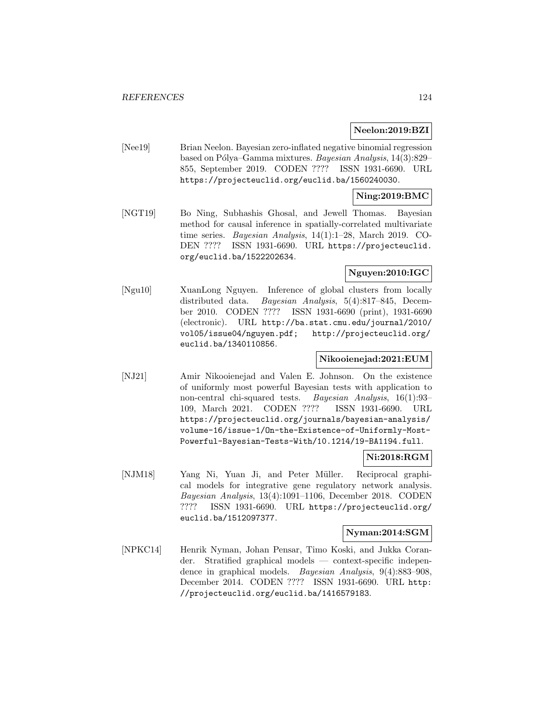### **Neelon:2019:BZI**

[Nee19] Brian Neelon. Bayesian zero-inflated negative binomial regression based on Pólya–Gamma mixtures. Bayesian Analysis, 14(3):829– 855, September 2019. CODEN ???? ISSN 1931-6690. URL https://projecteuclid.org/euclid.ba/1560240030.

### **Ning:2019:BMC**

[NGT19] Bo Ning, Subhashis Ghosal, and Jewell Thomas. Bayesian method for causal inference in spatially-correlated multivariate time series. Bayesian Analysis, 14(1):1–28, March 2019. CO-DEN ???? ISSN 1931-6690. URL https://projecteuclid. org/euclid.ba/1522202634.

## **Nguyen:2010:IGC**

[Ngu10] XuanLong Nguyen. Inference of global clusters from locally distributed data. Bayesian Analysis, 5(4):817–845, December 2010. CODEN ???? ISSN 1931-6690 (print), 1931-6690 (electronic). URL http://ba.stat.cmu.edu/journal/2010/ vol05/issue04/nguyen.pdf; http://projecteuclid.org/ euclid.ba/1340110856.

### **Nikooienejad:2021:EUM**

[NJ21] Amir Nikooienejad and Valen E. Johnson. On the existence of uniformly most powerful Bayesian tests with application to non-central chi-squared tests. Bayesian Analysis, 16(1):93– 109, March 2021. CODEN ???? ISSN 1931-6690. URL https://projecteuclid.org/journals/bayesian-analysis/ volume-16/issue-1/On-the-Existence-of-Uniformly-Most-Powerful-Bayesian-Tests-With/10.1214/19-BA1194.full.

### **Ni:2018:RGM**

[NJM18] Yang Ni, Yuan Ji, and Peter Müller. Reciprocal graphical models for integrative gene regulatory network analysis. Bayesian Analysis, 13(4):1091–1106, December 2018. CODEN ???? ISSN 1931-6690. URL https://projecteuclid.org/ euclid.ba/1512097377.

#### **Nyman:2014:SGM**

[NPKC14] Henrik Nyman, Johan Pensar, Timo Koski, and Jukka Corander. Stratified graphical models — context-specific independence in graphical models. Bayesian Analysis, 9(4):883–908, December 2014. CODEN ???? ISSN 1931-6690. URL http: //projecteuclid.org/euclid.ba/1416579183.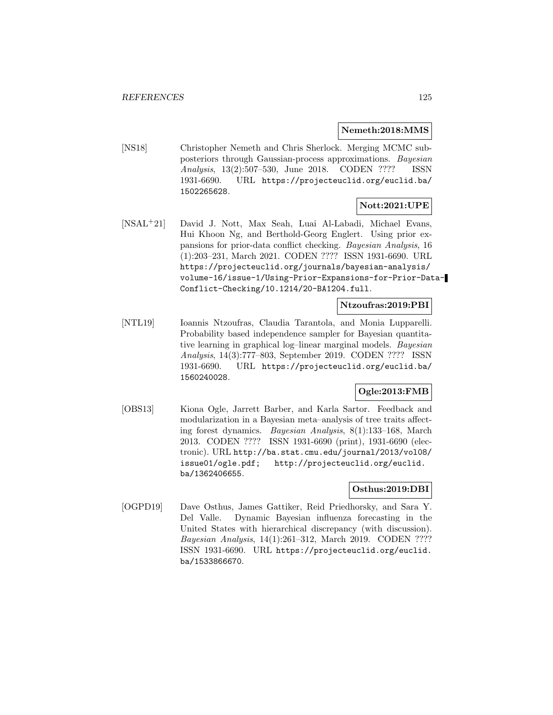#### **Nemeth:2018:MMS**

[NS18] Christopher Nemeth and Chris Sherlock. Merging MCMC subposteriors through Gaussian-process approximations. Bayesian Analysis, 13(2):507–530, June 2018. CODEN ???? ISSN 1931-6690. URL https://projecteuclid.org/euclid.ba/ 1502265628.

#### **Nott:2021:UPE**

[NSAL<sup>+</sup>21] David J. Nott, Max Seah, Luai Al-Labadi, Michael Evans, Hui Khoon Ng, and Berthold-Georg Englert. Using prior expansions for prior-data conflict checking. Bayesian Analysis, 16 (1):203–231, March 2021. CODEN ???? ISSN 1931-6690. URL https://projecteuclid.org/journals/bayesian-analysis/ volume-16/issue-1/Using-Prior-Expansions-for-Prior-Data-Conflict-Checking/10.1214/20-BA1204.full.

### **Ntzoufras:2019:PBI**

[NTL19] Ioannis Ntzoufras, Claudia Tarantola, and Monia Lupparelli. Probability based independence sampler for Bayesian quantitative learning in graphical log–linear marginal models. Bayesian Analysis, 14(3):777–803, September 2019. CODEN ???? ISSN 1931-6690. URL https://projecteuclid.org/euclid.ba/ 1560240028.

# **Ogle:2013:FMB**

[OBS13] Kiona Ogle, Jarrett Barber, and Karla Sartor. Feedback and modularization in a Bayesian meta–analysis of tree traits affecting forest dynamics. Bayesian Analysis, 8(1):133–168, March 2013. CODEN ???? ISSN 1931-6690 (print), 1931-6690 (electronic). URL http://ba.stat.cmu.edu/journal/2013/vol08/ issue01/ogle.pdf; http://projecteuclid.org/euclid. ba/1362406655.

### **Osthus:2019:DBI**

[OGPD19] Dave Osthus, James Gattiker, Reid Priedhorsky, and Sara Y. Del Valle. Dynamic Bayesian influenza forecasting in the United States with hierarchical discrepancy (with discussion). Bayesian Analysis, 14(1):261–312, March 2019. CODEN ???? ISSN 1931-6690. URL https://projecteuclid.org/euclid. ba/1533866670.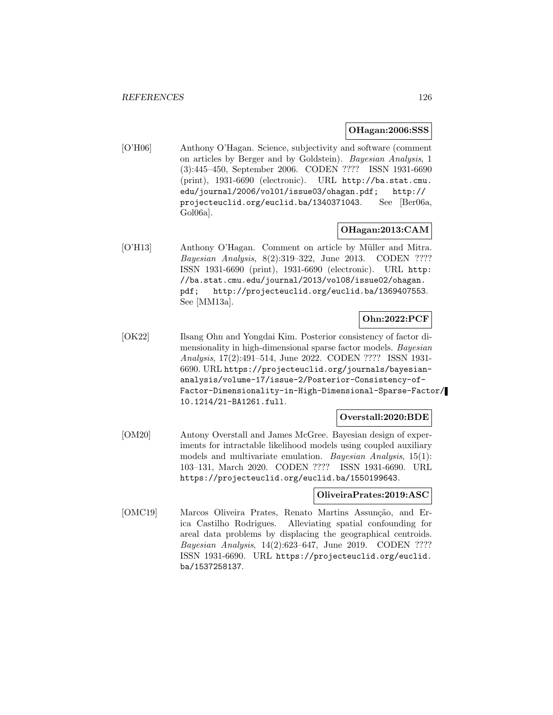#### **OHagan:2006:SSS**

[O'H06] Anthony O'Hagan. Science, subjectivity and software (comment on articles by Berger and by Goldstein). Bayesian Analysis, 1 (3):445–450, September 2006. CODEN ???? ISSN 1931-6690 (print), 1931-6690 (electronic). URL http://ba.stat.cmu. edu/journal/2006/vol01/issue03/ohagan.pdf; http:// projecteuclid.org/euclid.ba/1340371043. See [Ber06a, Gol06a].

### **OHagan:2013:CAM**

[O'H13] Anthony O'Hagan. Comment on article by Müller and Mitra. Bayesian Analysis, 8(2):319–322, June 2013. CODEN ???? ISSN 1931-6690 (print), 1931-6690 (electronic). URL http: //ba.stat.cmu.edu/journal/2013/vol08/issue02/ohagan. pdf; http://projecteuclid.org/euclid.ba/1369407553. See [MM13a].

# **Ohn:2022:PCF**

[OK22] Ilsang Ohn and Yongdai Kim. Posterior consistency of factor dimensionality in high-dimensional sparse factor models. Bayesian Analysis, 17(2):491–514, June 2022. CODEN ???? ISSN 1931- 6690. URL https://projecteuclid.org/journals/bayesiananalysis/volume-17/issue-2/Posterior-Consistency-of-Factor-Dimensionality-in-High-Dimensional-Sparse-Factor/ 10.1214/21-BA1261.full.

#### **Overstall:2020:BDE**

[OM20] Antony Overstall and James McGree. Bayesian design of experiments for intractable likelihood models using coupled auxiliary models and multivariate emulation. Bayesian Analysis, 15(1): 103–131, March 2020. CODEN ???? ISSN 1931-6690. URL https://projecteuclid.org/euclid.ba/1550199643.

### **OliveiraPrates:2019:ASC**

[OMC19] Marcos Oliveira Prates, Renato Martins Assunção, and Erica Castilho Rodrigues. Alleviating spatial confounding for areal data problems by displacing the geographical centroids. Bayesian Analysis, 14(2):623–647, June 2019. CODEN ???? ISSN 1931-6690. URL https://projecteuclid.org/euclid. ba/1537258137.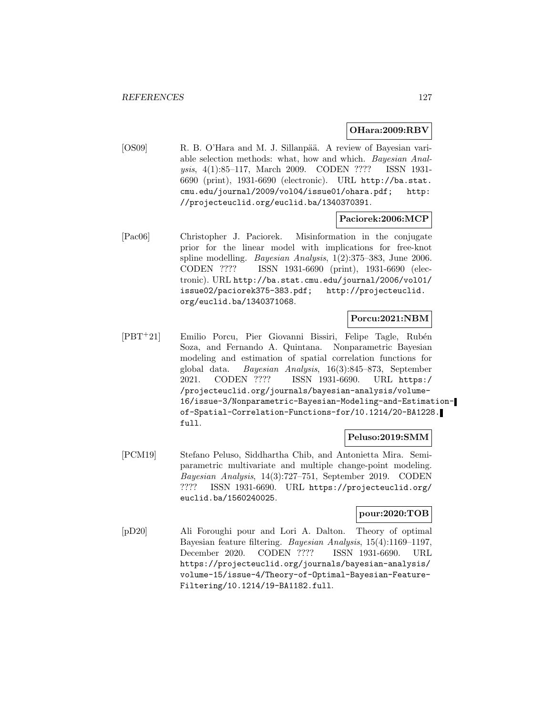### **OHara:2009:RBV**

[OS09] R. B. O'Hara and M. J. Sillanpää. A review of Bayesian variable selection methods: what, how and which. Bayesian Analysis, 4(1):85–117, March 2009. CODEN ???? ISSN 1931- 6690 (print), 1931-6690 (electronic). URL http://ba.stat. cmu.edu/journal/2009/vol04/issue01/ohara.pdf; http: //projecteuclid.org/euclid.ba/1340370391.

### **Paciorek:2006:MCP**

[Pac06] Christopher J. Paciorek. Misinformation in the conjugate prior for the linear model with implications for free-knot spline modelling. Bayesian Analysis, 1(2):375–383, June 2006. CODEN ???? ISSN 1931-6690 (print), 1931-6690 (electronic). URL http://ba.stat.cmu.edu/journal/2006/vol01/ issue02/paciorek375-383.pdf; http://projecteuclid. org/euclid.ba/1340371068.

### **Porcu:2021:NBM**

[PBT<sup>+</sup>21] Emilio Porcu, Pier Giovanni Bissiri, Felipe Tagle, Rubén Soza, and Fernando A. Quintana. Nonparametric Bayesian modeling and estimation of spatial correlation functions for global data. Bayesian Analysis, 16(3):845–873, September 2021. CODEN ???? ISSN 1931-6690. URL https:/ /projecteuclid.org/journals/bayesian-analysis/volume-16/issue-3/Nonparametric-Bayesian-Modeling-and-Estimationof-Spatial-Correlation-Functions-for/10.1214/20-BA1228. full.

### **Peluso:2019:SMM**

[PCM19] Stefano Peluso, Siddhartha Chib, and Antonietta Mira. Semiparametric multivariate and multiple change-point modeling. Bayesian Analysis, 14(3):727–751, September 2019. CODEN ???? ISSN 1931-6690. URL https://projecteuclid.org/ euclid.ba/1560240025.

### **pour:2020:TOB**

[pD20] Ali Foroughi pour and Lori A. Dalton. Theory of optimal Bayesian feature filtering. Bayesian Analysis, 15(4):1169–1197, December 2020. CODEN ???? ISSN 1931-6690. URL https://projecteuclid.org/journals/bayesian-analysis/ volume-15/issue-4/Theory-of-Optimal-Bayesian-Feature-Filtering/10.1214/19-BA1182.full.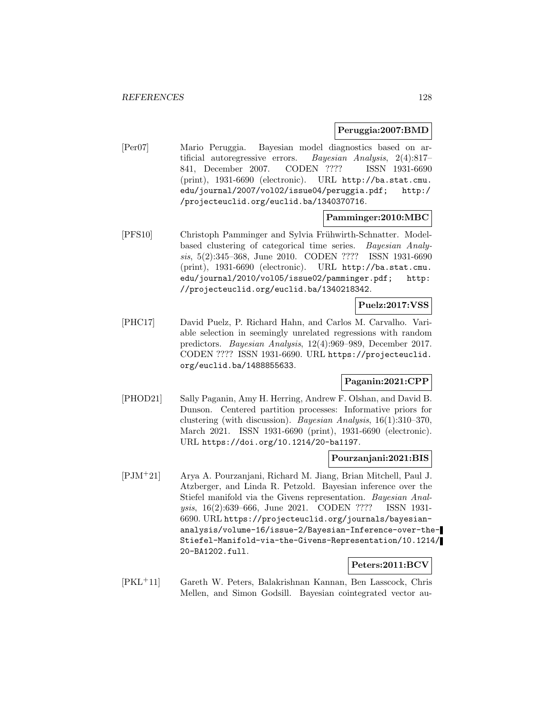### **Peruggia:2007:BMD**

[Per07] Mario Peruggia. Bayesian model diagnostics based on artificial autoregressive errors. Bayesian Analysis, 2(4):817– 841, December 2007. CODEN ???? ISSN 1931-6690 (print), 1931-6690 (electronic). URL http://ba.stat.cmu. edu/journal/2007/vol02/issue04/peruggia.pdf; http:/ /projecteuclid.org/euclid.ba/1340370716.

**Pamminger:2010:MBC**

[PFS10] Christoph Pamminger and Sylvia Frühwirth-Schnatter. Modelbased clustering of categorical time series. Bayesian Analysis, 5(2):345–368, June 2010. CODEN ???? ISSN 1931-6690 (print), 1931-6690 (electronic). URL http://ba.stat.cmu. edu/journal/2010/vol05/issue02/pamminger.pdf; http: //projecteuclid.org/euclid.ba/1340218342.

### **Puelz:2017:VSS**

[PHC17] David Puelz, P. Richard Hahn, and Carlos M. Carvalho. Variable selection in seemingly unrelated regressions with random predictors. Bayesian Analysis, 12(4):969–989, December 2017. CODEN ???? ISSN 1931-6690. URL https://projecteuclid. org/euclid.ba/1488855633.

### **Paganin:2021:CPP**

[PHOD21] Sally Paganin, Amy H. Herring, Andrew F. Olshan, and David B. Dunson. Centered partition processes: Informative priors for clustering (with discussion). Bayesian Analysis, 16(1):310–370, March 2021. ISSN 1931-6690 (print), 1931-6690 (electronic). URL https://doi.org/10.1214/20-ba1197.

### **Pourzanjani:2021:BIS**

[PJM<sup>+</sup>21] Arya A. Pourzanjani, Richard M. Jiang, Brian Mitchell, Paul J. Atzberger, and Linda R. Petzold. Bayesian inference over the Stiefel manifold via the Givens representation. *Bayesian Anal*ysis, 16(2):639–666, June 2021. CODEN ???? ISSN 1931- 6690. URL https://projecteuclid.org/journals/bayesiananalysis/volume-16/issue-2/Bayesian-Inference-over-the-Stiefel-Manifold-via-the-Givens-Representation/10.1214/ 20-BA1202.full.

## **Peters:2011:BCV**

[PKL<sup>+</sup>11] Gareth W. Peters, Balakrishnan Kannan, Ben Lasscock, Chris Mellen, and Simon Godsill. Bayesian cointegrated vector au-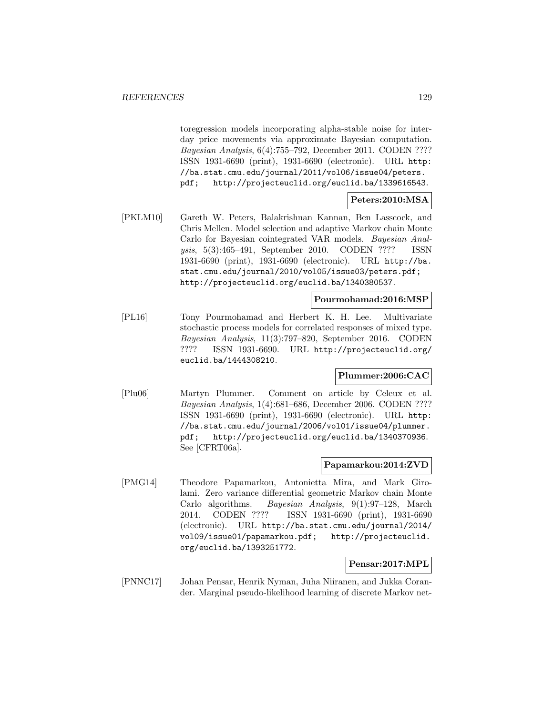toregression models incorporating alpha-stable noise for interday price movements via approximate Bayesian computation. Bayesian Analysis, 6(4):755–792, December 2011. CODEN ???? ISSN 1931-6690 (print), 1931-6690 (electronic). URL http: //ba.stat.cmu.edu/journal/2011/vol06/issue04/peters. pdf; http://projecteuclid.org/euclid.ba/1339616543.

### **Peters:2010:MSA**

[PKLM10] Gareth W. Peters, Balakrishnan Kannan, Ben Lasscock, and Chris Mellen. Model selection and adaptive Markov chain Monte Carlo for Bayesian cointegrated VAR models. Bayesian Analysis, 5(3):465–491, September 2010. CODEN ???? ISSN 1931-6690 (print), 1931-6690 (electronic). URL http://ba. stat.cmu.edu/journal/2010/vol05/issue03/peters.pdf; http://projecteuclid.org/euclid.ba/1340380537.

### **Pourmohamad:2016:MSP**

[PL16] Tony Pourmohamad and Herbert K. H. Lee. Multivariate stochastic process models for correlated responses of mixed type. Bayesian Analysis, 11(3):797–820, September 2016. CODEN ???? ISSN 1931-6690. URL http://projecteuclid.org/ euclid.ba/1444308210.

### **Plummer:2006:CAC**

[Plu06] Martyn Plummer. Comment on article by Celeux et al. Bayesian Analysis, 1(4):681–686, December 2006. CODEN ???? ISSN 1931-6690 (print), 1931-6690 (electronic). URL http: //ba.stat.cmu.edu/journal/2006/vol01/issue04/plummer. pdf; http://projecteuclid.org/euclid.ba/1340370936. See [CFRT06a].

### **Papamarkou:2014:ZVD**

[PMG14] Theodore Papamarkou, Antonietta Mira, and Mark Girolami. Zero variance differential geometric Markov chain Monte Carlo algorithms. Bayesian Analysis, 9(1):97–128, March 2014. CODEN ???? ISSN 1931-6690 (print), 1931-6690 (electronic). URL http://ba.stat.cmu.edu/journal/2014/ vol09/issue01/papamarkou.pdf; http://projecteuclid. org/euclid.ba/1393251772.

### **Pensar:2017:MPL**

[PNNC17] Johan Pensar, Henrik Nyman, Juha Niiranen, and Jukka Corander. Marginal pseudo-likelihood learning of discrete Markov net-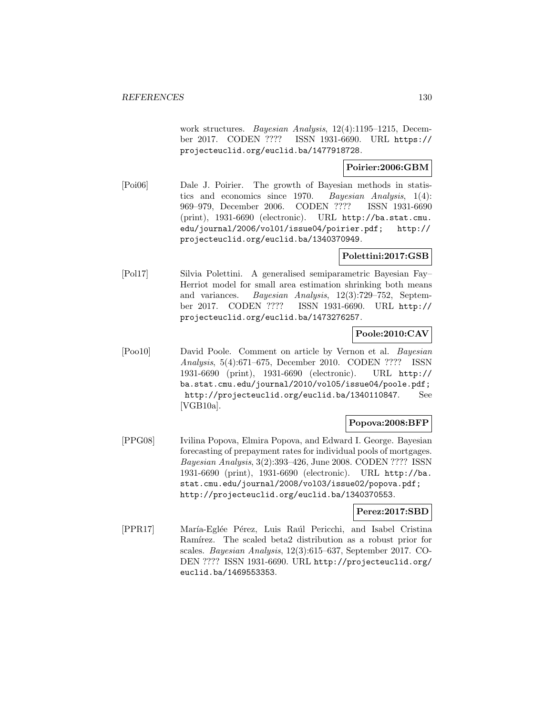work structures. Bayesian Analysis, 12(4):1195–1215, December 2017. CODEN ???? ISSN 1931-6690. URL https:// projecteuclid.org/euclid.ba/1477918728.

### **Poirier:2006:GBM**

[Poi06] Dale J. Poirier. The growth of Bayesian methods in statistics and economics since 1970. Bayesian Analysis, 1(4): 969–979, December 2006. CODEN ???? ISSN 1931-6690 (print), 1931-6690 (electronic). URL http://ba.stat.cmu. edu/journal/2006/vol01/issue04/poirier.pdf; http:// projecteuclid.org/euclid.ba/1340370949.

## **Polettini:2017:GSB**

[Pol17] Silvia Polettini. A generalised semiparametric Bayesian Fay– Herriot model for small area estimation shrinking both means and variances. Bayesian Analysis, 12(3):729–752, September 2017. CODEN ???? ISSN 1931-6690. URL http:// projecteuclid.org/euclid.ba/1473276257.

# **Poole:2010:CAV**

[Poo10] David Poole. Comment on article by Vernon et al. Bayesian Analysis, 5(4):671–675, December 2010. CODEN ???? ISSN 1931-6690 (print), 1931-6690 (electronic). URL http:// ba.stat.cmu.edu/journal/2010/vol05/issue04/poole.pdf; http://projecteuclid.org/euclid.ba/1340110847. See [VGB10a].

### **Popova:2008:BFP**

[PPG08] Ivilina Popova, Elmira Popova, and Edward I. George. Bayesian forecasting of prepayment rates for individual pools of mortgages. Bayesian Analysis, 3(2):393–426, June 2008. CODEN ???? ISSN 1931-6690 (print), 1931-6690 (electronic). URL http://ba. stat.cmu.edu/journal/2008/vol03/issue02/popova.pdf; http://projecteuclid.org/euclid.ba/1340370553.

### **Perez:2017:SBD**

[PPR17] María-Eglée Pérez, Luis Raúl Pericchi, and Isabel Cristina Ramírez. The scaled beta2 distribution as a robust prior for scales. Bayesian Analysis, 12(3):615–637, September 2017. CO-DEN ???? ISSN 1931-6690. URL http://projecteuclid.org/ euclid.ba/1469553353.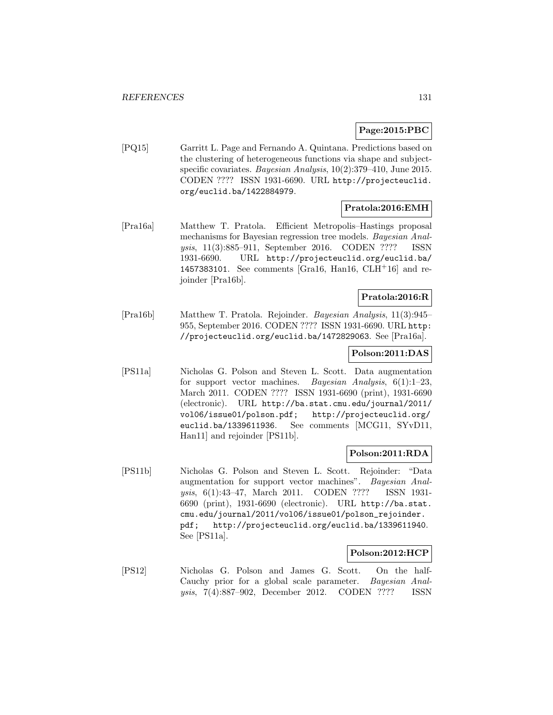### **Page:2015:PBC**

[PQ15] Garritt L. Page and Fernando A. Quintana. Predictions based on the clustering of heterogeneous functions via shape and subjectspecific covariates. Bayesian Analysis,  $10(2):379-410$ , June 2015. CODEN ???? ISSN 1931-6690. URL http://projecteuclid. org/euclid.ba/1422884979.

## **Pratola:2016:EMH**

[Pra16a] Matthew T. Pratola. Efficient Metropolis–Hastings proposal mechanisms for Bayesian regression tree models. Bayesian Analysis, 11(3):885–911, September 2016. CODEN ???? ISSN 1931-6690. URL http://projecteuclid.org/euclid.ba/ 1457383101. See comments [Gra16, Han16, CLH<sup>+</sup>16] and rejoinder [Pra16b].

## **Pratola:2016:R**

[Pra16b] Matthew T. Pratola. Rejoinder. Bayesian Analysis, 11(3):945– 955, September 2016. CODEN ???? ISSN 1931-6690. URL http: //projecteuclid.org/euclid.ba/1472829063. See [Pra16a].

### **Polson:2011:DAS**

[PS11a] Nicholas G. Polson and Steven L. Scott. Data augmentation for support vector machines. Bayesian Analysis,  $6(1):1-23$ , March 2011. CODEN ???? ISSN 1931-6690 (print), 1931-6690 (electronic). URL http://ba.stat.cmu.edu/journal/2011/ vol06/issue01/polson.pdf; http://projecteuclid.org/ euclid.ba/1339611936. See comments [MCG11, SYvD11, Han11] and rejoinder [PS11b].

### **Polson:2011:RDA**

[PS11b] Nicholas G. Polson and Steven L. Scott. Rejoinder: "Data augmentation for support vector machines". Bayesian Analysis, 6(1):43–47, March 2011. CODEN ???? ISSN 1931- 6690 (print), 1931-6690 (electronic). URL http://ba.stat. cmu.edu/journal/2011/vol06/issue01/polson\_rejoinder. pdf; http://projecteuclid.org/euclid.ba/1339611940. See [PS11a].

### **Polson:2012:HCP**

[PS12] Nicholas G. Polson and James G. Scott. On the half-Cauchy prior for a global scale parameter. Bayesian Analysis, 7(4):887–902, December 2012. CODEN ???? ISSN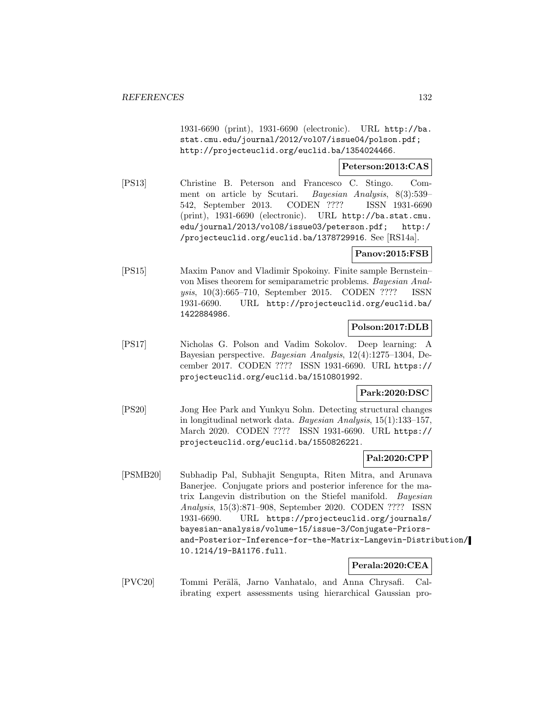1931-6690 (print), 1931-6690 (electronic). URL http://ba. stat.cmu.edu/journal/2012/vol07/issue04/polson.pdf; http://projecteuclid.org/euclid.ba/1354024466.

### **Peterson:2013:CAS**

[PS13] Christine B. Peterson and Francesco C. Stingo. Comment on article by Scutari. Bayesian Analysis, 8(3):539– 542, September 2013. CODEN ???? ISSN 1931-6690 (print), 1931-6690 (electronic). URL http://ba.stat.cmu. edu/journal/2013/vol08/issue03/peterson.pdf; http:/ /projecteuclid.org/euclid.ba/1378729916. See [RS14a].

### **Panov:2015:FSB**

[PS15] Maxim Panov and Vladimir Spokoiny. Finite sample Bernstein– von Mises theorem for semiparametric problems. Bayesian Analysis, 10(3):665–710, September 2015. CODEN ???? ISSN 1931-6690. URL http://projecteuclid.org/euclid.ba/ 1422884986.

# **Polson:2017:DLB**

[PS17] Nicholas G. Polson and Vadim Sokolov. Deep learning: A Bayesian perspective. Bayesian Analysis, 12(4):1275–1304, December 2017. CODEN ???? ISSN 1931-6690. URL https:// projecteuclid.org/euclid.ba/1510801992.

## **Park:2020:DSC**

[PS20] Jong Hee Park and Yunkyu Sohn. Detecting structural changes in longitudinal network data. Bayesian Analysis, 15(1):133–157, March 2020. CODEN ???? ISSN 1931-6690. URL https:// projecteuclid.org/euclid.ba/1550826221.

## **Pal:2020:CPP**

[PSMB20] Subhadip Pal, Subhajit Sengupta, Riten Mitra, and Arunava Banerjee. Conjugate priors and posterior inference for the matrix Langevin distribution on the Stiefel manifold. Bayesian Analysis, 15(3):871–908, September 2020. CODEN ???? ISSN 1931-6690. URL https://projecteuclid.org/journals/ bayesian-analysis/volume-15/issue-3/Conjugate-Priorsand-Posterior-Inference-for-the-Matrix-Langevin-Distribution/ 10.1214/19-BA1176.full.

# **Perala:2020:CEA**

[PVC20] Tommi Perälä, Jarno Vanhatalo, and Anna Chrysafi. Calibrating expert assessments using hierarchical Gaussian pro-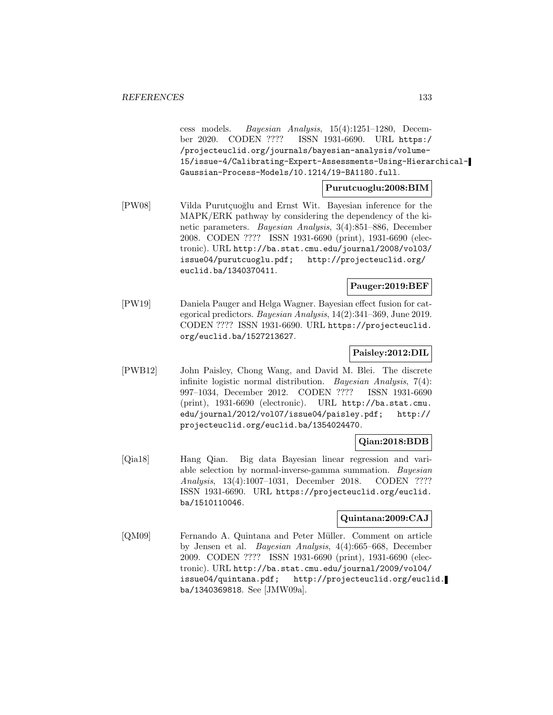cess models. Bayesian Analysis, 15(4):1251–1280, December 2020. CODEN ???? ISSN 1931-6690. URL https:/ /projecteuclid.org/journals/bayesian-analysis/volume-15/issue-4/Calibrating-Expert-Assessments-Using-Hierarchical-Gaussian-Process-Models/10.1214/19-BA1180.full.

**Purutcuoglu:2008:BIM**

[PW08] Vilda Purutçuoğlu and Ernst Wit. Bayesian inference for the MAPK/ERK pathway by considering the dependency of the kinetic parameters. Bayesian Analysis, 3(4):851–886, December 2008. CODEN ???? ISSN 1931-6690 (print), 1931-6690 (electronic). URL http://ba.stat.cmu.edu/journal/2008/vol03/ issue04/purutcuoglu.pdf; http://projecteuclid.org/ euclid.ba/1340370411.

## **Pauger:2019:BEF**

[PW19] Daniela Pauger and Helga Wagner. Bayesian effect fusion for categorical predictors. Bayesian Analysis, 14(2):341–369, June 2019. CODEN ???? ISSN 1931-6690. URL https://projecteuclid. org/euclid.ba/1527213627.

### **Paisley:2012:DIL**

[PWB12] John Paisley, Chong Wang, and David M. Blei. The discrete infinite logistic normal distribution. Bayesian Analysis, 7(4): 997–1034, December 2012. CODEN ???? ISSN 1931-6690 (print), 1931-6690 (electronic). URL http://ba.stat.cmu. edu/journal/2012/vol07/issue04/paisley.pdf; http:// projecteuclid.org/euclid.ba/1354024470.

### **Qian:2018:BDB**

[Qia18] Hang Qian. Big data Bayesian linear regression and variable selection by normal-inverse-gamma summation. Bayesian Analysis, 13(4):1007–1031, December 2018. CODEN ???? ISSN 1931-6690. URL https://projecteuclid.org/euclid. ba/1510110046.

## **Quintana:2009:CAJ**

[QM09] Fernando A. Quintana and Peter Müller. Comment on article by Jensen et al. Bayesian Analysis, 4(4):665–668, December 2009. CODEN ???? ISSN 1931-6690 (print), 1931-6690 (electronic). URL http://ba.stat.cmu.edu/journal/2009/vol04/ issue04/quintana.pdf; http://projecteuclid.org/euclid. ba/1340369818. See [JMW09a].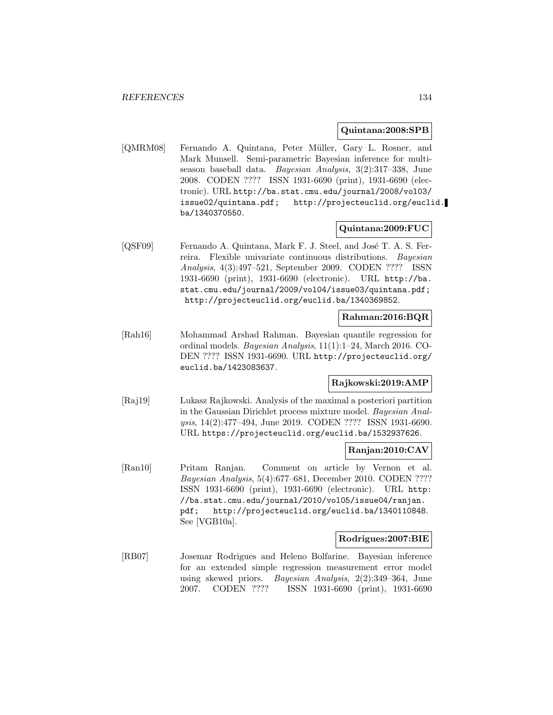#### **Quintana:2008:SPB**

[QMRM08] Fernando A. Quintana, Peter Müller, Gary L. Rosner, and Mark Munsell. Semi-parametric Bayesian inference for multiseason baseball data. Bayesian Analysis, 3(2):317–338, June 2008. CODEN ???? ISSN 1931-6690 (print), 1931-6690 (electronic). URL http://ba.stat.cmu.edu/journal/2008/vol03/ issue02/quintana.pdf; http://projecteuclid.org/euclid. ba/1340370550.

### **Quintana:2009:FUC**

[QSF09] Fernando A. Quintana, Mark F. J. Steel, and José T. A. S. Ferreira. Flexible univariate continuous distributions. Bayesian Analysis, 4(3):497–521, September 2009. CODEN ???? ISSN 1931-6690 (print), 1931-6690 (electronic). URL http://ba. stat.cmu.edu/journal/2009/vol04/issue03/quintana.pdf; http://projecteuclid.org/euclid.ba/1340369852.

### **Rahman:2016:BQR**

[Rah16] Mohammad Arshad Rahman. Bayesian quantile regression for ordinal models. Bayesian Analysis, 11(1):1–24, March 2016. CO-DEN ???? ISSN 1931-6690. URL http://projecteuclid.org/ euclid.ba/1423083637.

#### **Rajkowski:2019:AMP**

[Raj19] Lukasz Rajkowski. Analysis of the maximal a posteriori partition in the Gaussian Dirichlet process mixture model. Bayesian Analysis, 14(2):477–494, June 2019. CODEN ???? ISSN 1931-6690. URL https://projecteuclid.org/euclid.ba/1532937626.

### **Ranjan:2010:CAV**

[Ran10] Pritam Ranjan. Comment on article by Vernon et al. Bayesian Analysis, 5(4):677–681, December 2010. CODEN ???? ISSN 1931-6690 (print), 1931-6690 (electronic). URL http: //ba.stat.cmu.edu/journal/2010/vol05/issue04/ranjan. pdf; http://projecteuclid.org/euclid.ba/1340110848. See [VGB10a].

### **Rodrigues:2007:BIE**

[RB07] Josemar Rodrigues and Heleno Bolfarine. Bayesian inference for an extended simple regression measurement error model using skewed priors. Bayesian Analysis, 2(2):349–364, June 2007. CODEN ???? ISSN 1931-6690 (print), 1931-6690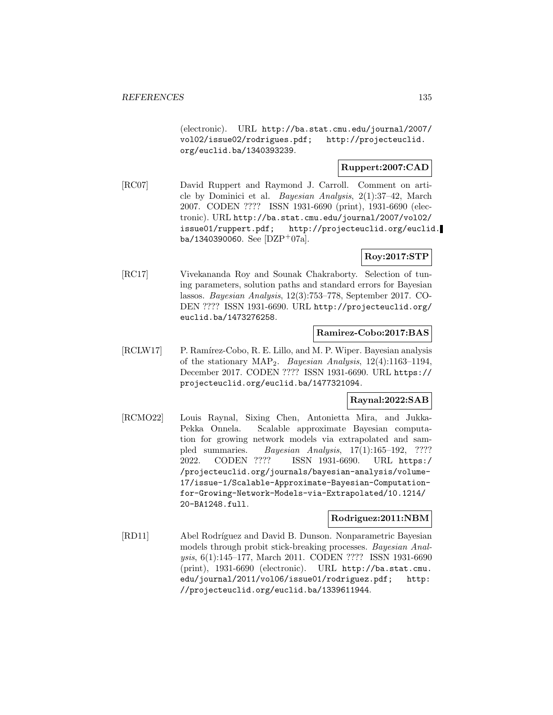(electronic). URL http://ba.stat.cmu.edu/journal/2007/ vol02/issue02/rodrigues.pdf; http://projecteuclid. org/euclid.ba/1340393239.

# **Ruppert:2007:CAD**

[RC07] David Ruppert and Raymond J. Carroll. Comment on article by Dominici et al. Bayesian Analysis, 2(1):37–42, March 2007. CODEN ???? ISSN 1931-6690 (print), 1931-6690 (electronic). URL http://ba.stat.cmu.edu/journal/2007/vol02/ issue01/ruppert.pdf; http://projecteuclid.org/euclid. ba/1340390060. See  $[DZP^+07a]$ .

## **Roy:2017:STP**

[RC17] Vivekananda Roy and Sounak Chakraborty. Selection of tuning parameters, solution paths and standard errors for Bayesian lassos. Bayesian Analysis, 12(3):753–778, September 2017. CO-DEN ???? ISSN 1931-6690. URL http://projecteuclid.org/ euclid.ba/1473276258.

### **Ramirez-Cobo:2017:BAS**

[RCLW17] P. Ramírez-Cobo, R. E. Lillo, and M. P. Wiper. Bayesian analysis of the stationary MAP2. Bayesian Analysis, 12(4):1163–1194, December 2017. CODEN ???? ISSN 1931-6690. URL https:// projecteuclid.org/euclid.ba/1477321094.

### **Raynal:2022:SAB**

[RCMO22] Louis Raynal, Sixing Chen, Antonietta Mira, and Jukka-Pekka Onnela. Scalable approximate Bayesian computation for growing network models via extrapolated and sampled summaries. Bayesian Analysis, 17(1):165–192, ???? 2022. CODEN ???? ISSN 1931-6690. URL https:/ /projecteuclid.org/journals/bayesian-analysis/volume-17/issue-1/Scalable-Approximate-Bayesian-Computationfor-Growing-Network-Models-via-Extrapolated/10.1214/ 20-BA1248.full.

## **Rodriguez:2011:NBM**

[RD11] Abel Rodríguez and David B. Dunson. Nonparametric Bayesian models through probit stick-breaking processes. Bayesian Analysis, 6(1):145–177, March 2011. CODEN ???? ISSN 1931-6690 (print), 1931-6690 (electronic). URL http://ba.stat.cmu. edu/journal/2011/vol06/issue01/rodriguez.pdf; http: //projecteuclid.org/euclid.ba/1339611944.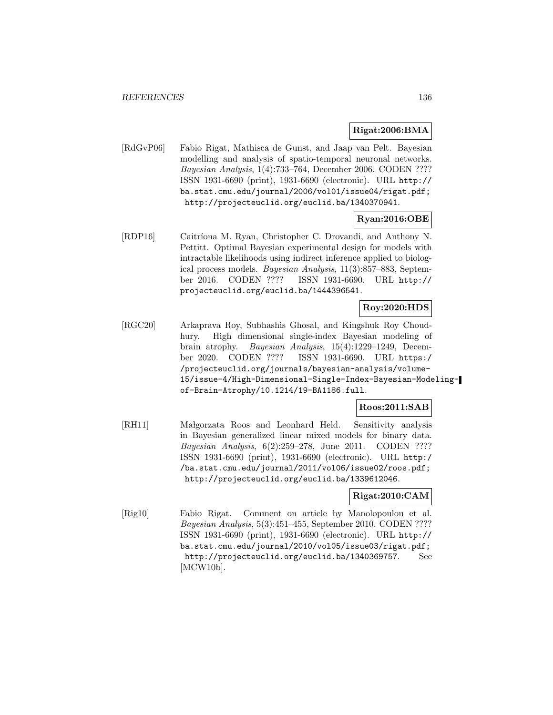#### **Rigat:2006:BMA**

[RdGvP06] Fabio Rigat, Mathisca de Gunst, and Jaap van Pelt. Bayesian modelling and analysis of spatio-temporal neuronal networks. Bayesian Analysis, 1(4):733–764, December 2006. CODEN ???? ISSN 1931-6690 (print), 1931-6690 (electronic). URL http:// ba.stat.cmu.edu/journal/2006/vol01/issue04/rigat.pdf; http://projecteuclid.org/euclid.ba/1340370941.

### **Ryan:2016:OBE**

[RDP16] Caitríona M. Ryan, Christopher C. Drovandi, and Anthony N. Pettitt. Optimal Bayesian experimental design for models with intractable likelihoods using indirect inference applied to biological process models. Bayesian Analysis, 11(3):857–883, September 2016. CODEN ???? ISSN 1931-6690. URL http:// projecteuclid.org/euclid.ba/1444396541.

# **Roy:2020:HDS**

[RGC20] Arkaprava Roy, Subhashis Ghosal, and Kingshuk Roy Choudhury. High dimensional single-index Bayesian modeling of brain atrophy. Bayesian Analysis, 15(4):1229–1249, December 2020. CODEN ???? ISSN 1931-6690. URL https:/ /projecteuclid.org/journals/bayesian-analysis/volume-15/issue-4/High-Dimensional-Single-Index-Bayesian-Modelingof-Brain-Atrophy/10.1214/19-BA1186.full.

### **Roos:2011:SAB**

[RH11] Malgorzata Roos and Leonhard Held. Sensitivity analysis in Bayesian generalized linear mixed models for binary data. Bayesian Analysis, 6(2):259–278, June 2011. CODEN ???? ISSN 1931-6690 (print), 1931-6690 (electronic). URL http:/ /ba.stat.cmu.edu/journal/2011/vol06/issue02/roos.pdf; http://projecteuclid.org/euclid.ba/1339612046.

### **Rigat:2010:CAM**

[Rig10] Fabio Rigat. Comment on article by Manolopoulou et al. Bayesian Analysis, 5(3):451–455, September 2010. CODEN ???? ISSN 1931-6690 (print), 1931-6690 (electronic). URL http:// ba.stat.cmu.edu/journal/2010/vol05/issue03/rigat.pdf; http://projecteuclid.org/euclid.ba/1340369757. See [MCW10b].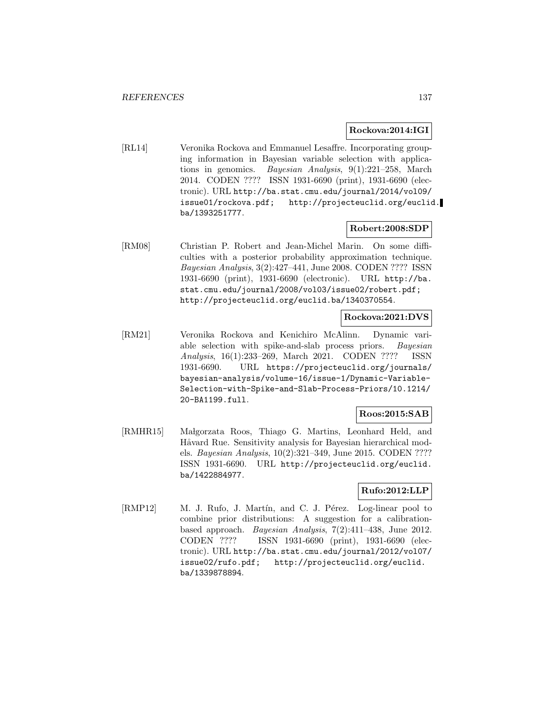#### **Rockova:2014:IGI**

[RL14] Veronika Rockova and Emmanuel Lesaffre. Incorporating grouping information in Bayesian variable selection with applications in genomics. Bayesian Analysis, 9(1):221–258, March 2014. CODEN ???? ISSN 1931-6690 (print), 1931-6690 (electronic). URL http://ba.stat.cmu.edu/journal/2014/vol09/ issue01/rockova.pdf; http://projecteuclid.org/euclid. ba/1393251777.

### **Robert:2008:SDP**

[RM08] Christian P. Robert and Jean-Michel Marin. On some difficulties with a posterior probability approximation technique. Bayesian Analysis, 3(2):427–441, June 2008. CODEN ???? ISSN 1931-6690 (print), 1931-6690 (electronic). URL http://ba. stat.cmu.edu/journal/2008/vol03/issue02/robert.pdf; http://projecteuclid.org/euclid.ba/1340370554.

### **Rockova:2021:DVS**

[RM21] Veronika Rockova and Kenichiro McAlinn. Dynamic variable selection with spike-and-slab process priors. Bayesian Analysis, 16(1):233–269, March 2021. CODEN ???? ISSN 1931-6690. URL https://projecteuclid.org/journals/ bayesian-analysis/volume-16/issue-1/Dynamic-Variable-Selection-with-Spike-and-Slab-Process-Priors/10.1214/ 20-BA1199.full.

#### **Roos:2015:SAB**

[RMHR15] Małgorzata Roos, Thiago G. Martins, Leonhard Held, and Håvard Rue. Sensitivity analysis for Bayesian hierarchical models. Bayesian Analysis, 10(2):321–349, June 2015. CODEN ???? ISSN 1931-6690. URL http://projecteuclid.org/euclid. ba/1422884977.

### **Rufo:2012:LLP**

[RMP12] M. J. Rufo, J. Martín, and C. J. Pérez. Log-linear pool to combine prior distributions: A suggestion for a calibrationbased approach. Bayesian Analysis, 7(2):411–438, June 2012. CODEN ???? ISSN 1931-6690 (print), 1931-6690 (electronic). URL http://ba.stat.cmu.edu/journal/2012/vol07/ issue02/rufo.pdf; http://projecteuclid.org/euclid. ba/1339878894.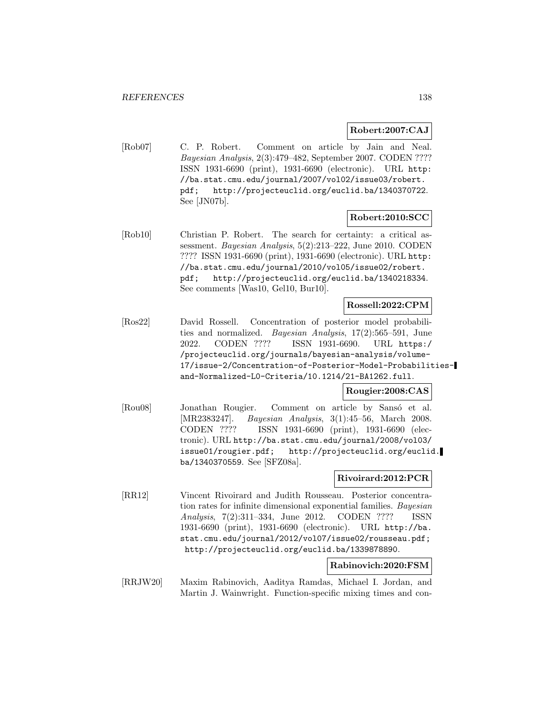### **Robert:2007:CAJ**

[Rob07] C. P. Robert. Comment on article by Jain and Neal. Bayesian Analysis, 2(3):479–482, September 2007. CODEN ???? ISSN 1931-6690 (print), 1931-6690 (electronic). URL http: //ba.stat.cmu.edu/journal/2007/vol02/issue03/robert. pdf; http://projecteuclid.org/euclid.ba/1340370722. See [JN07b].

### **Robert:2010:SCC**

[Rob10] Christian P. Robert. The search for certainty: a critical assessment. Bayesian Analysis, 5(2):213–222, June 2010. CODEN ???? ISSN 1931-6690 (print), 1931-6690 (electronic). URL http: //ba.stat.cmu.edu/journal/2010/vol05/issue02/robert. pdf; http://projecteuclid.org/euclid.ba/1340218334. See comments [Was10, Gel10, Bur10].

#### **Rossell:2022:CPM**

[Ros22] David Rossell. Concentration of posterior model probabilities and normalized. Bayesian Analysis, 17(2):565–591, June 2022. CODEN ???? ISSN 1931-6690. URL https:/ /projecteuclid.org/journals/bayesian-analysis/volume-17/issue-2/Concentration-of-Posterior-Model-Probabilitiesand-Normalized-L0-Criteria/10.1214/21-BA1262.full.

### **Rougier:2008:CAS**

[Rou08] Jonathan Rougier. Comment on article by Sansó et al. [MR2383247]. Bayesian Analysis, 3(1):45–56, March 2008. CODEN ???? ISSN 1931-6690 (print), 1931-6690 (electronic). URL http://ba.stat.cmu.edu/journal/2008/vol03/ issue01/rougier.pdf; http://projecteuclid.org/euclid. ba/1340370559. See [SFZ08a].

### **Rivoirard:2012:PCR**

[RR12] Vincent Rivoirard and Judith Rousseau. Posterior concentration rates for infinite dimensional exponential families. Bayesian Analysis, 7(2):311–334, June 2012. CODEN ???? ISSN 1931-6690 (print), 1931-6690 (electronic). URL http://ba. stat.cmu.edu/journal/2012/vol07/issue02/rousseau.pdf; http://projecteuclid.org/euclid.ba/1339878890.

### **Rabinovich:2020:FSM**

[RRJW20] Maxim Rabinovich, Aaditya Ramdas, Michael I. Jordan, and Martin J. Wainwright. Function-specific mixing times and con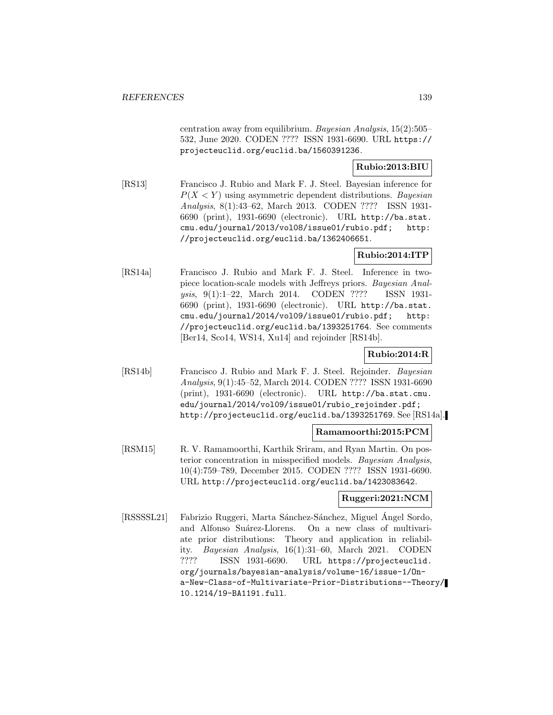centration away from equilibrium. Bayesian Analysis, 15(2):505– 532, June 2020. CODEN ???? ISSN 1931-6690. URL https:// projecteuclid.org/euclid.ba/1560391236.

### **Rubio:2013:BIU**

[RS13] Francisco J. Rubio and Mark F. J. Steel. Bayesian inference for  $P(X \le Y)$  using asymmetric dependent distributions. Bayesian Analysis, 8(1):43–62, March 2013. CODEN ???? ISSN 1931- 6690 (print), 1931-6690 (electronic). URL http://ba.stat. cmu.edu/journal/2013/vol08/issue01/rubio.pdf; http: //projecteuclid.org/euclid.ba/1362406651.

### **Rubio:2014:ITP**

[RS14a] Francisco J. Rubio and Mark F. J. Steel. Inference in twopiece location-scale models with Jeffreys priors. Bayesian Analysis, 9(1):1–22, March 2014. CODEN ???? ISSN 1931- 6690 (print), 1931-6690 (electronic). URL http://ba.stat. cmu.edu/journal/2014/vol09/issue01/rubio.pdf; http: //projecteuclid.org/euclid.ba/1393251764. See comments [Ber14, Sco14, WS14, Xu14] and rejoinder [RS14b].

## **Rubio:2014:R**

[RS14b] Francisco J. Rubio and Mark F. J. Steel. Rejoinder. Bayesian Analysis, 9(1):45–52, March 2014. CODEN ???? ISSN 1931-6690 (print), 1931-6690 (electronic). URL http://ba.stat.cmu. edu/journal/2014/vol09/issue01/rubio\_rejoinder.pdf; http://projecteuclid.org/euclid.ba/1393251769. See [RS14a].

### **Ramamoorthi:2015:PCM**

[RSM15] R. V. Ramamoorthi, Karthik Sriram, and Ryan Martin. On posterior concentration in misspecified models. Bayesian Analysis, 10(4):759–789, December 2015. CODEN ???? ISSN 1931-6690. URL http://projecteuclid.org/euclid.ba/1423083642.

### **Ruggeri:2021:NCM**

[RSSSSL21] Fabrizio Ruggeri, Marta Sánchez-Sánchez, Miguel Ángel Sordo, and Alfonso Suárez-Llorens. On a new class of multivariate prior distributions: Theory and application in reliability. Bayesian Analysis, 16(1):31–60, March 2021. CODEN ???? ISSN 1931-6690. URL https://projecteuclid. org/journals/bayesian-analysis/volume-16/issue-1/Ona-New-Class-of-Multivariate-Prior-Distributions--Theory/ 10.1214/19-BA1191.full.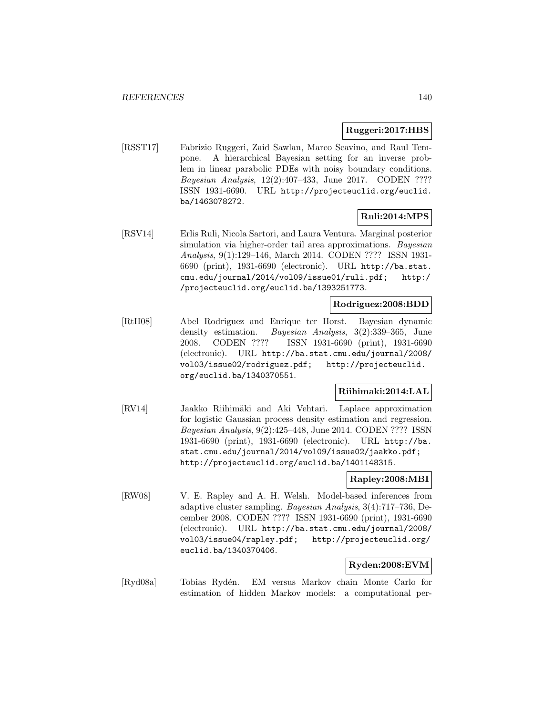### **Ruggeri:2017:HBS**

[RSST17] Fabrizio Ruggeri, Zaid Sawlan, Marco Scavino, and Raul Tempone. A hierarchical Bayesian setting for an inverse problem in linear parabolic PDEs with noisy boundary conditions. Bayesian Analysis, 12(2):407–433, June 2017. CODEN ???? ISSN 1931-6690. URL http://projecteuclid.org/euclid. ba/1463078272.

# **Ruli:2014:MPS**

[RSV14] Erlis Ruli, Nicola Sartori, and Laura Ventura. Marginal posterior simulation via higher-order tail area approximations. *Bayesian* Analysis, 9(1):129–146, March 2014. CODEN ???? ISSN 1931- 6690 (print), 1931-6690 (electronic). URL http://ba.stat. cmu.edu/journal/2014/vol09/issue01/ruli.pdf; http:/ /projecteuclid.org/euclid.ba/1393251773.

### **Rodriguez:2008:BDD**

[RtH08] Abel Rodriguez and Enrique ter Horst. Bayesian dynamic density estimation. Bayesian Analysis, 3(2):339–365, June 2008. CODEN ???? ISSN 1931-6690 (print), 1931-6690 (electronic). URL http://ba.stat.cmu.edu/journal/2008/ vol03/issue02/rodriguez.pdf; http://projecteuclid. org/euclid.ba/1340370551.

# **Riihimaki:2014:LAL**

[RV14] Jaakko Riihimäki and Aki Vehtari. Laplace approximation for logistic Gaussian process density estimation and regression. Bayesian Analysis, 9(2):425–448, June 2014. CODEN ???? ISSN 1931-6690 (print), 1931-6690 (electronic). URL http://ba. stat.cmu.edu/journal/2014/vol09/issue02/jaakko.pdf; http://projecteuclid.org/euclid.ba/1401148315.

#### **Rapley:2008:MBI**

[RW08] V. E. Rapley and A. H. Welsh. Model-based inferences from adaptive cluster sampling. Bayesian Analysis, 3(4):717–736, December 2008. CODEN ???? ISSN 1931-6690 (print), 1931-6690 (electronic). URL http://ba.stat.cmu.edu/journal/2008/ vol03/issue04/rapley.pdf; http://projecteuclid.org/ euclid.ba/1340370406.

## **Ryden:2008:EVM**

[Ryd08a] Tobias Ryd´en. EM versus Markov chain Monte Carlo for estimation of hidden Markov models: a computational per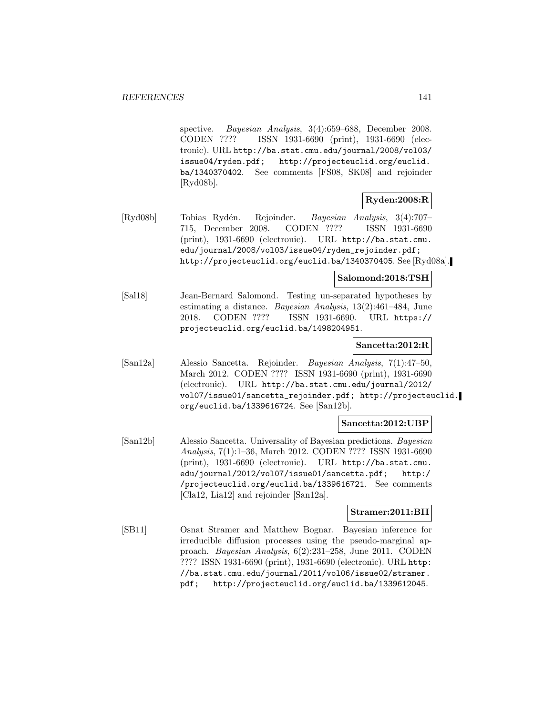spective. Bayesian Analysis, 3(4):659–688, December 2008. CODEN ???? ISSN 1931-6690 (print), 1931-6690 (electronic). URL http://ba.stat.cmu.edu/journal/2008/vol03/ issue04/ryden.pdf; http://projecteuclid.org/euclid. ba/1340370402. See comments [FS08, SK08] and rejoinder [Ryd08b].

### **Ryden:2008:R**

[Ryd08b] Tobias Ryd´en. Rejoinder. Bayesian Analysis, 3(4):707– 715, December 2008. CODEN ???? ISSN 1931-6690 (print), 1931-6690 (electronic). URL http://ba.stat.cmu. edu/journal/2008/vol03/issue04/ryden\_rejoinder.pdf; http://projecteuclid.org/euclid.ba/1340370405. See [Ryd08a].

### **Salomond:2018:TSH**

[Sal18] Jean-Bernard Salomond. Testing un-separated hypotheses by estimating a distance. Bayesian Analysis, 13(2):461–484, June 2018. CODEN ???? ISSN 1931-6690. URL https:// projecteuclid.org/euclid.ba/1498204951.

### **Sancetta:2012:R**

[San12a] Alessio Sancetta. Rejoinder. Bayesian Analysis, 7(1):47–50, March 2012. CODEN ???? ISSN 1931-6690 (print), 1931-6690 (electronic). URL http://ba.stat.cmu.edu/journal/2012/ vol07/issue01/sancetta\_rejoinder.pdf; http://projecteuclid. org/euclid.ba/1339616724. See [San12b].

### **Sancetta:2012:UBP**

[San12b] Alessio Sancetta. Universality of Bayesian predictions. Bayesian Analysis, 7(1):1–36, March 2012. CODEN ???? ISSN 1931-6690 (print), 1931-6690 (electronic). URL http://ba.stat.cmu. edu/journal/2012/vol07/issue01/sancetta.pdf; http:/ /projecteuclid.org/euclid.ba/1339616721. See comments [Cla12, Lia12] and rejoinder [San12a].

### **Stramer:2011:BII**

[SB11] Osnat Stramer and Matthew Bognar. Bayesian inference for irreducible diffusion processes using the pseudo-marginal approach. Bayesian Analysis, 6(2):231–258, June 2011. CODEN ???? ISSN 1931-6690 (print), 1931-6690 (electronic). URL http: //ba.stat.cmu.edu/journal/2011/vol06/issue02/stramer. pdf; http://projecteuclid.org/euclid.ba/1339612045.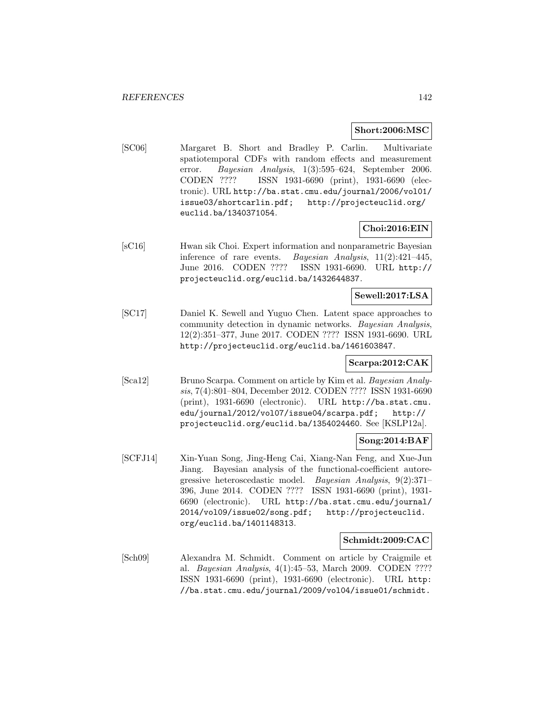#### **Short:2006:MSC**

[SC06] Margaret B. Short and Bradley P. Carlin. Multivariate spatiotemporal CDFs with random effects and measurement error. Bayesian Analysis, 1(3):595–624, September 2006. CODEN ???? ISSN 1931-6690 (print), 1931-6690 (electronic). URL http://ba.stat.cmu.edu/journal/2006/vol01/ issue03/shortcarlin.pdf; http://projecteuclid.org/ euclid.ba/1340371054.

### **Choi:2016:EIN**

[sC16] Hwan sik Choi. Expert information and nonparametric Bayesian inference of rare events. Bayesian Analysis, 11(2):421–445, June 2016. CODEN ???? ISSN 1931-6690. URL http:// projecteuclid.org/euclid.ba/1432644837.

### **Sewell:2017:LSA**

[SC17] Daniel K. Sewell and Yuguo Chen. Latent space approaches to community detection in dynamic networks. Bayesian Analysis, 12(2):351–377, June 2017. CODEN ???? ISSN 1931-6690. URL http://projecteuclid.org/euclid.ba/1461603847.

### **Scarpa:2012:CAK**

[Sca12] Bruno Scarpa. Comment on article by Kim et al. Bayesian Analysis, 7(4):801–804, December 2012. CODEN ???? ISSN 1931-6690 (print), 1931-6690 (electronic). URL http://ba.stat.cmu. edu/journal/2012/vol07/issue04/scarpa.pdf; http:// projecteuclid.org/euclid.ba/1354024460. See [KSLP12a].

#### **Song:2014:BAF**

[SCFJ14] Xin-Yuan Song, Jing-Heng Cai, Xiang-Nan Feng, and Xue-Jun Jiang. Bayesian analysis of the functional-coefficient autoregressive heteroscedastic model. Bayesian Analysis, 9(2):371– 396, June 2014. CODEN ???? ISSN 1931-6690 (print), 1931- 6690 (electronic). URL http://ba.stat.cmu.edu/journal/ 2014/vol09/issue02/song.pdf; http://projecteuclid. org/euclid.ba/1401148313.

### **Schmidt:2009:CAC**

[Sch09] Alexandra M. Schmidt. Comment on article by Craigmile et al. Bayesian Analysis, 4(1):45–53, March 2009. CODEN ???? ISSN 1931-6690 (print), 1931-6690 (electronic). URL http: //ba.stat.cmu.edu/journal/2009/vol04/issue01/schmidt.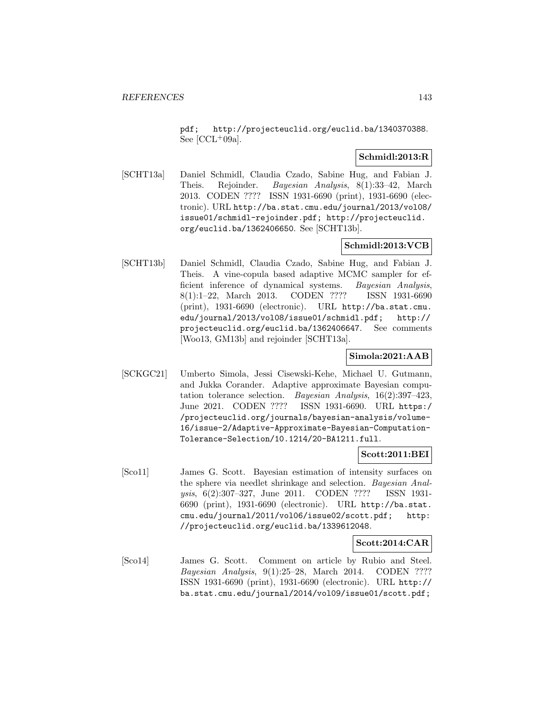pdf; http://projecteuclid.org/euclid.ba/1340370388. See  $[CL+09a]$ .

## **Schmidl:2013:R**

[SCHT13a] Daniel Schmidl, Claudia Czado, Sabine Hug, and Fabian J. Theis. Rejoinder. Bayesian Analysis, 8(1):33–42, March 2013. CODEN ???? ISSN 1931-6690 (print), 1931-6690 (electronic). URL http://ba.stat.cmu.edu/journal/2013/vol08/ issue01/schmidl-rejoinder.pdf; http://projecteuclid. org/euclid.ba/1362406650. See [SCHT13b].

# **Schmidl:2013:VCB**

[SCHT13b] Daniel Schmidl, Claudia Czado, Sabine Hug, and Fabian J. Theis. A vine-copula based adaptive MCMC sampler for efficient inference of dynamical systems. Bayesian Analysis, 8(1):1–22, March 2013. CODEN ???? ISSN 1931-6690 (print), 1931-6690 (electronic). URL http://ba.stat.cmu. edu/journal/2013/vol08/issue01/schmidl.pdf; http:// projecteuclid.org/euclid.ba/1362406647. See comments [Woo13, GM13b] and rejoinder [SCHT13a].

# **Simola:2021:AAB**

[SCKGC21] Umberto Simola, Jessi Cisewski-Kehe, Michael U. Gutmann, and Jukka Corander. Adaptive approximate Bayesian computation tolerance selection. Bayesian Analysis, 16(2):397–423, June 2021. CODEN ???? ISSN 1931-6690. URL https:/ /projecteuclid.org/journals/bayesian-analysis/volume-16/issue-2/Adaptive-Approximate-Bayesian-Computation-Tolerance-Selection/10.1214/20-BA1211.full.

## **Scott:2011:BEI**

[Sco11] James G. Scott. Bayesian estimation of intensity surfaces on the sphere via needlet shrinkage and selection. Bayesian Analysis, 6(2):307–327, June 2011. CODEN ???? ISSN 1931- 6690 (print), 1931-6690 (electronic). URL http://ba.stat. cmu.edu/journal/2011/vol06/issue02/scott.pdf; http: //projecteuclid.org/euclid.ba/1339612048.

## **Scott:2014:CAR**

[Sco14] James G. Scott. Comment on article by Rubio and Steel. Bayesian Analysis, 9(1):25–28, March 2014. CODEN ???? ISSN 1931-6690 (print), 1931-6690 (electronic). URL http:// ba.stat.cmu.edu/journal/2014/vol09/issue01/scott.pdf;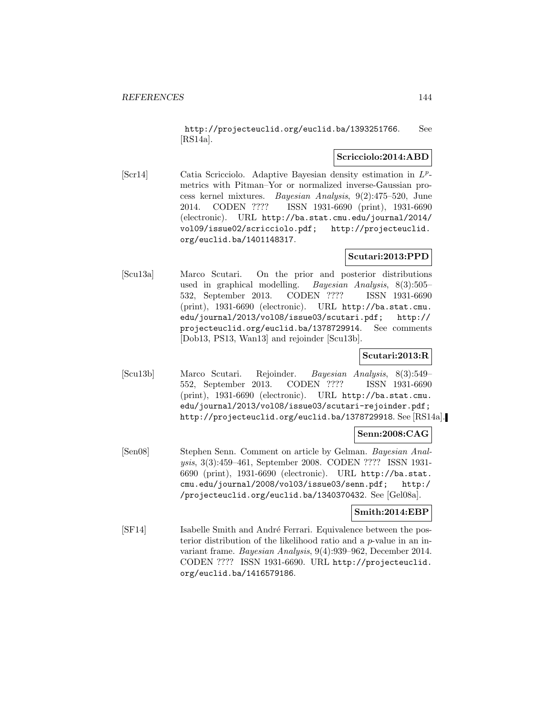http://projecteuclid.org/euclid.ba/1393251766. See [RS14a].

#### **Scricciolo:2014:ABD**

[Scr14] Catia Scricciolo. Adaptive Bayesian density estimation in  $L^p$ metrics with Pitman–Yor or normalized inverse-Gaussian process kernel mixtures. Bayesian Analysis, 9(2):475–520, June 2014. CODEN ???? ISSN 1931-6690 (print), 1931-6690 (electronic). URL http://ba.stat.cmu.edu/journal/2014/ vol09/issue02/scricciolo.pdf; http://projecteuclid. org/euclid.ba/1401148317.

### **Scutari:2013:PPD**

[Scu13a] Marco Scutari. On the prior and posterior distributions used in graphical modelling. Bayesian Analysis, 8(3):505– 532, September 2013. CODEN ???? ISSN 1931-6690 (print), 1931-6690 (electronic). URL http://ba.stat.cmu. edu/journal/2013/vol08/issue03/scutari.pdf; http:// projecteuclid.org/euclid.ba/1378729914. See comments [Dob13, PS13, Wan13] and rejoinder [Scu13b].

# **Scutari:2013:R**

[Scu13b] Marco Scutari. Rejoinder. Bayesian Analysis, 8(3):549– 552, September 2013. CODEN ???? ISSN 1931-6690 (print), 1931-6690 (electronic). URL http://ba.stat.cmu. edu/journal/2013/vol08/issue03/scutari-rejoinder.pdf; http://projecteuclid.org/euclid.ba/1378729918. See [RS14a].

### **Senn:2008:CAG**

[Sen08] Stephen Senn. Comment on article by Gelman. Bayesian Analysis, 3(3):459–461, September 2008. CODEN ???? ISSN 1931- 6690 (print), 1931-6690 (electronic). URL http://ba.stat. cmu.edu/journal/2008/vol03/issue03/senn.pdf; http:/ /projecteuclid.org/euclid.ba/1340370432. See [Gel08a].

### **Smith:2014:EBP**

[SF14] Isabelle Smith and André Ferrari. Equivalence between the posterior distribution of the likelihood ratio and a p-value in an invariant frame. Bayesian Analysis, 9(4):939–962, December 2014. CODEN ???? ISSN 1931-6690. URL http://projecteuclid. org/euclid.ba/1416579186.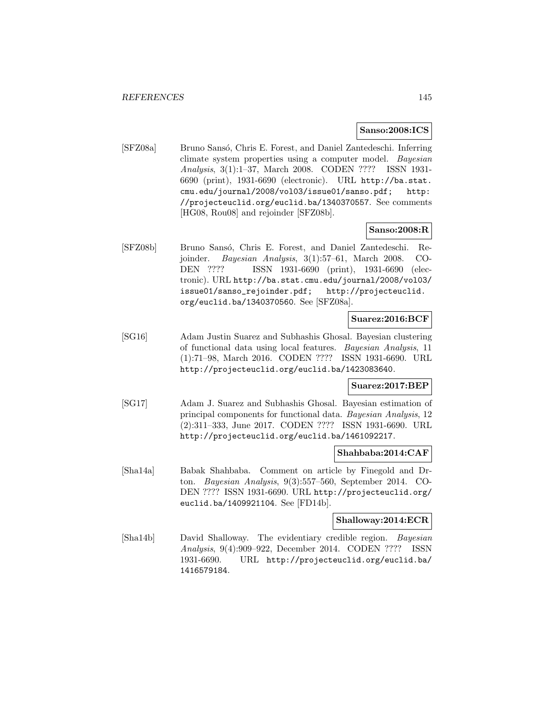#### **Sanso:2008:ICS**

[SFZ08a] Bruno Sansó, Chris E. Forest, and Daniel Zantedeschi. Inferring climate system properties using a computer model. Bayesian Analysis, 3(1):1–37, March 2008. CODEN ???? ISSN 1931- 6690 (print), 1931-6690 (electronic). URL http://ba.stat. cmu.edu/journal/2008/vol03/issue01/sanso.pdf; http: //projecteuclid.org/euclid.ba/1340370557. See comments [HG08, Rou08] and rejoinder [SFZ08b].

### **Sanso:2008:R**

[SFZ08b] Bruno Sansó, Chris E. Forest, and Daniel Zantedeschi. Rejoinder. Bayesian Analysis, 3(1):57–61, March 2008. CO-DEN ???? ISSN 1931-6690 (print), 1931-6690 (electronic). URL http://ba.stat.cmu.edu/journal/2008/vol03/ issue01/sanso\_rejoinder.pdf; http://projecteuclid. org/euclid.ba/1340370560. See [SFZ08a].

#### **Suarez:2016:BCF**

[SG16] Adam Justin Suarez and Subhashis Ghosal. Bayesian clustering of functional data using local features. Bayesian Analysis, 11 (1):71–98, March 2016. CODEN ???? ISSN 1931-6690. URL http://projecteuclid.org/euclid.ba/1423083640.

### **Suarez:2017:BEP**

[SG17] Adam J. Suarez and Subhashis Ghosal. Bayesian estimation of principal components for functional data. Bayesian Analysis, 12 (2):311–333, June 2017. CODEN ???? ISSN 1931-6690. URL http://projecteuclid.org/euclid.ba/1461092217.

#### **Shahbaba:2014:CAF**

[Sha14a] Babak Shahbaba. Comment on article by Finegold and Drton. Bayesian Analysis, 9(3):557–560, September 2014. CO-DEN ???? ISSN 1931-6690. URL http://projecteuclid.org/ euclid.ba/1409921104. See [FD14b].

# **Shalloway:2014:ECR**

[Sha14b] David Shalloway. The evidentiary credible region. Bayesian Analysis, 9(4):909–922, December 2014. CODEN ???? ISSN 1931-6690. URL http://projecteuclid.org/euclid.ba/ 1416579184.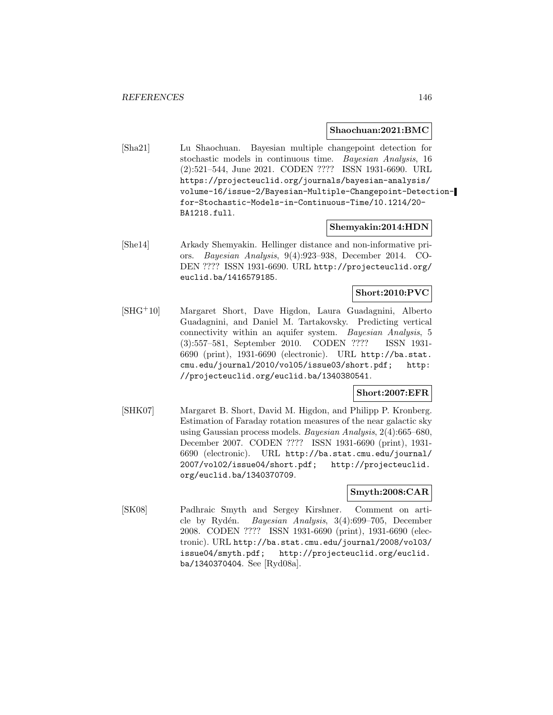#### **Shaochuan:2021:BMC**

[Sha21] Lu Shaochuan. Bayesian multiple changepoint detection for stochastic models in continuous time. Bayesian Analysis, 16 (2):521–544, June 2021. CODEN ???? ISSN 1931-6690. URL https://projecteuclid.org/journals/bayesian-analysis/ volume-16/issue-2/Bayesian-Multiple-Changepoint-Detectionfor-Stochastic-Models-in-Continuous-Time/10.1214/20- BA1218.full.

## **Shemyakin:2014:HDN**

[She14] Arkady Shemyakin. Hellinger distance and non-informative priors. Bayesian Analysis, 9(4):923–938, December 2014. CO-DEN ???? ISSN 1931-6690. URL http://projecteuclid.org/ euclid.ba/1416579185.

### **Short:2010:PVC**

[SHG<sup>+</sup>10] Margaret Short, Dave Higdon, Laura Guadagnini, Alberto Guadagnini, and Daniel M. Tartakovsky. Predicting vertical connectivity within an aquifer system. Bayesian Analysis, 5 (3):557–581, September 2010. CODEN ???? ISSN 1931- 6690 (print), 1931-6690 (electronic). URL http://ba.stat. cmu.edu/journal/2010/vol05/issue03/short.pdf; http: //projecteuclid.org/euclid.ba/1340380541.

## **Short:2007:EFR**

[SHK07] Margaret B. Short, David M. Higdon, and Philipp P. Kronberg. Estimation of Faraday rotation measures of the near galactic sky using Gaussian process models. Bayesian Analysis, 2(4):665–680, December 2007. CODEN ???? ISSN 1931-6690 (print), 1931- 6690 (electronic). URL http://ba.stat.cmu.edu/journal/ 2007/vol02/issue04/short.pdf; http://projecteuclid. org/euclid.ba/1340370709.

### **Smyth:2008:CAR**

[SK08] Padhraic Smyth and Sergey Kirshner. Comment on article by Rydén. Bayesian Analysis, 3(4):699-705, December 2008. CODEN ???? ISSN 1931-6690 (print), 1931-6690 (electronic). URL http://ba.stat.cmu.edu/journal/2008/vol03/ issue04/smyth.pdf; http://projecteuclid.org/euclid. ba/1340370404. See [Ryd08a].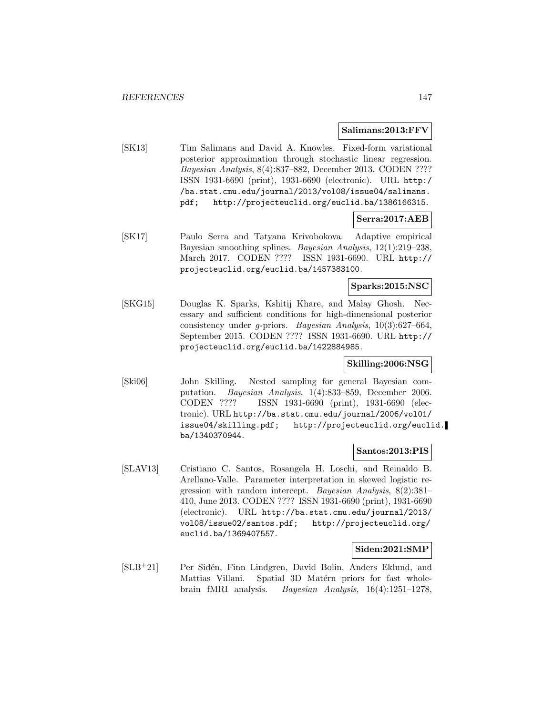#### **Salimans:2013:FFV**

[SK13] Tim Salimans and David A. Knowles. Fixed-form variational posterior approximation through stochastic linear regression. Bayesian Analysis, 8(4):837–882, December 2013. CODEN ???? ISSN 1931-6690 (print), 1931-6690 (electronic). URL http:/ /ba.stat.cmu.edu/journal/2013/vol08/issue04/salimans. pdf; http://projecteuclid.org/euclid.ba/1386166315.

#### **Serra:2017:AEB**

[SK17] Paulo Serra and Tatyana Krivobokova. Adaptive empirical Bayesian smoothing splines. Bayesian Analysis, 12(1):219–238, March 2017. CODEN ???? ISSN 1931-6690. URL http:// projecteuclid.org/euclid.ba/1457383100.

## **Sparks:2015:NSC**

[SKG15] Douglas K. Sparks, Kshitij Khare, and Malay Ghosh. Necessary and sufficient conditions for high-dimensional posterior consistency under g-priors. Bayesian Analysis, 10(3):627–664, September 2015. CODEN ???? ISSN 1931-6690. URL http:// projecteuclid.org/euclid.ba/1422884985.

#### **Skilling:2006:NSG**

[Ski06] John Skilling. Nested sampling for general Bayesian computation. Bayesian Analysis, 1(4):833–859, December 2006. CODEN ???? ISSN 1931-6690 (print), 1931-6690 (electronic). URL http://ba.stat.cmu.edu/journal/2006/vol01/ issue04/skilling.pdf; http://projecteuclid.org/euclid. ba/1340370944.

### **Santos:2013:PIS**

[SLAV13] Cristiano C. Santos, Rosangela H. Loschi, and Reinaldo B. Arellano-Valle. Parameter interpretation in skewed logistic regression with random intercept. Bayesian Analysis, 8(2):381– 410, June 2013. CODEN ???? ISSN 1931-6690 (print), 1931-6690 (electronic). URL http://ba.stat.cmu.edu/journal/2013/ vol08/issue02/santos.pdf; http://projecteuclid.org/ euclid.ba/1369407557.

#### **Siden:2021:SMP**

[SLB<sup>+</sup>21] Per Sidén, Finn Lindgren, David Bolin, Anders Eklund, and Mattias Villani. Spatial 3D Matérn priors for fast wholebrain fMRI analysis. Bayesian Analysis, 16(4):1251–1278,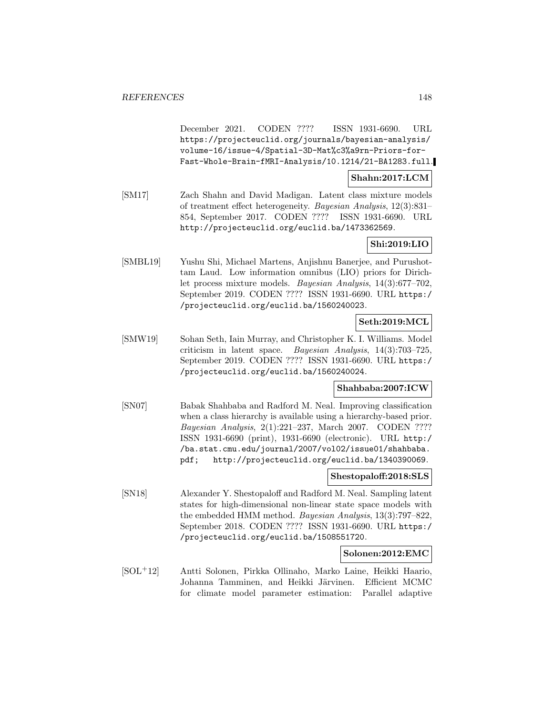December 2021. CODEN ???? ISSN 1931-6690. URL https://projecteuclid.org/journals/bayesian-analysis/ volume-16/issue-4/Spatial-3D-Mat%c3%a9rn-Priors-for-Fast-Whole-Brain-fMRI-Analysis/10.1214/21-BA1283.full.

**Shahn:2017:LCM**

[SM17] Zach Shahn and David Madigan. Latent class mixture models of treatment effect heterogeneity. Bayesian Analysis, 12(3):831– 854, September 2017. CODEN ???? ISSN 1931-6690. URL http://projecteuclid.org/euclid.ba/1473362569.

### **Shi:2019:LIO**

[SMBL19] Yushu Shi, Michael Martens, Anjishnu Banerjee, and Purushottam Laud. Low information omnibus (LIO) priors for Dirichlet process mixture models. Bayesian Analysis, 14(3):677–702, September 2019. CODEN ???? ISSN 1931-6690. URL https:/ /projecteuclid.org/euclid.ba/1560240023.

## **Seth:2019:MCL**

[SMW19] Sohan Seth, Iain Murray, and Christopher K. I. Williams. Model criticism in latent space. Bayesian Analysis, 14(3):703–725, September 2019. CODEN ???? ISSN 1931-6690. URL https:/ /projecteuclid.org/euclid.ba/1560240024.

#### **Shahbaba:2007:ICW**

[SN07] Babak Shahbaba and Radford M. Neal. Improving classification when a class hierarchy is available using a hierarchy-based prior. Bayesian Analysis, 2(1):221–237, March 2007. CODEN ???? ISSN 1931-6690 (print), 1931-6690 (electronic). URL http:/ /ba.stat.cmu.edu/journal/2007/vol02/issue01/shahbaba. pdf; http://projecteuclid.org/euclid.ba/1340390069.

#### **Shestopaloff:2018:SLS**

[SN18] Alexander Y. Shestopaloff and Radford M. Neal. Sampling latent states for high-dimensional non-linear state space models with the embedded HMM method. Bayesian Analysis, 13(3):797–822, September 2018. CODEN ???? ISSN 1931-6690. URL https:/ /projecteuclid.org/euclid.ba/1508551720.

#### **Solonen:2012:EMC**

[SOL<sup>+</sup>12] Antti Solonen, Pirkka Ollinaho, Marko Laine, Heikki Haario, Johanna Tamminen, and Heikki Järvinen. Efficient MCMC for climate model parameter estimation: Parallel adaptive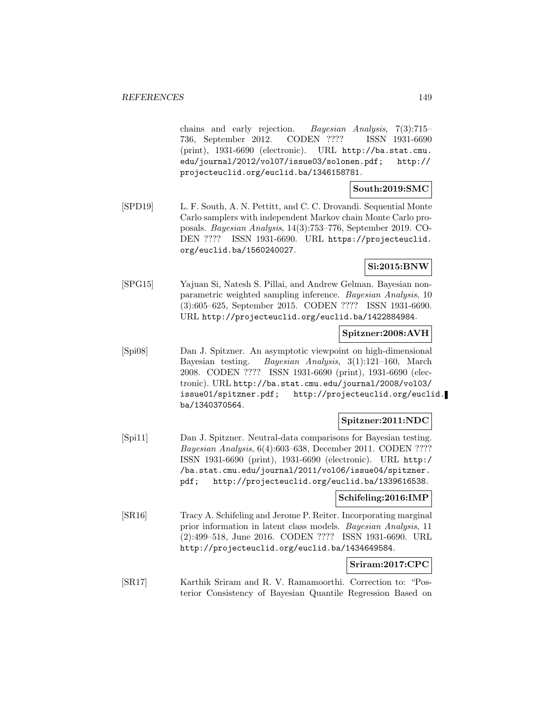chains and early rejection. Bayesian Analysis, 7(3):715– 736, September 2012. CODEN ???? ISSN 1931-6690 (print), 1931-6690 (electronic). URL http://ba.stat.cmu. edu/journal/2012/vol07/issue03/solonen.pdf; http:// projecteuclid.org/euclid.ba/1346158781.

**South:2019:SMC**

[SPD19] L. F. South, A. N. Pettitt, and C. C. Drovandi. Sequential Monte Carlo samplers with independent Markov chain Monte Carlo proposals. Bayesian Analysis, 14(3):753–776, September 2019. CO-DEN ???? ISSN 1931-6690. URL https://projecteuclid. org/euclid.ba/1560240027.

**Si:2015:BNW**

[SPG15] Yajuan Si, Natesh S. Pillai, and Andrew Gelman. Bayesian nonparametric weighted sampling inference. Bayesian Analysis, 10 (3):605–625, September 2015. CODEN ???? ISSN 1931-6690. URL http://projecteuclid.org/euclid.ba/1422884984.

#### **Spitzner:2008:AVH**

[Spi08] Dan J. Spitzner. An asymptotic viewpoint on high-dimensional Bayesian testing. Bayesian Analysis, 3(1):121–160, March 2008. CODEN ???? ISSN 1931-6690 (print), 1931-6690 (electronic). URL http://ba.stat.cmu.edu/journal/2008/vol03/ issue01/spitzner.pdf; http://projecteuclid.org/euclid. ba/1340370564.

#### **Spitzner:2011:NDC**

[Spi11] Dan J. Spitzner. Neutral-data comparisons for Bayesian testing. Bayesian Analysis, 6(4):603–638, December 2011. CODEN ???? ISSN 1931-6690 (print), 1931-6690 (electronic). URL http:/ /ba.stat.cmu.edu/journal/2011/vol06/issue04/spitzner. pdf; http://projecteuclid.org/euclid.ba/1339616538.

#### **Schifeling:2016:IMP**

[SR16] Tracy A. Schifeling and Jerome P. Reiter. Incorporating marginal prior information in latent class models. Bayesian Analysis, 11 (2):499–518, June 2016. CODEN ???? ISSN 1931-6690. URL http://projecteuclid.org/euclid.ba/1434649584.

# **Sriram:2017:CPC**

[SR17] Karthik Sriram and R. V. Ramamoorthi. Correction to: "Posterior Consistency of Bayesian Quantile Regression Based on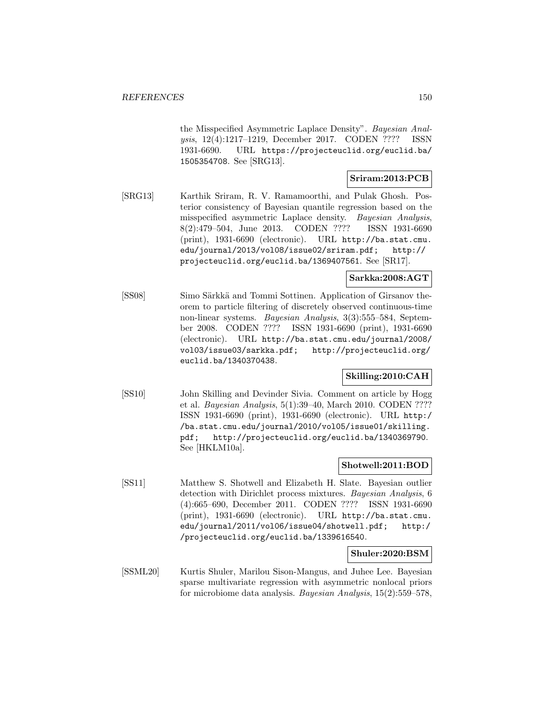the Misspecified Asymmetric Laplace Density". Bayesian Analysis, 12(4):1217–1219, December 2017. CODEN ???? ISSN 1931-6690. URL https://projecteuclid.org/euclid.ba/ 1505354708. See [SRG13].

## **Sriram:2013:PCB**

[SRG13] Karthik Sriram, R. V. Ramamoorthi, and Pulak Ghosh. Posterior consistency of Bayesian quantile regression based on the misspecified asymmetric Laplace density. Bayesian Analysis, 8(2):479–504, June 2013. CODEN ???? ISSN 1931-6690 (print), 1931-6690 (electronic). URL http://ba.stat.cmu. edu/journal/2013/vol08/issue02/sriram.pdf; http:// projecteuclid.org/euclid.ba/1369407561. See [SR17].

## **Sarkka:2008:AGT**

[SS08] Simo Särkkä and Tommi Sottinen. Application of Girsanov theorem to particle filtering of discretely observed continuous-time non-linear systems. Bayesian Analysis, 3(3):555-584, September 2008. CODEN ???? ISSN 1931-6690 (print), 1931-6690 (electronic). URL http://ba.stat.cmu.edu/journal/2008/ vol03/issue03/sarkka.pdf; http://projecteuclid.org/ euclid.ba/1340370438.

# **Skilling:2010:CAH**

[SS10] John Skilling and Devinder Sivia. Comment on article by Hogg et al. Bayesian Analysis, 5(1):39–40, March 2010. CODEN ???? ISSN 1931-6690 (print), 1931-6690 (electronic). URL http:/ /ba.stat.cmu.edu/journal/2010/vol05/issue01/skilling. pdf; http://projecteuclid.org/euclid.ba/1340369790. See [HKLM10a].

#### **Shotwell:2011:BOD**

[SS11] Matthew S. Shotwell and Elizabeth H. Slate. Bayesian outlier detection with Dirichlet process mixtures. Bayesian Analysis, 6 (4):665–690, December 2011. CODEN ???? ISSN 1931-6690 (print), 1931-6690 (electronic). URL http://ba.stat.cmu. edu/journal/2011/vol06/issue04/shotwell.pdf; http:/ /projecteuclid.org/euclid.ba/1339616540.

#### **Shuler:2020:BSM**

[SSML20] Kurtis Shuler, Marilou Sison-Mangus, and Juhee Lee. Bayesian sparse multivariate regression with asymmetric nonlocal priors for microbiome data analysis. Bayesian Analysis, 15(2):559–578,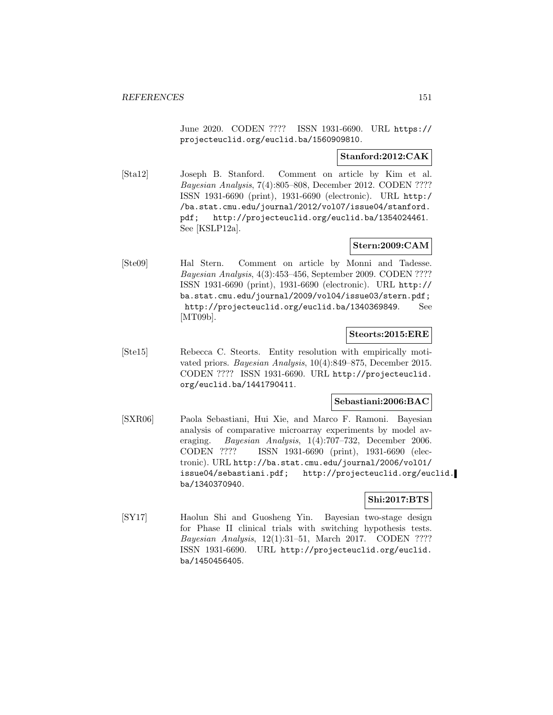June 2020. CODEN ???? ISSN 1931-6690. URL https:// projecteuclid.org/euclid.ba/1560909810.

#### **Stanford:2012:CAK**

[Sta12] Joseph B. Stanford. Comment on article by Kim et al. Bayesian Analysis, 7(4):805–808, December 2012. CODEN ???? ISSN 1931-6690 (print), 1931-6690 (electronic). URL http:/ /ba.stat.cmu.edu/journal/2012/vol07/issue04/stanford. pdf; http://projecteuclid.org/euclid.ba/1354024461. See [KSLP12a].

## **Stern:2009:CAM**

[Ste09] Hal Stern. Comment on article by Monni and Tadesse. Bayesian Analysis, 4(3):453–456, September 2009. CODEN ???? ISSN 1931-6690 (print), 1931-6690 (electronic). URL http:// ba.stat.cmu.edu/journal/2009/vol04/issue03/stern.pdf; http://projecteuclid.org/euclid.ba/1340369849. See [MT09b].

#### **Steorts:2015:ERE**

[Ste15] Rebecca C. Steorts. Entity resolution with empirically motivated priors. Bayesian Analysis, 10(4):849–875, December 2015. CODEN ???? ISSN 1931-6690. URL http://projecteuclid. org/euclid.ba/1441790411.

## **Sebastiani:2006:BAC**

[SXR06] Paola Sebastiani, Hui Xie, and Marco F. Ramoni. Bayesian analysis of comparative microarray experiments by model averaging. Bayesian Analysis, 1(4):707–732, December 2006. CODEN ???? ISSN 1931-6690 (print), 1931-6690 (electronic). URL http://ba.stat.cmu.edu/journal/2006/vol01/ issue04/sebastiani.pdf; http://projecteuclid.org/euclid. ba/1340370940.

## **Shi:2017:BTS**

[SY17] Haolun Shi and Guosheng Yin. Bayesian two-stage design for Phase II clinical trials with switching hypothesis tests. Bayesian Analysis, 12(1):31–51, March 2017. CODEN ???? ISSN 1931-6690. URL http://projecteuclid.org/euclid. ba/1450456405.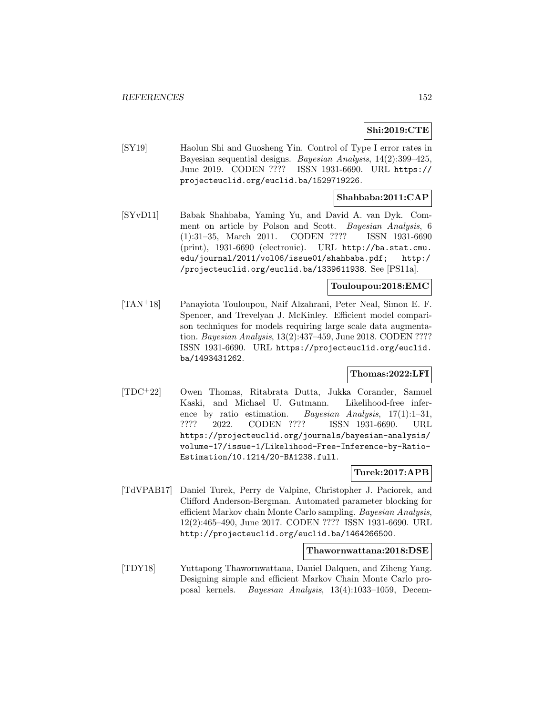# **Shi:2019:CTE**

[SY19] Haolun Shi and Guosheng Yin. Control of Type I error rates in Bayesian sequential designs. Bayesian Analysis, 14(2):399–425, June 2019. CODEN ???? ISSN 1931-6690. URL https:// projecteuclid.org/euclid.ba/1529719226.

#### **Shahbaba:2011:CAP**

[SYvD11] Babak Shahbaba, Yaming Yu, and David A. van Dyk. Comment on article by Polson and Scott. Bayesian Analysis, 6 (1):31–35, March 2011. CODEN ???? ISSN 1931-6690 (print), 1931-6690 (electronic). URL http://ba.stat.cmu. edu/journal/2011/vol06/issue01/shahbaba.pdf; http:/ /projecteuclid.org/euclid.ba/1339611938. See [PS11a].

## **Touloupou:2018:EMC**

[TAN<sup>+</sup>18] Panayiota Touloupou, Naif Alzahrani, Peter Neal, Simon E. F. Spencer, and Trevelyan J. McKinley. Efficient model comparison techniques for models requiring large scale data augmentation. Bayesian Analysis, 13(2):437–459, June 2018. CODEN ???? ISSN 1931-6690. URL https://projecteuclid.org/euclid. ba/1493431262.

#### **Thomas:2022:LFI**

[TDC<sup>+</sup>22] Owen Thomas, Ritabrata Dutta, Jukka Corander, Samuel Kaski, and Michael U. Gutmann. Likelihood-free inference by ratio estimation. Bayesian Analysis,  $17(1):1-31$ , ???? 2022. CODEN ???? ISSN 1931-6690. URL https://projecteuclid.org/journals/bayesian-analysis/ volume-17/issue-1/Likelihood-Free-Inference-by-Ratio-Estimation/10.1214/20-BA1238.full.

### **Turek:2017:APB**

[TdVPAB17] Daniel Turek, Perry de Valpine, Christopher J. Paciorek, and Clifford Anderson-Bergman. Automated parameter blocking for efficient Markov chain Monte Carlo sampling. Bayesian Analysis, 12(2):465–490, June 2017. CODEN ???? ISSN 1931-6690. URL http://projecteuclid.org/euclid.ba/1464266500.

#### **Thawornwattana:2018:DSE**

[TDY18] Yuttapong Thawornwattana, Daniel Dalquen, and Ziheng Yang. Designing simple and efficient Markov Chain Monte Carlo proposal kernels. Bayesian Analysis, 13(4):1033–1059, Decem-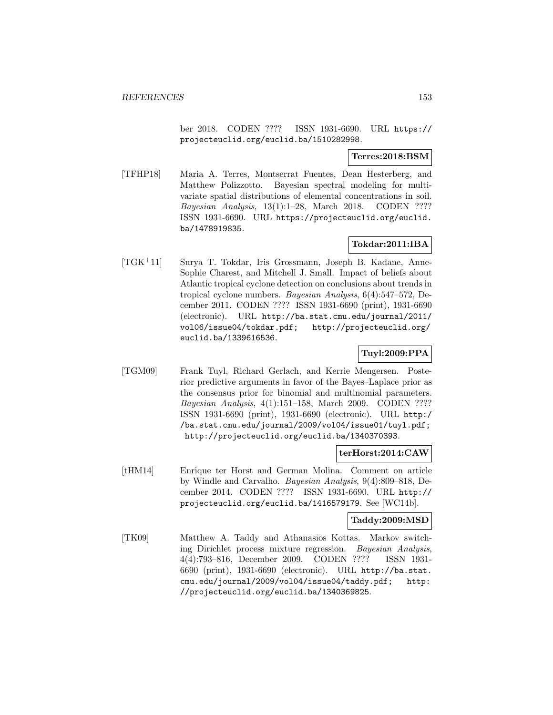ber 2018. CODEN ???? ISSN 1931-6690. URL https:// projecteuclid.org/euclid.ba/1510282998.

## **Terres:2018:BSM**

[TFHP18] Maria A. Terres, Montserrat Fuentes, Dean Hesterberg, and Matthew Polizzotto. Bayesian spectral modeling for multivariate spatial distributions of elemental concentrations in soil. Bayesian Analysis, 13(1):1–28, March 2018. CODEN ???? ISSN 1931-6690. URL https://projecteuclid.org/euclid. ba/1478919835.

## **Tokdar:2011:IBA**

[TGK<sup>+</sup>11] Surya T. Tokdar, Iris Grossmann, Joseph B. Kadane, Anne-Sophie Charest, and Mitchell J. Small. Impact of beliefs about Atlantic tropical cyclone detection on conclusions about trends in tropical cyclone numbers. Bayesian Analysis, 6(4):547–572, December 2011. CODEN ???? ISSN 1931-6690 (print), 1931-6690 (electronic). URL http://ba.stat.cmu.edu/journal/2011/ vol06/issue04/tokdar.pdf; http://projecteuclid.org/ euclid.ba/1339616536.

## **Tuyl:2009:PPA**

[TGM09] Frank Tuyl, Richard Gerlach, and Kerrie Mengersen. Posterior predictive arguments in favor of the Bayes–Laplace prior as the consensus prior for binomial and multinomial parameters. Bayesian Analysis, 4(1):151–158, March 2009. CODEN ???? ISSN 1931-6690 (print), 1931-6690 (electronic). URL http:/ /ba.stat.cmu.edu/journal/2009/vol04/issue01/tuyl.pdf; http://projecteuclid.org/euclid.ba/1340370393.

#### **terHorst:2014:CAW**

[tHM14] Enrique ter Horst and German Molina. Comment on article by Windle and Carvalho. Bayesian Analysis, 9(4):809–818, December 2014. CODEN ???? ISSN 1931-6690. URL http:// projecteuclid.org/euclid.ba/1416579179. See [WC14b].

#### **Taddy:2009:MSD**

[TK09] Matthew A. Taddy and Athanasios Kottas. Markov switching Dirichlet process mixture regression. Bayesian Analysis, 4(4):793–816, December 2009. CODEN ???? ISSN 1931- 6690 (print), 1931-6690 (electronic). URL http://ba.stat. cmu.edu/journal/2009/vol04/issue04/taddy.pdf; http: //projecteuclid.org/euclid.ba/1340369825.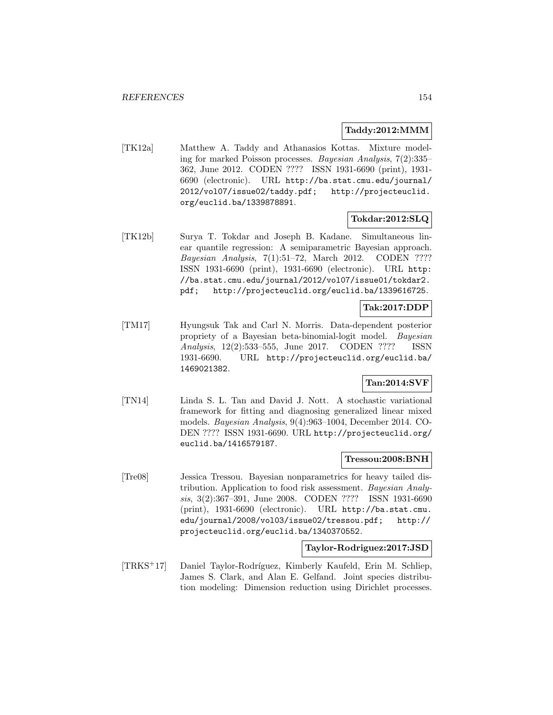#### **Taddy:2012:MMM**

[TK12a] Matthew A. Taddy and Athanasios Kottas. Mixture modeling for marked Poisson processes. Bayesian Analysis, 7(2):335– 362, June 2012. CODEN ???? ISSN 1931-6690 (print), 1931- 6690 (electronic). URL http://ba.stat.cmu.edu/journal/ 2012/vol07/issue02/taddy.pdf; http://projecteuclid. org/euclid.ba/1339878891.

#### **Tokdar:2012:SLQ**

[TK12b] Surya T. Tokdar and Joseph B. Kadane. Simultaneous linear quantile regression: A semiparametric Bayesian approach. Bayesian Analysis, 7(1):51–72, March 2012. CODEN ???? ISSN 1931-6690 (print), 1931-6690 (electronic). URL http: //ba.stat.cmu.edu/journal/2012/vol07/issue01/tokdar2. pdf; http://projecteuclid.org/euclid.ba/1339616725.

## **Tak:2017:DDP**

[TM17] Hyungsuk Tak and Carl N. Morris. Data-dependent posterior propriety of a Bayesian beta-binomial-logit model. Bayesian Analysis, 12(2):533–555, June 2017. CODEN ???? ISSN 1931-6690. URL http://projecteuclid.org/euclid.ba/ 1469021382.

## **Tan:2014:SVF**

[TN14] Linda S. L. Tan and David J. Nott. A stochastic variational framework for fitting and diagnosing generalized linear mixed models. Bayesian Analysis, 9(4):963–1004, December 2014. CO-DEN ???? ISSN 1931-6690. URL http://projecteuclid.org/ euclid.ba/1416579187.

#### **Tressou:2008:BNH**

[Tre08] Jessica Tressou. Bayesian nonparametrics for heavy tailed distribution. Application to food risk assessment. Bayesian Analysis, 3(2):367–391, June 2008. CODEN ???? ISSN 1931-6690 (print), 1931-6690 (electronic). URL http://ba.stat.cmu. edu/journal/2008/vol03/issue02/tressou.pdf; http:// projecteuclid.org/euclid.ba/1340370552.

#### **Taylor-Rodriguez:2017:JSD**

[TRKS<sup>+</sup>17] Daniel Taylor-Rodríguez, Kimberly Kaufeld, Erin M. Schliep, James S. Clark, and Alan E. Gelfand. Joint species distribution modeling: Dimension reduction using Dirichlet processes.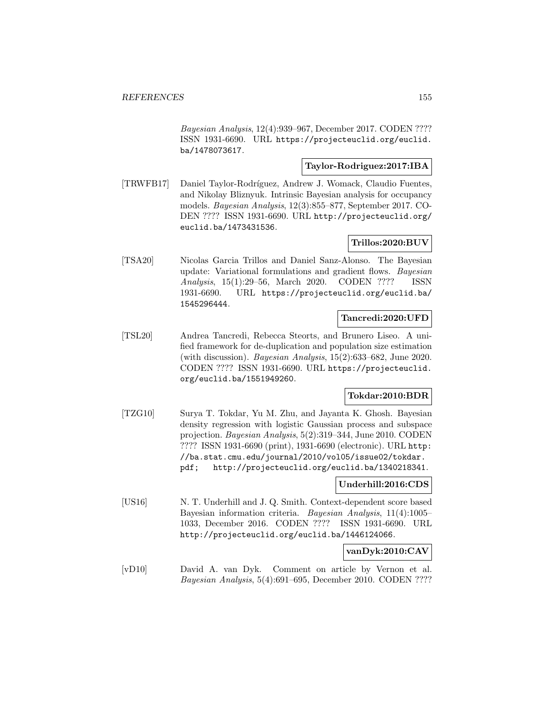Bayesian Analysis, 12(4):939–967, December 2017. CODEN ???? ISSN 1931-6690. URL https://projecteuclid.org/euclid. ba/1478073617.

#### **Taylor-Rodriguez:2017:IBA**

[TRWFB17] Daniel Taylor-Rodríguez, Andrew J. Womack, Claudio Fuentes, and Nikolay Bliznyuk. Intrinsic Bayesian analysis for occupancy models. Bayesian Analysis, 12(3):855–877, September 2017. CO-DEN ???? ISSN 1931-6690. URL http://projecteuclid.org/ euclid.ba/1473431536.

# **Trillos:2020:BUV**

[TSA20] Nicolas Garcia Trillos and Daniel Sanz-Alonso. The Bayesian update: Variational formulations and gradient flows. Bayesian Analysis, 15(1):29–56, March 2020. CODEN ???? ISSN 1931-6690. URL https://projecteuclid.org/euclid.ba/ 1545296444.

## **Tancredi:2020:UFD**

[TSL20] Andrea Tancredi, Rebecca Steorts, and Brunero Liseo. A unified framework for de-duplication and population size estimation (with discussion). Bayesian Analysis, 15(2):633–682, June 2020. CODEN ???? ISSN 1931-6690. URL https://projecteuclid. org/euclid.ba/1551949260.

## **Tokdar:2010:BDR**

[TZG10] Surya T. Tokdar, Yu M. Zhu, and Jayanta K. Ghosh. Bayesian density regression with logistic Gaussian process and subspace projection. Bayesian Analysis, 5(2):319–344, June 2010. CODEN ???? ISSN 1931-6690 (print), 1931-6690 (electronic). URL http: //ba.stat.cmu.edu/journal/2010/vol05/issue02/tokdar. pdf; http://projecteuclid.org/euclid.ba/1340218341.

#### **Underhill:2016:CDS**

[US16] N. T. Underhill and J. Q. Smith. Context-dependent score based Bayesian information criteria. Bayesian Analysis, 11(4):1005– 1033, December 2016. CODEN ???? ISSN 1931-6690. URL http://projecteuclid.org/euclid.ba/1446124066.

#### **vanDyk:2010:CAV**

[vD10] David A. van Dyk. Comment on article by Vernon et al. Bayesian Analysis, 5(4):691–695, December 2010. CODEN ????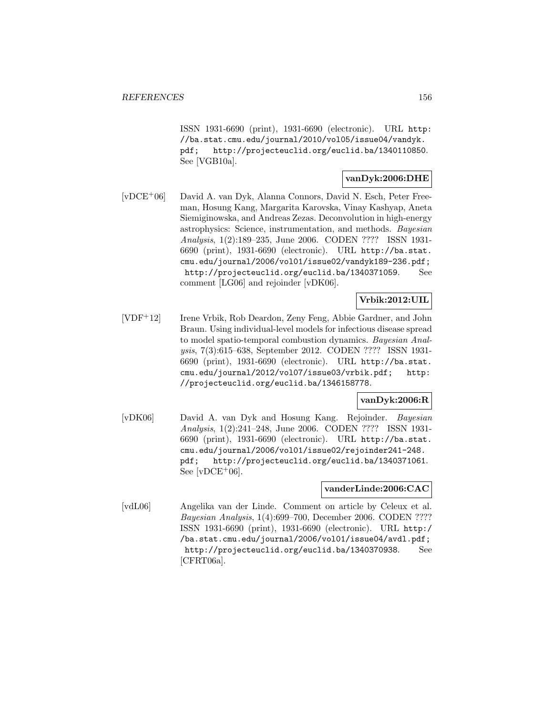ISSN 1931-6690 (print), 1931-6690 (electronic). URL http: //ba.stat.cmu.edu/journal/2010/vol05/issue04/vandyk. pdf; http://projecteuclid.org/euclid.ba/1340110850. See [VGB10a].

### **vanDyk:2006:DHE**

[vDCE<sup>+</sup>06] David A. van Dyk, Alanna Connors, David N. Esch, Peter Freeman, Hosung Kang, Margarita Karovska, Vinay Kashyap, Aneta Siemiginowska, and Andreas Zezas. Deconvolution in high-energy astrophysics: Science, instrumentation, and methods. Bayesian Analysis, 1(2):189–235, June 2006. CODEN ???? ISSN 1931- 6690 (print), 1931-6690 (electronic). URL http://ba.stat. cmu.edu/journal/2006/vol01/issue02/vandyk189-236.pdf; http://projecteuclid.org/euclid.ba/1340371059. See comment [LG06] and rejoinder [vDK06].

## **Vrbik:2012:UIL**

[VDF<sup>+</sup>12] Irene Vrbik, Rob Deardon, Zeny Feng, Abbie Gardner, and John Braun. Using individual-level models for infectious disease spread to model spatio-temporal combustion dynamics. Bayesian Analysis, 7(3):615–638, September 2012. CODEN ???? ISSN 1931- 6690 (print), 1931-6690 (electronic). URL http://ba.stat. cmu.edu/journal/2012/vol07/issue03/vrbik.pdf; http: //projecteuclid.org/euclid.ba/1346158778.

## **vanDyk:2006:R**

[vDK06] David A. van Dyk and Hosung Kang. Rejoinder. Bayesian Analysis, 1(2):241–248, June 2006. CODEN ???? ISSN 1931- 6690 (print), 1931-6690 (electronic). URL http://ba.stat. cmu.edu/journal/2006/vol01/issue02/rejoinder241-248. pdf; http://projecteuclid.org/euclid.ba/1340371061. See  $[vDCE+06]$ .

#### **vanderLinde:2006:CAC**

[vdL06] Angelika van der Linde. Comment on article by Celeux et al. Bayesian Analysis, 1(4):699–700, December 2006. CODEN ???? ISSN 1931-6690 (print), 1931-6690 (electronic). URL http:/ /ba.stat.cmu.edu/journal/2006/vol01/issue04/avdl.pdf; http://projecteuclid.org/euclid.ba/1340370938. See [CFRT06a].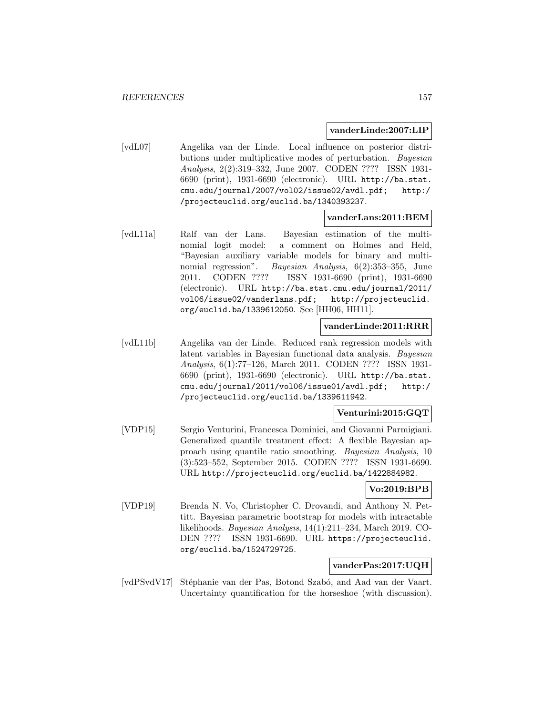#### **vanderLinde:2007:LIP**

[vdL07] Angelika van der Linde. Local influence on posterior distributions under multiplicative modes of perturbation. Bayesian Analysis, 2(2):319–332, June 2007. CODEN ???? ISSN 1931- 6690 (print), 1931-6690 (electronic). URL http://ba.stat. cmu.edu/journal/2007/vol02/issue02/avdl.pdf; http:/ /projecteuclid.org/euclid.ba/1340393237.

### **vanderLans:2011:BEM**

[vdL11a] Ralf van der Lans. Bayesian estimation of the multinomial logit model: a comment on Holmes and Held, "Bayesian auxiliary variable models for binary and multinomial regression". Bayesian Analysis, 6(2):353-355, June 2011. CODEN ???? ISSN 1931-6690 (print), 1931-6690 (electronic). URL http://ba.stat.cmu.edu/journal/2011/ vol06/issue02/vanderlans.pdf; http://projecteuclid. org/euclid.ba/1339612050. See [HH06, HH11].

## **vanderLinde:2011:RRR**

[vdL11b] Angelika van der Linde. Reduced rank regression models with latent variables in Bayesian functional data analysis. Bayesian Analysis, 6(1):77–126, March 2011. CODEN ???? ISSN 1931- 6690 (print), 1931-6690 (electronic). URL http://ba.stat. cmu.edu/journal/2011/vol06/issue01/avdl.pdf; http:/ /projecteuclid.org/euclid.ba/1339611942.

## **Venturini:2015:GQT**

[VDP15] Sergio Venturini, Francesca Dominici, and Giovanni Parmigiani. Generalized quantile treatment effect: A flexible Bayesian approach using quantile ratio smoothing. Bayesian Analysis, 10 (3):523–552, September 2015. CODEN ???? ISSN 1931-6690. URL http://projecteuclid.org/euclid.ba/1422884982.

# **Vo:2019:BPB**

[VDP19] Brenda N. Vo, Christopher C. Drovandi, and Anthony N. Pettitt. Bayesian parametric bootstrap for models with intractable likelihoods. Bayesian Analysis, 14(1):211–234, March 2019. CO-DEN ???? ISSN 1931-6690. URL https://projecteuclid. org/euclid.ba/1524729725.

#### **vanderPas:2017:UQH**

[vdPSvdV17] Stéphanie van der Pas, Botond Szabó, and Aad van der Vaart. Uncertainty quantification for the horseshoe (with discussion).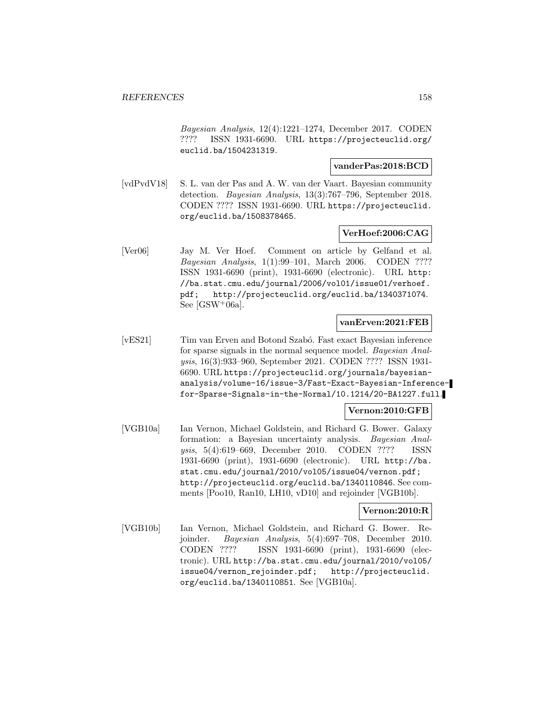Bayesian Analysis, 12(4):1221–1274, December 2017. CODEN ???? ISSN 1931-6690. URL https://projecteuclid.org/ euclid.ba/1504231319.

#### **vanderPas:2018:BCD**

[vdPvdV18] S. L. van der Pas and A. W. van der Vaart. Bayesian community detection. Bayesian Analysis, 13(3):767–796, September 2018. CODEN ???? ISSN 1931-6690. URL https://projecteuclid. org/euclid.ba/1508378465.

#### **VerHoef:2006:CAG**

[Ver06] Jay M. Ver Hoef. Comment on article by Gelfand et al. Bayesian Analysis, 1(1):99–101, March 2006. CODEN ???? ISSN 1931-6690 (print), 1931-6690 (electronic). URL http: //ba.stat.cmu.edu/journal/2006/vol01/issue01/verhoef. pdf; http://projecteuclid.org/euclid.ba/1340371074. See  $[GSW^+06a]$ .

### **vanErven:2021:FEB**

[vES21] Tim van Erven and Botond Szab´o. Fast exact Bayesian inference for sparse signals in the normal sequence model. Bayesian Analysis, 16(3):933–960, September 2021. CODEN ???? ISSN 1931- 6690. URL https://projecteuclid.org/journals/bayesiananalysis/volume-16/issue-3/Fast-Exact-Bayesian-Inferencefor-Sparse-Signals-in-the-Normal/10.1214/20-BA1227.full.

#### **Vernon:2010:GFB**

[VGB10a] Ian Vernon, Michael Goldstein, and Richard G. Bower. Galaxy formation: a Bayesian uncertainty analysis. Bayesian Analysis, 5(4):619–669, December 2010. CODEN ???? ISSN 1931-6690 (print), 1931-6690 (electronic). URL http://ba. stat.cmu.edu/journal/2010/vol05/issue04/vernon.pdf; http://projecteuclid.org/euclid.ba/1340110846. See comments [Poo10, Ran10, LH10, vD10] and rejoinder [VGB10b].

#### **Vernon:2010:R**

[VGB10b] Ian Vernon, Michael Goldstein, and Richard G. Bower. Rejoinder. Bayesian Analysis, 5(4):697–708, December 2010. CODEN ???? ISSN 1931-6690 (print), 1931-6690 (electronic). URL http://ba.stat.cmu.edu/journal/2010/vol05/ issue04/vernon\_rejoinder.pdf; http://projecteuclid. org/euclid.ba/1340110851. See [VGB10a].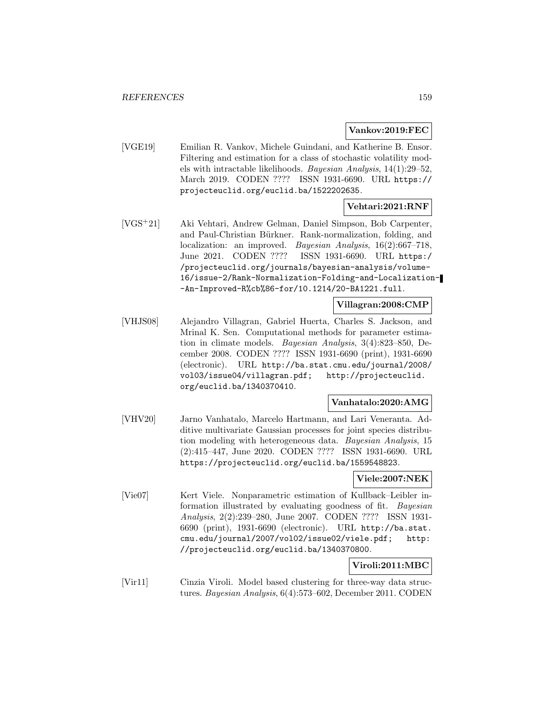#### **Vankov:2019:FEC**

[VGE19] Emilian R. Vankov, Michele Guindani, and Katherine B. Ensor. Filtering and estimation for a class of stochastic volatility models with intractable likelihoods. Bayesian Analysis, 14(1):29–52, March 2019. CODEN ???? ISSN 1931-6690. URL https:// projecteuclid.org/euclid.ba/1522202635.

#### **Vehtari:2021:RNF**

[VGS<sup>+</sup>21] Aki Vehtari, Andrew Gelman, Daniel Simpson, Bob Carpenter, and Paul-Christian Bürkner. Rank-normalization, folding, and localization: an improved. Bayesian Analysis, 16(2):667–718, June 2021. CODEN ???? ISSN 1931-6690. URL https:/ /projecteuclid.org/journals/bayesian-analysis/volume-16/issue-2/Rank-Normalization-Folding-and-Localization- -An-Improved-R%cb%86-for/10.1214/20-BA1221.full.

#### **Villagran:2008:CMP**

[VHJS08] Alejandro Villagran, Gabriel Huerta, Charles S. Jackson, and Mrinal K. Sen. Computational methods for parameter estimation in climate models. Bayesian Analysis, 3(4):823–850, December 2008. CODEN ???? ISSN 1931-6690 (print), 1931-6690 (electronic). URL http://ba.stat.cmu.edu/journal/2008/ vol03/issue04/villagran.pdf; http://projecteuclid. org/euclid.ba/1340370410.

### **Vanhatalo:2020:AMG**

[VHV20] Jarno Vanhatalo, Marcelo Hartmann, and Lari Veneranta. Additive multivariate Gaussian processes for joint species distribution modeling with heterogeneous data. Bayesian Analysis, 15 (2):415–447, June 2020. CODEN ???? ISSN 1931-6690. URL https://projecteuclid.org/euclid.ba/1559548823.

#### **Viele:2007:NEK**

[Vie07] Kert Viele. Nonparametric estimation of Kullback–Leibler information illustrated by evaluating goodness of fit. Bayesian Analysis, 2(2):239–280, June 2007. CODEN ???? ISSN 1931- 6690 (print), 1931-6690 (electronic). URL http://ba.stat. cmu.edu/journal/2007/vol02/issue02/viele.pdf; http: //projecteuclid.org/euclid.ba/1340370800.

## **Viroli:2011:MBC**

[Vir11] Cinzia Viroli. Model based clustering for three-way data structures. Bayesian Analysis, 6(4):573–602, December 2011. CODEN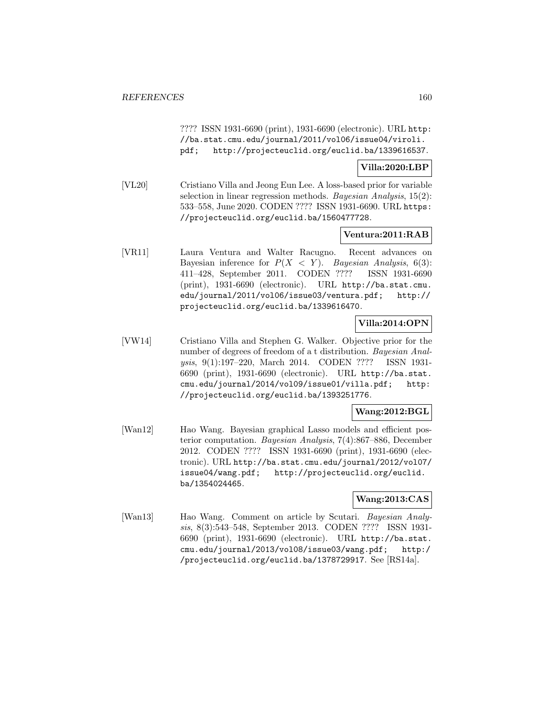???? ISSN 1931-6690 (print), 1931-6690 (electronic). URL http: //ba.stat.cmu.edu/journal/2011/vol06/issue04/viroli. pdf; http://projecteuclid.org/euclid.ba/1339616537.

#### **Villa:2020:LBP**

[VL20] Cristiano Villa and Jeong Eun Lee. A loss-based prior for variable selection in linear regression methods. Bayesian Analysis, 15(2): 533–558, June 2020. CODEN ???? ISSN 1931-6690. URL https: //projecteuclid.org/euclid.ba/1560477728.

### **Ventura:2011:RAB**

[VR11] Laura Ventura and Walter Racugno. Recent advances on Bayesian inference for  $P(X < Y)$ . Bayesian Analysis, 6(3): 411–428, September 2011. CODEN ???? ISSN 1931-6690 (print), 1931-6690 (electronic). URL http://ba.stat.cmu. edu/journal/2011/vol06/issue03/ventura.pdf; http:// projecteuclid.org/euclid.ba/1339616470.

### **Villa:2014:OPN**

[VW14] Cristiano Villa and Stephen G. Walker. Objective prior for the number of degrees of freedom of a t distribution. Bayesian Analysis, 9(1):197–220, March 2014. CODEN ???? ISSN 1931- 6690 (print), 1931-6690 (electronic). URL http://ba.stat. cmu.edu/journal/2014/vol09/issue01/villa.pdf; http: //projecteuclid.org/euclid.ba/1393251776.

#### **Wang:2012:BGL**

[Wan12] Hao Wang. Bayesian graphical Lasso models and efficient posterior computation. Bayesian Analysis, 7(4):867–886, December 2012. CODEN ???? ISSN 1931-6690 (print), 1931-6690 (electronic). URL http://ba.stat.cmu.edu/journal/2012/vol07/ issue04/wang.pdf; http://projecteuclid.org/euclid. ba/1354024465.

#### **Wang:2013:CAS**

[Wan13] Hao Wang. Comment on article by Scutari. Bayesian Analysis, 8(3):543–548, September 2013. CODEN ???? ISSN 1931- 6690 (print), 1931-6690 (electronic). URL http://ba.stat. cmu.edu/journal/2013/vol08/issue03/wang.pdf; http:/ /projecteuclid.org/euclid.ba/1378729917. See [RS14a].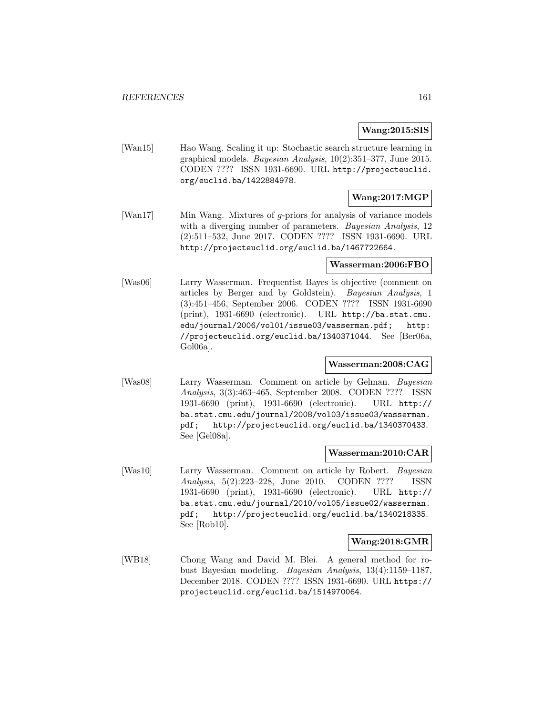#### **Wang:2015:SIS**

[Wan15] Hao Wang. Scaling it up: Stochastic search structure learning in graphical models. Bayesian Analysis, 10(2):351–377, June 2015. CODEN ???? ISSN 1931-6690. URL http://projecteuclid. org/euclid.ba/1422884978.

## **Wang:2017:MGP**

[Wan17] Min Wang. Mixtures of g-priors for analysis of variance models with a diverging number of parameters. *Bayesian Analysis*, 12 (2):511–532, June 2017. CODEN ???? ISSN 1931-6690. URL http://projecteuclid.org/euclid.ba/1467722664.

#### **Wasserman:2006:FBO**

[Was06] Larry Wasserman. Frequentist Bayes is objective (comment on articles by Berger and by Goldstein). Bayesian Analysis, 1 (3):451–456, September 2006. CODEN ???? ISSN 1931-6690 (print), 1931-6690 (electronic). URL http://ba.stat.cmu. edu/journal/2006/vol01/issue03/wasserman.pdf; http: //projecteuclid.org/euclid.ba/1340371044. See [Ber06a, Gol06a].

## **Wasserman:2008:CAG**

[Was08] Larry Wasserman. Comment on article by Gelman. Bayesian Analysis, 3(3):463–465, September 2008. CODEN ???? ISSN 1931-6690 (print), 1931-6690 (electronic). URL http:// ba.stat.cmu.edu/journal/2008/vol03/issue03/wasserman. pdf; http://projecteuclid.org/euclid.ba/1340370433. See [Gel08a].

#### **Wasserman:2010:CAR**

[Was10] Larry Wasserman. Comment on article by Robert. Bayesian Analysis, 5(2):223–228, June 2010. CODEN ???? ISSN 1931-6690 (print), 1931-6690 (electronic). URL http:// ba.stat.cmu.edu/journal/2010/vol05/issue02/wasserman. pdf; http://projecteuclid.org/euclid.ba/1340218335. See [Rob10].

#### **Wang:2018:GMR**

[WB18] Chong Wang and David M. Blei. A general method for robust Bayesian modeling. Bayesian Analysis, 13(4):1159–1187, December 2018. CODEN ???? ISSN 1931-6690. URL https:// projecteuclid.org/euclid.ba/1514970064.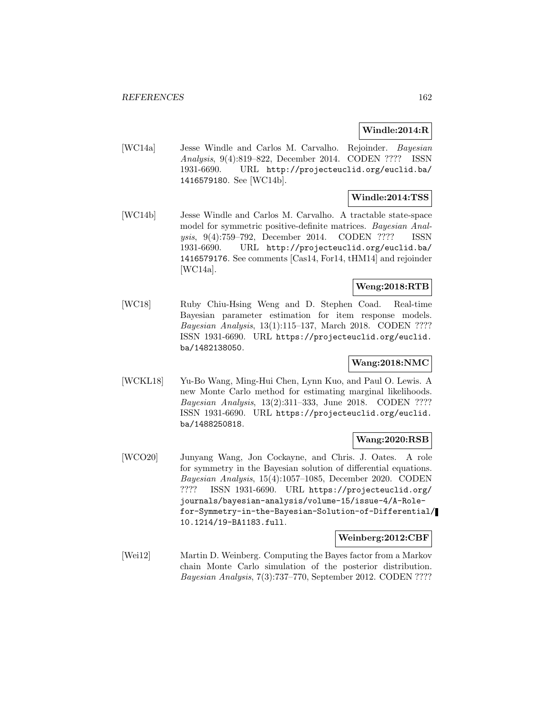## **Windle:2014:R**

[WC14a] Jesse Windle and Carlos M. Carvalho. Rejoinder. Bayesian Analysis, 9(4):819–822, December 2014. CODEN ???? ISSN 1931-6690. URL http://projecteuclid.org/euclid.ba/ 1416579180. See [WC14b].

## **Windle:2014:TSS**

[WC14b] Jesse Windle and Carlos M. Carvalho. A tractable state-space model for symmetric positive-definite matrices. *Bayesian Anal-*<br>ysis, 9(4):759–792, December 2014. CODEN ???? ISSN ysis, 9(4):759–792, December 2014. CODEN ???? ISSN 1931-6690. URL http://projecteuclid.org/euclid.ba/ 1416579176. See comments [Cas14, For14, tHM14] and rejoinder [WC14a].

## **Weng:2018:RTB**

[WC18] Ruby Chiu-Hsing Weng and D. Stephen Coad. Real-time Bayesian parameter estimation for item response models. Bayesian Analysis, 13(1):115–137, March 2018. CODEN ???? ISSN 1931-6690. URL https://projecteuclid.org/euclid. ba/1482138050.

#### **Wang:2018:NMC**

[WCKL18] Yu-Bo Wang, Ming-Hui Chen, Lynn Kuo, and Paul O. Lewis. A new Monte Carlo method for estimating marginal likelihoods. Bayesian Analysis, 13(2):311–333, June 2018. CODEN ???? ISSN 1931-6690. URL https://projecteuclid.org/euclid. ba/1488250818.

## **Wang:2020:RSB**

[WCO20] Junyang Wang, Jon Cockayne, and Chris. J. Oates. A role for symmetry in the Bayesian solution of differential equations. Bayesian Analysis, 15(4):1057–1085, December 2020. CODEN ???? ISSN 1931-6690. URL https://projecteuclid.org/ journals/bayesian-analysis/volume-15/issue-4/A-Rolefor-Symmetry-in-the-Bayesian-Solution-of-Differential/ 10.1214/19-BA1183.full.

#### **Weinberg:2012:CBF**

[Wei12] Martin D. Weinberg. Computing the Bayes factor from a Markov chain Monte Carlo simulation of the posterior distribution. Bayesian Analysis, 7(3):737–770, September 2012. CODEN ????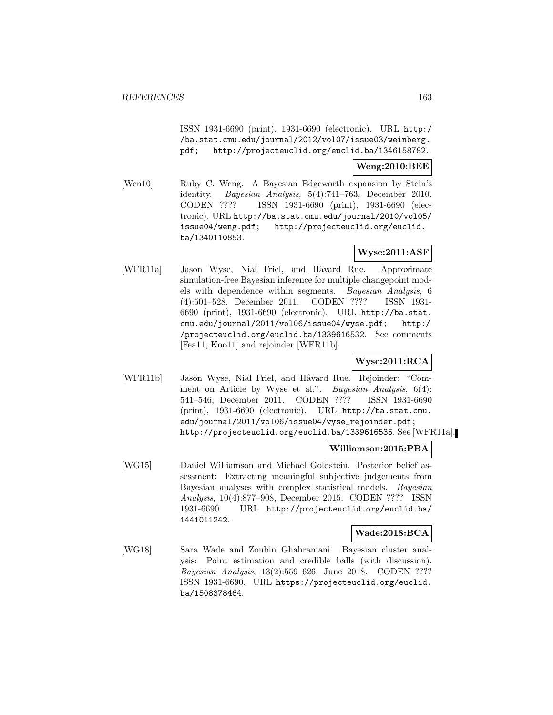ISSN 1931-6690 (print), 1931-6690 (electronic). URL http:/ /ba.stat.cmu.edu/journal/2012/vol07/issue03/weinberg. pdf; http://projecteuclid.org/euclid.ba/1346158782.

#### **Weng:2010:BEE**

[Wen10] Ruby C. Weng. A Bayesian Edgeworth expansion by Stein's identity. Bayesian Analysis, 5(4):741–763, December 2010. CODEN ???? ISSN 1931-6690 (print), 1931-6690 (electronic). URL http://ba.stat.cmu.edu/journal/2010/vol05/ issue04/weng.pdf; http://projecteuclid.org/euclid. ba/1340110853.

# **Wyse:2011:ASF**

[WFR11a] Jason Wyse, Nial Friel, and Håvard Rue. Approximate simulation-free Bayesian inference for multiple changepoint models with dependence within segments. Bayesian Analysis, 6 (4):501–528, December 2011. CODEN ???? ISSN 1931- 6690 (print), 1931-6690 (electronic). URL http://ba.stat. cmu.edu/journal/2011/vol06/issue04/wyse.pdf; http:/ /projecteuclid.org/euclid.ba/1339616532. See comments [Fea11, Koo11] and rejoinder [WFR11b].

# **Wyse:2011:RCA**

[WFR11b] Jason Wyse, Nial Friel, and Håvard Rue. Rejoinder: "Comment on Article by Wyse et al.". Bayesian Analysis, 6(4): 541–546, December 2011. CODEN ???? ISSN 1931-6690 (print), 1931-6690 (electronic). URL http://ba.stat.cmu. edu/journal/2011/vol06/issue04/wyse\_rejoinder.pdf; http://projecteuclid.org/euclid.ba/1339616535. See [WFR11a].

#### **Williamson:2015:PBA**

[WG15] Daniel Williamson and Michael Goldstein. Posterior belief assessment: Extracting meaningful subjective judgements from Bayesian analyses with complex statistical models. Bayesian Analysis, 10(4):877–908, December 2015. CODEN ???? ISSN 1931-6690. URL http://projecteuclid.org/euclid.ba/ 1441011242.

#### **Wade:2018:BCA**

[WG18] Sara Wade and Zoubin Ghahramani. Bayesian cluster analysis: Point estimation and credible balls (with discussion). Bayesian Analysis, 13(2):559–626, June 2018. CODEN ???? ISSN 1931-6690. URL https://projecteuclid.org/euclid. ba/1508378464.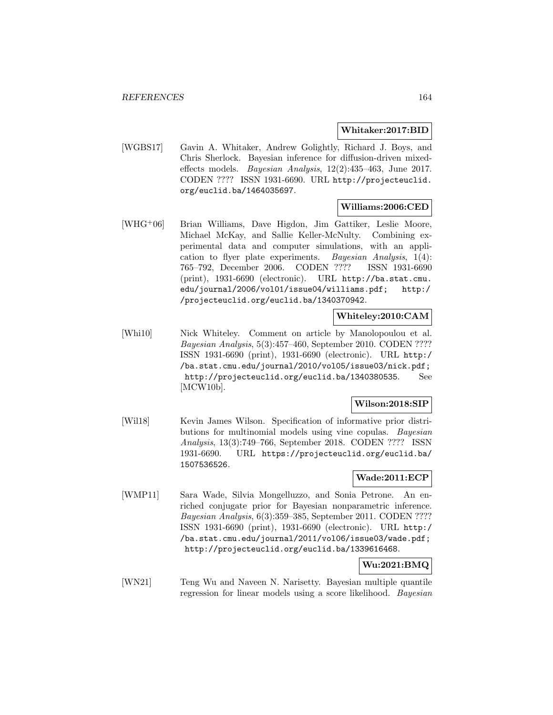#### **Whitaker:2017:BID**

[WGBS17] Gavin A. Whitaker, Andrew Golightly, Richard J. Boys, and Chris Sherlock. Bayesian inference for diffusion-driven mixedeffects models. Bayesian Analysis, 12(2):435–463, June 2017. CODEN ???? ISSN 1931-6690. URL http://projecteuclid. org/euclid.ba/1464035697.

### **Williams:2006:CED**

[WHG<sup>+</sup>06] Brian Williams, Dave Higdon, Jim Gattiker, Leslie Moore, Michael McKay, and Sallie Keller-McNulty. Combining experimental data and computer simulations, with an application to flyer plate experiments. Bayesian Analysis, 1(4): 765–792, December 2006. CODEN ???? ISSN 1931-6690 (print), 1931-6690 (electronic). URL http://ba.stat.cmu. edu/journal/2006/vol01/issue04/williams.pdf; http:/ /projecteuclid.org/euclid.ba/1340370942.

### **Whiteley:2010:CAM**

[Whi10] Nick Whiteley. Comment on article by Manolopoulou et al. Bayesian Analysis, 5(3):457–460, September 2010. CODEN ???? ISSN 1931-6690 (print), 1931-6690 (electronic). URL http:/ /ba.stat.cmu.edu/journal/2010/vol05/issue03/nick.pdf; http://projecteuclid.org/euclid.ba/1340380535. See [MCW10b].

#### **Wilson:2018:SIP**

[Wil18] Kevin James Wilson. Specification of informative prior distributions for multinomial models using vine copulas. Bayesian Analysis, 13(3):749–766, September 2018. CODEN ???? ISSN 1931-6690. URL https://projecteuclid.org/euclid.ba/ 1507536526.

# **Wade:2011:ECP**

[WMP11] Sara Wade, Silvia Mongelluzzo, and Sonia Petrone. An enriched conjugate prior for Bayesian nonparametric inference. Bayesian Analysis, 6(3):359–385, September 2011. CODEN ???? ISSN 1931-6690 (print), 1931-6690 (electronic). URL http:/ /ba.stat.cmu.edu/journal/2011/vol06/issue03/wade.pdf; http://projecteuclid.org/euclid.ba/1339616468.

# **Wu:2021:BMQ**

[WN21] Teng Wu and Naveen N. Narisetty. Bayesian multiple quantile regression for linear models using a score likelihood. Bayesian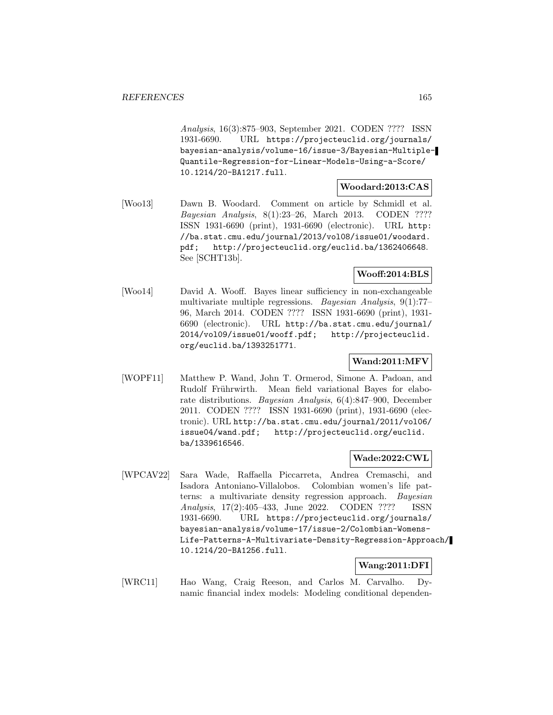Analysis, 16(3):875–903, September 2021. CODEN ???? ISSN 1931-6690. URL https://projecteuclid.org/journals/ bayesian-analysis/volume-16/issue-3/Bayesian-Multiple-Quantile-Regression-for-Linear-Models-Using-a-Score/ 10.1214/20-BA1217.full.

## **Woodard:2013:CAS**

[Woo13] Dawn B. Woodard. Comment on article by Schmidl et al. Bayesian Analysis, 8(1):23–26, March 2013. CODEN ???? ISSN 1931-6690 (print), 1931-6690 (electronic). URL http: //ba.stat.cmu.edu/journal/2013/vol08/issue01/woodard. pdf; http://projecteuclid.org/euclid.ba/1362406648. See [SCHT13b].

## **Wooff:2014:BLS**

[Woo14] David A. Wooff. Bayes linear sufficiency in non-exchangeable multivariate multiple regressions. Bayesian Analysis, 9(1):77– 96, March 2014. CODEN ???? ISSN 1931-6690 (print), 1931- 6690 (electronic). URL http://ba.stat.cmu.edu/journal/ 2014/vol09/issue01/wooff.pdf; http://projecteuclid. org/euclid.ba/1393251771.

## **Wand:2011:MFV**

[WOPF11] Matthew P. Wand, John T. Ormerod, Simone A. Padoan, and Rudolf Frührwirth. Mean field variational Bayes for elaborate distributions. Bayesian Analysis, 6(4):847–900, December 2011. CODEN ???? ISSN 1931-6690 (print), 1931-6690 (electronic). URL http://ba.stat.cmu.edu/journal/2011/vol06/ issue04/wand.pdf; http://projecteuclid.org/euclid. ba/1339616546.

#### **Wade:2022:CWL**

[WPCAV22] Sara Wade, Raffaella Piccarreta, Andrea Cremaschi, and Isadora Antoniano-Villalobos. Colombian women's life patterns: a multivariate density regression approach. Bayesian Analysis, 17(2):405–433, June 2022. CODEN ???? ISSN 1931-6690. URL https://projecteuclid.org/journals/ bayesian-analysis/volume-17/issue-2/Colombian-Womens-Life-Patterns-A-Multivariate-Density-Regression-Approach/ 10.1214/20-BA1256.full.

# **Wang:2011:DFI**

[WRC11] Hao Wang, Craig Reeson, and Carlos M. Carvalho. Dynamic financial index models: Modeling conditional dependen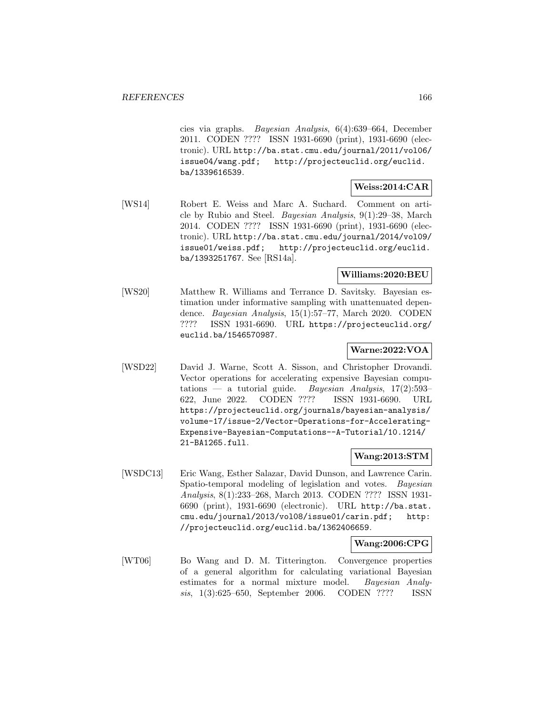cies via graphs. Bayesian Analysis, 6(4):639–664, December 2011. CODEN ???? ISSN 1931-6690 (print), 1931-6690 (electronic). URL http://ba.stat.cmu.edu/journal/2011/vol06/ issue04/wang.pdf; http://projecteuclid.org/euclid. ba/1339616539.

## **Weiss:2014:CAR**

[WS14] Robert E. Weiss and Marc A. Suchard. Comment on article by Rubio and Steel. Bayesian Analysis, 9(1):29–38, March 2014. CODEN ???? ISSN 1931-6690 (print), 1931-6690 (electronic). URL http://ba.stat.cmu.edu/journal/2014/vol09/ issue01/weiss.pdf; http://projecteuclid.org/euclid. ba/1393251767. See [RS14a].

## **Williams:2020:BEU**

[WS20] Matthew R. Williams and Terrance D. Savitsky. Bayesian estimation under informative sampling with unattenuated dependence. Bayesian Analysis, 15(1):57–77, March 2020. CODEN ???? ISSN 1931-6690. URL https://projecteuclid.org/ euclid.ba/1546570987.

### **Warne:2022:VOA**

[WSD22] David J. Warne, Scott A. Sisson, and Christopher Drovandi. Vector operations for accelerating expensive Bayesian computations — a tutorial guide. Bayesian Analysis,  $17(2):593-$ 622, June 2022. CODEN ???? ISSN 1931-6690. URL https://projecteuclid.org/journals/bayesian-analysis/ volume-17/issue-2/Vector-Operations-for-Accelerating-Expensive-Bayesian-Computations--A-Tutorial/10.1214/ 21-BA1265.full.

## **Wang:2013:STM**

[WSDC13] Eric Wang, Esther Salazar, David Dunson, and Lawrence Carin. Spatio-temporal modeling of legislation and votes. Bayesian Analysis, 8(1):233–268, March 2013. CODEN ???? ISSN 1931- 6690 (print), 1931-6690 (electronic). URL http://ba.stat. cmu.edu/journal/2013/vol08/issue01/carin.pdf; http: //projecteuclid.org/euclid.ba/1362406659.

## **Wang:2006:CPG**

[WT06] Bo Wang and D. M. Titterington. Convergence properties of a general algorithm for calculating variational Bayesian estimates for a normal mixture model. Bayesian Analysis, 1(3):625–650, September 2006. CODEN ???? ISSN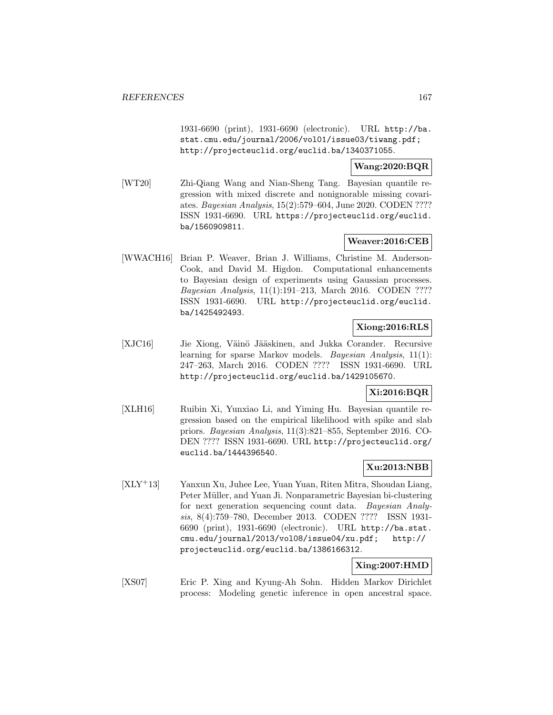1931-6690 (print), 1931-6690 (electronic). URL http://ba. stat.cmu.edu/journal/2006/vol01/issue03/tiwang.pdf; http://projecteuclid.org/euclid.ba/1340371055.

**Wang:2020:BQR**

[WT20] Zhi-Qiang Wang and Nian-Sheng Tang. Bayesian quantile regression with mixed discrete and nonignorable missing covariates. Bayesian Analysis, 15(2):579–604, June 2020. CODEN ???? ISSN 1931-6690. URL https://projecteuclid.org/euclid. ba/1560909811.

## **Weaver:2016:CEB**

[WWACH16] Brian P. Weaver, Brian J. Williams, Christine M. Anderson-Cook, and David M. Higdon. Computational enhancements to Bayesian design of experiments using Gaussian processes. Bayesian Analysis, 11(1):191–213, March 2016. CODEN ???? ISSN 1931-6690. URL http://projecteuclid.org/euclid. ba/1425492493.

# **Xiong:2016:RLS**

[XJC16] Jie Xiong, Väinö Jääskinen, and Jukka Corander. Recursive learning for sparse Markov models. Bayesian Analysis, 11(1): 247–263, March 2016. CODEN ???? ISSN 1931-6690. URL http://projecteuclid.org/euclid.ba/1429105670.

# **Xi:2016:BQR**

[XLH16] Ruibin Xi, Yunxiao Li, and Yiming Hu. Bayesian quantile regression based on the empirical likelihood with spike and slab priors. Bayesian Analysis, 11(3):821–855, September 2016. CO-DEN ???? ISSN 1931-6690. URL http://projecteuclid.org/ euclid.ba/1444396540.

## **Xu:2013:NBB**

[XLY<sup>+</sup>13] Yanxun Xu, Juhee Lee, Yuan Yuan, Riten Mitra, Shoudan Liang, Peter Müller, and Yuan Ji. Nonparametric Bayesian bi-clustering for next generation sequencing count data. Bayesian Analysis, 8(4):759–780, December 2013. CODEN ???? ISSN 1931- 6690 (print), 1931-6690 (electronic). URL http://ba.stat. cmu.edu/journal/2013/vol08/issue04/xu.pdf; http:// projecteuclid.org/euclid.ba/1386166312.

**Xing:2007:HMD**

[XS07] Eric P. Xing and Kyung-Ah Sohn. Hidden Markov Dirichlet process: Modeling genetic inference in open ancestral space.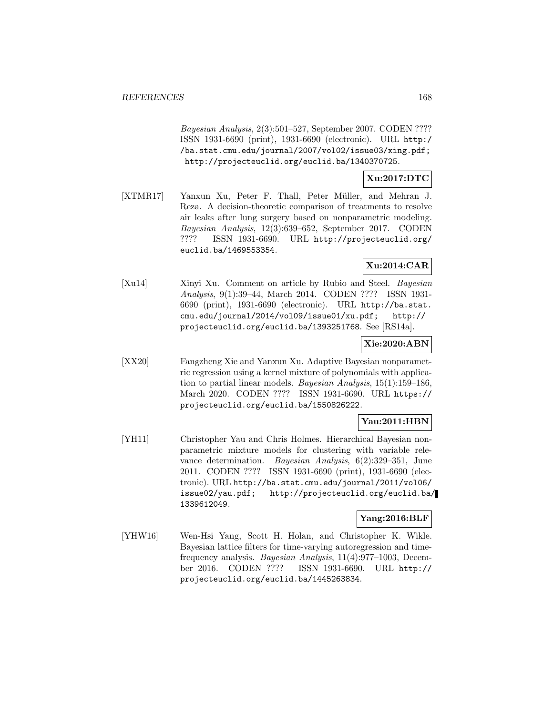Bayesian Analysis, 2(3):501–527, September 2007. CODEN ???? ISSN 1931-6690 (print), 1931-6690 (electronic). URL http:/ /ba.stat.cmu.edu/journal/2007/vol02/issue03/xing.pdf; http://projecteuclid.org/euclid.ba/1340370725.

# **Xu:2017:DTC**

[XTMR17] Yanxun Xu, Peter F. Thall, Peter Müller, and Mehran J. Reza. A decision-theoretic comparison of treatments to resolve air leaks after lung surgery based on nonparametric modeling. Bayesian Analysis, 12(3):639–652, September 2017. CODEN ???? ISSN 1931-6690. URL http://projecteuclid.org/ euclid.ba/1469553354.

# **Xu:2014:CAR**

[Xu14] Xinyi Xu. Comment on article by Rubio and Steel. Bayesian Analysis, 9(1):39–44, March 2014. CODEN ???? ISSN 1931- 6690 (print), 1931-6690 (electronic). URL http://ba.stat. cmu.edu/journal/2014/vol09/issue01/xu.pdf; http:// projecteuclid.org/euclid.ba/1393251768. See [RS14a].

## **Xie:2020:ABN**

[XX20] Fangzheng Xie and Yanxun Xu. Adaptive Bayesian nonparametric regression using a kernel mixture of polynomials with application to partial linear models. Bayesian Analysis, 15(1):159–186, March 2020. CODEN ???? ISSN 1931-6690. URL https:// projecteuclid.org/euclid.ba/1550826222.

#### **Yau:2011:HBN**

[YH11] Christopher Yau and Chris Holmes. Hierarchical Bayesian nonparametric mixture models for clustering with variable relevance determination. Bayesian Analysis, 6(2):329–351, June 2011. CODEN ???? ISSN 1931-6690 (print), 1931-6690 (electronic). URL http://ba.stat.cmu.edu/journal/2011/vol06/ issue02/yau.pdf; http://projecteuclid.org/euclid.ba/ 1339612049.

#### **Yang:2016:BLF**

[YHW16] Wen-Hsi Yang, Scott H. Holan, and Christopher K. Wikle. Bayesian lattice filters for time-varying autoregression and timefrequency analysis. Bayesian Analysis, 11(4):977–1003, December 2016. CODEN ???? ISSN 1931-6690. URL http:// projecteuclid.org/euclid.ba/1445263834.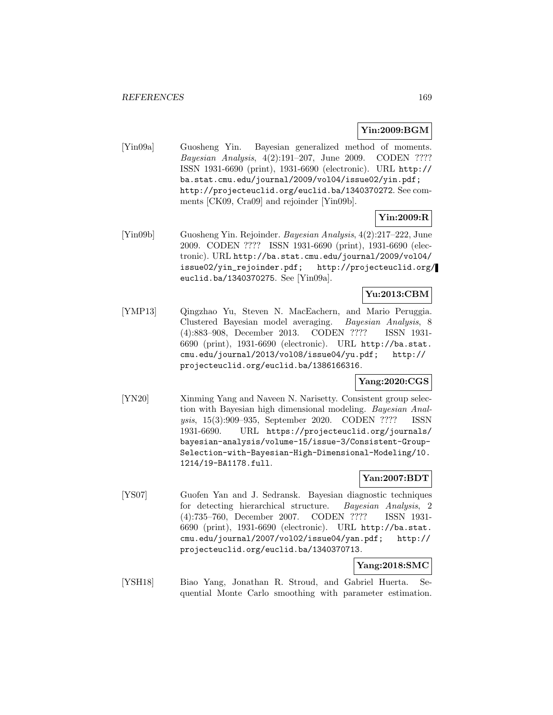#### **Yin:2009:BGM**

[Yin09a] Guosheng Yin. Bayesian generalized method of moments. Bayesian Analysis, 4(2):191–207, June 2009. CODEN ???? ISSN 1931-6690 (print), 1931-6690 (electronic). URL http:// ba.stat.cmu.edu/journal/2009/vol04/issue02/yin.pdf; http://projecteuclid.org/euclid.ba/1340370272. See comments [CK09, Cra09] and rejoinder [Yin09b].

### **Yin:2009:R**

[Yin09b] Guosheng Yin. Rejoinder. Bayesian Analysis, 4(2):217–222, June 2009. CODEN ???? ISSN 1931-6690 (print), 1931-6690 (electronic). URL http://ba.stat.cmu.edu/journal/2009/vol04/ issue02/yin\_rejoinder.pdf; http://projecteuclid.org/ euclid.ba/1340370275. See [Yin09a].

## **Yu:2013:CBM**

[YMP13] Qingzhao Yu, Steven N. MacEachern, and Mario Peruggia. Clustered Bayesian model averaging. Bayesian Analysis, 8 (4):883–908, December 2013. CODEN ???? ISSN 1931- 6690 (print), 1931-6690 (electronic). URL http://ba.stat. cmu.edu/journal/2013/vol08/issue04/yu.pdf; http:// projecteuclid.org/euclid.ba/1386166316.

## **Yang:2020:CGS**

[YN20] Xinming Yang and Naveen N. Narisetty. Consistent group selection with Bayesian high dimensional modeling. Bayesian Analysis, 15(3):909–935, September 2020. CODEN ???? ISSN 1931-6690. URL https://projecteuclid.org/journals/ bayesian-analysis/volume-15/issue-3/Consistent-Group-Selection-with-Bayesian-High-Dimensional-Modeling/10. 1214/19-BA1178.full.

## **Yan:2007:BDT**

[YS07] Guofen Yan and J. Sedransk. Bayesian diagnostic techniques for detecting hierarchical structure. Bayesian Analysis, 2 (4):735–760, December 2007. CODEN ???? ISSN 1931- 6690 (print), 1931-6690 (electronic). URL http://ba.stat. cmu.edu/journal/2007/vol02/issue04/yan.pdf; http:// projecteuclid.org/euclid.ba/1340370713.

# **Yang:2018:SMC**

[YSH18] Biao Yang, Jonathan R. Stroud, and Gabriel Huerta. Sequential Monte Carlo smoothing with parameter estimation.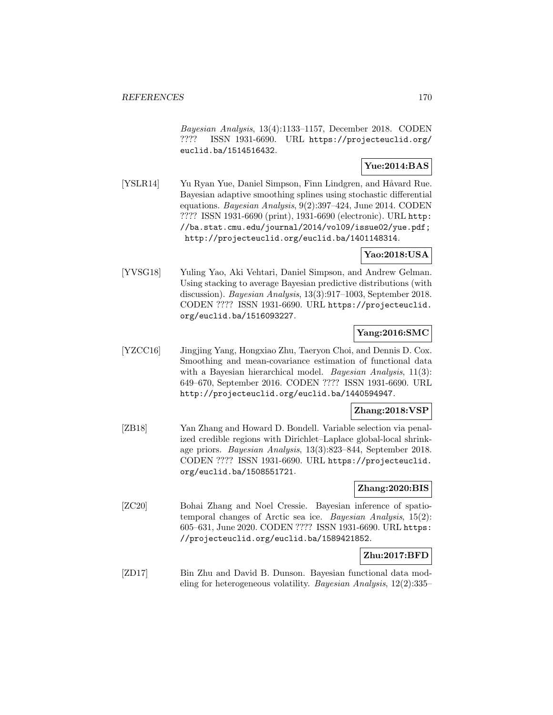Bayesian Analysis, 13(4):1133–1157, December 2018. CODEN ???? ISSN 1931-6690. URL https://projecteuclid.org/ euclid.ba/1514516432.

# **Yue:2014:BAS**

[YSLR14] Yu Ryan Yue, Daniel Simpson, Finn Lindgren, and Håvard Rue. Bayesian adaptive smoothing splines using stochastic differential equations. Bayesian Analysis, 9(2):397–424, June 2014. CODEN ???? ISSN 1931-6690 (print), 1931-6690 (electronic). URL http: //ba.stat.cmu.edu/journal/2014/vol09/issue02/yue.pdf; http://projecteuclid.org/euclid.ba/1401148314.

## **Yao:2018:USA**

[YVSG18] Yuling Yao, Aki Vehtari, Daniel Simpson, and Andrew Gelman. Using stacking to average Bayesian predictive distributions (with discussion). Bayesian Analysis, 13(3):917–1003, September 2018. CODEN ???? ISSN 1931-6690. URL https://projecteuclid. org/euclid.ba/1516093227.

## **Yang:2016:SMC**

[YZCC16] Jingjing Yang, Hongxiao Zhu, Taeryon Choi, and Dennis D. Cox. Smoothing and mean-covariance estimation of functional data with a Bayesian hierarchical model. *Bayesian Analysis*, 11(3): 649–670, September 2016. CODEN ???? ISSN 1931-6690. URL http://projecteuclid.org/euclid.ba/1440594947.

## **Zhang:2018:VSP**

[ZB18] Yan Zhang and Howard D. Bondell. Variable selection via penalized credible regions with Dirichlet–Laplace global-local shrinkage priors. Bayesian Analysis, 13(3):823–844, September 2018. CODEN ???? ISSN 1931-6690. URL https://projecteuclid. org/euclid.ba/1508551721.

#### **Zhang:2020:BIS**

[ZC20] Bohai Zhang and Noel Cressie. Bayesian inference of spatiotemporal changes of Arctic sea ice. Bayesian Analysis, 15(2): 605–631, June 2020. CODEN ???? ISSN 1931-6690. URL https: //projecteuclid.org/euclid.ba/1589421852.

## **Zhu:2017:BFD**

[ZD17] Bin Zhu and David B. Dunson. Bayesian functional data modeling for heterogeneous volatility. Bayesian Analysis, 12(2):335–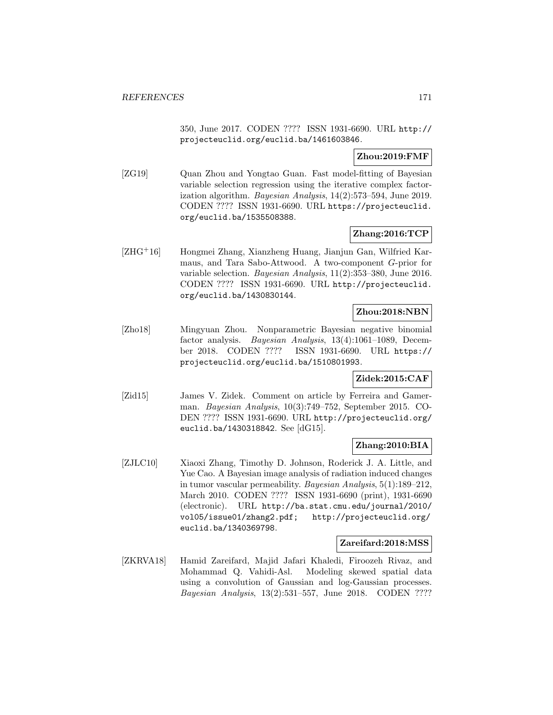350, June 2017. CODEN ???? ISSN 1931-6690. URL http:// projecteuclid.org/euclid.ba/1461603846.

## **Zhou:2019:FMF**

[ZG19] Quan Zhou and Yongtao Guan. Fast model-fitting of Bayesian variable selection regression using the iterative complex factorization algorithm. Bayesian Analysis, 14(2):573–594, June 2019. CODEN ???? ISSN 1931-6690. URL https://projecteuclid. org/euclid.ba/1535508388.

### **Zhang:2016:TCP**

[ZHG<sup>+</sup>16] Hongmei Zhang, Xianzheng Huang, Jianjun Gan, Wilfried Karmaus, and Tara Sabo-Attwood. A two-component G-prior for variable selection. Bayesian Analysis, 11(2):353–380, June 2016. CODEN ???? ISSN 1931-6690. URL http://projecteuclid. org/euclid.ba/1430830144.

## **Zhou:2018:NBN**

[Zho18] Mingyuan Zhou. Nonparametric Bayesian negative binomial factor analysis. Bayesian Analysis, 13(4):1061–1089, December 2018. CODEN ???? ISSN 1931-6690. URL https:// projecteuclid.org/euclid.ba/1510801993.

# **Zidek:2015:CAF**

[Zid15] James V. Zidek. Comment on article by Ferreira and Gamerman. Bayesian Analysis, 10(3):749–752, September 2015. CO-DEN ???? ISSN 1931-6690. URL http://projecteuclid.org/ euclid.ba/1430318842. See [dG15].

## **Zhang:2010:BIA**

[ZJLC10] Xiaoxi Zhang, Timothy D. Johnson, Roderick J. A. Little, and Yue Cao. A Bayesian image analysis of radiation induced changes in tumor vascular permeability. Bayesian Analysis, 5(1):189–212, March 2010. CODEN ???? ISSN 1931-6690 (print), 1931-6690 (electronic). URL http://ba.stat.cmu.edu/journal/2010/ vol05/issue01/zhang2.pdf; http://projecteuclid.org/ euclid.ba/1340369798.

#### **Zareifard:2018:MSS**

[ZKRVA18] Hamid Zareifard, Majid Jafari Khaledi, Firoozeh Rivaz, and Mohammad Q. Vahidi-Asl. Modeling skewed spatial data using a convolution of Gaussian and log-Gaussian processes. Bayesian Analysis, 13(2):531–557, June 2018. CODEN ????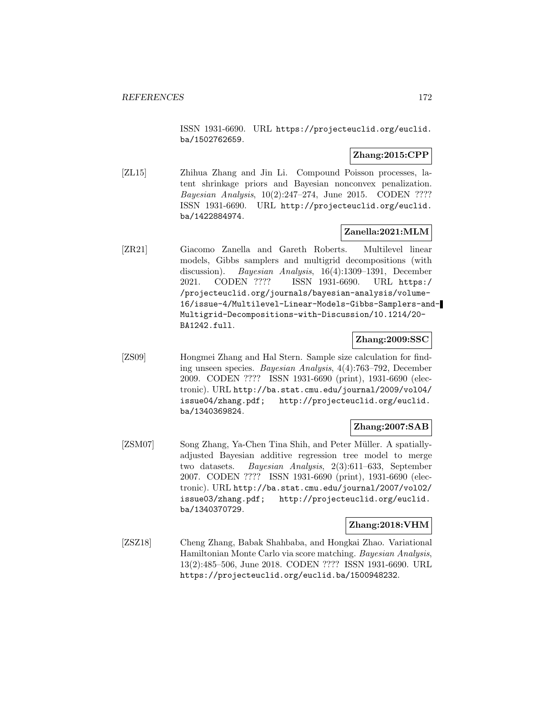ISSN 1931-6690. URL https://projecteuclid.org/euclid. ba/1502762659.

## **Zhang:2015:CPP**

[ZL15] Zhihua Zhang and Jin Li. Compound Poisson processes, latent shrinkage priors and Bayesian nonconvex penalization. Bayesian Analysis, 10(2):247–274, June 2015. CODEN ???? ISSN 1931-6690. URL http://projecteuclid.org/euclid. ba/1422884974.

### **Zanella:2021:MLM**

[ZR21] Giacomo Zanella and Gareth Roberts. Multilevel linear models, Gibbs samplers and multigrid decompositions (with discussion). Bayesian Analysis, 16(4):1309–1391, December 2021. CODEN ???? ISSN 1931-6690. URL https:/ /projecteuclid.org/journals/bayesian-analysis/volume-16/issue-4/Multilevel-Linear-Models-Gibbs-Samplers-and-Multigrid-Decompositions-with-Discussion/10.1214/20- BA1242.full.

## **Zhang:2009:SSC**

[ZS09] Hongmei Zhang and Hal Stern. Sample size calculation for finding unseen species. Bayesian Analysis, 4(4):763–792, December 2009. CODEN ???? ISSN 1931-6690 (print), 1931-6690 (electronic). URL http://ba.stat.cmu.edu/journal/2009/vol04/ issue04/zhang.pdf; http://projecteuclid.org/euclid. ba/1340369824.

## **Zhang:2007:SAB**

[ZSM07] Song Zhang, Ya-Chen Tina Shih, and Peter Müller. A spatiallyadjusted Bayesian additive regression tree model to merge two datasets. Bayesian Analysis, 2(3):611–633, September 2007. CODEN ???? ISSN 1931-6690 (print), 1931-6690 (electronic). URL http://ba.stat.cmu.edu/journal/2007/vol02/ issue03/zhang.pdf; http://projecteuclid.org/euclid. ba/1340370729.

## **Zhang:2018:VHM**

[ZSZ18] Cheng Zhang, Babak Shahbaba, and Hongkai Zhao. Variational Hamiltonian Monte Carlo via score matching. Bayesian Analysis, 13(2):485–506, June 2018. CODEN ???? ISSN 1931-6690. URL https://projecteuclid.org/euclid.ba/1500948232.